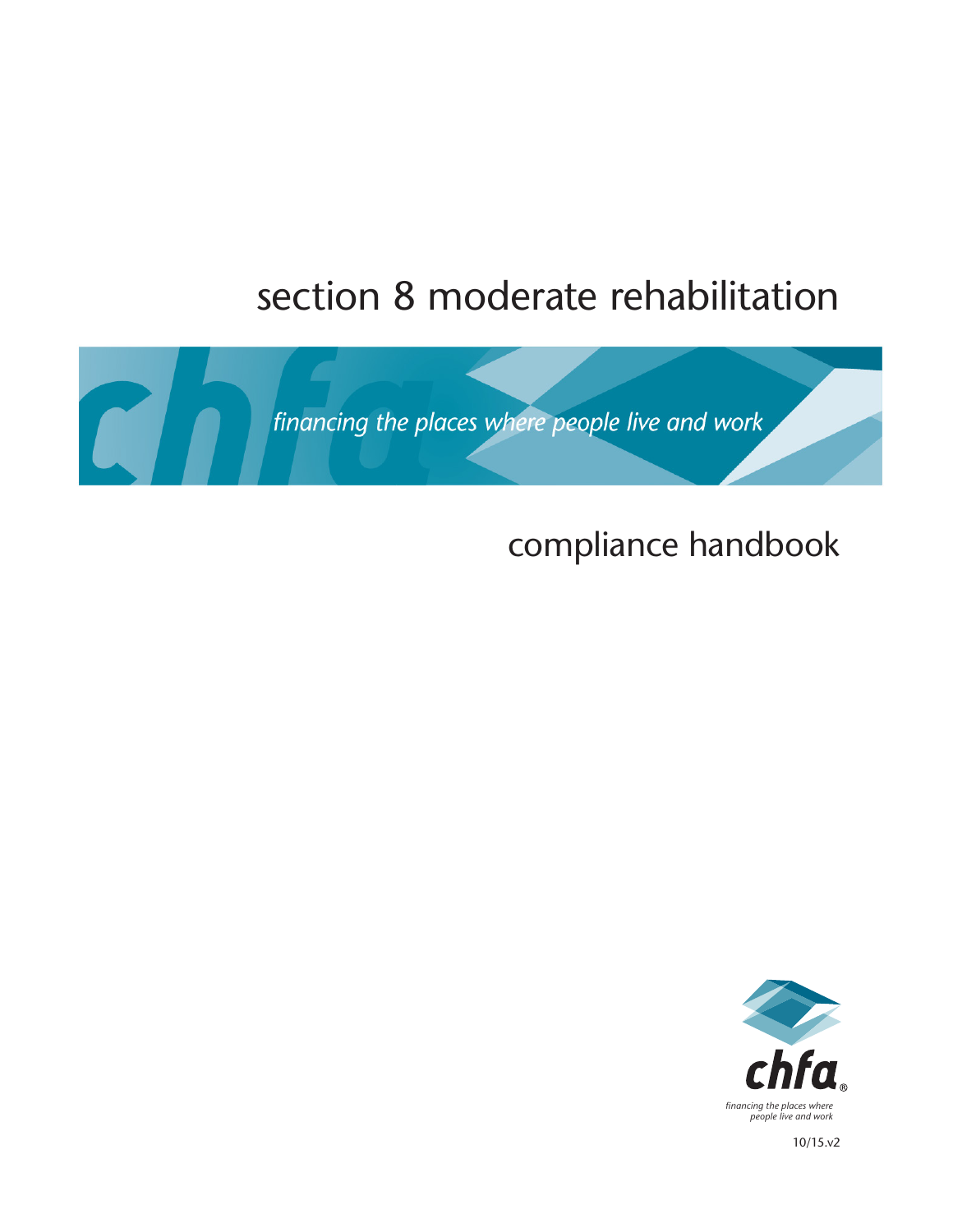# section 8 moderate rehabilitation



# compliance handbook



10/15.v2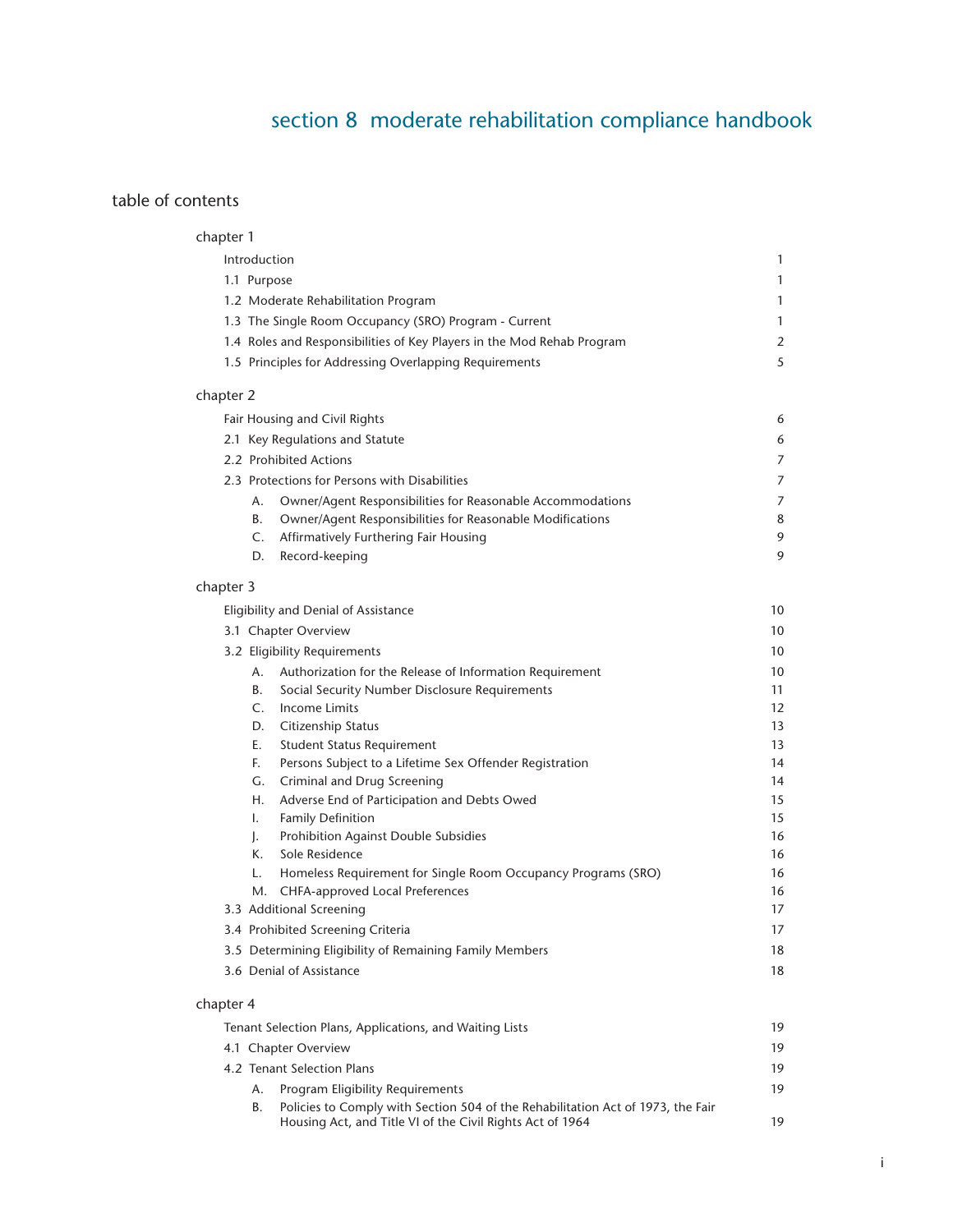## section 8 moderate rehabilitation compliance handbook

## table of contents

| chapter 1    |                                                                                                                                              |                   |
|--------------|----------------------------------------------------------------------------------------------------------------------------------------------|-------------------|
| Introduction |                                                                                                                                              | $\mathbf{1}$      |
| 1.1 Purpose  |                                                                                                                                              | $\mathbf{1}$      |
|              | 1.2 Moderate Rehabilitation Program                                                                                                          | $\mathbf{1}$      |
|              | 1.3 The Single Room Occupancy (SRO) Program - Current                                                                                        | $\mathbf{1}$      |
|              | 1.4 Roles and Responsibilities of Key Players in the Mod Rehab Program                                                                       | 2                 |
|              | 1.5 Principles for Addressing Overlapping Requirements                                                                                       | 5                 |
|              |                                                                                                                                              |                   |
| chapter 2    |                                                                                                                                              |                   |
|              | Fair Housing and Civil Rights                                                                                                                | 6                 |
|              | 2.1 Key Regulations and Statute                                                                                                              | 6                 |
|              | 2.2 Prohibited Actions                                                                                                                       | 7                 |
|              | 2.3 Protections for Persons with Disabilities                                                                                                | 7                 |
| А.           | Owner/Agent Responsibilities for Reasonable Accommodations                                                                                   | 7                 |
| В.           | Owner/Agent Responsibilities for Reasonable Modifications                                                                                    | 8                 |
| C.           | Affirmatively Furthering Fair Housing                                                                                                        | 9                 |
| D.           | Record-keeping                                                                                                                               | 9                 |
| chapter 3    |                                                                                                                                              |                   |
|              | Eligibility and Denial of Assistance                                                                                                         | 10                |
|              | 3.1 Chapter Overview                                                                                                                         | 10                |
|              | 3.2 Eligibility Requirements                                                                                                                 | 10                |
|              | A. Authorization for the Release of Information Requirement                                                                                  | 10                |
| В.           | Social Security Number Disclosure Requirements                                                                                               | 11                |
| $C_{1}$      | Income Limits                                                                                                                                | $12 \overline{ }$ |
| D.           | Citizenship Status                                                                                                                           | 13                |
| Е.           | Student Status Requirement                                                                                                                   | 13                |
| F.           | Persons Subject to a Lifetime Sex Offender Registration                                                                                      | 14                |
| G.           | Criminal and Drug Screening                                                                                                                  | 14                |
| Н.           | Adverse End of Participation and Debts Owed                                                                                                  | 15                |
| $\mathbf{L}$ | <b>Family Definition</b>                                                                                                                     | 15                |
| J.           | Prohibition Against Double Subsidies                                                                                                         | 16                |
| К.           | Sole Residence                                                                                                                               | 16                |
| L.           | Homeless Requirement for Single Room Occupancy Programs (SRO)                                                                                | 16                |
|              | M. CHFA-approved Local Preferences                                                                                                           | 16                |
|              | 3.3 Additional Screening                                                                                                                     | 17                |
|              | 3.4 Prohibited Screening Criteria                                                                                                            | 17                |
|              | 3.5 Determining Eligibility of Remaining Family Members                                                                                      | 18                |
|              | 3.6 Denial of Assistance                                                                                                                     | 18                |
| chapter 4    |                                                                                                                                              |                   |
|              |                                                                                                                                              |                   |
|              | Tenant Selection Plans, Applications, and Waiting Lists                                                                                      | 19                |
|              | 4.1 Chapter Overview                                                                                                                         | 19                |
|              | 4.2 Tenant Selection Plans                                                                                                                   | 19                |
| Α.           | <b>Program Eligibility Requirements</b>                                                                                                      | 19                |
| В.           | Policies to Comply with Section 504 of the Rehabilitation Act of 1973, the Fair<br>Housing Act, and Title VI of the Civil Rights Act of 1964 | 19                |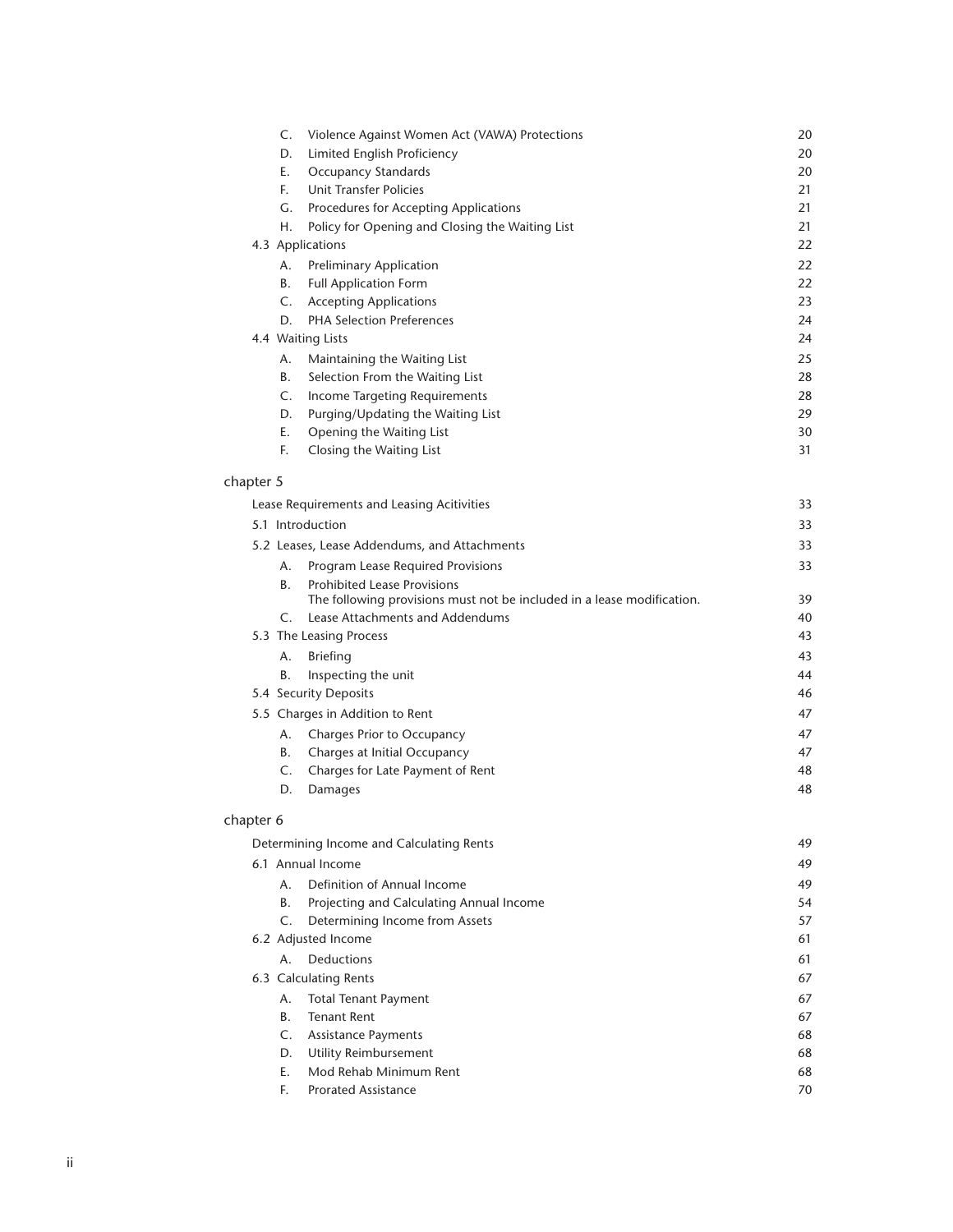| Limited English Proficiency<br>20<br>D.<br>Е.<br><b>Occupancy Standards</b><br>20<br>F.<br>Unit Transfer Policies<br>21<br>21<br>G.<br>Procedures for Accepting Applications<br>Policy for Opening and Closing the Waiting List<br>21<br>Η.<br>22<br>4.3 Applications<br>22<br>Preliminary Application<br>Α.<br>В.<br><b>Full Application Form</b><br>22<br>23<br>C.<br><b>Accepting Applications</b><br><b>PHA Selection Preferences</b><br>D.<br>24 |
|-------------------------------------------------------------------------------------------------------------------------------------------------------------------------------------------------------------------------------------------------------------------------------------------------------------------------------------------------------------------------------------------------------------------------------------------------------|
|                                                                                                                                                                                                                                                                                                                                                                                                                                                       |
|                                                                                                                                                                                                                                                                                                                                                                                                                                                       |
|                                                                                                                                                                                                                                                                                                                                                                                                                                                       |
|                                                                                                                                                                                                                                                                                                                                                                                                                                                       |
|                                                                                                                                                                                                                                                                                                                                                                                                                                                       |
|                                                                                                                                                                                                                                                                                                                                                                                                                                                       |
|                                                                                                                                                                                                                                                                                                                                                                                                                                                       |
|                                                                                                                                                                                                                                                                                                                                                                                                                                                       |
|                                                                                                                                                                                                                                                                                                                                                                                                                                                       |
|                                                                                                                                                                                                                                                                                                                                                                                                                                                       |
| 24<br>4.4 Waiting Lists                                                                                                                                                                                                                                                                                                                                                                                                                               |
| 25<br>Maintaining the Waiting List<br>А.                                                                                                                                                                                                                                                                                                                                                                                                              |
| В.<br>Selection From the Waiting List<br>28                                                                                                                                                                                                                                                                                                                                                                                                           |
| C.<br>28<br>Income Targeting Requirements                                                                                                                                                                                                                                                                                                                                                                                                             |
| Purging/Updating the Waiting List<br>D.<br>29                                                                                                                                                                                                                                                                                                                                                                                                         |
| Е.<br>Opening the Waiting List<br>30                                                                                                                                                                                                                                                                                                                                                                                                                  |
| F.<br>31<br>Closing the Waiting List                                                                                                                                                                                                                                                                                                                                                                                                                  |

## [chapter 5](#page-38-0)

| Lease Requirements and Leasing Acitivities   |                                                                                                              | 33 |
|----------------------------------------------|--------------------------------------------------------------------------------------------------------------|----|
| 5.1 Introduction                             |                                                                                                              | 33 |
| 5.2 Leases, Lease Addendums, and Attachments |                                                                                                              | 33 |
| А.                                           | Program Lease Required Provisions                                                                            | 33 |
| B.                                           | <b>Prohibited Lease Provisions</b><br>The following provisions must not be included in a lease modification. | 39 |
| $\mathcal{C}$ .                              | Lease Attachments and Addendums                                                                              | 40 |
|                                              | 5.3 The Leasing Process                                                                                      | 43 |
| Α.                                           | <b>Briefing</b>                                                                                              | 43 |
| В.                                           | Inspecting the unit                                                                                          | 44 |
|                                              | 5.4 Security Deposits                                                                                        | 46 |
|                                              | 5.5 Charges in Addition to Rent                                                                              | 47 |
| А.                                           | Charges Prior to Occupancy                                                                                   | 47 |
| В.                                           | Charges at Initial Occupancy                                                                                 | 47 |
| C.                                           | Charges for Late Payment of Rent                                                                             | 48 |
| D.                                           | Damages                                                                                                      | 48 |

## [chapter 6](#page-54-0)

| Determining Income and Calculating Rents |    | 49                                       |    |
|------------------------------------------|----|------------------------------------------|----|
|                                          |    | 6.1 Annual Income                        | 49 |
|                                          | А. | Definition of Annual Income              | 49 |
|                                          | В. | Projecting and Calculating Annual Income | 54 |
|                                          | C. | Determining Income from Assets           | 57 |
|                                          |    | 6.2 Adjusted Income                      | 61 |
|                                          | А. | Deductions                               | 61 |
|                                          |    | 6.3 Calculating Rents                    | 67 |
|                                          | Α. | <b>Total Tenant Payment</b>              | 67 |
|                                          | В. | Tenant Rent                              | 67 |
|                                          | C. | <b>Assistance Payments</b>               | 68 |
|                                          | D. | Utility Reimbursement                    | 68 |
|                                          | Е. | Mod Rehab Minimum Rent                   | 68 |
|                                          | F. | <b>Prorated Assistance</b>               | 70 |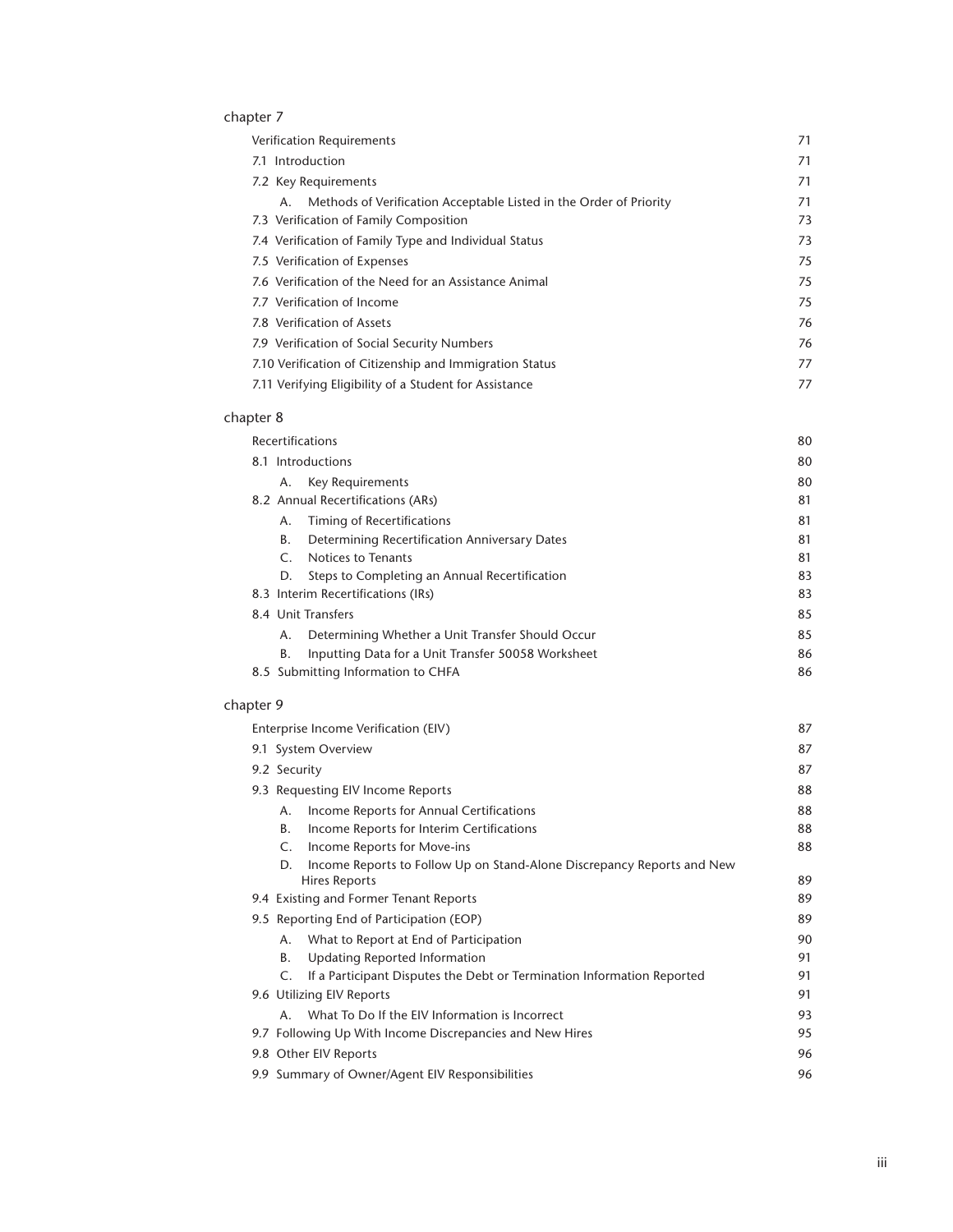## [chapter 7](#page-76-0)

| <b>Verification Requirements</b>                                         |    |
|--------------------------------------------------------------------------|----|
| 7.1 Introduction                                                         | 71 |
| 7.2 Key Requirements                                                     | 71 |
| Methods of Verification Acceptable Listed in the Order of Priority<br>А. | 71 |
| 7.3 Verification of Family Composition                                   | 73 |
| 7.4 Verification of Family Type and Individual Status                    | 73 |
| 7.5 Verification of Expenses                                             | 75 |
| 7.6 Verification of the Need for an Assistance Animal                    | 75 |
| 7.7 Verification of Income                                               | 75 |
| 7.8 Verification of Assets                                               | 76 |
| 7.9 Verification of Social Security Numbers                              | 76 |
| 7.10 Verification of Citizenship and Immigration Status                  | 77 |
| 7.11 Verifying Eligibility of a Student for Assistance                   | 77 |

## [chapter 8](#page-85-0)

| <b>Recertifications</b> |                                                    | 80 |
|-------------------------|----------------------------------------------------|----|
| 8.1 Introductions       |                                                    | 80 |
| А.                      | Key Requirements                                   | 80 |
|                         | 8.2 Annual Recertifications (ARs)                  | 81 |
| Α.                      | Timing of Recertifications                         | 81 |
| В.                      | Determining Recertification Anniversary Dates      | 81 |
|                         | Notices to Tenants                                 | 81 |
| D.                      | Steps to Completing an Annual Recertification      | 83 |
|                         | 8.3 Interim Recertifications (IRs)                 | 83 |
|                         | 8.4 Unit Transfers                                 | 85 |
| Α.                      | Determining Whether a Unit Transfer Should Occur   | 85 |
| В.                      | Inputting Data for a Unit Transfer 50058 Worksheet | 86 |
|                         | 8.5 Submitting Information to CHFA                 | 86 |

## [chapter 9](#page-92-0)

| Enterprise Income Verification (EIV)                                                          | 87 |
|-----------------------------------------------------------------------------------------------|----|
| 9.1 System Overview                                                                           | 87 |
| 9.2 Security                                                                                  | 87 |
| 9.3 Requesting EIV Income Reports                                                             |    |
| Income Reports for Annual Certifications<br>А.                                                | 88 |
| В.<br>Income Reports for Interim Certifications                                               | 88 |
| Income Reports for Move-ins<br>C.                                                             | 88 |
| Income Reports to Follow Up on Stand-Alone Discrepancy Reports and New<br>D.<br>Hires Reports | 89 |
| 9.4 Existing and Former Tenant Reports                                                        | 89 |
| 9.5 Reporting End of Participation (EOP)                                                      | 89 |
| What to Report at End of Participation<br>А.                                                  | 90 |
| Updating Reported Information<br>В.                                                           | 91 |
| If a Participant Disputes the Debt or Termination Information Reported<br>C.                  | 91 |
| 9.6 Utilizing EIV Reports                                                                     | 91 |
| What To Do If the EIV Information is Incorrect<br>$A_{\cdot}$                                 | 93 |
| 9.7 Following Up With Income Discrepancies and New Hires                                      | 95 |
| 9.8 Other EIV Reports                                                                         | 96 |
| 9.9 Summary of Owner/Agent EIV Responsibilities                                               | 96 |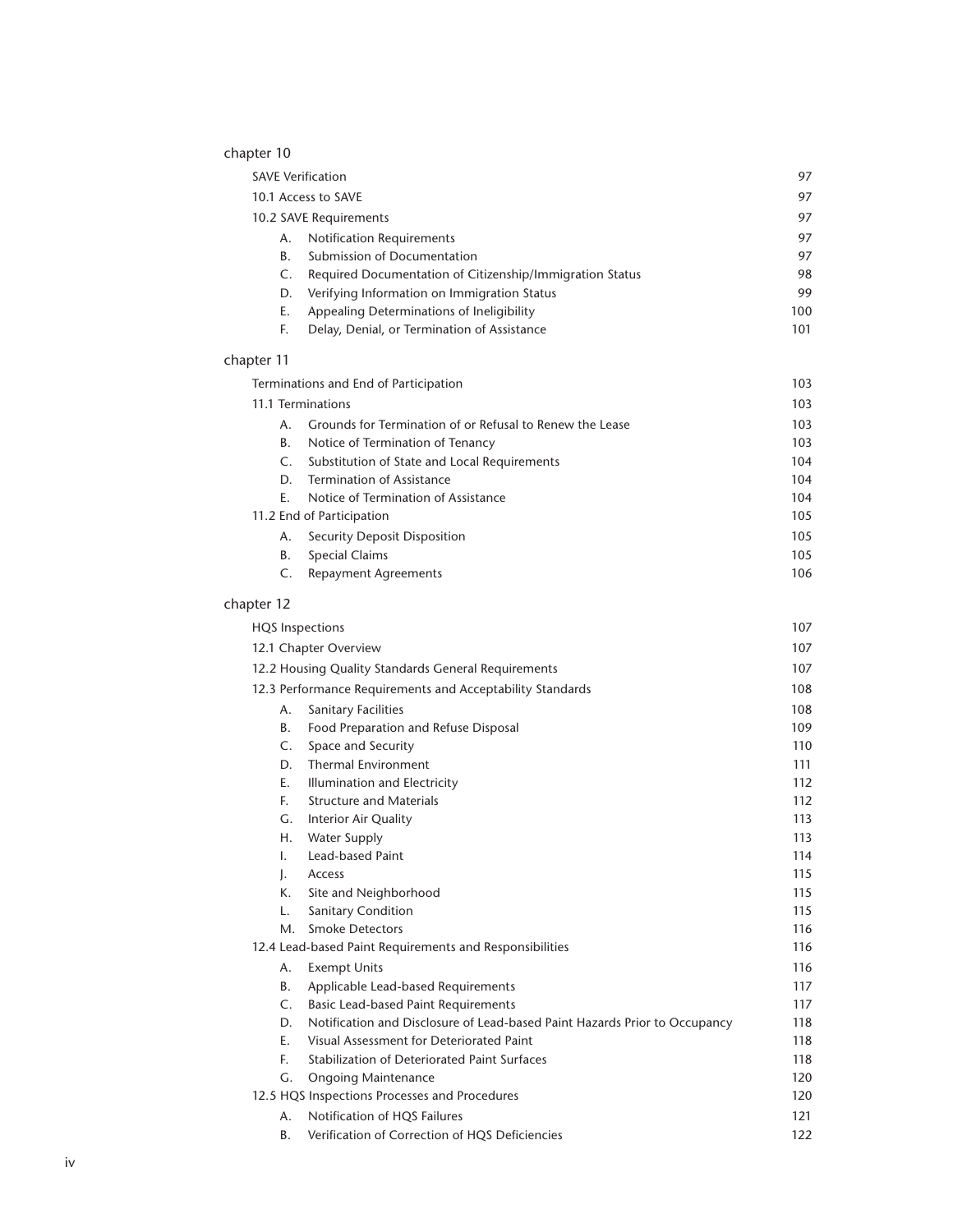## [chapter 10](#page-102-0)

| <b>SAVE Verification</b>              |                                                          | 97  |
|---------------------------------------|----------------------------------------------------------|-----|
| 10.1 Access to SAVE                   |                                                          | 97  |
| 10.2 SAVE Requirements                |                                                          | 97  |
| А.                                    | <b>Notification Requirements</b>                         |     |
| <b>B.</b>                             | Submission of Documentation                              | 97  |
| C.                                    | Required Documentation of Citizenship/Immigration Status | 98  |
| D.                                    | Verifying Information on Immigration Status              | 99  |
| Е.                                    | Appealing Determinations of Ineligibility                | 100 |
| F.                                    | Delay, Denial, or Termination of Assistance              | 101 |
| chapter 11                            |                                                          |     |
| Terminations and End of Participation |                                                          | 103 |
|                                       | 11.1 Terminations                                        |     |
| А.                                    | Grounds for Termination of or Refusal to Renew the Lease | 103 |

|    | - Grounds for Termination of or Refusal to Renew the Lease | 103 |
|----|------------------------------------------------------------|-----|
| В. | Notice of Termination of Tenancy                           | 103 |
| C. | Substitution of State and Local Requirements               | 104 |
| D. | Termination of Assistance                                  | 104 |
| Е. | Notice of Termination of Assistance                        | 104 |
|    | 11.2 End of Participation                                  | 105 |
| A. | Security Deposit Disposition                               | 105 |
| В. | <b>Special Claims</b>                                      | 105 |
|    | <b>Repayment Agreements</b>                                | 106 |

## [chapter 12](#page-112-0)

| <b>HQS</b> Inspections                                    |                                                                            | 107 |
|-----------------------------------------------------------|----------------------------------------------------------------------------|-----|
|                                                           | 12.1 Chapter Overview                                                      | 107 |
|                                                           | 12.2 Housing Quality Standards General Requirements                        | 107 |
| 12.3 Performance Requirements and Acceptability Standards |                                                                            | 108 |
| Α.                                                        | <b>Sanitary Facilities</b>                                                 | 108 |
| <b>B.</b>                                                 | Food Preparation and Refuse Disposal                                       | 109 |
| $\mathsf{C}$ .                                            | Space and Security                                                         | 110 |
| D.                                                        | <b>Thermal Environment</b>                                                 | 111 |
| E.                                                        | Illumination and Electricity                                               | 112 |
| E.                                                        | <b>Structure and Materials</b>                                             | 112 |
| G.                                                        | Interior Air Quality                                                       | 113 |
| Η.                                                        | <b>Water Supply</b>                                                        | 113 |
| $\mathbf{L}$                                              | <b>Lead-based Paint</b>                                                    | 114 |
| $\mathsf{L}$                                              | Access                                                                     | 115 |
| К.                                                        | Site and Neighborhood                                                      | 115 |
| L.                                                        | Sanitary Condition                                                         | 115 |
| М.                                                        | <b>Smoke Detectors</b>                                                     | 116 |
|                                                           | 12.4 Lead-based Paint Requirements and Responsibilities                    | 116 |
| А.                                                        | <b>Exempt Units</b>                                                        | 116 |
| В.                                                        | Applicable Lead-based Requirements                                         | 117 |
| C.                                                        | <b>Basic Lead-based Paint Requirements</b>                                 | 117 |
| D.                                                        | Notification and Disclosure of Lead-based Paint Hazards Prior to Occupancy | 118 |
| E.                                                        | Visual Assessment for Deteriorated Paint                                   | 118 |
| E.                                                        | Stabilization of Deteriorated Paint Surfaces                               | 118 |
| G.                                                        | <b>Ongoing Maintenance</b>                                                 | 120 |
|                                                           | 12.5 HQS Inspections Processes and Procedures                              | 120 |
| А.                                                        | Notification of HQS Failures                                               | 121 |
| В.                                                        | Verification of Correction of HQS Deficiencies                             | 122 |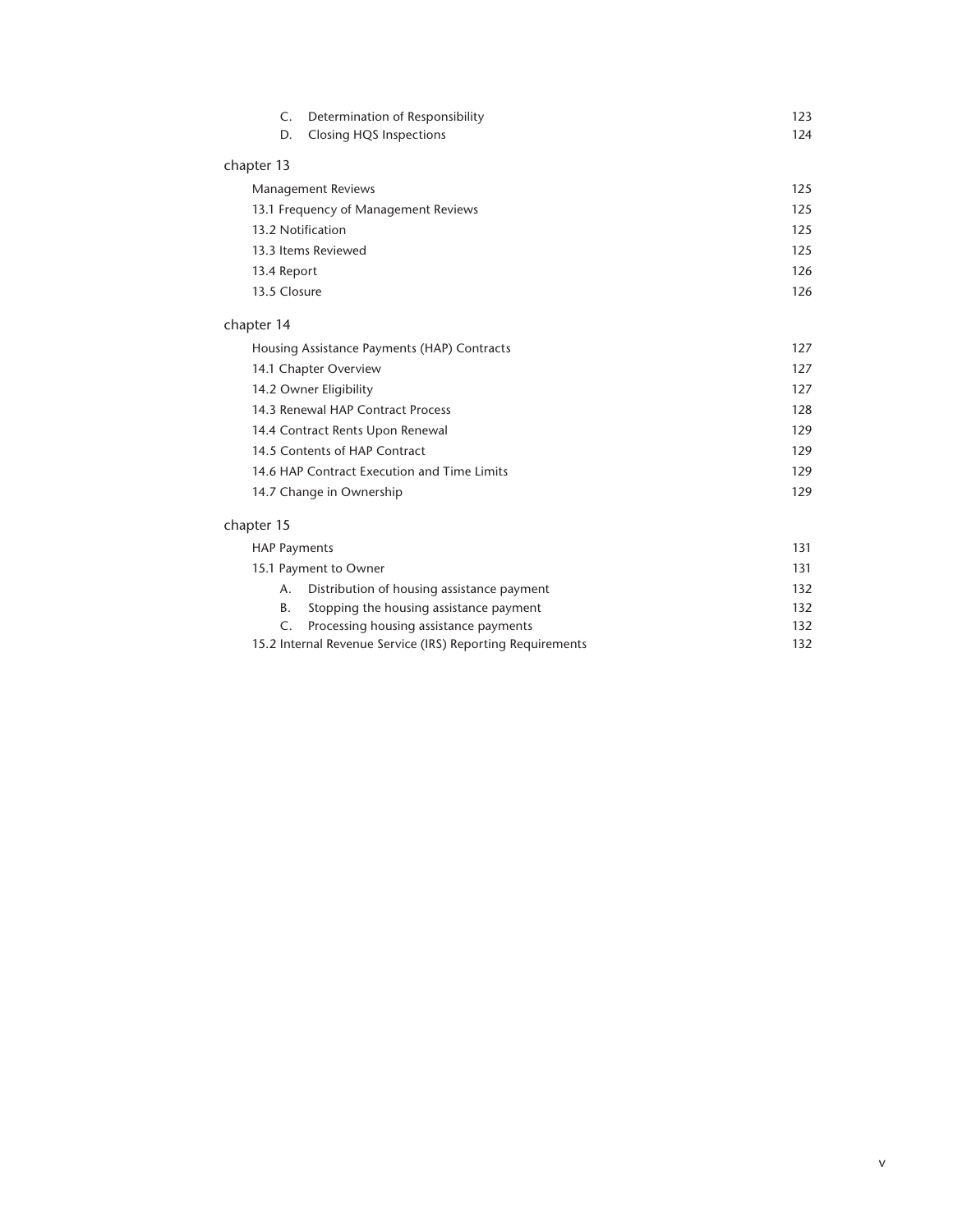| Determination of Responsibility<br>$\mathsf{C}$ . | 123 |
|---------------------------------------------------|-----|
| <b>Closing HQS Inspections</b><br>D.              | 124 |
| chapter 13                                        |     |
| <b>Management Reviews</b>                         | 125 |
| 13.1 Frequency of Management Reviews              | 125 |
| 13.2 Notification                                 | 125 |
| 13.3 Items Reviewed                               | 125 |
| 13.4 Report                                       | 126 |
| 13.5 Closure                                      | 126 |
| chapter 14                                        |     |
| Housing Assistance Payments (HAP) Contracts       | 127 |
| 14.1 Chapter Overview                             | 127 |
| 14.2 Owner Eligibility                            | 127 |
| 14.3 Renewal HAP Contract Process                 | 128 |
| 14.4 Contract Rents Upon Renewal                  | 129 |
| 14.5 Contents of HAP Contract                     | 129 |
| 14.6 HAP Contract Execution and Time Limits       | 129 |
| 14.7 Change in Ownership                          | 129 |
| chapter 15                                        |     |
| <b>HAP Payments</b>                               | 131 |
| 15.1 Payment to Owner                             | 131 |
| Distribution of housing assistance payment<br>А.  | 132 |
| D<br>Storaging the housing assistance payment     | 122 |

|                                                            | B. Stopping the housing assistance payment | 132 |
|------------------------------------------------------------|--------------------------------------------|-----|
|                                                            | C. Processing housing assistance payments  | 132 |
| 15.2 Internal Revenue Service (IRS) Reporting Requirements |                                            | 132 |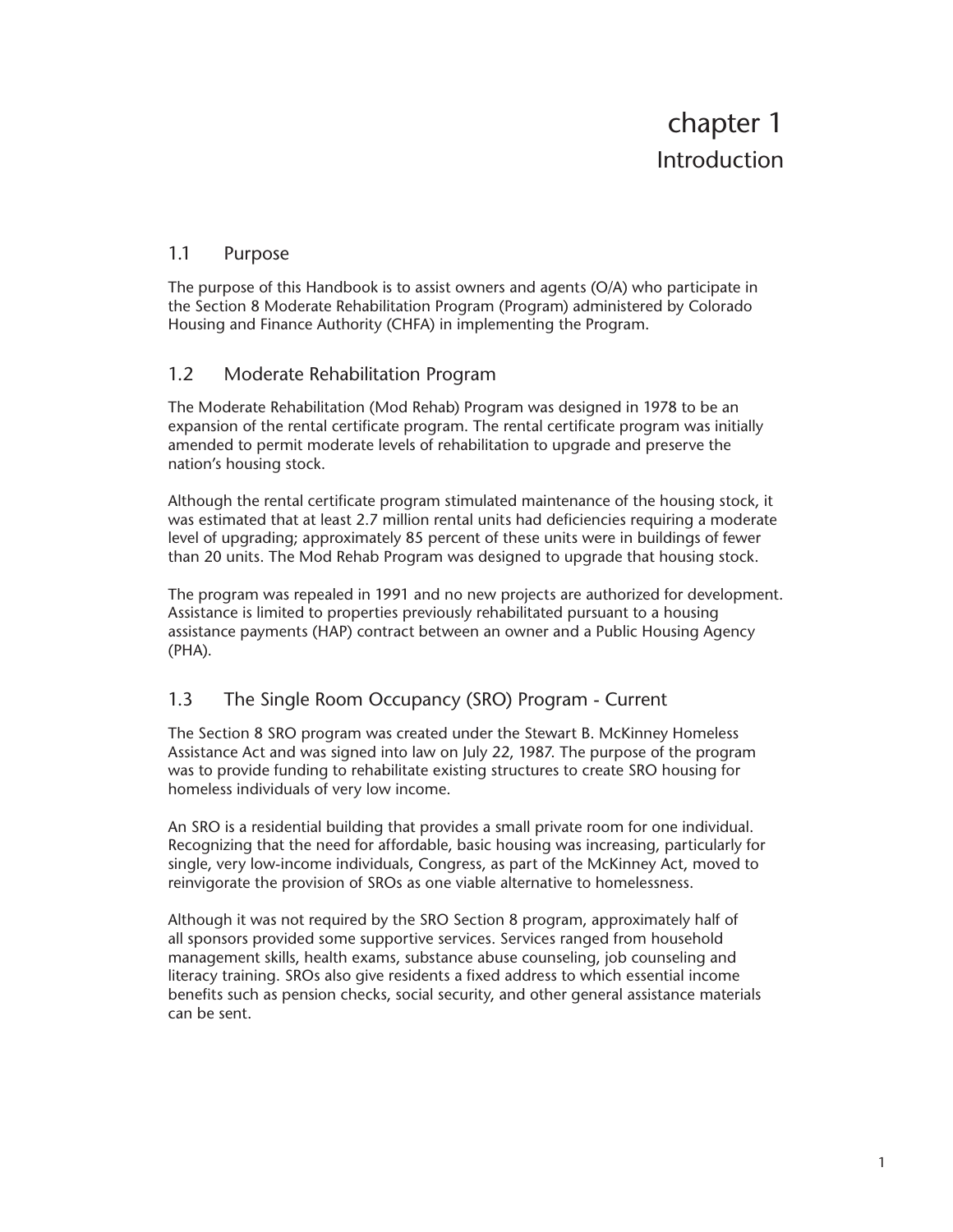## <span id="page-6-0"></span>1.1 Purpose

The purpose of this Handbook is to assist owners and agents (O/A) who participate in the Section 8 Moderate Rehabilitation Program (Program) administered by Colorado Housing and Finance Authority (CHFA) in implementing the Program.

## 1.2 Moderate Rehabilitation Program

The Moderate Rehabilitation (Mod Rehab) Program was designed in 1978 to be an expansion of the rental certificate program. The rental certificate program was initially amended to permit moderate levels of rehabilitation to upgrade and preserve the nation's housing stock.

Although the rental certificate program stimulated maintenance of the housing stock, it was estimated that at least 2.7 million rental units had deficiencies requiring a moderate level of upgrading; approximately 85 percent of these units were in buildings of fewer than 20 units. The Mod Rehab Program was designed to upgrade that housing stock.

The program was repealed in 1991 and no new projects are authorized for development. Assistance is limited to properties previously rehabilitated pursuant to a housing assistance payments (HAP) contract between an owner and a Public Housing Agency (PHA).

## 1.3 The Single Room Occupancy (SRO) Program - Current

The Section 8 SRO program was created under the Stewart B. McKinney Homeless Assistance Act and was signed into law on July 22, 1987. The purpose of the program was to provide funding to rehabilitate existing structures to create SRO housing for homeless individuals of very low income.

An SRO is a residential building that provides a small private room for one individual. Recognizing that the need for affordable, basic housing was increasing, particularly for single, very low-income individuals, Congress, as part of the McKinney Act, moved to reinvigorate the provision of SROs as one viable alternative to homelessness.

Although it was not required by the SRO Section 8 program, approximately half of all sponsors provided some supportive services. Services ranged from household management skills, health exams, substance abuse counseling, job counseling and literacy training. SROs also give residents a fixed address to which essential income benefits such as pension checks, social security, and other general assistance materials can be sent.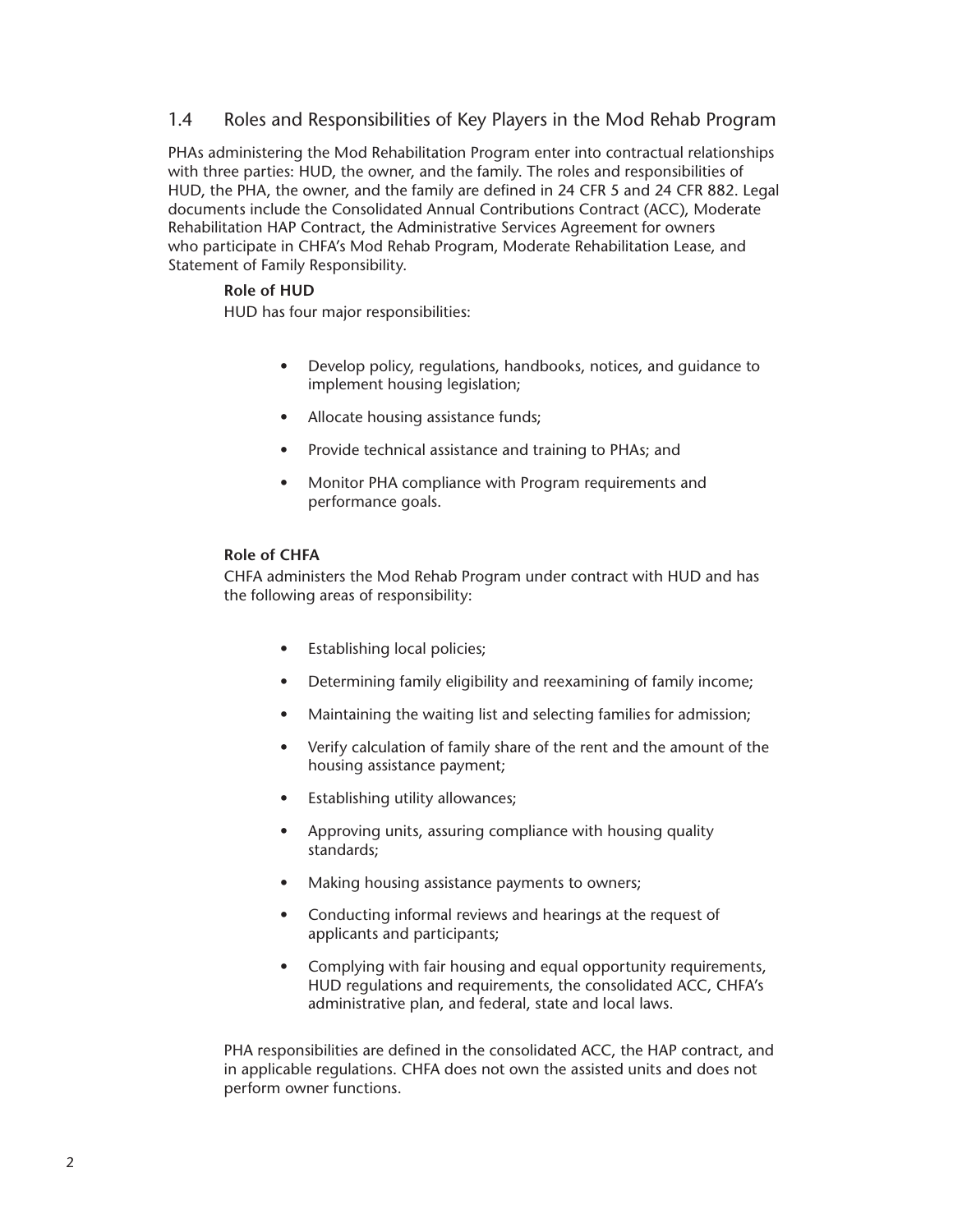### <span id="page-7-0"></span>1.4 Roles and Responsibilities of Key Players in the Mod Rehab Program

PHAs administering the Mod Rehabilitation Program enter into contractual relationships with three parties: HUD, the owner, and the family. The roles and responsibilities of HUD, the PHA, the owner, and the family are defined in 24 CFR 5 and 24 CFR 882. Legal documents include the Consolidated Annual Contributions Contract (ACC), Moderate Rehabilitation HAP Contract, the Administrative Services Agreement for owners who participate in CHFA's Mod Rehab Program, Moderate Rehabilitation Lease, and Statement of Family Responsibility.

#### **Role of HUD**

HUD has four major responsibilities:

- Develop policy, regulations, handbooks, notices, and guidance to implement housing legislation;
- Allocate housing assistance funds;
- Provide technical assistance and training to PHAs; and
- Monitor PHA compliance with Program requirements and performance goals.

#### **Role of CHFA**

CHFA administers the Mod Rehab Program under contract with HUD and has the following areas of responsibility:

- Establishing local policies;
- Determining family eligibility and reexamining of family income;
- Maintaining the waiting list and selecting families for admission;
- Verify calculation of family share of the rent and the amount of the housing assistance payment;
- Establishing utility allowances;
- Approving units, assuring compliance with housing quality standards;
- Making housing assistance payments to owners;
- Conducting informal reviews and hearings at the request of applicants and participants;
- Complying with fair housing and equal opportunity requirements, HUD regulations and requirements, the consolidated ACC, CHFA's administrative plan, and federal, state and local laws.

PHA responsibilities are defined in the consolidated ACC, the HAP contract, and in applicable regulations. CHFA does not own the assisted units and does not perform owner functions.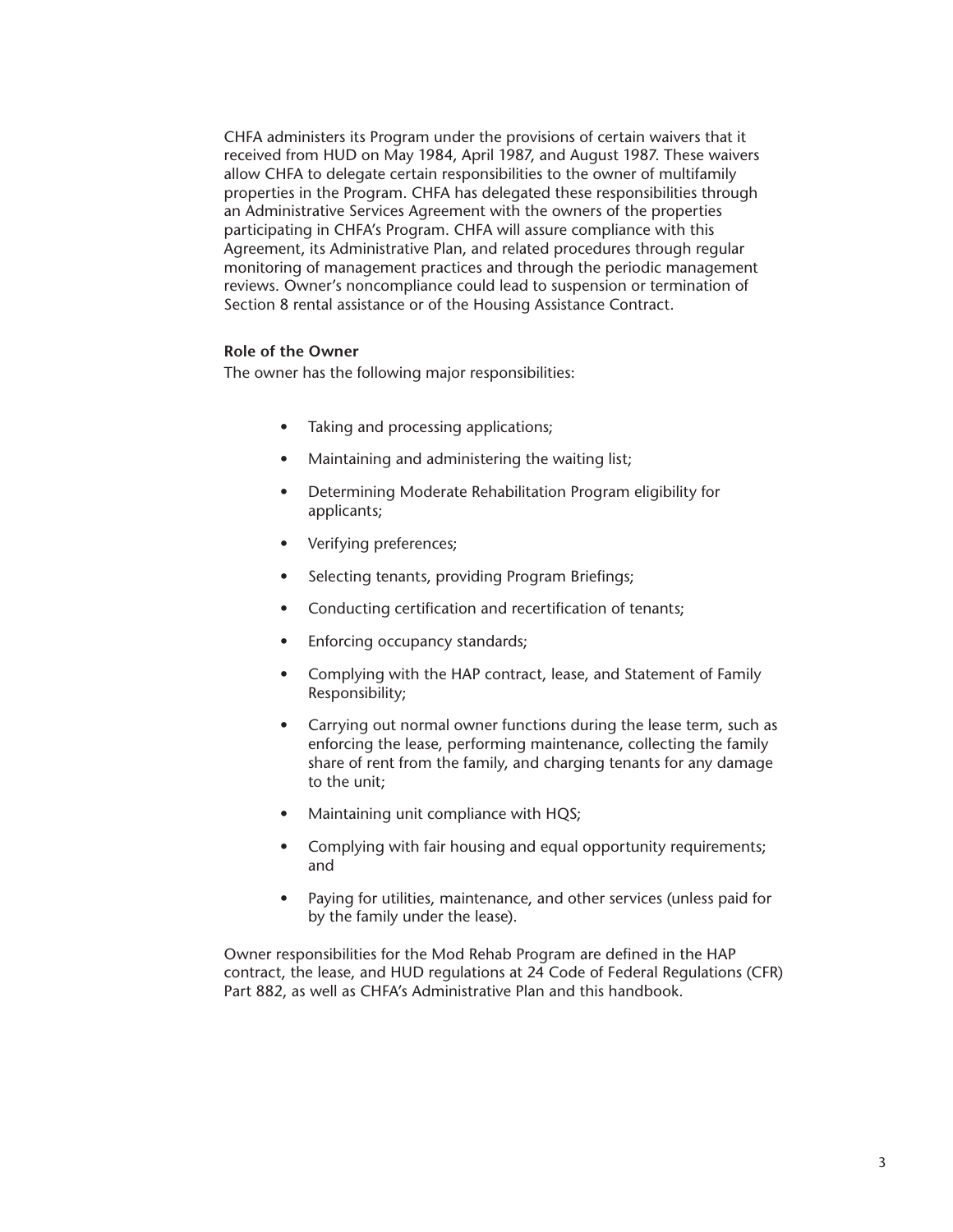CHFA administers its Program under the provisions of certain waivers that it received from HUD on May 1984, April 1987, and August 1987. These waivers allow CHFA to delegate certain responsibilities to the owner of multifamily properties in the Program. CHFA has delegated these responsibilities through an Administrative Services Agreement with the owners of the properties participating in CHFA's Program. CHFA will assure compliance with this Agreement, its Administrative Plan, and related procedures through regular monitoring of management practices and through the periodic management reviews. Owner's noncompliance could lead to suspension or termination of Section 8 rental assistance or of the Housing Assistance Contract.

#### **Role of the Owner**

The owner has the following major responsibilities:

- Taking and processing applications;
- Maintaining and administering the waiting list;
- Determining Moderate Rehabilitation Program eligibility for applicants;
- Verifying preferences;
- Selecting tenants, providing Program Briefings;
- Conducting certification and recertification of tenants;
- Enforcing occupancy standards;
- Complying with the HAP contract, lease, and Statement of Family Responsibility;
- Carrying out normal owner functions during the lease term, such as enforcing the lease, performing maintenance, collecting the family share of rent from the family, and charging tenants for any damage to the unit;
- Maintaining unit compliance with HQS;
- Complying with fair housing and equal opportunity requirements; and
- Paying for utilities, maintenance, and other services (unless paid for by the family under the lease).

Owner responsibilities for the Mod Rehab Program are defined in the HAP contract, the lease, and HUD regulations at 24 Code of Federal Regulations (CFR) Part 882, as well as CHFA's Administrative Plan and this handbook.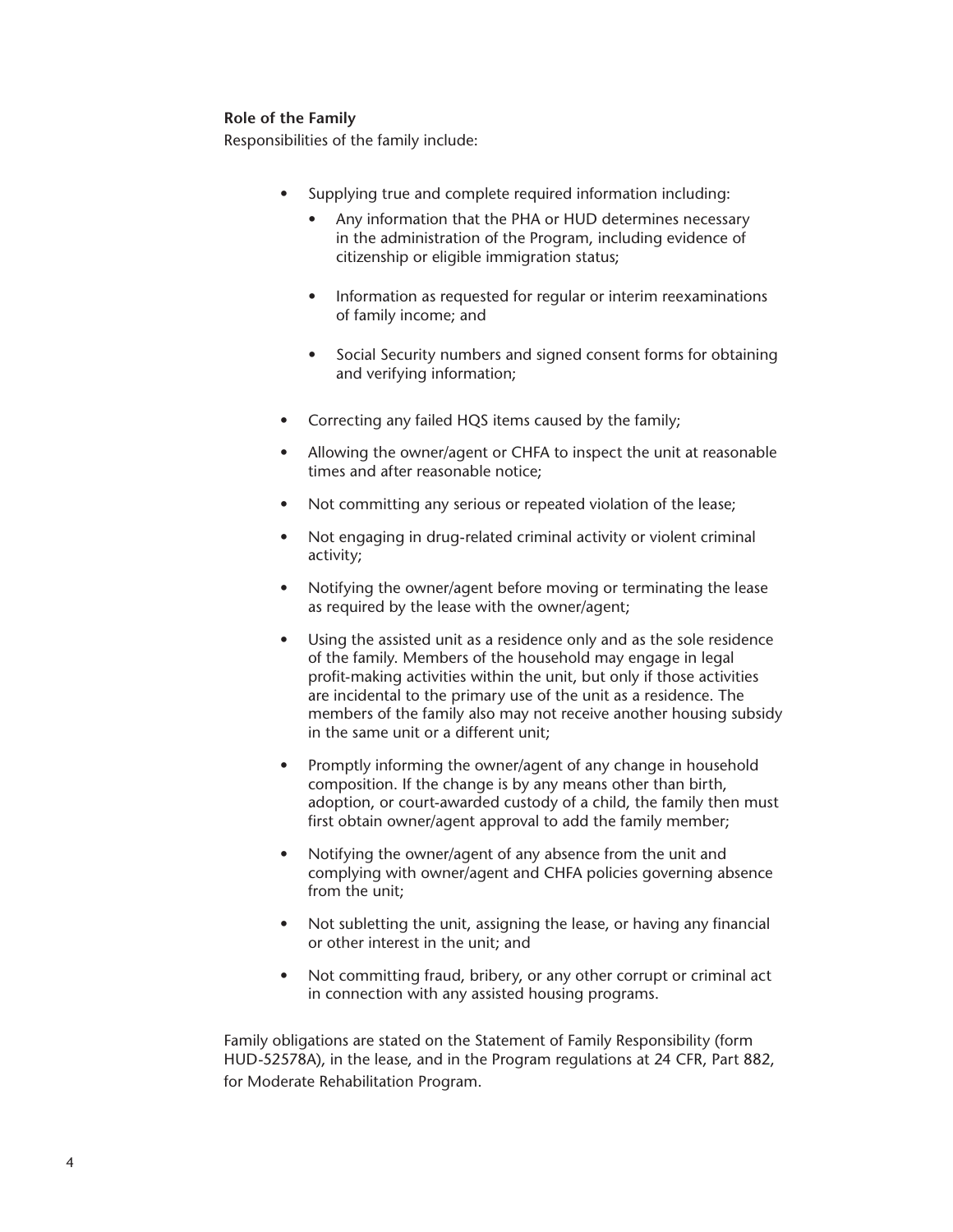#### **Role of the Family**

Responsibilities of the family include:

- Supplying true and complete required information including:
	- Any information that the PHA or HUD determines necessary in the administration of the Program, including evidence of citizenship or eligible immigration status;
	- Information as requested for regular or interim reexaminations of family income; and
	- Social Security numbers and signed consent forms for obtaining and verifying information;
- Correcting any failed HQS items caused by the family;
- Allowing the owner/agent or CHFA to inspect the unit at reasonable times and after reasonable notice;
- Not committing any serious or repeated violation of the lease;
- Not engaging in drug-related criminal activity or violent criminal activity;
- Notifying the owner/agent before moving or terminating the lease as required by the lease with the owner/agent;
- Using the assisted unit as a residence only and as the sole residence of the family. Members of the household may engage in legal profit-making activities within the unit, but only if those activities are incidental to the primary use of the unit as a residence. The members of the family also may not receive another housing subsidy in the same unit or a different unit;
- Promptly informing the owner/agent of any change in household composition. If the change is by any means other than birth, adoption, or court-awarded custody of a child, the family then must first obtain owner/agent approval to add the family member;
- Notifying the owner/agent of any absence from the unit and complying with owner/agent and CHFA policies governing absence from the unit;
- Not subletting the unit, assigning the lease, or having any financial or other interest in the unit; and
- Not committing fraud, bribery, or any other corrupt or criminal act in connection with any assisted housing programs.

Family obligations are stated on the Statement of Family Responsibility (form HUD-52578A), in the lease, and in the Program regulations at 24 CFR, Part 882, for Moderate Rehabilitation Program.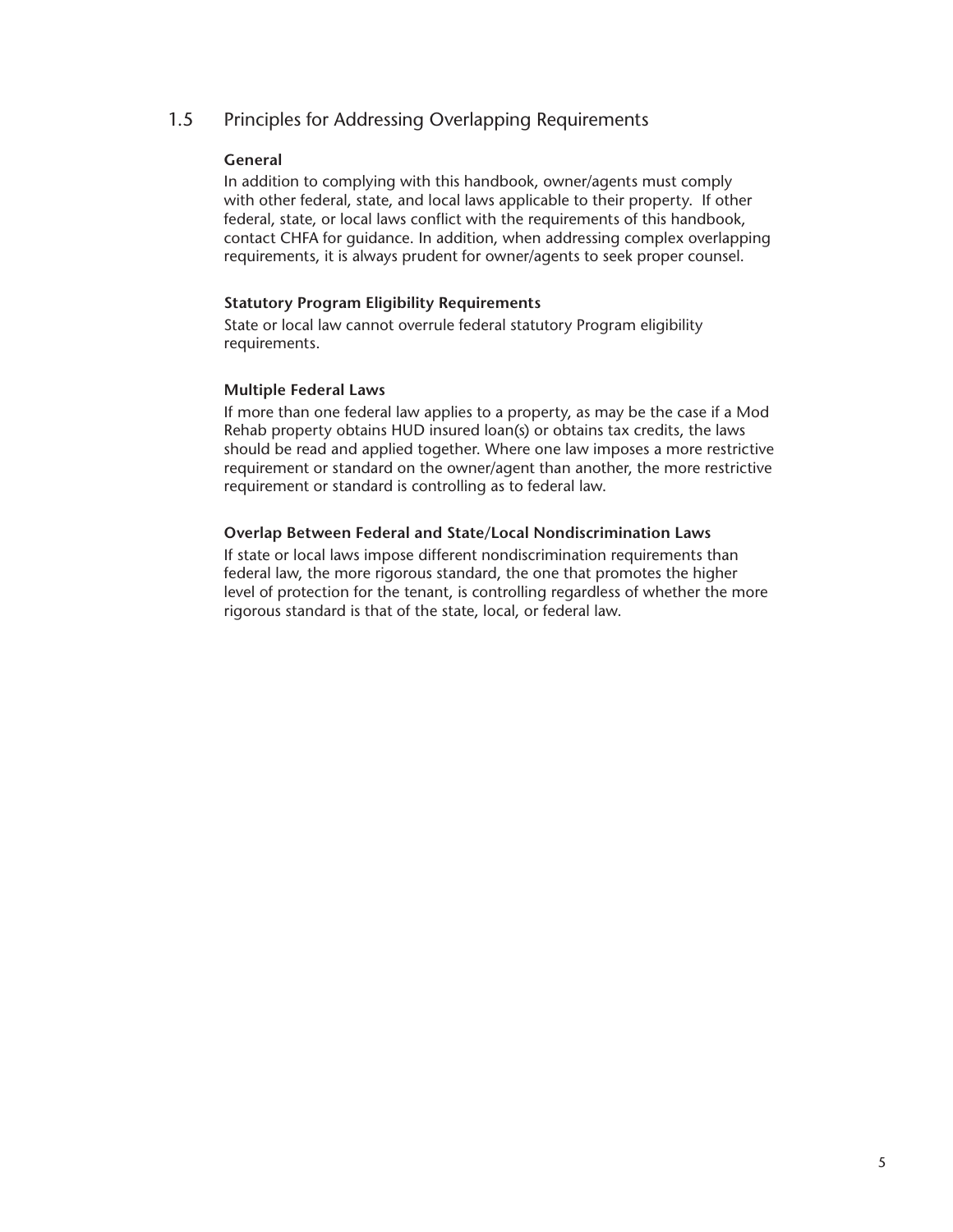## <span id="page-10-0"></span>1.5 Principles for Addressing Overlapping Requirements

#### **General**

In addition to complying with this handbook, owner/agents must comply with other federal, state, and local laws applicable to their property. If other federal, state, or local laws conflict with the requirements of this handbook, contact CHFA for guidance. In addition, when addressing complex overlapping requirements, it is always prudent for owner/agents to seek proper counsel.

#### **Statutory Program Eligibility Requirements**

State or local law cannot overrule federal statutory Program eligibility requirements.

#### **Multiple Federal Laws**

If more than one federal law applies to a property, as may be the case if a Mod Rehab property obtains HUD insured loan(s) or obtains tax credits, the laws should be read and applied together. Where one law imposes a more restrictive requirement or standard on the owner/agent than another, the more restrictive requirement or standard is controlling as to federal law.

#### **Overlap Between Federal and State/Local Nondiscrimination Laws**

If state or local laws impose different nondiscrimination requirements than federal law, the more rigorous standard, the one that promotes the higher level of protection for the tenant, is controlling regardless of whether the more rigorous standard is that of the state, local, or federal law.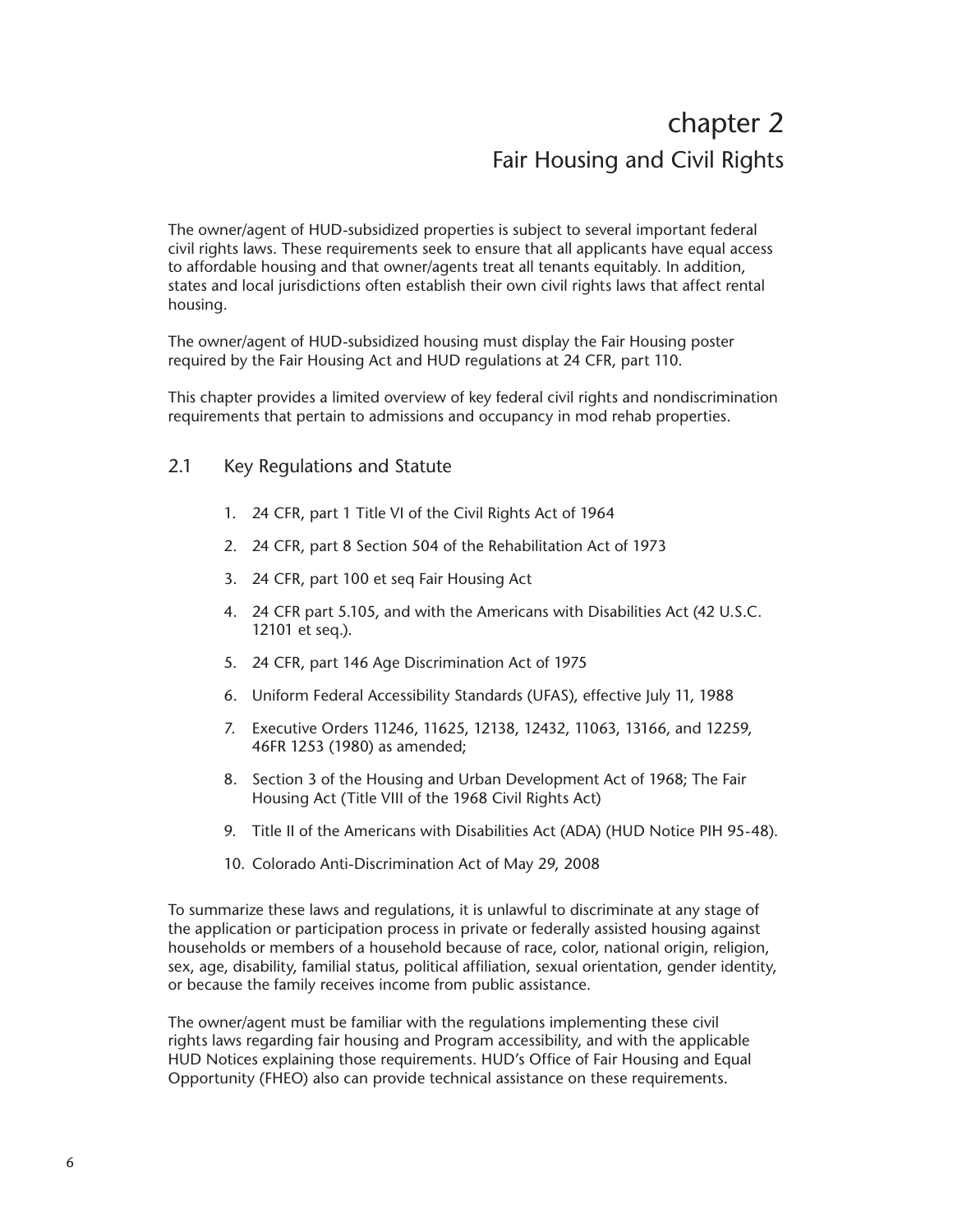## chapter 2 Fair Housing and Civil Rights

<span id="page-11-0"></span>The owner/agent of HUD-subsidized properties is subject to several important federal civil rights laws. These requirements seek to ensure that all applicants have equal access to affordable housing and that owner/agents treat all tenants equitably. In addition, states and local jurisdictions often establish their own civil rights laws that affect rental housing.

The owner/agent of HUD-subsidized housing must display the Fair Housing poster required by the Fair Housing Act and HUD regulations at 24 CFR, part 110.

This chapter provides a limited overview of key federal civil rights and nondiscrimination requirements that pertain to admissions and occupancy in mod rehab properties.

### 2.1 Key Regulations and Statute

- 1. 24 CFR, part 1 Title VI of the Civil Rights Act of 1964
- 2. 24 CFR, part 8 Section 504 of the Rehabilitation Act of 1973
- 3. 24 CFR, part 100 et seq Fair Housing Act
- 4. 24 CFR part 5.105, and with the Americans with Disabilities Act (42 U.S.C. 12101 et seq.).
- 5. 24 CFR, part 146 Age Discrimination Act of 1975
- 6. Uniform Federal Accessibility Standards (UFAS), effective July 11, 1988
- 7. Executive Orders 11246, 11625, 12138, 12432, 11063, 13166, and 12259, 46FR 1253 (1980) as amended;
- 8. Section 3 of the Housing and Urban Development Act of 1968; The Fair Housing Act (Title VIII of the 1968 Civil Rights Act)
- 9. Title II of the Americans with Disabilities Act (ADA) (HUD Notice PIH 95-48).
- 10. Colorado Anti-Discrimination Act of May 29, 2008

To summarize these laws and regulations, it is unlawful to discriminate at any stage of the application or participation process in private or federally assisted housing against households or members of a household because of race, color, national origin, religion, sex, age, disability, familial status, political affiliation, sexual orientation, gender identity, or because the family receives income from public assistance.

The owner/agent must be familiar with the regulations implementing these civil rights laws regarding fair housing and Program accessibility, and with the applicable HUD Notices explaining those requirements. HUD's Office of Fair Housing and Equal Opportunity (FHEO) also can provide technical assistance on these requirements.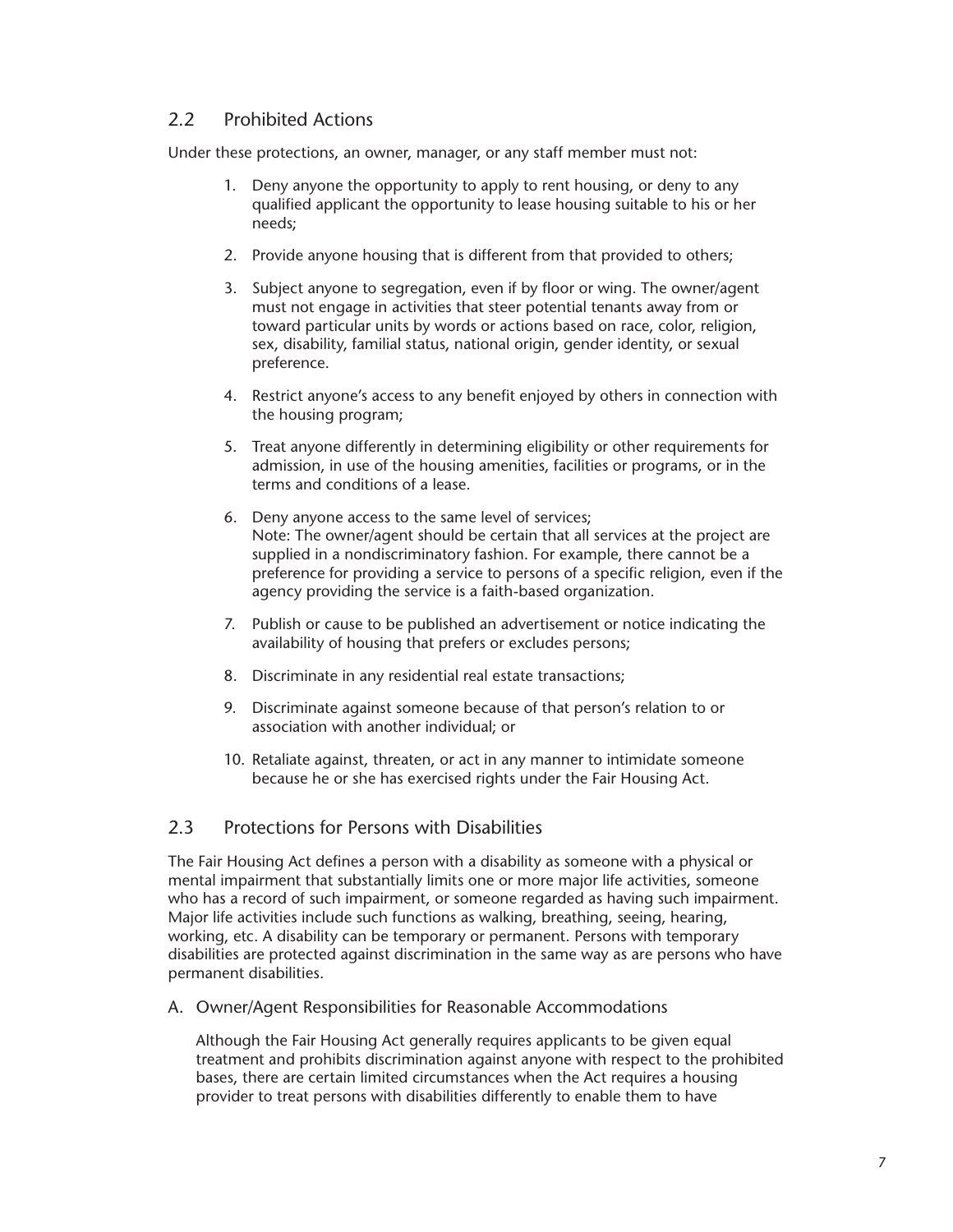## <span id="page-12-0"></span>2.2 Prohibited Actions

Under these protections, an owner, manager, or any staff member must not:

- 1. Deny anyone the opportunity to apply to rent housing, or deny to any qualified applicant the opportunity to lease housing suitable to his or her needs;
- 2. Provide anyone housing that is different from that provided to others;
- 3. Subject anyone to segregation, even if by floor or wing. The owner/agent must not engage in activities that steer potential tenants away from or toward particular units by words or actions based on race, color, religion, sex, disability, familial status, national origin, gender identity, or sexual preference.
- 4. Restrict anyone's access to any benefit enjoyed by others in connection with the housing program;
- 5. Treat anyone differently in determining eligibility or other requirements for admission, in use of the housing amenities, facilities or programs, or in the terms and conditions of a lease.
- 6. Deny anyone access to the same level of services; Note: The owner/agent should be certain that all services at the project are supplied in a nondiscriminatory fashion. For example, there cannot be a preference for providing a service to persons of a specific religion, even if the agency providing the service is a faith-based organization.
- 7. Publish or cause to be published an advertisement or notice indicating the availability of housing that prefers or excludes persons;
- 8. Discriminate in any residential real estate transactions;
- 9. Discriminate against someone because of that person's relation to or association with another individual; or
- 10. Retaliate against, threaten, or act in any manner to intimidate someone because he or she has exercised rights under the Fair Housing Act.

## 2.3 Protections for Persons with Disabilities

The Fair Housing Act defines a person with a disability as someone with a physical or mental impairment that substantially limits one or more major life activities, someone who has a record of such impairment, or someone regarded as having such impairment. Major life activities include such functions as walking, breathing, seeing, hearing, working, etc. A disability can be temporary or permanent. Persons with temporary disabilities are protected against discrimination in the same way as are persons who have permanent disabilities.

A. Owner/Agent Responsibilities for Reasonable Accommodations

Although the Fair Housing Act generally requires applicants to be given equal treatment and prohibits discrimination against anyone with respect to the prohibited bases, there are certain limited circumstances when the Act requires a housing provider to treat persons with disabilities differently to enable them to have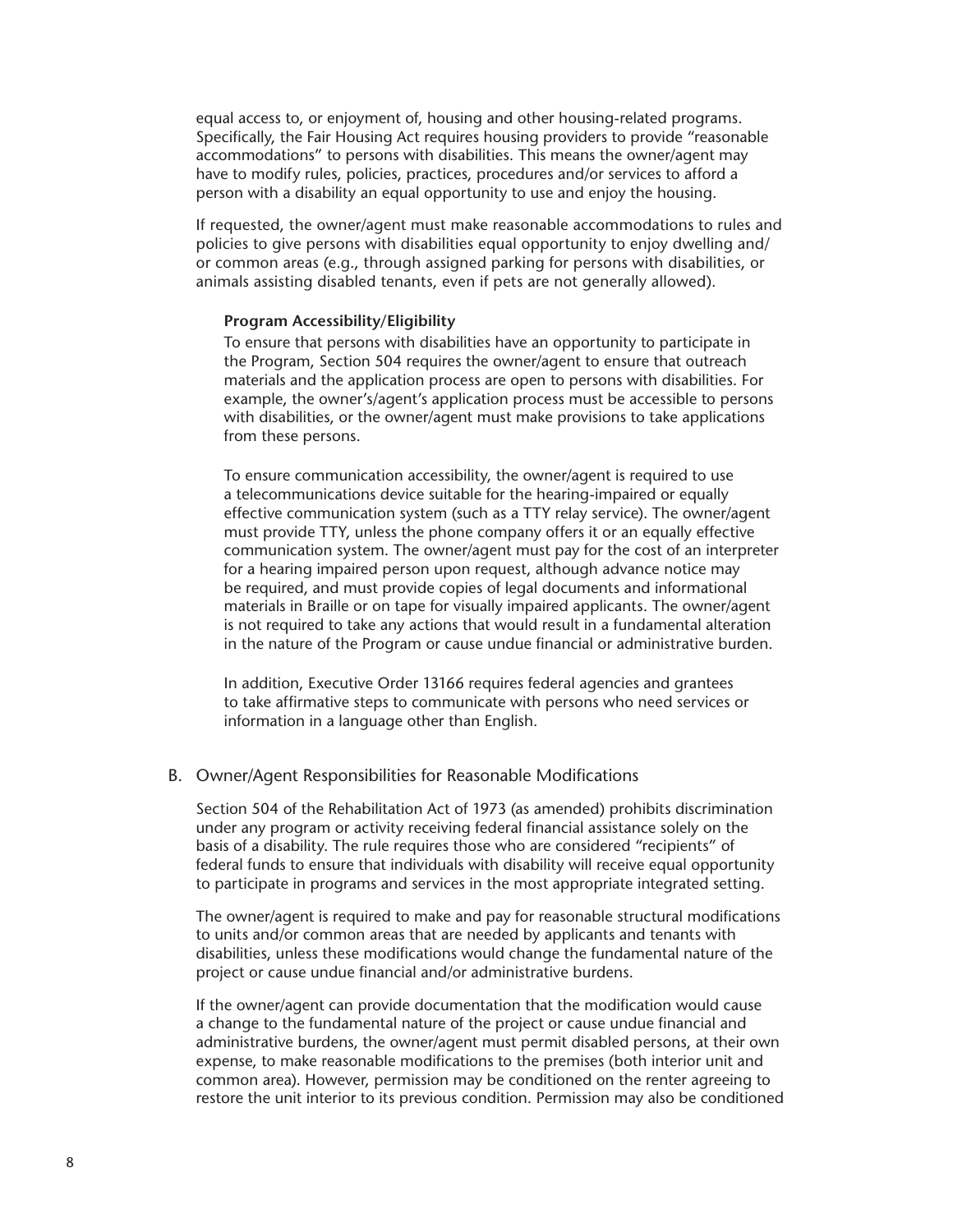<span id="page-13-0"></span>equal access to, or enjoyment of, housing and other housing-related programs. Specifically, the Fair Housing Act requires housing providers to provide "reasonable accommodations" to persons with disabilities. This means the owner/agent may have to modify rules, policies, practices, procedures and/or services to afford a person with a disability an equal opportunity to use and enjoy the housing.

If requested, the owner/agent must make reasonable accommodations to rules and policies to give persons with disabilities equal opportunity to enjoy dwelling and/ or common areas (e.g., through assigned parking for persons with disabilities, or animals assisting disabled tenants, even if pets are not generally allowed).

#### **Program Accessibility/Eligibility**

To ensure that persons with disabilities have an opportunity to participate in the Program, Section 504 requires the owner/agent to ensure that outreach materials and the application process are open to persons with disabilities. For example, the owner's/agent's application process must be accessible to persons with disabilities, or the owner/agent must make provisions to take applications from these persons.

To ensure communication accessibility, the owner/agent is required to use a telecommunications device suitable for the hearing-impaired or equally effective communication system (such as a TTY relay service). The owner/agent must provide TTY, unless the phone company offers it or an equally effective communication system. The owner/agent must pay for the cost of an interpreter for a hearing impaired person upon request, although advance notice may be required, and must provide copies of legal documents and informational materials in Braille or on tape for visually impaired applicants. The owner/agent is not required to take any actions that would result in a fundamental alteration in the nature of the Program or cause undue financial or administrative burden.

In addition, Executive Order 13166 requires federal agencies and grantees to take affirmative steps to communicate with persons who need services or information in a language other than English.

#### B. Owner/Agent Responsibilities for Reasonable Modifications

Section 504 of the Rehabilitation Act of 1973 (as amended) prohibits discrimination under any program or activity receiving federal financial assistance solely on the basis of a disability. The rule requires those who are considered "recipients" of federal funds to ensure that individuals with disability will receive equal opportunity to participate in programs and services in the most appropriate integrated setting.

The owner/agent is required to make and pay for reasonable structural modifications to units and/or common areas that are needed by applicants and tenants with disabilities, unless these modifications would change the fundamental nature of the project or cause undue financial and/or administrative burdens.

If the owner/agent can provide documentation that the modification would cause a change to the fundamental nature of the project or cause undue financial and administrative burdens, the owner/agent must permit disabled persons, at their own expense, to make reasonable modifications to the premises (both interior unit and common area). However, permission may be conditioned on the renter agreeing to restore the unit interior to its previous condition. Permission may also be conditioned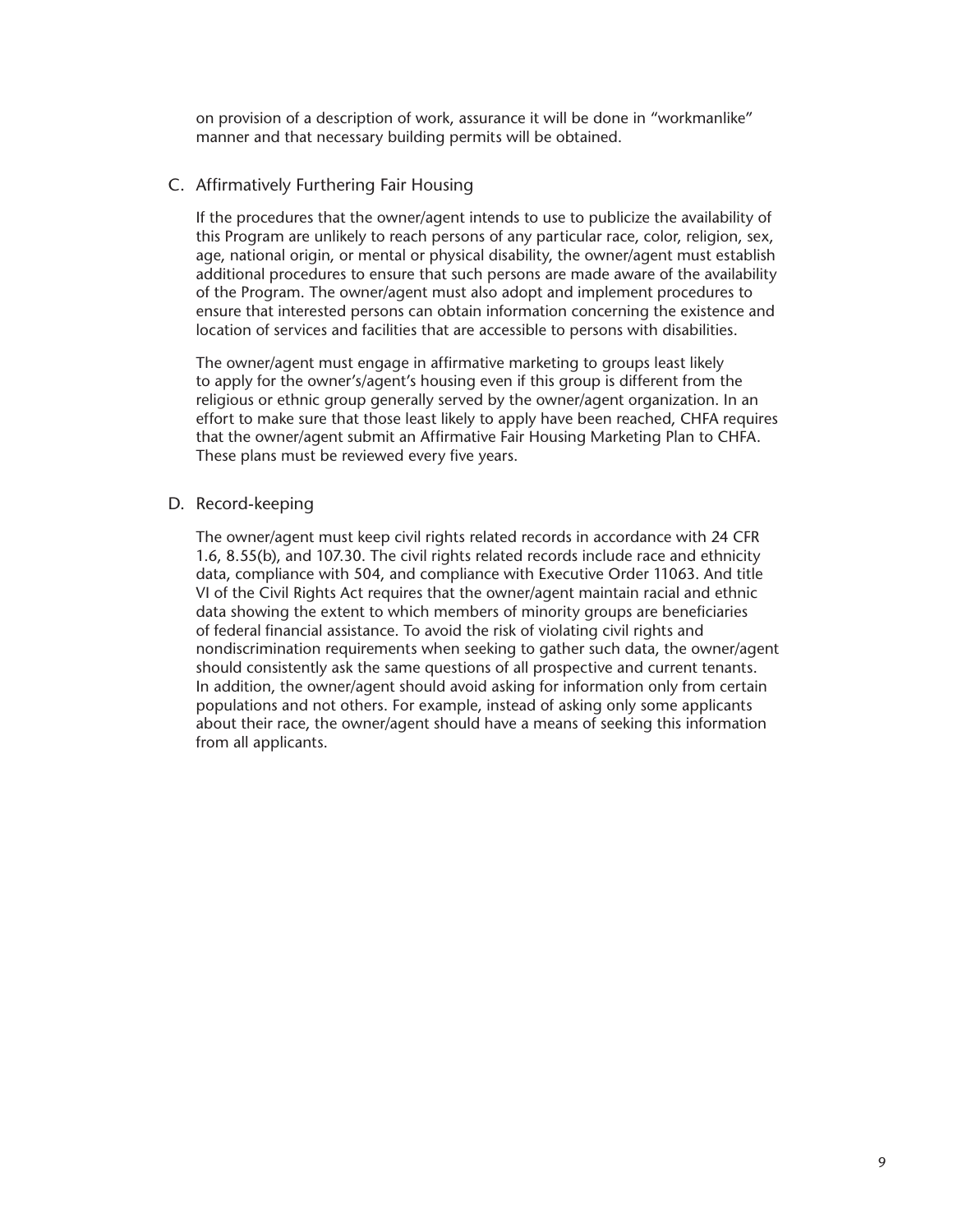<span id="page-14-0"></span>on provision of a description of work, assurance it will be done in "workmanlike" manner and that necessary building permits will be obtained.

#### C. Affirmatively Furthering Fair Housing

If the procedures that the owner/agent intends to use to publicize the availability of this Program are unlikely to reach persons of any particular race, color, religion, sex, age, national origin, or mental or physical disability, the owner/agent must establish additional procedures to ensure that such persons are made aware of the availability of the Program. The owner/agent must also adopt and implement procedures to ensure that interested persons can obtain information concerning the existence and location of services and facilities that are accessible to persons with disabilities.

The owner/agent must engage in affirmative marketing to groups least likely to apply for the owner's/agent's housing even if this group is different from the religious or ethnic group generally served by the owner/agent organization. In an effort to make sure that those least likely to apply have been reached, CHFA requires that the owner/agent submit an Affirmative Fair Housing Marketing Plan to CHFA. These plans must be reviewed every five years.

#### D. Record-keeping

The owner/agent must keep civil rights related records in accordance with 24 CFR 1.6, 8.55(b), and 107.30. The civil rights related records include race and ethnicity data, compliance with 504, and compliance with Executive Order 11063. And title VI of the Civil Rights Act requires that the owner/agent maintain racial and ethnic data showing the extent to which members of minority groups are beneficiaries of federal financial assistance. To avoid the risk of violating civil rights and nondiscrimination requirements when seeking to gather such data, the owner/agent should consistently ask the same questions of all prospective and current tenants. In addition, the owner/agent should avoid asking for information only from certain populations and not others. For example, instead of asking only some applicants about their race, the owner/agent should have a means of seeking this information from all applicants.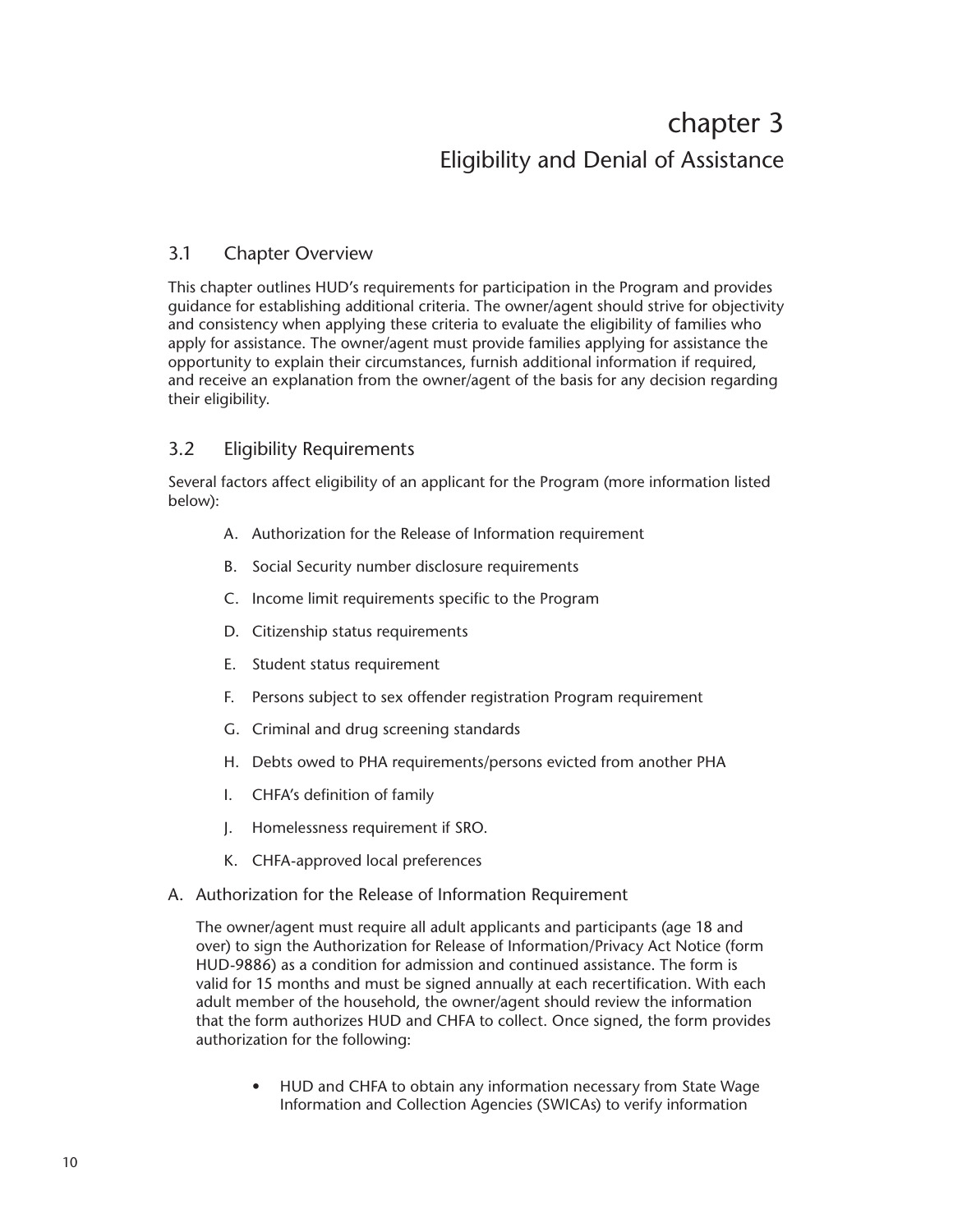## chapter 3 Eligibility and Denial of Assistance

## <span id="page-15-0"></span>3.1 Chapter Overview

This chapter outlines HUD's requirements for participation in the Program and provides guidance for establishing additional criteria. The owner/agent should strive for objectivity and consistency when applying these criteria to evaluate the eligibility of families who apply for assistance. The owner/agent must provide families applying for assistance the opportunity to explain their circumstances, furnish additional information if required, and receive an explanation from the owner/agent of the basis for any decision regarding their eligibility.

## 3.2 Eligibility Requirements

Several factors affect eligibility of an applicant for the Program (more information listed below):

- A. Authorization for the Release of Information requirement
- B. Social Security number disclosure requirements
- C. Income limit requirements specific to the Program
- D. Citizenship status requirements
- E. Student status requirement
- F. Persons subject to sex offender registration Program requirement
- G. Criminal and drug screening standards
- H. Debts owed to PHA requirements/persons evicted from another PHA
- I. CHFA's definition of family
- J. Homelessness requirement if SRO.
- K. CHFA-approved local preferences
- A. Authorization for the Release of Information Requirement

The owner/agent must require all adult applicants and participants (age 18 and over) to sign the Authorization for Release of Information/Privacy Act Notice (form HUD-9886) as a condition for admission and continued assistance. The form is valid for 15 months and must be signed annually at each recertification. With each adult member of the household, the owner/agent should review the information that the form authorizes HUD and CHFA to collect. Once signed, the form provides authorization for the following:

• HUD and CHFA to obtain any information necessary from State Wage Information and Collection Agencies (SWICAs) to verify information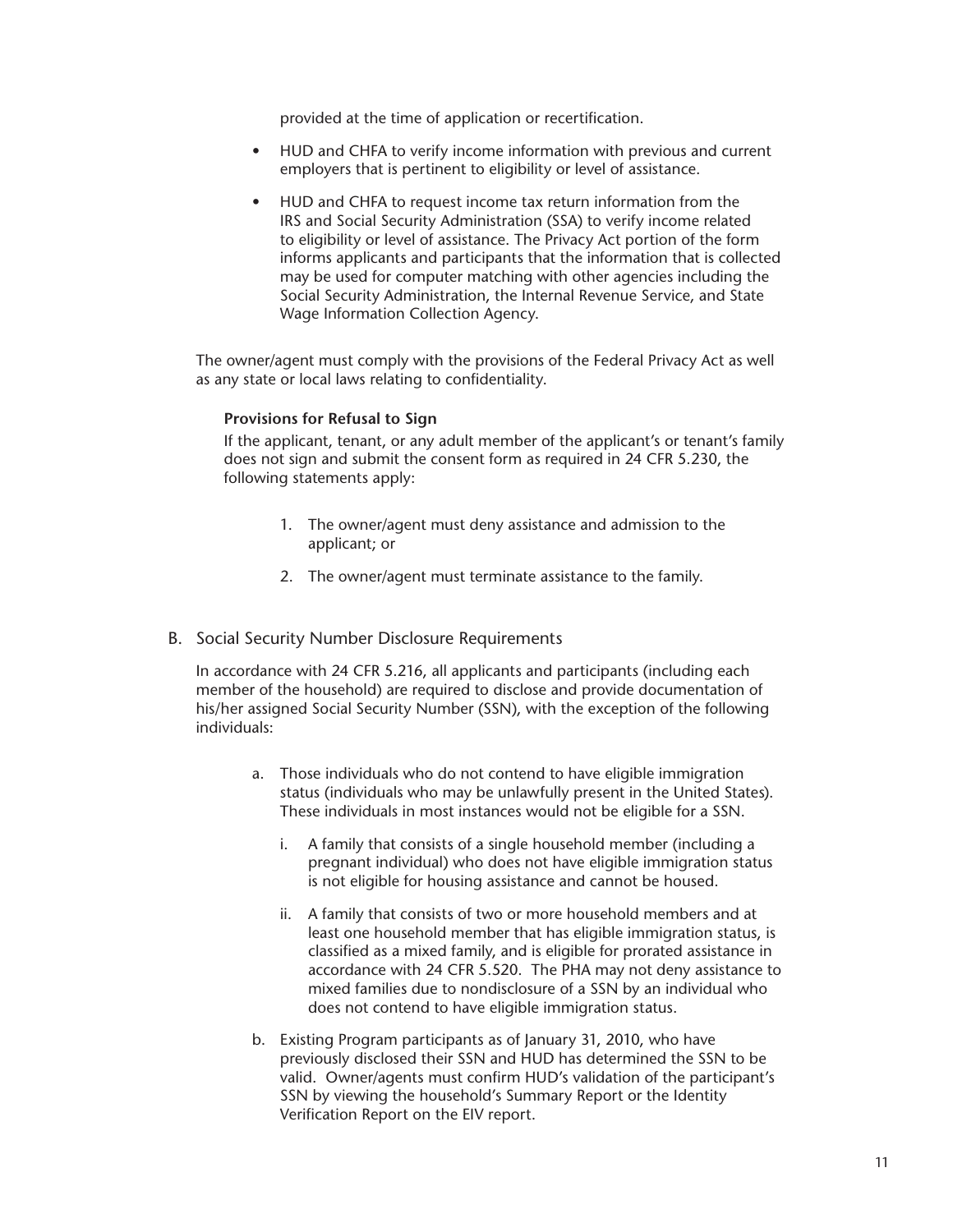provided at the time of application or recertification.

- <span id="page-16-0"></span>• HUD and CHFA to verify income information with previous and current employers that is pertinent to eligibility or level of assistance.
- HUD and CHFA to request income tax return information from the IRS and Social Security Administration (SSA) to verify income related to eligibility or level of assistance. The Privacy Act portion of the form informs applicants and participants that the information that is collected may be used for computer matching with other agencies including the Social Security Administration, the Internal Revenue Service, and State Wage Information Collection Agency.

The owner/agent must comply with the provisions of the Federal Privacy Act as well as any state or local laws relating to confidentiality.

#### **Provisions for Refusal to Sign**

If the applicant, tenant, or any adult member of the applicant's or tenant's family does not sign and submit the consent form as required in 24 CFR 5.230, the following statements apply:

- 1. The owner/agent must deny assistance and admission to the applicant; or
- 2. The owner/agent must terminate assistance to the family.
- B. Social Security Number Disclosure Requirements

In accordance with 24 CFR 5.216, all applicants and participants (including each member of the household) are required to disclose and provide documentation of his/her assigned Social Security Number (SSN), with the exception of the following individuals:

- a. Those individuals who do not contend to have eligible immigration status (individuals who may be unlawfully present in the United States). These individuals in most instances would not be eligible for a SSN.
	- i. A family that consists of a single household member (including a pregnant individual) who does not have eligible immigration status is not eligible for housing assistance and cannot be housed.
	- ii. A family that consists of two or more household members and at least one household member that has eligible immigration status, is classified as a mixed family, and is eligible for prorated assistance in accordance with 24 CFR 5.520. The PHA may not deny assistance to mixed families due to nondisclosure of a SSN by an individual who does not contend to have eligible immigration status.
- b. Existing Program participants as of January 31, 2010, who have previously disclosed their SSN and HUD has determined the SSN to be valid. Owner/agents must confirm HUD's validation of the participant's SSN by viewing the household's Summary Report or the Identity Verification Report on the EIV report.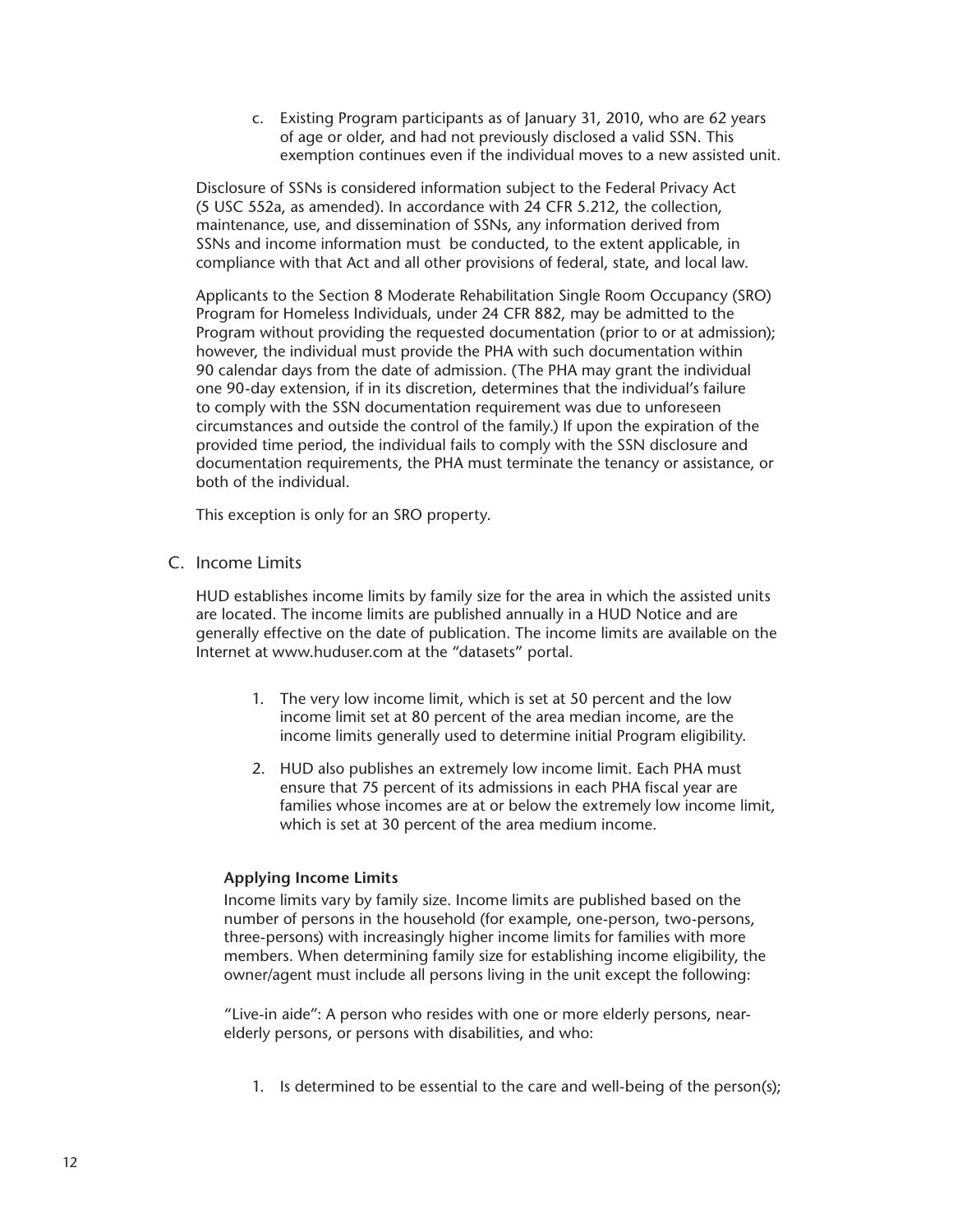c. Existing Program participants as of January 31, 2010, who are 62 years of age or older, and had not previously disclosed a valid SSN. This exemption continues even if the individual moves to a new assisted unit.

<span id="page-17-0"></span>Disclosure of SSNs is considered information subject to the Federal Privacy Act (5 USC 552a, as amended). In accordance with 24 CFR 5.212, the collection, maintenance, use, and dissemination of SSNs, any information derived from SSNs and income information must be conducted, to the extent applicable, in compliance with that Act and all other provisions of federal, state, and local law.

Applicants to the Section 8 Moderate Rehabilitation Single Room Occupancy (SRO) Program for Homeless Individuals, under 24 CFR 882, may be admitted to the Program without providing the requested documentation (prior to or at admission); however, the individual must provide the PHA with such documentation within 90 calendar days from the date of admission. (The PHA may grant the individual one 90-day extension, if in its discretion, determines that the individual's failure to comply with the SSN documentation requirement was due to unforeseen circumstances and outside the control of the family.) If upon the expiration of the provided time period, the individual fails to comply with the SSN disclosure and documentation requirements, the PHA must terminate the tenancy or assistance, or both of the individual.

This exception is only for an SRO property.

C. Income Limits

HUD establishes income limits by family size for the area in which the assisted units are located. The income limits are published annually in a HUD Notice and are generally effective on the date of publication. The income limits are available on the Internet at www.huduser.com at the "datasets" portal.

- 1. The very low income limit, which is set at 50 percent and the low income limit set at 80 percent of the area median income, are the income limits generally used to determine initial Program eligibility.
- 2. HUD also publishes an extremely low income limit. Each PHA must ensure that 75 percent of its admissions in each PHA fiscal year are families whose incomes are at or below the extremely low income limit, which is set at 30 percent of the area medium income.

#### **Applying Income Limits**

Income limits vary by family size. Income limits are published based on the number of persons in the household (for example, one-person, two-persons, three-persons) with increasingly higher income limits for families with more members. When determining family size for establishing income eligibility, the owner/agent must include all persons living in the unit except the following:

"Live-in aide": A person who resides with one or more elderly persons, nearelderly persons, or persons with disabilities, and who:

1. Is determined to be essential to the care and well-being of the person(s);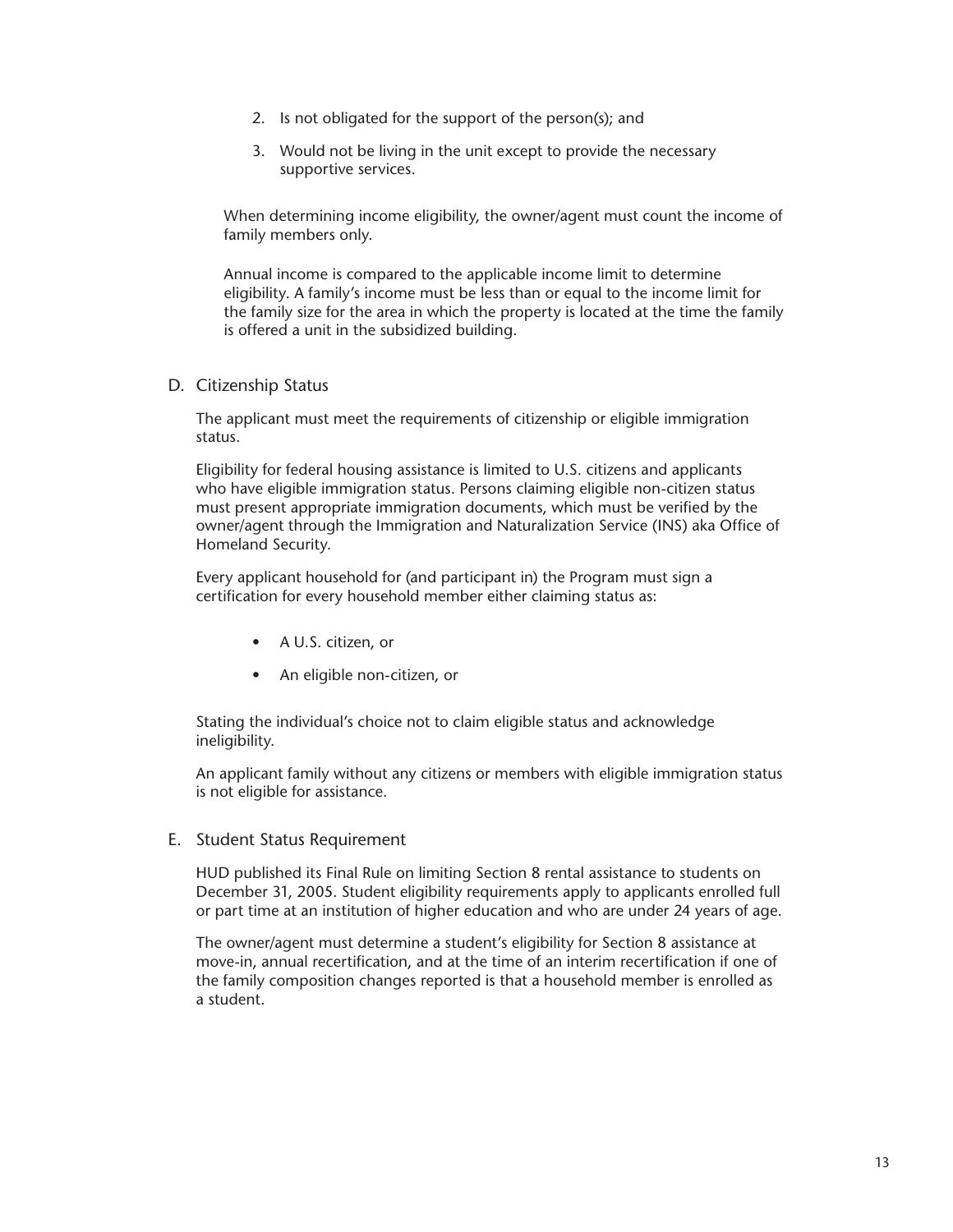- <span id="page-18-0"></span>2. Is not obligated for the support of the person(s); and
- 3. Would not be living in the unit except to provide the necessary supportive services.

When determining income eligibility, the owner/agent must count the income of family members only.

Annual income is compared to the applicable income limit to determine eligibility. A family's income must be less than or equal to the income limit for the family size for the area in which the property is located at the time the family is offered a unit in the subsidized building.

D. Citizenship Status

The applicant must meet the requirements of citizenship or eligible immigration status.

Eligibility for federal housing assistance is limited to U.S. citizens and applicants who have eligible immigration status. Persons claiming eligible non-citizen status must present appropriate immigration documents, which must be verified by the owner/agent through the Immigration and Naturalization Service (INS) aka Office of Homeland Security.

Every applicant household for (and participant in) the Program must sign a certification for every household member either claiming status as:

- A U.S. citizen, or
- An eligible non-citizen, or

Stating the individual's choice not to claim eligible status and acknowledge ineligibility.

An applicant family without any citizens or members with eligible immigration status is not eligible for assistance.

E. Student Status Requirement

HUD published its Final Rule on limiting Section 8 rental assistance to students on December 31, 2005. Student eligibility requirements apply to applicants enrolled full or part time at an institution of higher education and who are under 24 years of age.

The owner/agent must determine a student's eligibility for Section 8 assistance at move-in, annual recertification, and at the time of an interim recertification if one of the family composition changes reported is that a household member is enrolled as a student.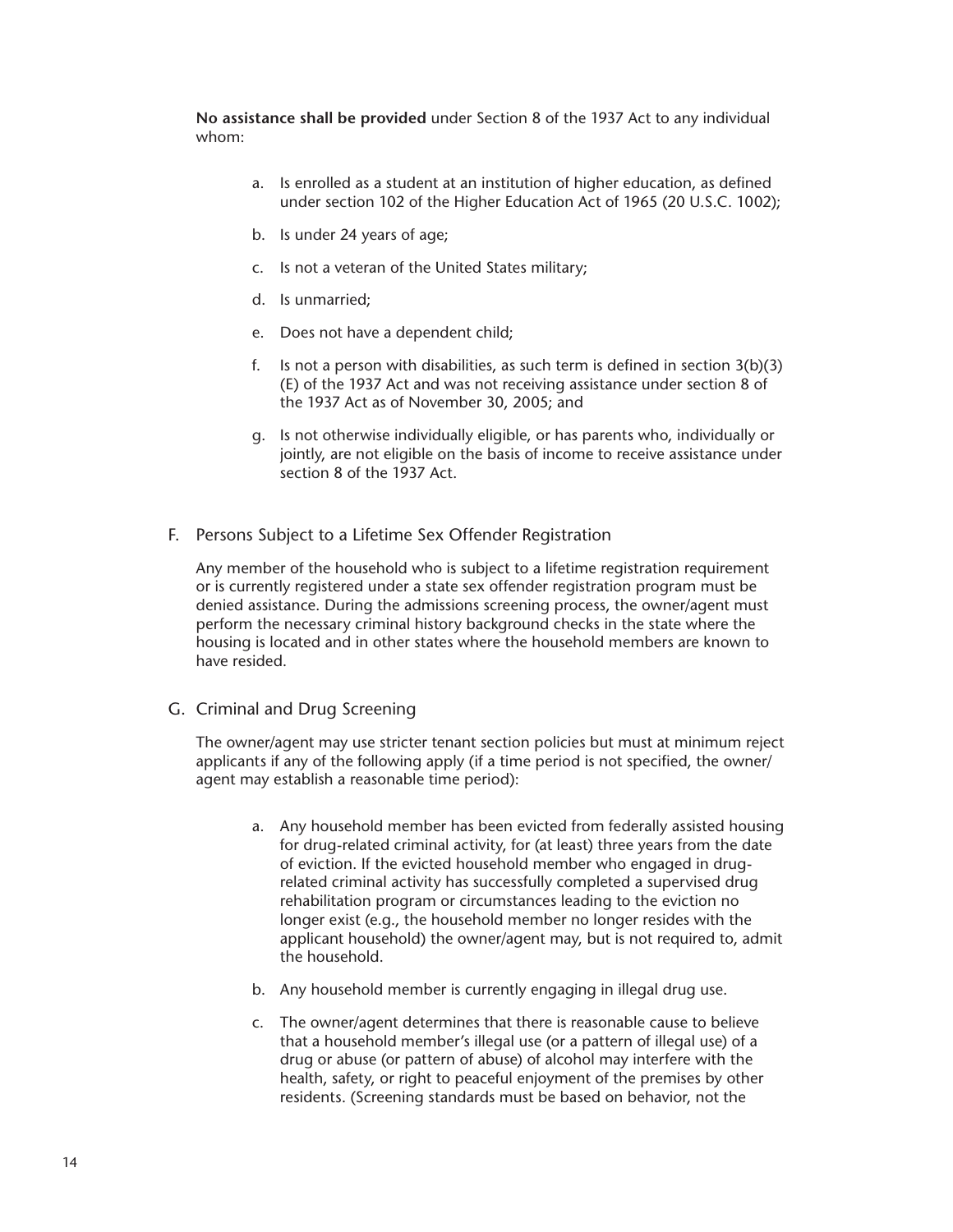<span id="page-19-0"></span>**No assistance shall be provided** under Section 8 of the 1937 Act to any individual whom:

- a. Is enrolled as a student at an institution of higher education, as defined under section 102 of the Higher Education Act of 1965 (20 U.S.C. 1002);
- b. Is under 24 years of age;
- c. Is not a veteran of the United States military;
- d. Is unmarried;
- e. Does not have a dependent child;
- f. Is not a person with disabilities, as such term is defined in section 3(b)(3) (E) of the 1937 Act and was not receiving assistance under section 8 of the 1937 Act as of November 30, 2005; and
- g. Is not otherwise individually eligible, or has parents who, individually or jointly, are not eligible on the basis of income to receive assistance under section 8 of the 1937 Act.
- F. Persons Subject to a Lifetime Sex Offender Registration

Any member of the household who is subject to a lifetime registration requirement or is currently registered under a state sex offender registration program must be denied assistance. During the admissions screening process, the owner/agent must perform the necessary criminal history background checks in the state where the housing is located and in other states where the household members are known to have resided.

G. Criminal and Drug Screening

The owner/agent may use stricter tenant section policies but must at minimum reject applicants if any of the following apply (if a time period is not specified, the owner/ agent may establish a reasonable time period):

- a. Any household member has been evicted from federally assisted housing for drug-related criminal activity, for (at least) three years from the date of eviction. If the evicted household member who engaged in drugrelated criminal activity has successfully completed a supervised drug rehabilitation program or circumstances leading to the eviction no longer exist (e.g., the household member no longer resides with the applicant household) the owner/agent may, but is not required to, admit the household.
- b. Any household member is currently engaging in illegal drug use.
- c. The owner/agent determines that there is reasonable cause to believe that a household member's illegal use (or a pattern of illegal use) of a drug or abuse (or pattern of abuse) of alcohol may interfere with the health, safety, or right to peaceful enjoyment of the premises by other residents. (Screening standards must be based on behavior, not the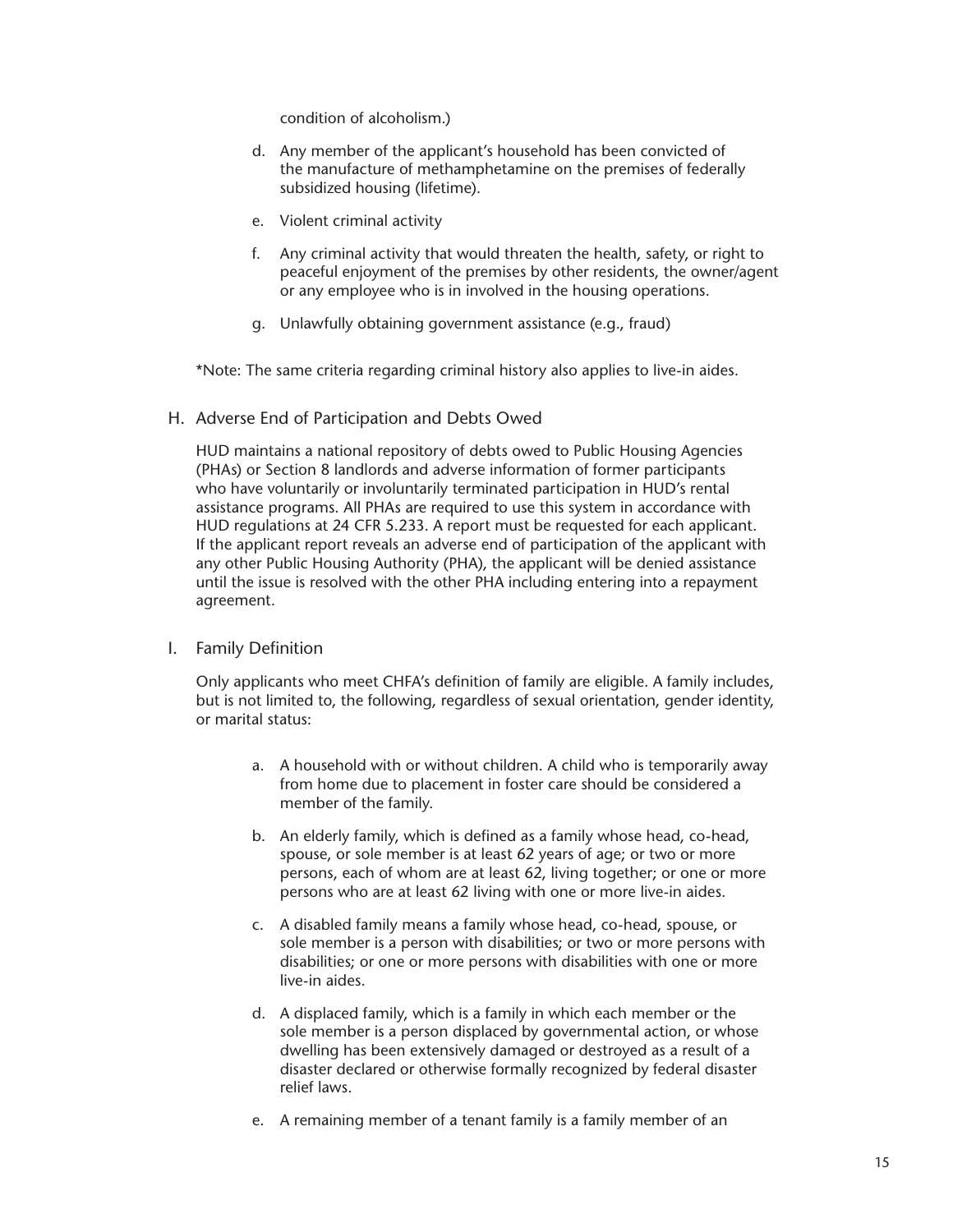condition of alcoholism.)

- <span id="page-20-0"></span>d. Any member of the applicant's household has been convicted of the manufacture of methamphetamine on the premises of federally subsidized housing (lifetime).
- e. Violent criminal activity
- f. Any criminal activity that would threaten the health, safety, or right to peaceful enjoyment of the premises by other residents, the owner/agent or any employee who is in involved in the housing operations.
- g. Unlawfully obtaining government assistance (e.g., fraud)

\*Note: The same criteria regarding criminal history also applies to live-in aides.

H. Adverse End of Participation and Debts Owed

HUD maintains a national repository of debts owed to Public Housing Agencies (PHAs) or Section 8 landlords and adverse information of former participants who have voluntarily or involuntarily terminated participation in HUD's rental assistance programs. All PHAs are required to use this system in accordance with HUD regulations at 24 CFR 5.233. A report must be requested for each applicant. If the applicant report reveals an adverse end of participation of the applicant with any other Public Housing Authority (PHA), the applicant will be denied assistance until the issue is resolved with the other PHA including entering into a repayment agreement.

I. Family Definition

Only applicants who meet CHFA's definition of family are eligible. A family includes, but is not limited to, the following, regardless of sexual orientation, gender identity, or marital status:

- a. A household with or without children. A child who is temporarily away from home due to placement in foster care should be considered a member of the family.
- b. An elderly family, which is defined as a family whose head, co-head, spouse, or sole member is at least 62 years of age; or two or more persons, each of whom are at least 62, living together; or one or more persons who are at least 62 living with one or more live-in aides.
- c. A disabled family means a family whose head, co-head, spouse, or sole member is a person with disabilities; or two or more persons with disabilities; or one or more persons with disabilities with one or more live-in aides.
- d. A displaced family, which is a family in which each member or the sole member is a person displaced by governmental action, or whose dwelling has been extensively damaged or destroyed as a result of a disaster declared or otherwise formally recognized by federal disaster relief laws.
- e. A remaining member of a tenant family is a family member of an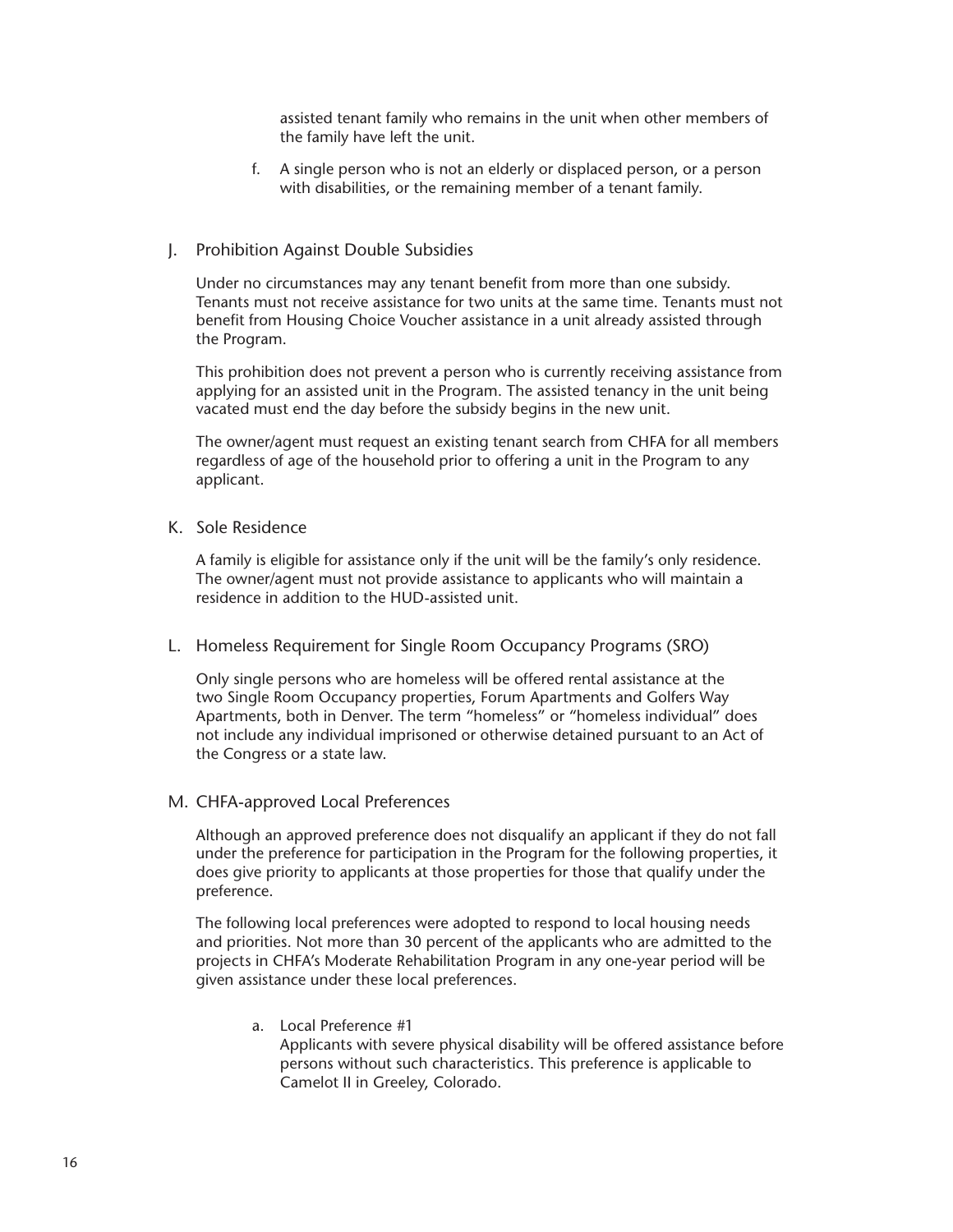assisted tenant family who remains in the unit when other members of the family have left the unit.

f. A single person who is not an elderly or displaced person, or a person with disabilities, or the remaining member of a tenant family.

#### <span id="page-21-0"></span>J. Prohibition Against Double Subsidies

Under no circumstances may any tenant benefit from more than one subsidy. Tenants must not receive assistance for two units at the same time. Tenants must not benefit from Housing Choice Voucher assistance in a unit already assisted through the Program.

This prohibition does not prevent a person who is currently receiving assistance from applying for an assisted unit in the Program. The assisted tenancy in the unit being vacated must end the day before the subsidy begins in the new unit.

The owner/agent must request an existing tenant search from CHFA for all members regardless of age of the household prior to offering a unit in the Program to any applicant.

#### K. Sole Residence

A family is eligible for assistance only if the unit will be the family's only residence. The owner/agent must not provide assistance to applicants who will maintain a residence in addition to the HUD-assisted unit.

#### L. Homeless Requirement for Single Room Occupancy Programs (SRO)

Only single persons who are homeless will be offered rental assistance at the two Single Room Occupancy properties, Forum Apartments and Golfers Way Apartments, both in Denver. The term "homeless" or "homeless individual" does not include any individual imprisoned or otherwise detained pursuant to an Act of the Congress or a state law.

#### M. CHFA-approved Local Preferences

Although an approved preference does not disqualify an applicant if they do not fall under the preference for participation in the Program for the following properties, it does give priority to applicants at those properties for those that qualify under the preference.

The following local preferences were adopted to respond to local housing needs and priorities. Not more than 30 percent of the applicants who are admitted to the projects in CHFA's Moderate Rehabilitation Program in any one-year period will be given assistance under these local preferences.

a. Local Preference #1 Applicants with severe physical disability will be offered assistance before persons without such characteristics. This preference is applicable to Camelot II in Greeley, Colorado.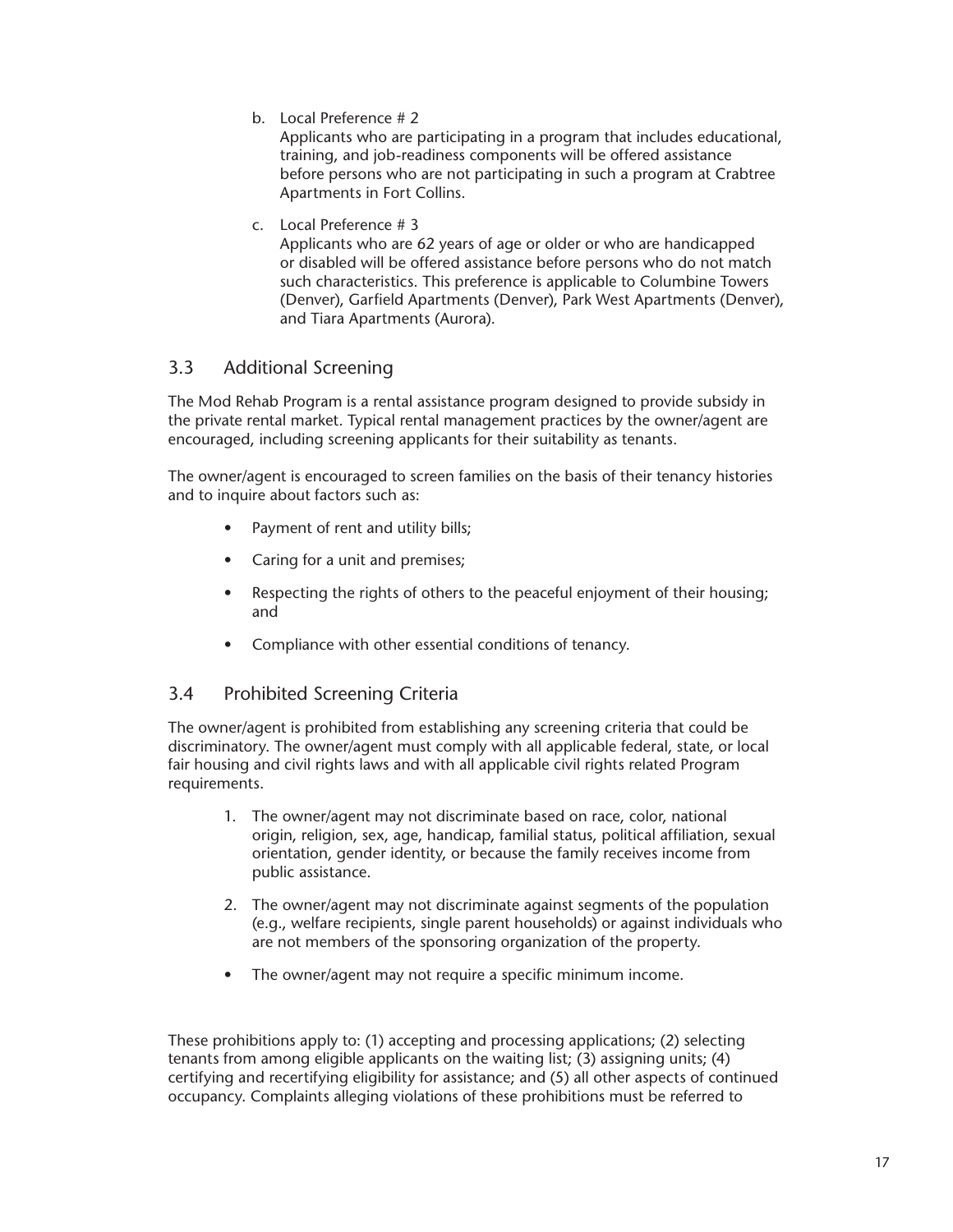<span id="page-22-0"></span>b. Local Preference # 2

Applicants who are participating in a program that includes educational, training, and job-readiness components will be offered assistance before persons who are not participating in such a program at Crabtree Apartments in Fort Collins.

c. Local Preference # 3

Applicants who are 62 years of age or older or who are handicapped or disabled will be offered assistance before persons who do not match such characteristics. This preference is applicable to Columbine Towers (Denver), Garfield Apartments (Denver), Park West Apartments (Denver), and Tiara Apartments (Aurora).

## 3.3 Additional Screening

The Mod Rehab Program is a rental assistance program designed to provide subsidy in the private rental market. Typical rental management practices by the owner/agent are encouraged, including screening applicants for their suitability as tenants.

The owner/agent is encouraged to screen families on the basis of their tenancy histories and to inquire about factors such as:

- Payment of rent and utility bills;
- Caring for a unit and premises;
- Respecting the rights of others to the peaceful enjoyment of their housing; and
- Compliance with other essential conditions of tenancy.

## 3.4 Prohibited Screening Criteria

The owner/agent is prohibited from establishing any screening criteria that could be discriminatory. The owner/agent must comply with all applicable federal, state, or local fair housing and civil rights laws and with all applicable civil rights related Program requirements.

- 1. The owner/agent may not discriminate based on race, color, national origin, religion, sex, age, handicap, familial status, political affiliation, sexual orientation, gender identity, or because the family receives income from public assistance.
- 2. The owner/agent may not discriminate against segments of the population (e.g., welfare recipients, single parent households) or against individuals who are not members of the sponsoring organization of the property.
- The owner/agent may not require a specific minimum income.

These prohibitions apply to: (1) accepting and processing applications; (2) selecting tenants from among eligible applicants on the waiting list; (3) assigning units; (4) certifying and recertifying eligibility for assistance; and (5) all other aspects of continued occupancy. Complaints alleging violations of these prohibitions must be referred to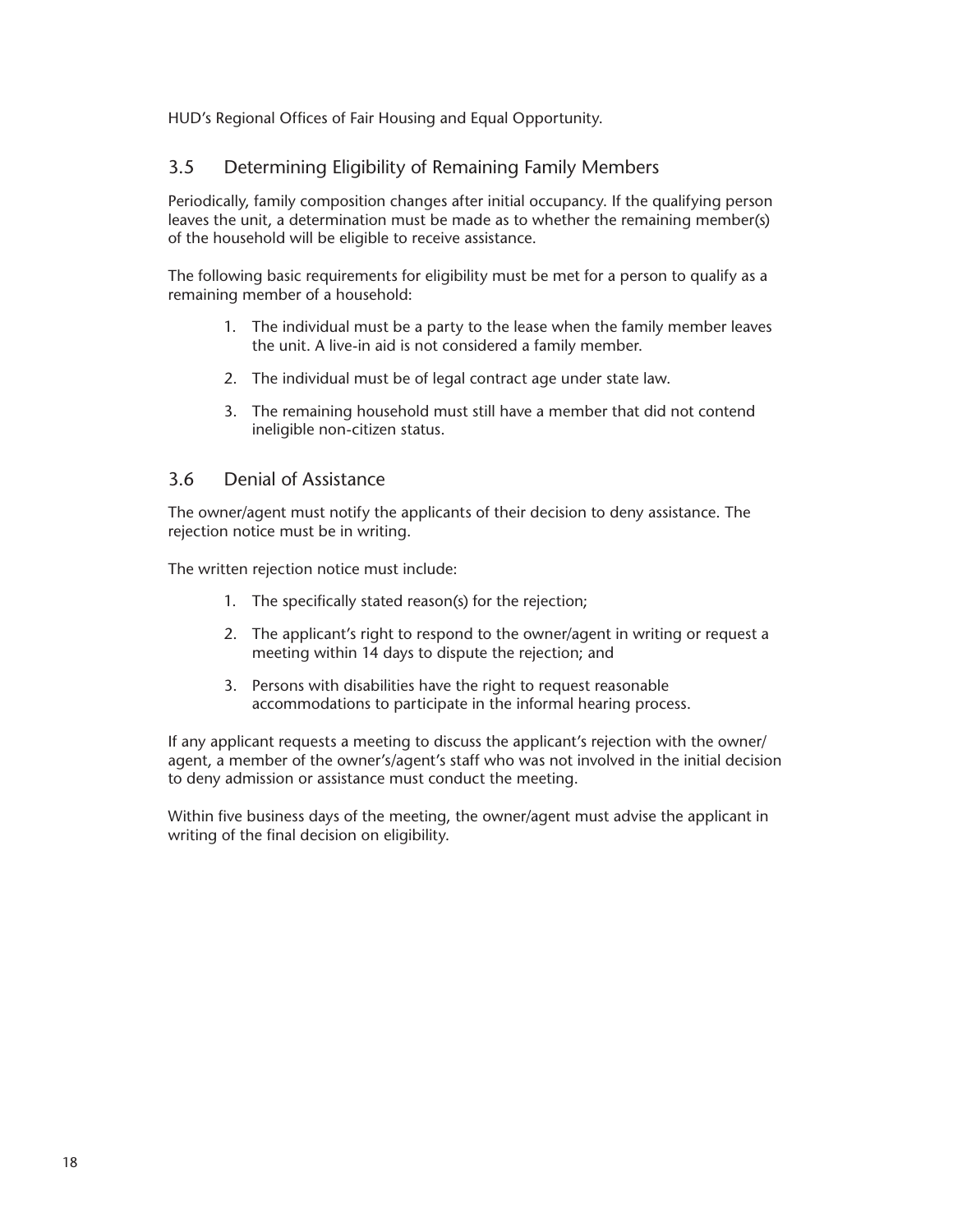<span id="page-23-0"></span>HUD's Regional Offices of Fair Housing and Equal Opportunity.

## 3.5 Determining Eligibility of Remaining Family Members

Periodically, family composition changes after initial occupancy. If the qualifying person leaves the unit, a determination must be made as to whether the remaining member(s) of the household will be eligible to receive assistance.

The following basic requirements for eligibility must be met for a person to qualify as a remaining member of a household:

- 1. The individual must be a party to the lease when the family member leaves the unit. A live-in aid is not considered a family member.
- 2. The individual must be of legal contract age under state law.
- 3. The remaining household must still have a member that did not contend ineligible non-citizen status.

## 3.6 Denial of Assistance

The owner/agent must notify the applicants of their decision to deny assistance. The rejection notice must be in writing.

The written rejection notice must include:

- 1. The specifically stated reason(s) for the rejection;
- 2. The applicant's right to respond to the owner/agent in writing or request a meeting within 14 days to dispute the rejection; and
- 3. Persons with disabilities have the right to request reasonable accommodations to participate in the informal hearing process.

If any applicant requests a meeting to discuss the applicant's rejection with the owner/ agent, a member of the owner's/agent's staff who was not involved in the initial decision to deny admission or assistance must conduct the meeting.

Within five business days of the meeting, the owner/agent must advise the applicant in writing of the final decision on eligibility.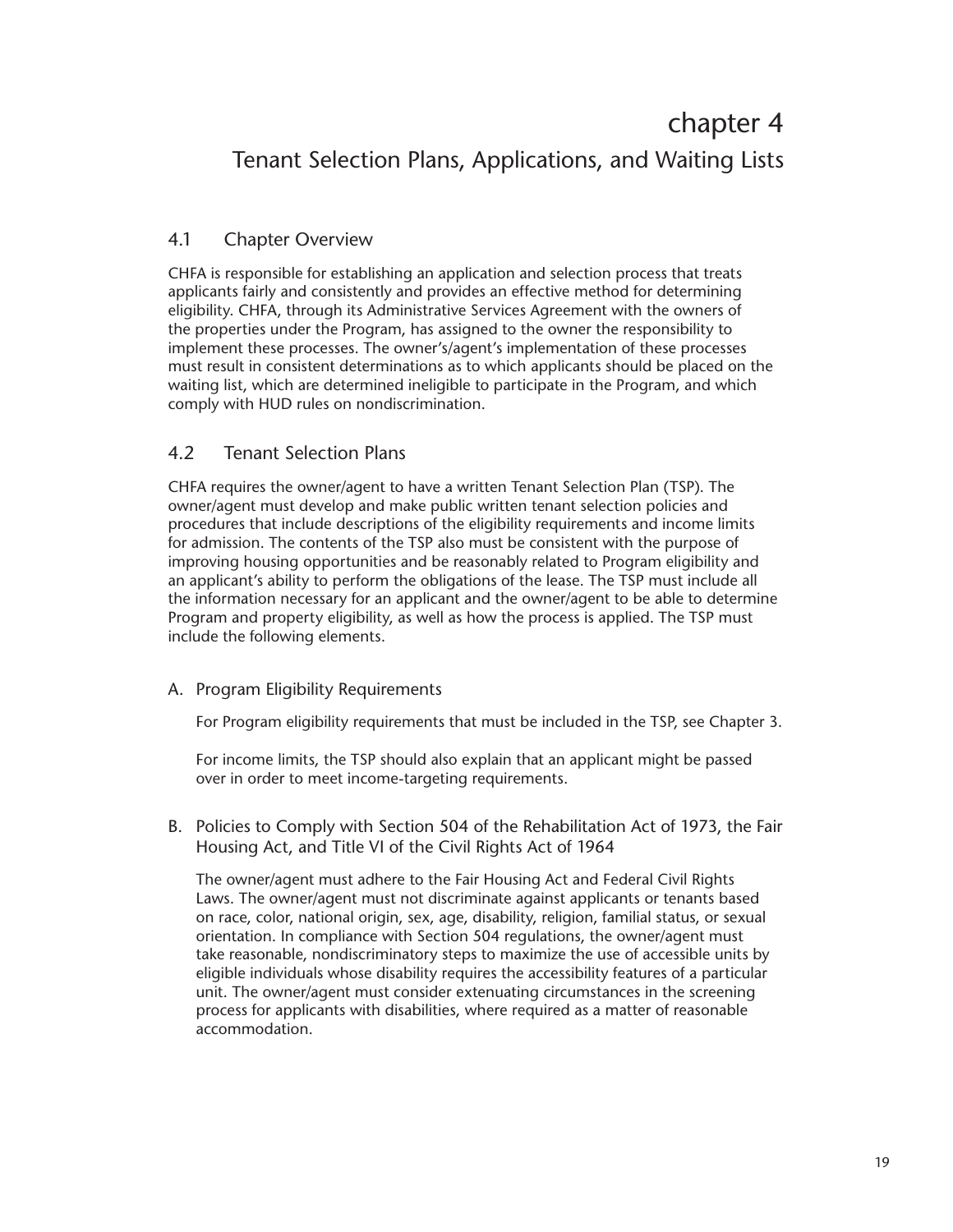## <span id="page-24-0"></span>chapter 4 Tenant Selection Plans, Applications, and Waiting Lists

## 4.1 Chapter Overview

CHFA is responsible for establishing an application and selection process that treats applicants fairly and consistently and provides an effective method for determining eligibility. CHFA, through its Administrative Services Agreement with the owners of the properties under the Program, has assigned to the owner the responsibility to implement these processes. The owner's/agent's implementation of these processes must result in consistent determinations as to which applicants should be placed on the waiting list, which are determined ineligible to participate in the Program, and which comply with HUD rules on nondiscrimination.

## 4.2 Tenant Selection Plans

CHFA requires the owner/agent to have a written Tenant Selection Plan (TSP). The owner/agent must develop and make public written tenant selection policies and procedures that include descriptions of the eligibility requirements and income limits for admission. The contents of the TSP also must be consistent with the purpose of improving housing opportunities and be reasonably related to Program eligibility and an applicant's ability to perform the obligations of the lease. The TSP must include all the information necessary for an applicant and the owner/agent to be able to determine Program and property eligibility, as well as how the process is applied. The TSP must include the following elements.

## A. Program Eligibility Requirements

For Program eligibility requirements that must be included in the TSP, see Chapter 3.

For income limits, the TSP should also explain that an applicant might be passed over in order to meet income-targeting requirements.

B. Policies to Comply with Section 504 of the Rehabilitation Act of 1973, the Fair Housing Act, and Title VI of the Civil Rights Act of 1964

The owner/agent must adhere to the Fair Housing Act and Federal Civil Rights Laws. The owner/agent must not discriminate against applicants or tenants based on race, color, national origin, sex, age, disability, religion, familial status, or sexual orientation. In compliance with Section 504 regulations, the owner/agent must take reasonable, nondiscriminatory steps to maximize the use of accessible units by eligible individuals whose disability requires the accessibility features of a particular unit. The owner/agent must consider extenuating circumstances in the screening process for applicants with disabilities, where required as a matter of reasonable accommodation.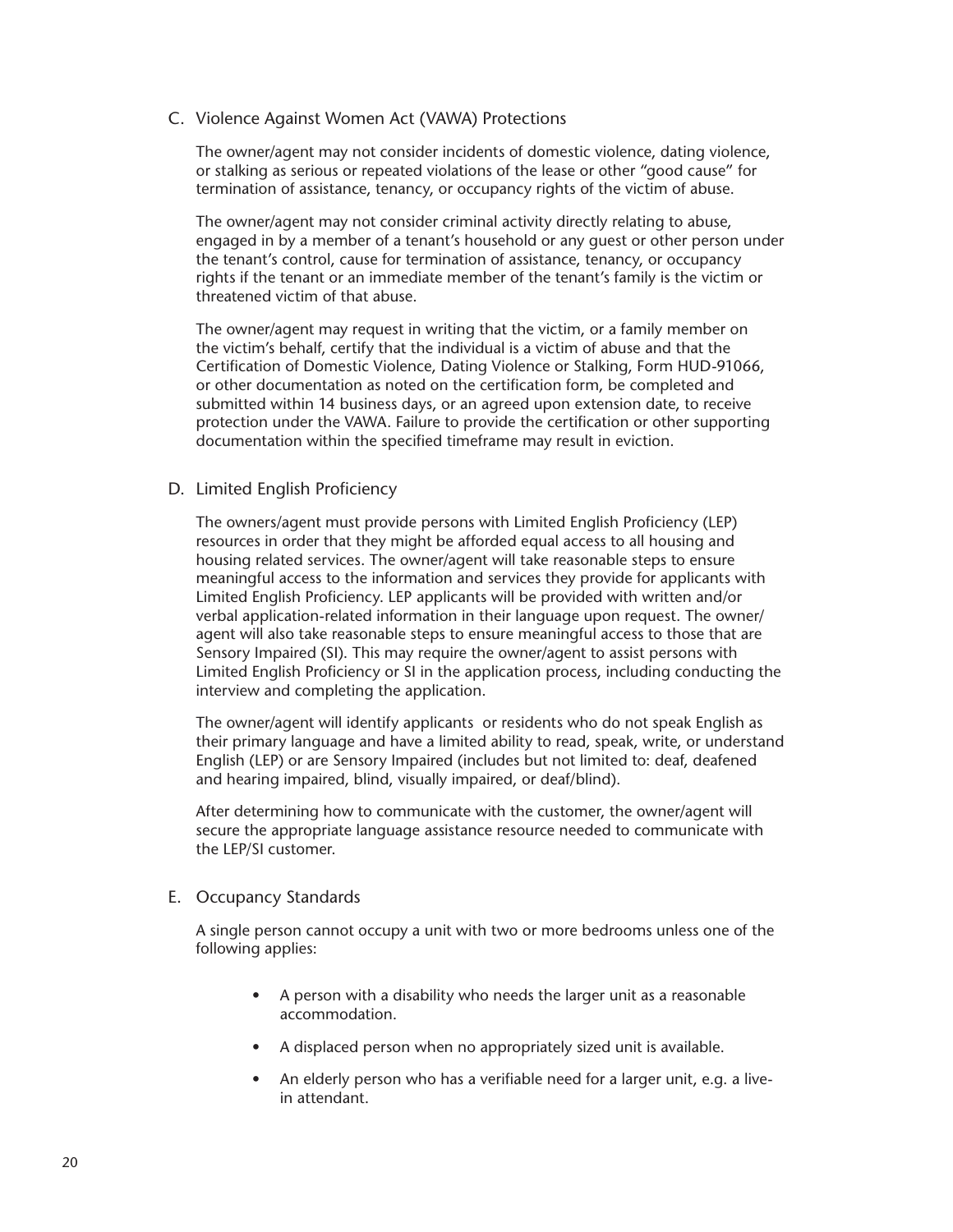#### <span id="page-25-0"></span>C. Violence Against Women Act (VAWA) Protections

The owner/agent may not consider incidents of domestic violence, dating violence, or stalking as serious or repeated violations of the lease or other "good cause" for termination of assistance, tenancy, or occupancy rights of the victim of abuse.

The owner/agent may not consider criminal activity directly relating to abuse, engaged in by a member of a tenant's household or any guest or other person under the tenant's control, cause for termination of assistance, tenancy, or occupancy rights if the tenant or an immediate member of the tenant's family is the victim or threatened victim of that abuse.

The owner/agent may request in writing that the victim, or a family member on the victim's behalf, certify that the individual is a victim of abuse and that the Certification of Domestic Violence, Dating Violence or Stalking, Form HUD-91066, or other documentation as noted on the certification form, be completed and submitted within 14 business days, or an agreed upon extension date, to receive protection under the VAWA. Failure to provide the certification or other supporting documentation within the specified timeframe may result in eviction.

#### D. Limited English Proficiency

The owners/agent must provide persons with Limited English Proficiency (LEP) resources in order that they might be afforded equal access to all housing and housing related services. The owner/agent will take reasonable steps to ensure meaningful access to the information and services they provide for applicants with Limited English Proficiency. LEP applicants will be provided with written and/or verbal application-related information in their language upon request. The owner/ agent will also take reasonable steps to ensure meaningful access to those that are Sensory Impaired (SI). This may require the owner/agent to assist persons with Limited English Proficiency or SI in the application process, including conducting the interview and completing the application.

The owner/agent will identify applicants or residents who do not speak English as their primary language and have a limited ability to read, speak, write, or understand English (LEP) or are Sensory Impaired (includes but not limited to: deaf, deafened and hearing impaired, blind, visually impaired, or deaf/blind).

After determining how to communicate with the customer, the owner/agent will secure the appropriate language assistance resource needed to communicate with the LEP/SI customer.

#### E. Occupancy Standards

A single person cannot occupy a unit with two or more bedrooms unless one of the following applies:

- A person with a disability who needs the larger unit as a reasonable accommodation.
- A displaced person when no appropriately sized unit is available.
- An elderly person who has a verifiable need for a larger unit, e.g. a livein attendant.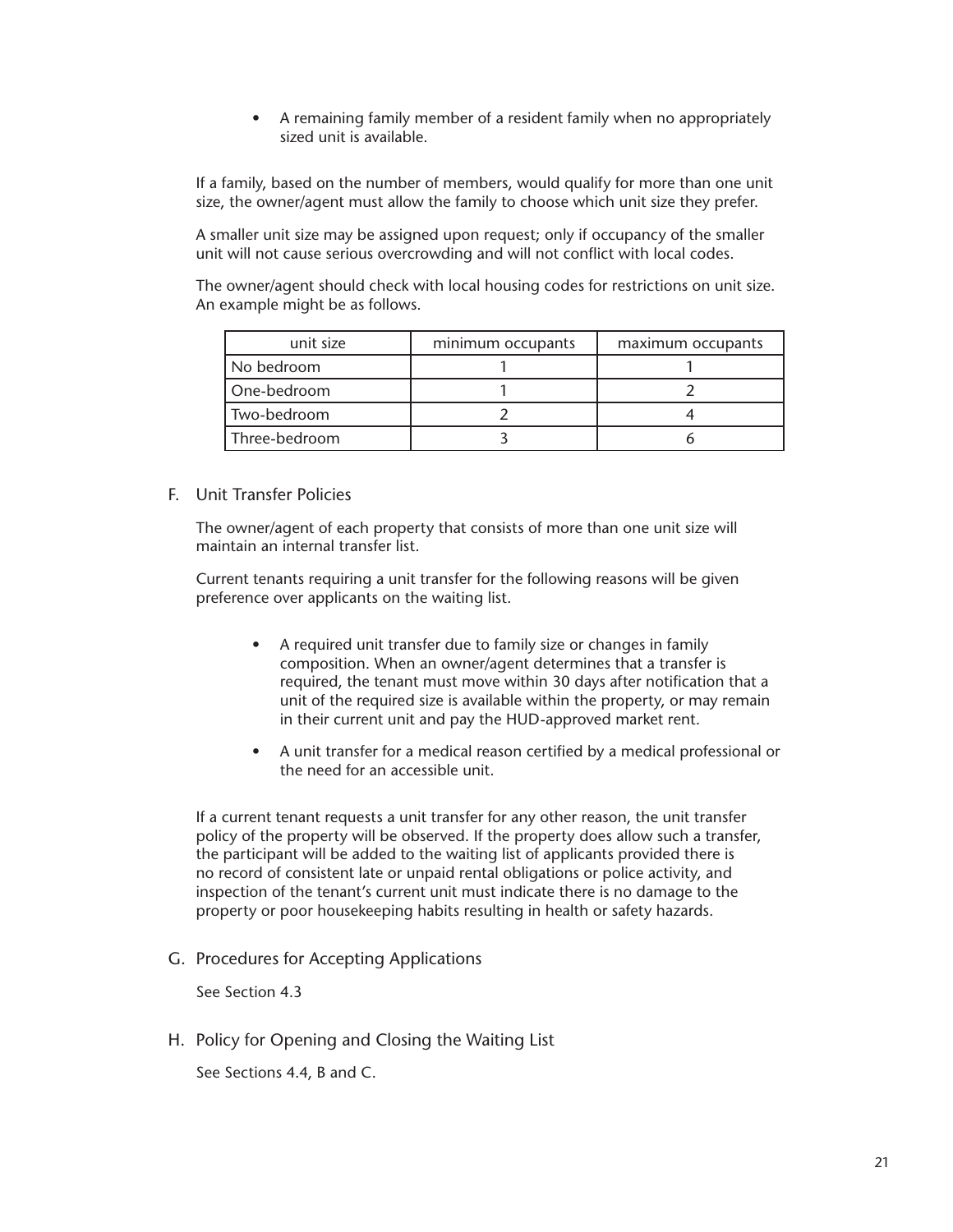• A remaining family member of a resident family when no appropriately sized unit is available.

<span id="page-26-0"></span>If a family, based on the number of members, would qualify for more than one unit size, the owner/agent must allow the family to choose which unit size they prefer.

A smaller unit size may be assigned upon request; only if occupancy of the smaller unit will not cause serious overcrowding and will not conflict with local codes.

The owner/agent should check with local housing codes for restrictions on unit size. An example might be as follows.

| unit size     | minimum occupants | maximum occupants |
|---------------|-------------------|-------------------|
| No bedroom    |                   |                   |
| One-bedroom   |                   |                   |
| Two-bedroom   |                   |                   |
| Three-bedroom |                   |                   |

#### F. Unit Transfer Policies

The owner/agent of each property that consists of more than one unit size will maintain an internal transfer list.

Current tenants requiring a unit transfer for the following reasons will be given preference over applicants on the waiting list.

- A required unit transfer due to family size or changes in family composition. When an owner/agent determines that a transfer is required, the tenant must move within 30 days after notification that a unit of the required size is available within the property, or may remain in their current unit and pay the HUD-approved market rent.
- A unit transfer for a medical reason certified by a medical professional or the need for an accessible unit.

If a current tenant requests a unit transfer for any other reason, the unit transfer policy of the property will be observed. If the property does allow such a transfer, the participant will be added to the waiting list of applicants provided there is no record of consistent late or unpaid rental obligations or police activity, and inspection of the tenant's current unit must indicate there is no damage to the property or poor housekeeping habits resulting in health or safety hazards.

G. Procedures for Accepting Applications

See Section 4.3

H. Policy for Opening and Closing the Waiting List

See Sections 4.4, B and C.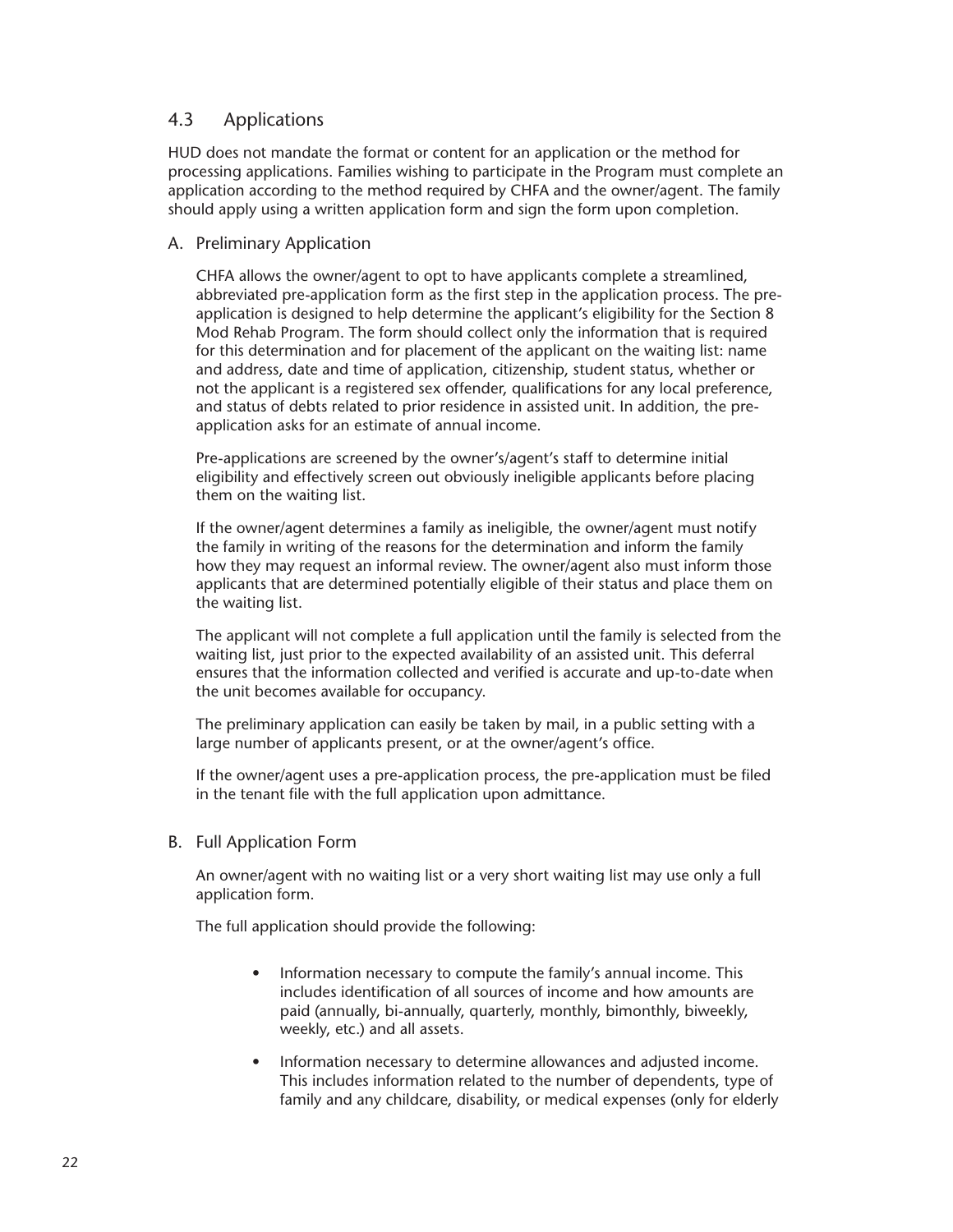### <span id="page-27-0"></span>4.3 Applications

HUD does not mandate the format or content for an application or the method for processing applications. Families wishing to participate in the Program must complete an application according to the method required by CHFA and the owner/agent. The family should apply using a written application form and sign the form upon completion.

#### A. Preliminary Application

CHFA allows the owner/agent to opt to have applicants complete a streamlined, abbreviated pre-application form as the first step in the application process. The preapplication is designed to help determine the applicant's eligibility for the Section 8 Mod Rehab Program. The form should collect only the information that is required for this determination and for placement of the applicant on the waiting list: name and address, date and time of application, citizenship, student status, whether or not the applicant is a registered sex offender, qualifications for any local preference, and status of debts related to prior residence in assisted unit. In addition, the preapplication asks for an estimate of annual income.

Pre-applications are screened by the owner's/agent's staff to determine initial eligibility and effectively screen out obviously ineligible applicants before placing them on the waiting list.

If the owner/agent determines a family as ineligible, the owner/agent must notify the family in writing of the reasons for the determination and inform the family how they may request an informal review. The owner/agent also must inform those applicants that are determined potentially eligible of their status and place them on the waiting list.

The applicant will not complete a full application until the family is selected from the waiting list, just prior to the expected availability of an assisted unit. This deferral ensures that the information collected and verified is accurate and up-to-date when the unit becomes available for occupancy.

The preliminary application can easily be taken by mail, in a public setting with a large number of applicants present, or at the owner/agent's office.

If the owner/agent uses a pre-application process, the pre-application must be filed in the tenant file with the full application upon admittance.

#### B. Full Application Form

An owner/agent with no waiting list or a very short waiting list may use only a full application form.

The full application should provide the following:

- Information necessary to compute the family's annual income. This includes identification of all sources of income and how amounts are paid (annually, bi-annually, quarterly, monthly, bimonthly, biweekly, weekly, etc.) and all assets.
- Information necessary to determine allowances and adjusted income. This includes information related to the number of dependents, type of family and any childcare, disability, or medical expenses (only for elderly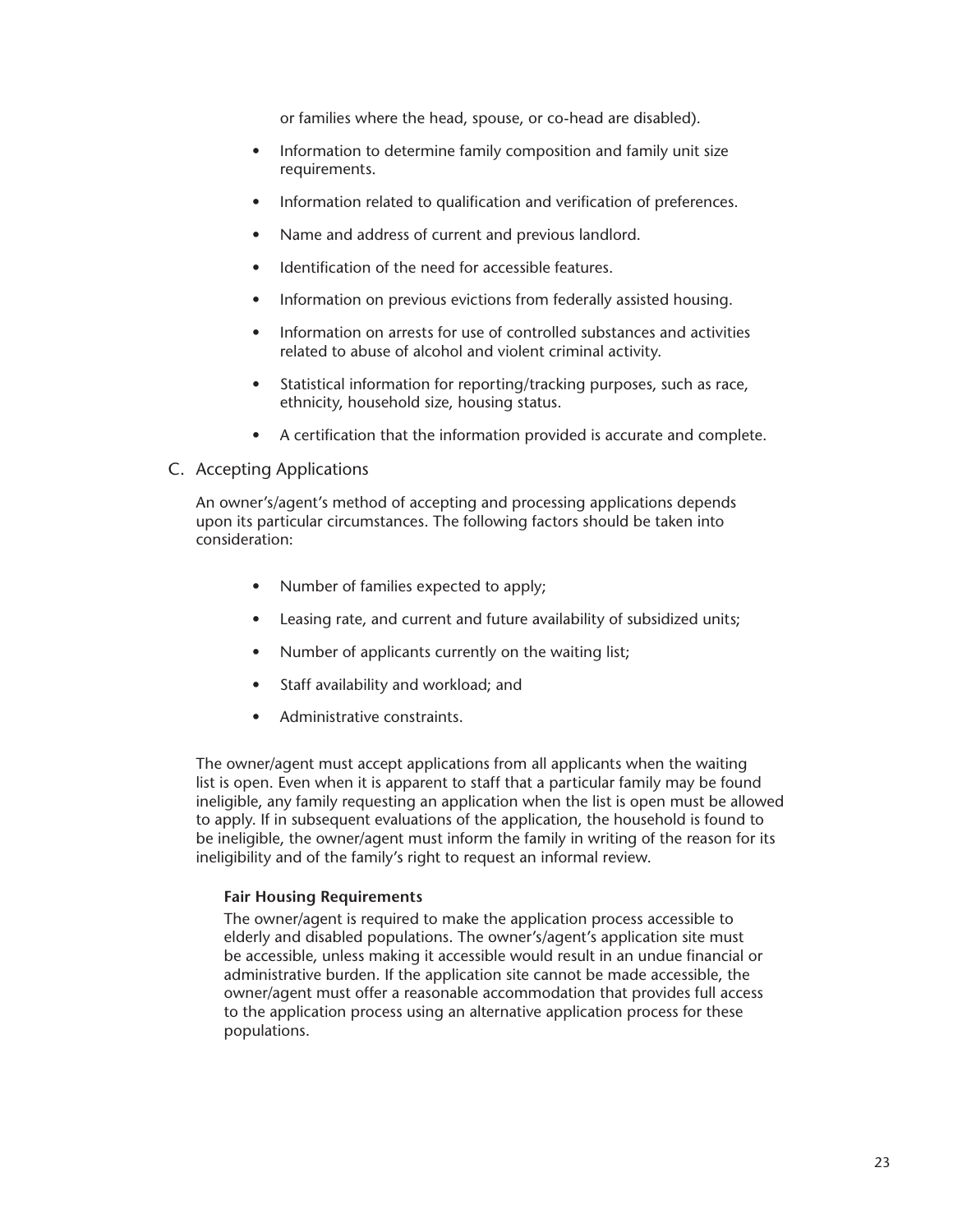or families where the head, spouse, or co-head are disabled).

- <span id="page-28-0"></span>• Information to determine family composition and family unit size requirements.
- Information related to qualification and verification of preferences.
- Name and address of current and previous landlord.
- Identification of the need for accessible features.
- Information on previous evictions from federally assisted housing.
- Information on arrests for use of controlled substances and activities related to abuse of alcohol and violent criminal activity.
- Statistical information for reporting/tracking purposes, such as race, ethnicity, household size, housing status.
- A certification that the information provided is accurate and complete.

#### C. Accepting Applications

An owner's/agent's method of accepting and processing applications depends upon its particular circumstances. The following factors should be taken into consideration:

- Number of families expected to apply;
- Leasing rate, and current and future availability of subsidized units;
- Number of applicants currently on the waiting list;
- Staff availability and workload; and
- Administrative constraints.

The owner/agent must accept applications from all applicants when the waiting list is open. Even when it is apparent to staff that a particular family may be found ineligible, any family requesting an application when the list is open must be allowed to apply. If in subsequent evaluations of the application, the household is found to be ineligible, the owner/agent must inform the family in writing of the reason for its ineligibility and of the family's right to request an informal review.

#### **Fair Housing Requirements**

The owner/agent is required to make the application process accessible to elderly and disabled populations. The owner's/agent's application site must be accessible, unless making it accessible would result in an undue financial or administrative burden. If the application site cannot be made accessible, the owner/agent must offer a reasonable accommodation that provides full access to the application process using an alternative application process for these populations.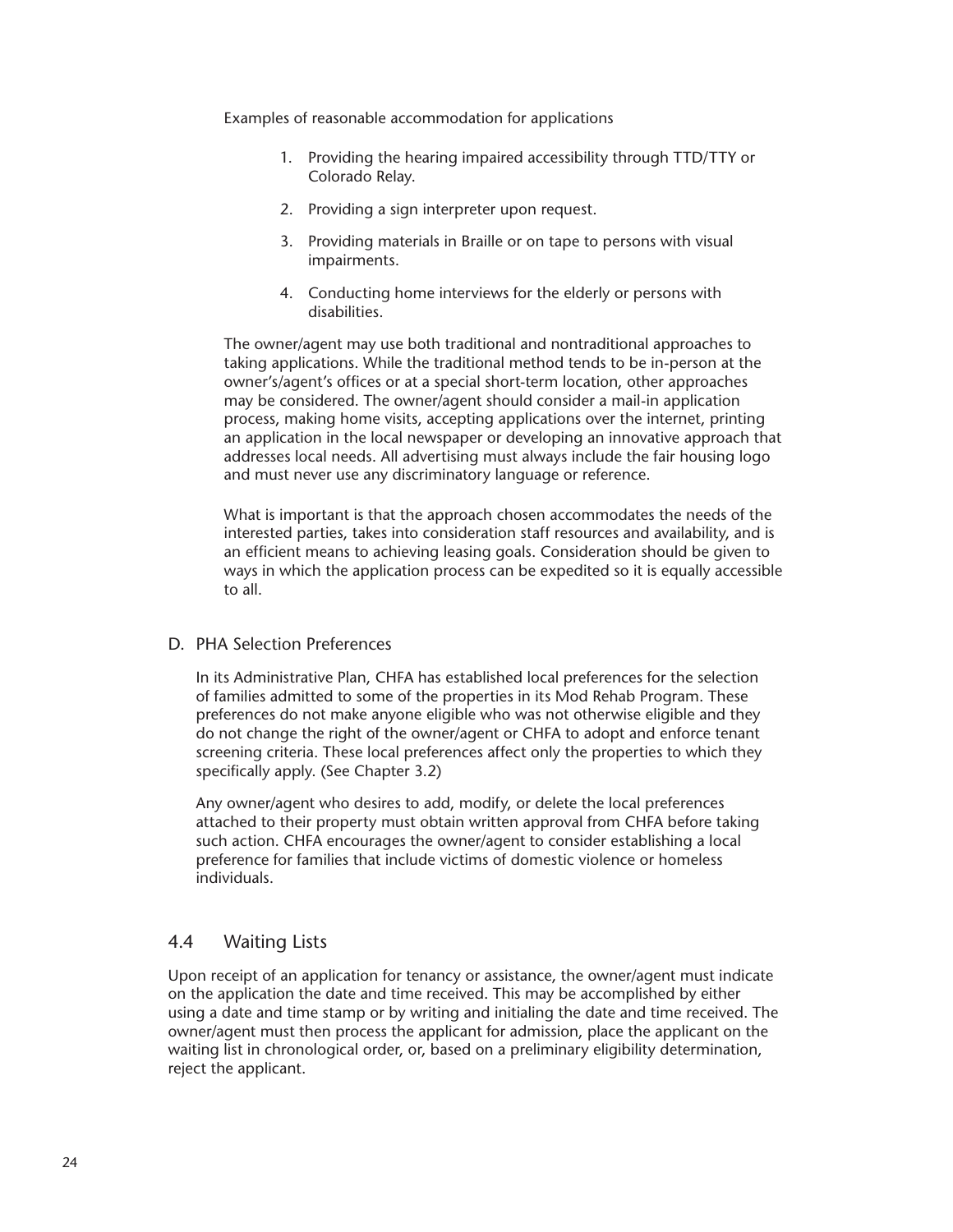<span id="page-29-0"></span>Examples of reasonable accommodation for applications

- 1. Providing the hearing impaired accessibility through TTD/TTY or Colorado Relay.
- 2. Providing a sign interpreter upon request.
- 3. Providing materials in Braille or on tape to persons with visual impairments.
- 4. Conducting home interviews for the elderly or persons with disabilities.

The owner/agent may use both traditional and nontraditional approaches to taking applications. While the traditional method tends to be in-person at the owner's/agent's offices or at a special short-term location, other approaches may be considered. The owner/agent should consider a mail-in application process, making home visits, accepting applications over the internet, printing an application in the local newspaper or developing an innovative approach that addresses local needs. All advertising must always include the fair housing logo and must never use any discriminatory language or reference.

What is important is that the approach chosen accommodates the needs of the interested parties, takes into consideration staff resources and availability, and is an efficient means to achieving leasing goals. Consideration should be given to ways in which the application process can be expedited so it is equally accessible to all.

#### D. PHA Selection Preferences

In its Administrative Plan, CHFA has established local preferences for the selection of families admitted to some of the properties in its Mod Rehab Program. These preferences do not make anyone eligible who was not otherwise eligible and they do not change the right of the owner/agent or CHFA to adopt and enforce tenant screening criteria. These local preferences affect only the properties to which they specifically apply. (See Chapter 3.2)

Any owner/agent who desires to add, modify, or delete the local preferences attached to their property must obtain written approval from CHFA before taking such action. CHFA encourages the owner/agent to consider establishing a local preference for families that include victims of domestic violence or homeless individuals.

#### 4.4 Waiting Lists

Upon receipt of an application for tenancy or assistance, the owner/agent must indicate on the application the date and time received. This may be accomplished by either using a date and time stamp or by writing and initialing the date and time received. The owner/agent must then process the applicant for admission, place the applicant on the waiting list in chronological order, or, based on a preliminary eligibility determination, reject the applicant.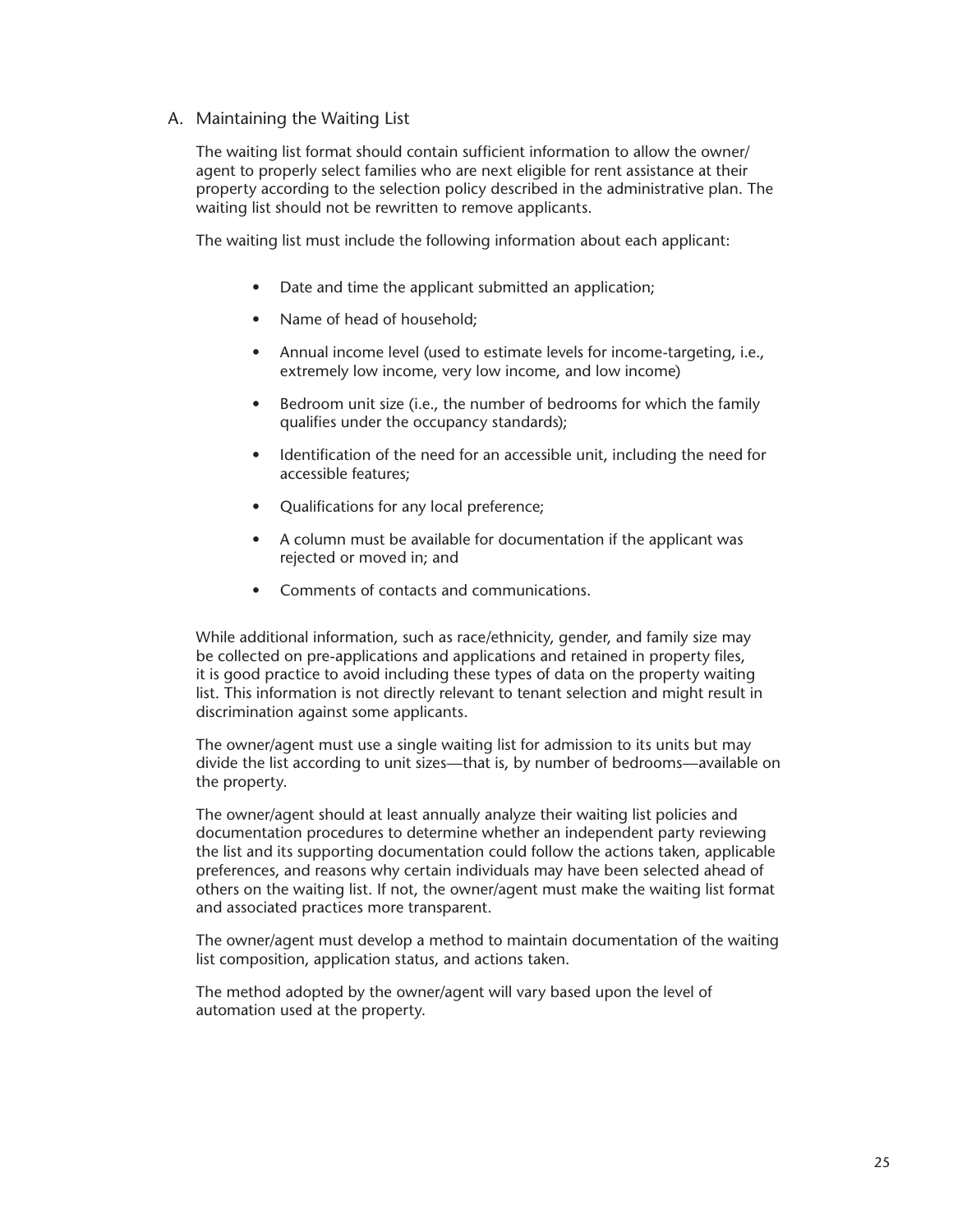#### <span id="page-30-0"></span>A. Maintaining the Waiting List

The waiting list format should contain sufficient information to allow the owner/ agent to properly select families who are next eligible for rent assistance at their property according to the selection policy described in the administrative plan. The waiting list should not be rewritten to remove applicants.

The waiting list must include the following information about each applicant:

- Date and time the applicant submitted an application;
- Name of head of household;
- Annual income level (used to estimate levels for income-targeting, i.e., extremely low income, very low income, and low income)
- Bedroom unit size (i.e., the number of bedrooms for which the family qualifies under the occupancy standards);
- Identification of the need for an accessible unit, including the need for accessible features;
- Qualifications for any local preference;
- A column must be available for documentation if the applicant was rejected or moved in; and
- Comments of contacts and communications.

While additional information, such as race/ethnicity, gender, and family size may be collected on pre-applications and applications and retained in property files, it is good practice to avoid including these types of data on the property waiting list. This information is not directly relevant to tenant selection and might result in discrimination against some applicants.

The owner/agent must use a single waiting list for admission to its units but may divide the list according to unit sizes—that is, by number of bedrooms—available on the property.

The owner/agent should at least annually analyze their waiting list policies and documentation procedures to determine whether an independent party reviewing the list and its supporting documentation could follow the actions taken, applicable preferences, and reasons why certain individuals may have been selected ahead of others on the waiting list. If not, the owner/agent must make the waiting list format and associated practices more transparent.

The owner/agent must develop a method to maintain documentation of the waiting list composition, application status, and actions taken.

The method adopted by the owner/agent will vary based upon the level of automation used at the property.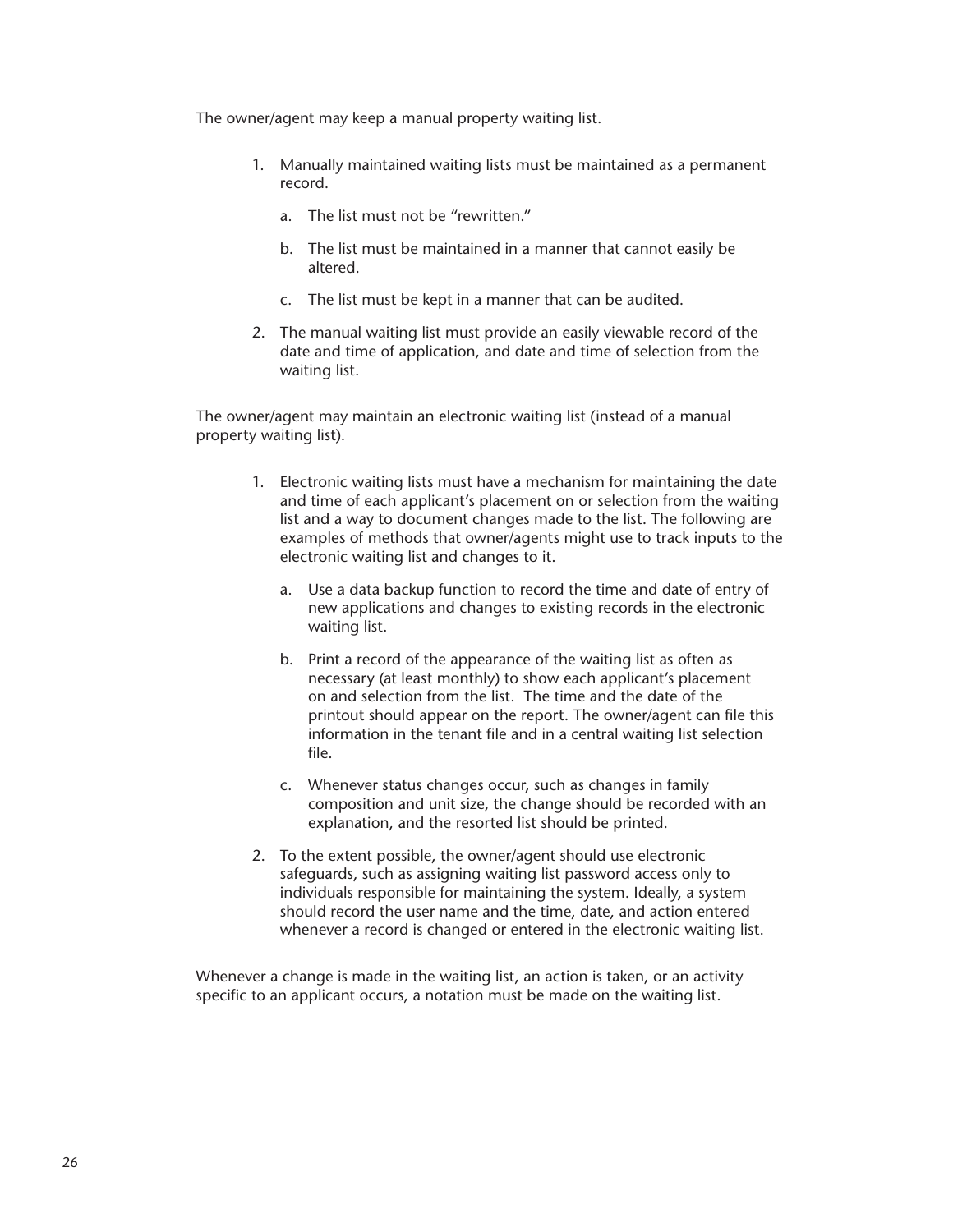The owner/agent may keep a manual property waiting list.

- 1. Manually maintained waiting lists must be maintained as a permanent record.
	- a. The list must not be "rewritten."
	- b. The list must be maintained in a manner that cannot easily be altered.
	- c. The list must be kept in a manner that can be audited.
- 2. The manual waiting list must provide an easily viewable record of the date and time of application, and date and time of selection from the waiting list.

The owner/agent may maintain an electronic waiting list (instead of a manual property waiting list).

- 1. Electronic waiting lists must have a mechanism for maintaining the date and time of each applicant's placement on or selection from the waiting list and a way to document changes made to the list. The following are examples of methods that owner/agents might use to track inputs to the electronic waiting list and changes to it.
	- a. Use a data backup function to record the time and date of entry of new applications and changes to existing records in the electronic waiting list.
	- b. Print a record of the appearance of the waiting list as often as necessary (at least monthly) to show each applicant's placement on and selection from the list. The time and the date of the printout should appear on the report. The owner/agent can file this information in the tenant file and in a central waiting list selection file.
	- c. Whenever status changes occur, such as changes in family composition and unit size, the change should be recorded with an explanation, and the resorted list should be printed.
- 2. To the extent possible, the owner/agent should use electronic safeguards, such as assigning waiting list password access only to individuals responsible for maintaining the system. Ideally, a system should record the user name and the time, date, and action entered whenever a record is changed or entered in the electronic waiting list.

Whenever a change is made in the waiting list, an action is taken, or an activity specific to an applicant occurs, a notation must be made on the waiting list.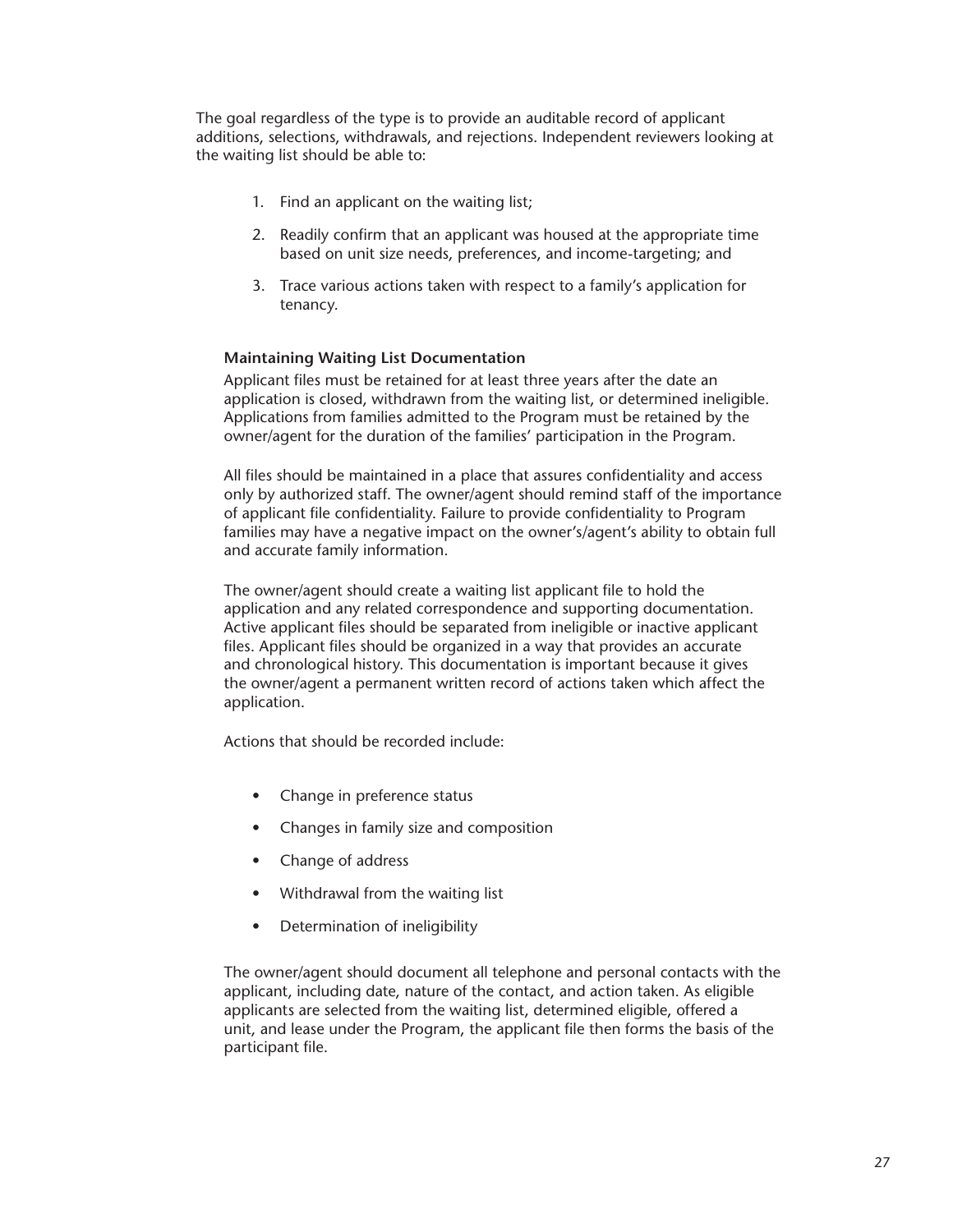The goal regardless of the type is to provide an auditable record of applicant additions, selections, withdrawals, and rejections. Independent reviewers looking at the waiting list should be able to:

- 1. Find an applicant on the waiting list;
- 2. Readily confirm that an applicant was housed at the appropriate time based on unit size needs, preferences, and income-targeting; and
- 3. Trace various actions taken with respect to a family's application for tenancy.

#### **Maintaining Waiting List Documentation**

Applicant files must be retained for at least three years after the date an application is closed, withdrawn from the waiting list, or determined ineligible. Applications from families admitted to the Program must be retained by the owner/agent for the duration of the families' participation in the Program.

All files should be maintained in a place that assures confidentiality and access only by authorized staff. The owner/agent should remind staff of the importance of applicant file confidentiality. Failure to provide confidentiality to Program families may have a negative impact on the owner's/agent's ability to obtain full and accurate family information.

The owner/agent should create a waiting list applicant file to hold the application and any related correspondence and supporting documentation. Active applicant files should be separated from ineligible or inactive applicant files. Applicant files should be organized in a way that provides an accurate and chronological history. This documentation is important because it gives the owner/agent a permanent written record of actions taken which affect the application.

Actions that should be recorded include:

- Change in preference status
- Changes in family size and composition
- Change of address
- Withdrawal from the waiting list
- Determination of ineligibility

The owner/agent should document all telephone and personal contacts with the applicant, including date, nature of the contact, and action taken. As eligible applicants are selected from the waiting list, determined eligible, offered a unit, and lease under the Program, the applicant file then forms the basis of the participant file.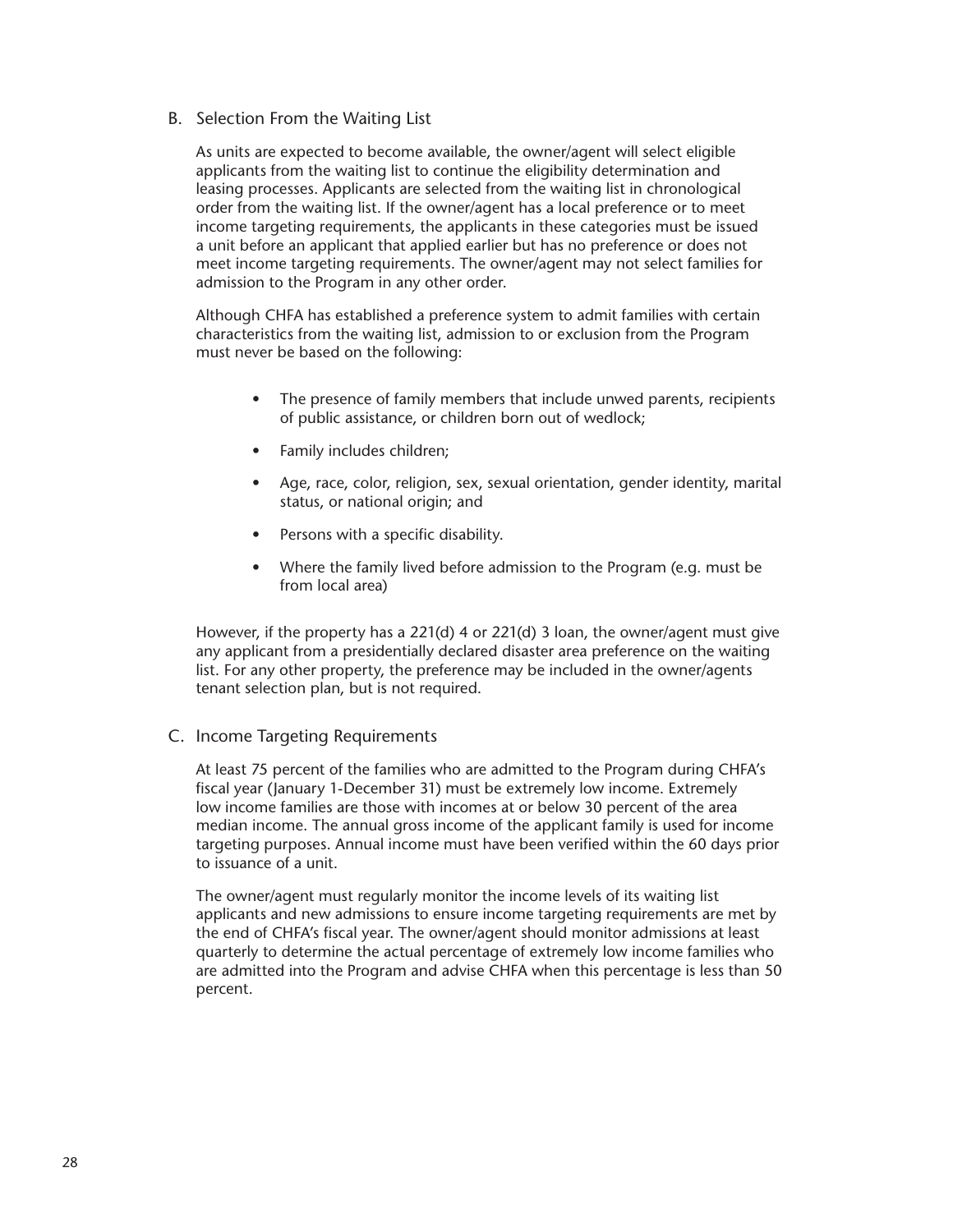#### <span id="page-33-0"></span>B. Selection From the Waiting List

As units are expected to become available, the owner/agent will select eligible applicants from the waiting list to continue the eligibility determination and leasing processes. Applicants are selected from the waiting list in chronological order from the waiting list. If the owner/agent has a local preference or to meet income targeting requirements, the applicants in these categories must be issued a unit before an applicant that applied earlier but has no preference or does not meet income targeting requirements. The owner/agent may not select families for admission to the Program in any other order.

Although CHFA has established a preference system to admit families with certain characteristics from the waiting list, admission to or exclusion from the Program must never be based on the following:

- The presence of family members that include unwed parents, recipients of public assistance, or children born out of wedlock;
- Family includes children;
- Age, race, color, religion, sex, sexual orientation, gender identity, marital status, or national origin; and
- Persons with a specific disability.
- Where the family lived before admission to the Program (e.g. must be from local area)

However, if the property has a 221(d) 4 or 221(d) 3 loan, the owner/agent must give any applicant from a presidentially declared disaster area preference on the waiting list. For any other property, the preference may be included in the owner/agents tenant selection plan, but is not required.

#### C. Income Targeting Requirements

At least 75 percent of the families who are admitted to the Program during CHFA's fiscal year (January 1-December 31) must be extremely low income. Extremely low income families are those with incomes at or below 30 percent of the area median income. The annual gross income of the applicant family is used for income targeting purposes. Annual income must have been verified within the 60 days prior to issuance of a unit.

The owner/agent must regularly monitor the income levels of its waiting list applicants and new admissions to ensure income targeting requirements are met by the end of CHFA's fiscal year. The owner/agent should monitor admissions at least quarterly to determine the actual percentage of extremely low income families who are admitted into the Program and advise CHFA when this percentage is less than 50 percent.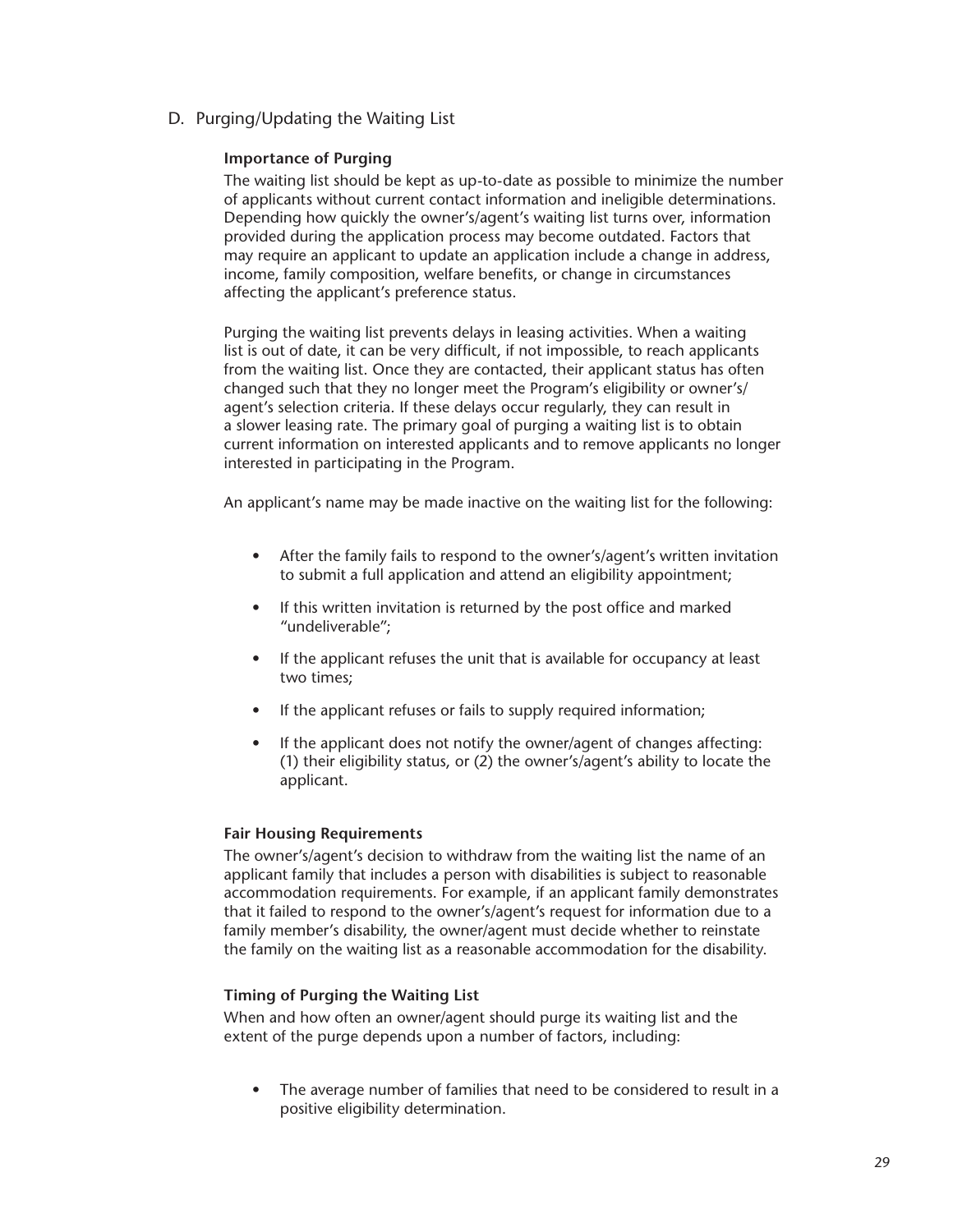<span id="page-34-0"></span>D. Purging/Updating the Waiting List

#### **Importance of Purging**

The waiting list should be kept as up-to-date as possible to minimize the number of applicants without current contact information and ineligible determinations. Depending how quickly the owner's/agent's waiting list turns over, information provided during the application process may become outdated. Factors that may require an applicant to update an application include a change in address, income, family composition, welfare benefits, or change in circumstances affecting the applicant's preference status.

Purging the waiting list prevents delays in leasing activities. When a waiting list is out of date, it can be very difficult, if not impossible, to reach applicants from the waiting list. Once they are contacted, their applicant status has often changed such that they no longer meet the Program's eligibility or owner's/ agent's selection criteria. If these delays occur regularly, they can result in a slower leasing rate. The primary goal of purging a waiting list is to obtain current information on interested applicants and to remove applicants no longer interested in participating in the Program.

An applicant's name may be made inactive on the waiting list for the following:

- After the family fails to respond to the owner's/agent's written invitation to submit a full application and attend an eligibility appointment;
- If this written invitation is returned by the post office and marked "undeliverable";
- If the applicant refuses the unit that is available for occupancy at least two times;
- If the applicant refuses or fails to supply required information;
- If the applicant does not notify the owner/agent of changes affecting: (1) their eligibility status, or (2) the owner's/agent's ability to locate the applicant.

#### **Fair Housing Requirements**

The owner's/agent's decision to withdraw from the waiting list the name of an applicant family that includes a person with disabilities is subject to reasonable accommodation requirements. For example, if an applicant family demonstrates that it failed to respond to the owner's/agent's request for information due to a family member's disability, the owner/agent must decide whether to reinstate the family on the waiting list as a reasonable accommodation for the disability.

#### **Timing of Purging the Waiting List**

When and how often an owner/agent should purge its waiting list and the extent of the purge depends upon a number of factors, including:

The average number of families that need to be considered to result in a positive eligibility determination.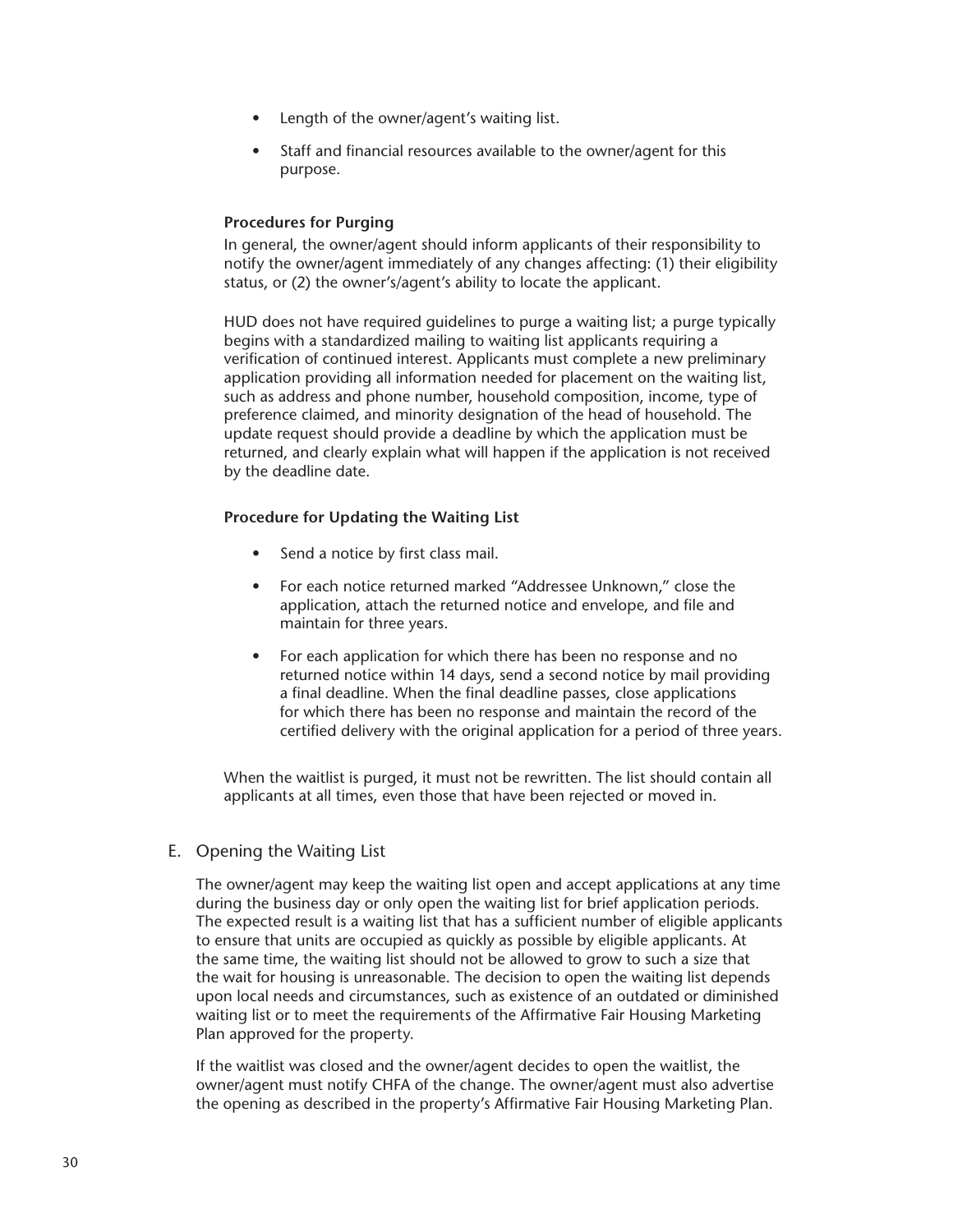- <span id="page-35-0"></span>Length of the owner/agent's waiting list.
- Staff and financial resources available to the owner/agent for this purpose.

#### **Procedures for Purging**

In general, the owner/agent should inform applicants of their responsibility to notify the owner/agent immediately of any changes affecting: (1) their eligibility status, or (2) the owner's/agent's ability to locate the applicant.

HUD does not have required guidelines to purge a waiting list; a purge typically begins with a standardized mailing to waiting list applicants requiring a verification of continued interest. Applicants must complete a new preliminary application providing all information needed for placement on the waiting list, such as address and phone number, household composition, income, type of preference claimed, and minority designation of the head of household. The update request should provide a deadline by which the application must be returned, and clearly explain what will happen if the application is not received by the deadline date.

#### **Procedure for Updating the Waiting List**

- Send a notice by first class mail.
- For each notice returned marked "Addressee Unknown," close the application, attach the returned notice and envelope, and file and maintain for three years.
- For each application for which there has been no response and no returned notice within 14 days, send a second notice by mail providing a final deadline. When the final deadline passes, close applications for which there has been no response and maintain the record of the certified delivery with the original application for a period of three years.

When the waitlist is purged, it must not be rewritten. The list should contain all applicants at all times, even those that have been rejected or moved in.

E. Opening the Waiting List

The owner/agent may keep the waiting list open and accept applications at any time during the business day or only open the waiting list for brief application periods. The expected result is a waiting list that has a sufficient number of eligible applicants to ensure that units are occupied as quickly as possible by eligible applicants. At the same time, the waiting list should not be allowed to grow to such a size that the wait for housing is unreasonable. The decision to open the waiting list depends upon local needs and circumstances, such as existence of an outdated or diminished waiting list or to meet the requirements of the Affirmative Fair Housing Marketing Plan approved for the property.

If the waitlist was closed and the owner/agent decides to open the waitlist, the owner/agent must notify CHFA of the change. The owner/agent must also advertise the opening as described in the property's Affirmative Fair Housing Marketing Plan.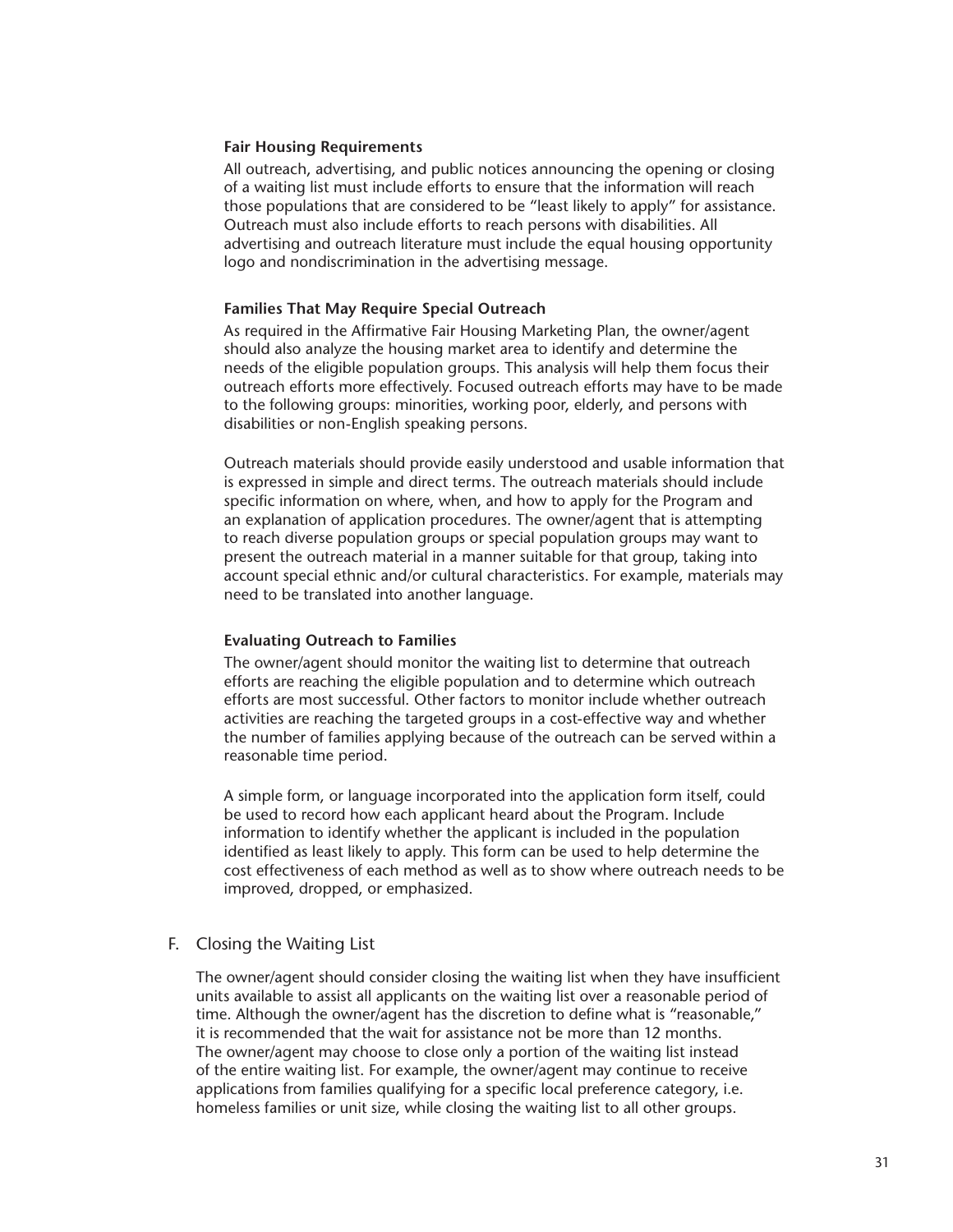## **Fair Housing Requirements**

All outreach, advertising, and public notices announcing the opening or closing of a waiting list must include efforts to ensure that the information will reach those populations that are considered to be "least likely to apply" for assistance. Outreach must also include efforts to reach persons with disabilities. All advertising and outreach literature must include the equal housing opportunity logo and nondiscrimination in the advertising message.

## **Families That May Require Special Outreach**

As required in the Affirmative Fair Housing Marketing Plan, the owner/agent should also analyze the housing market area to identify and determine the needs of the eligible population groups. This analysis will help them focus their outreach efforts more effectively. Focused outreach efforts may have to be made to the following groups: minorities, working poor, elderly, and persons with disabilities or non-English speaking persons.

Outreach materials should provide easily understood and usable information that is expressed in simple and direct terms. The outreach materials should include specific information on where, when, and how to apply for the Program and an explanation of application procedures. The owner/agent that is attempting to reach diverse population groups or special population groups may want to present the outreach material in a manner suitable for that group, taking into account special ethnic and/or cultural characteristics. For example, materials may need to be translated into another language.

## **Evaluating Outreach to Families**

The owner/agent should monitor the waiting list to determine that outreach efforts are reaching the eligible population and to determine which outreach efforts are most successful. Other factors to monitor include whether outreach activities are reaching the targeted groups in a cost-effective way and whether the number of families applying because of the outreach can be served within a reasonable time period.

A simple form, or language incorporated into the application form itself, could be used to record how each applicant heard about the Program. Include information to identify whether the applicant is included in the population identified as least likely to apply. This form can be used to help determine the cost effectiveness of each method as well as to show where outreach needs to be improved, dropped, or emphasized.

## F. Closing the Waiting List

The owner/agent should consider closing the waiting list when they have insufficient units available to assist all applicants on the waiting list over a reasonable period of time. Although the owner/agent has the discretion to define what is "reasonable," it is recommended that the wait for assistance not be more than 12 months. The owner/agent may choose to close only a portion of the waiting list instead of the entire waiting list. For example, the owner/agent may continue to receive applications from families qualifying for a specific local preference category, i.e. homeless families or unit size, while closing the waiting list to all other groups.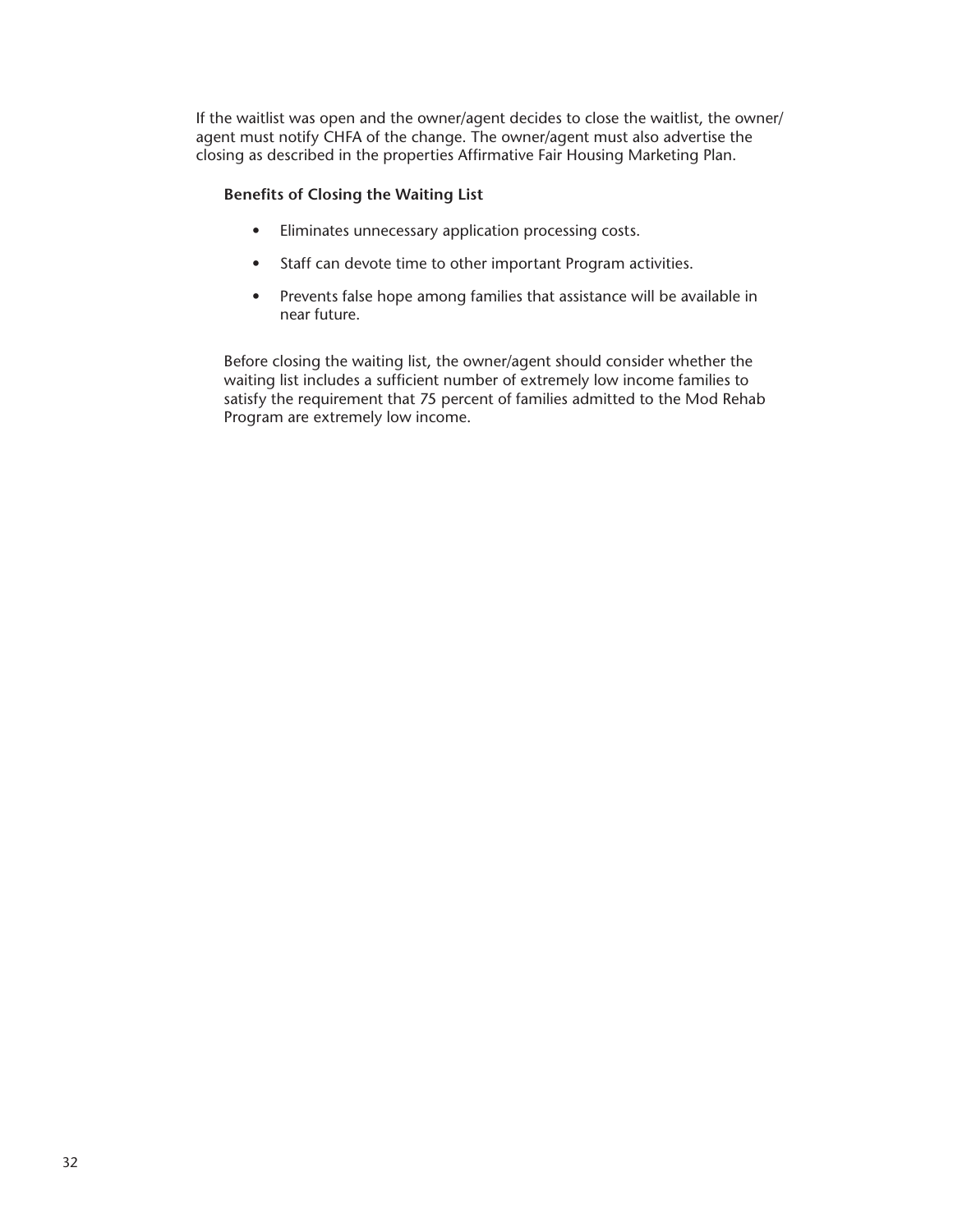If the waitlist was open and the owner/agent decides to close the waitlist, the owner/ agent must notify CHFA of the change. The owner/agent must also advertise the closing as described in the properties Affirmative Fair Housing Marketing Plan.

## **Benefits of Closing the Waiting List**

- Eliminates unnecessary application processing costs.
- Staff can devote time to other important Program activities.
- Prevents false hope among families that assistance will be available in near future.

Before closing the waiting list, the owner/agent should consider whether the waiting list includes a sufficient number of extremely low income families to satisfy the requirement that 75 percent of families admitted to the Mod Rehab Program are extremely low income.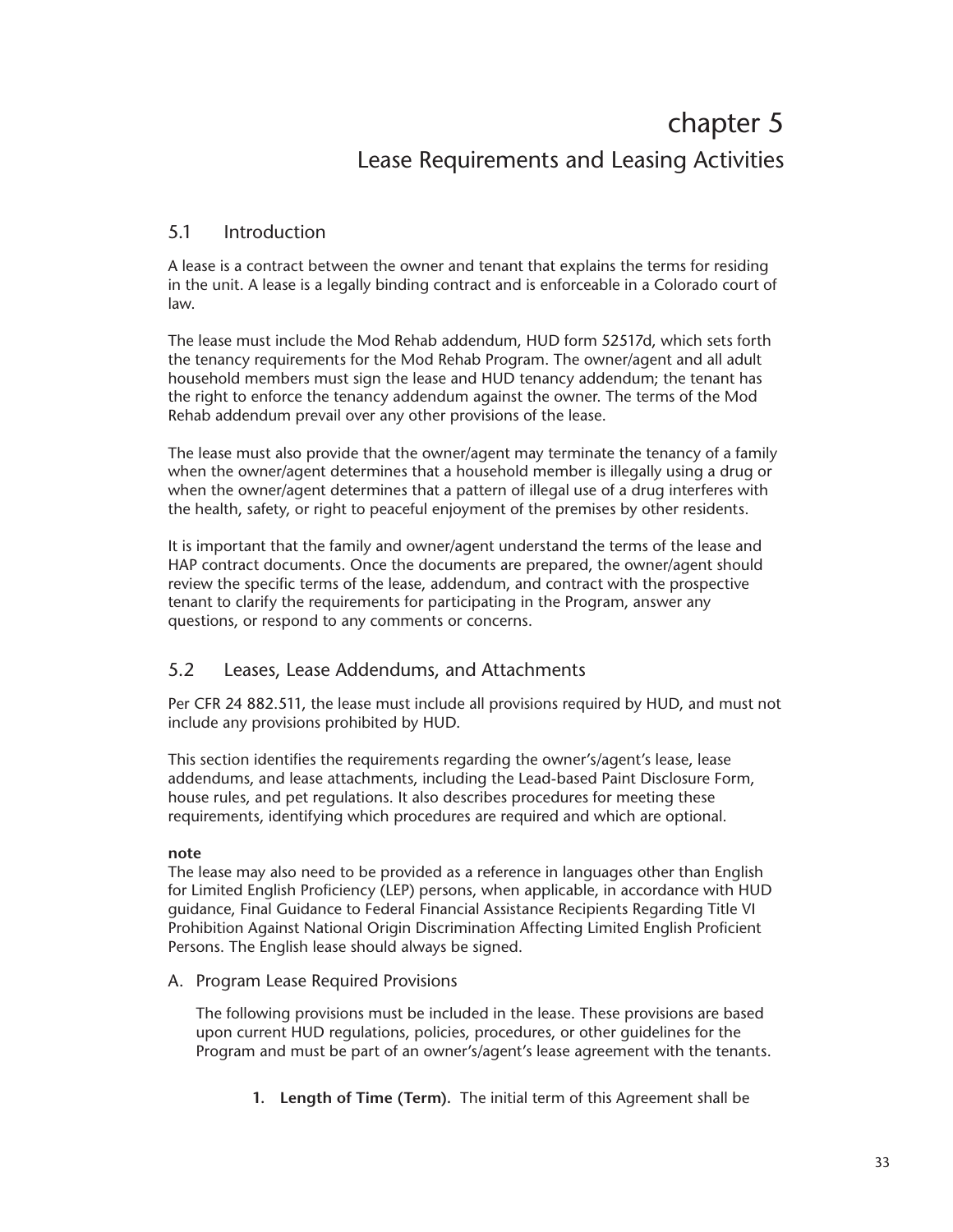# chapter 5 Lease Requirements and Leasing Activities

# 5.1 Introduction

A lease is a contract between the owner and tenant that explains the terms for residing in the unit. A lease is a legally binding contract and is enforceable in a Colorado court of law.

The lease must include the Mod Rehab addendum, HUD form 52517d, which sets forth the tenancy requirements for the Mod Rehab Program. The owner/agent and all adult household members must sign the lease and HUD tenancy addendum; the tenant has the right to enforce the tenancy addendum against the owner. The terms of the Mod Rehab addendum prevail over any other provisions of the lease.

The lease must also provide that the owner/agent may terminate the tenancy of a family when the owner/agent determines that a household member is illegally using a drug or when the owner/agent determines that a pattern of illegal use of a drug interferes with the health, safety, or right to peaceful enjoyment of the premises by other residents.

It is important that the family and owner/agent understand the terms of the lease and HAP contract documents. Once the documents are prepared, the owner/agent should review the specific terms of the lease, addendum, and contract with the prospective tenant to clarify the requirements for participating in the Program, answer any questions, or respond to any comments or concerns.

# 5.2 Leases, Lease Addendums, and Attachments

Per CFR 24 882.511, the lease must include all provisions required by HUD, and must not include any provisions prohibited by HUD.

This section identifies the requirements regarding the owner's/agent's lease, lease addendums, and lease attachments, including the Lead-based Paint Disclosure Form, house rules, and pet regulations. It also describes procedures for meeting these requirements, identifying which procedures are required and which are optional.

# **note**

The lease may also need to be provided as a reference in languages other than English for Limited English Proficiency (LEP) persons, when applicable, in accordance with HUD guidance, Final Guidance to Federal Financial Assistance Recipients Regarding Title VI Prohibition Against National Origin Discrimination Affecting Limited English Proficient Persons. The English lease should always be signed.

A. Program Lease Required Provisions

The following provisions must be included in the lease. These provisions are based upon current HUD regulations, policies, procedures, or other guidelines for the Program and must be part of an owner's/agent's lease agreement with the tenants.

**1. Length of Time (Term).** The initial term of this Agreement shall be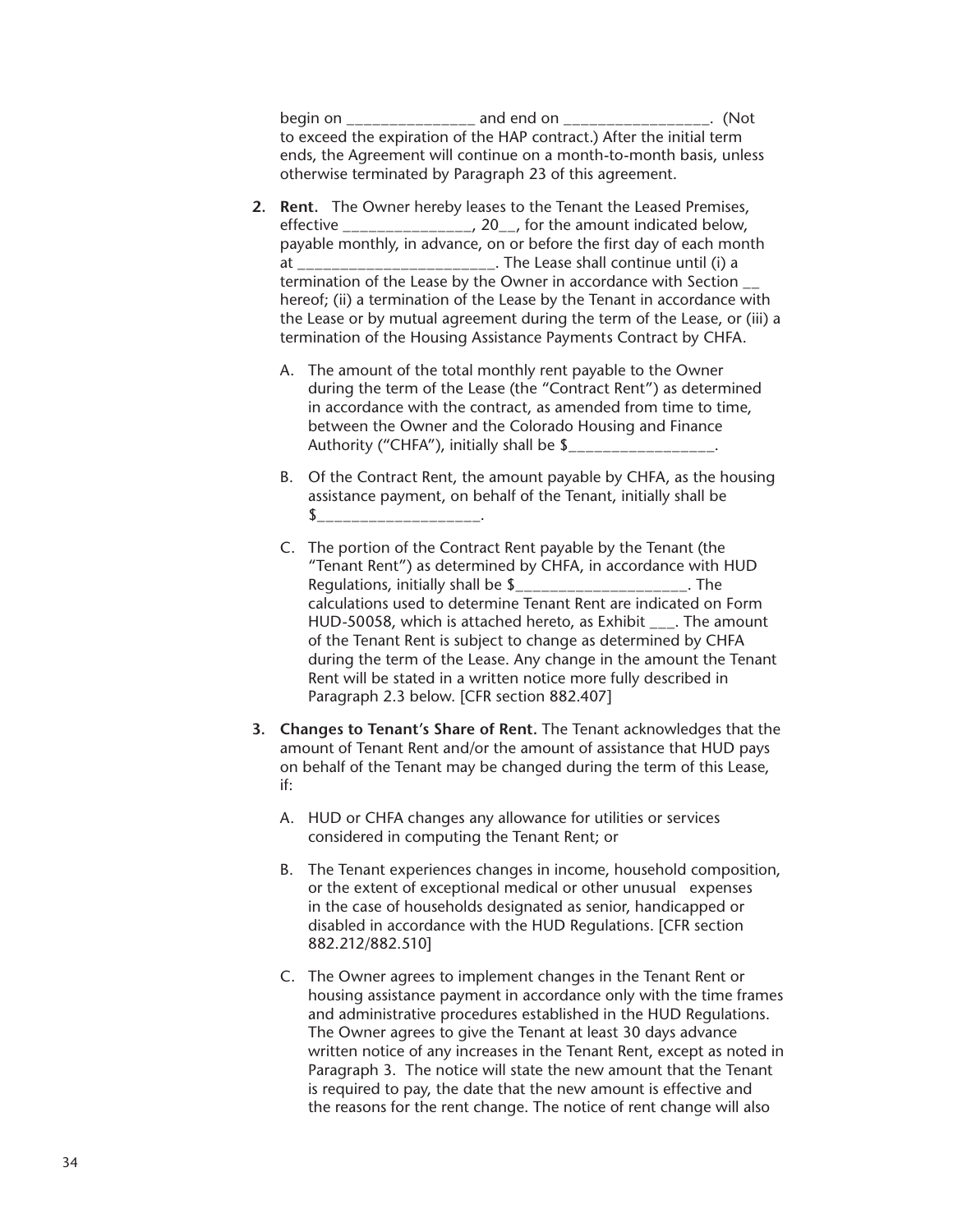begin on \_\_\_\_\_\_\_\_\_\_\_\_\_\_\_\_\_\_ and end on \_\_\_\_\_\_\_\_\_\_\_\_\_\_\_\_\_\_\_. (Not to exceed the expiration of the HAP contract.) After the initial term ends, the Agreement will continue on a month-to-month basis, unless otherwise terminated by Paragraph 23 of this agreement.

- **2. Rent.** The Owner hereby leases to the Tenant the Leased Premises, effective \_\_\_\_\_\_\_\_\_\_\_\_\_\_\_, 20\_\_, for the amount indicated below, payable monthly, in advance, on or before the first day of each month at \_\_\_\_\_\_\_\_\_\_\_\_\_\_\_\_\_\_\_\_\_\_\_. The Lease shall continue until (i) a termination of the Lease by the Owner in accordance with Section \_\_ hereof; (ii) a termination of the Lease by the Tenant in accordance with the Lease or by mutual agreement during the term of the Lease, or (iii) a termination of the Housing Assistance Payments Contract by CHFA.
	- A. The amount of the total monthly rent payable to the Owner during the term of the Lease (the "Contract Rent") as determined in accordance with the contract, as amended from time to time, between the Owner and the Colorado Housing and Finance Authority ("CHFA"), initially shall be \$\_\_\_\_\_\_\_\_\_\_\_\_
	- B. Of the Contract Rent, the amount payable by CHFA, as the housing assistance payment, on behalf of the Tenant, initially shall be  $\updownarrow$
	- C. The portion of the Contract Rent payable by the Tenant (the "Tenant Rent") as determined by CHFA, in accordance with HUD Regulations, initially shall be \$\_\_\_\_\_\_\_\_\_\_\_\_\_\_\_\_\_\_\_\_. The calculations used to determine Tenant Rent are indicated on Form HUD-50058, which is attached hereto, as Exhibit \_\_\_. The amount of the Tenant Rent is subject to change as determined by CHFA during the term of the Lease. Any change in the amount the Tenant Rent will be stated in a written notice more fully described in Paragraph 2.3 below. [CFR section 882.407]
- **3. Changes to Tenant's Share of Rent.** The Tenant acknowledges that the amount of Tenant Rent and/or the amount of assistance that HUD pays on behalf of the Tenant may be changed during the term of this Lease, if:
	- A. HUD or CHFA changes any allowance for utilities or services considered in computing the Tenant Rent; or
	- B. The Tenant experiences changes in income, household composition, or the extent of exceptional medical or other unusual expenses in the case of households designated as senior, handicapped or disabled in accordance with the HUD Regulations. [CFR section 882.212/882.510]
	- C. The Owner agrees to implement changes in the Tenant Rent or housing assistance payment in accordance only with the time frames and administrative procedures established in the HUD Regulations. The Owner agrees to give the Tenant at least 30 days advance written notice of any increases in the Tenant Rent, except as noted in Paragraph 3. The notice will state the new amount that the Tenant is required to pay, the date that the new amount is effective and the reasons for the rent change. The notice of rent change will also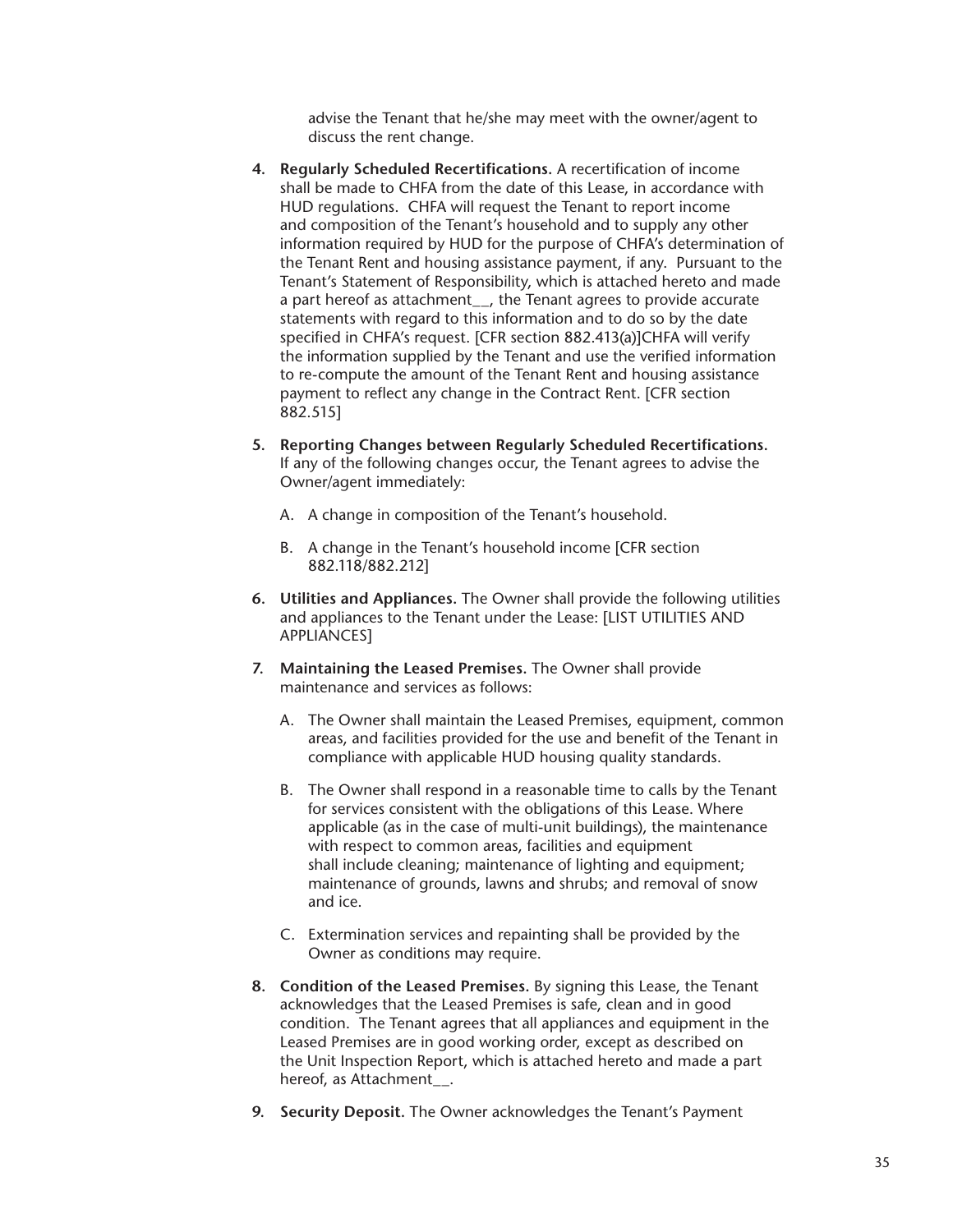advise the Tenant that he/she may meet with the owner/agent to discuss the rent change.

- **4. Regularly Scheduled Recertifications.** A recertification of income shall be made to CHFA from the date of this Lease, in accordance with HUD regulations. CHFA will request the Tenant to report income and composition of the Tenant's household and to supply any other information required by HUD for the purpose of CHFA's determination of the Tenant Rent and housing assistance payment, if any. Pursuant to the Tenant's Statement of Responsibility, which is attached hereto and made a part hereof as attachment\_\_, the Tenant agrees to provide accurate statements with regard to this information and to do so by the date specified in CHFA's request. [CFR section 882.413(a)]CHFA will verify the information supplied by the Tenant and use the verified information to re-compute the amount of the Tenant Rent and housing assistance payment to reflect any change in the Contract Rent. [CFR section 882.515]
- **5. Reporting Changes between Regularly Scheduled Recertifications.** If any of the following changes occur, the Tenant agrees to advise the Owner/agent immediately:
	- A. A change in composition of the Tenant's household.
	- B. A change in the Tenant's household income [CFR section 882.118/882.212]
- **6. Utilities and Appliances.** The Owner shall provide the following utilities and appliances to the Tenant under the Lease: [LIST UTILITIES AND APPLIANCES]
- **7. Maintaining the Leased Premises.** The Owner shall provide maintenance and services as follows:
	- A. The Owner shall maintain the Leased Premises, equipment, common areas, and facilities provided for the use and benefit of the Tenant in compliance with applicable HUD housing quality standards.
	- B. The Owner shall respond in a reasonable time to calls by the Tenant for services consistent with the obligations of this Lease. Where applicable (as in the case of multi-unit buildings), the maintenance with respect to common areas, facilities and equipment shall include cleaning; maintenance of lighting and equipment; maintenance of grounds, lawns and shrubs; and removal of snow and ice.
	- C. Extermination services and repainting shall be provided by the Owner as conditions may require.
- **8. Condition of the Leased Premises.** By signing this Lease, the Tenant acknowledges that the Leased Premises is safe, clean and in good condition. The Tenant agrees that all appliances and equipment in the Leased Premises are in good working order, except as described on the Unit Inspection Report, which is attached hereto and made a part hereof, as Attachment .
- **9. Security Deposit.** The Owner acknowledges the Tenant's Payment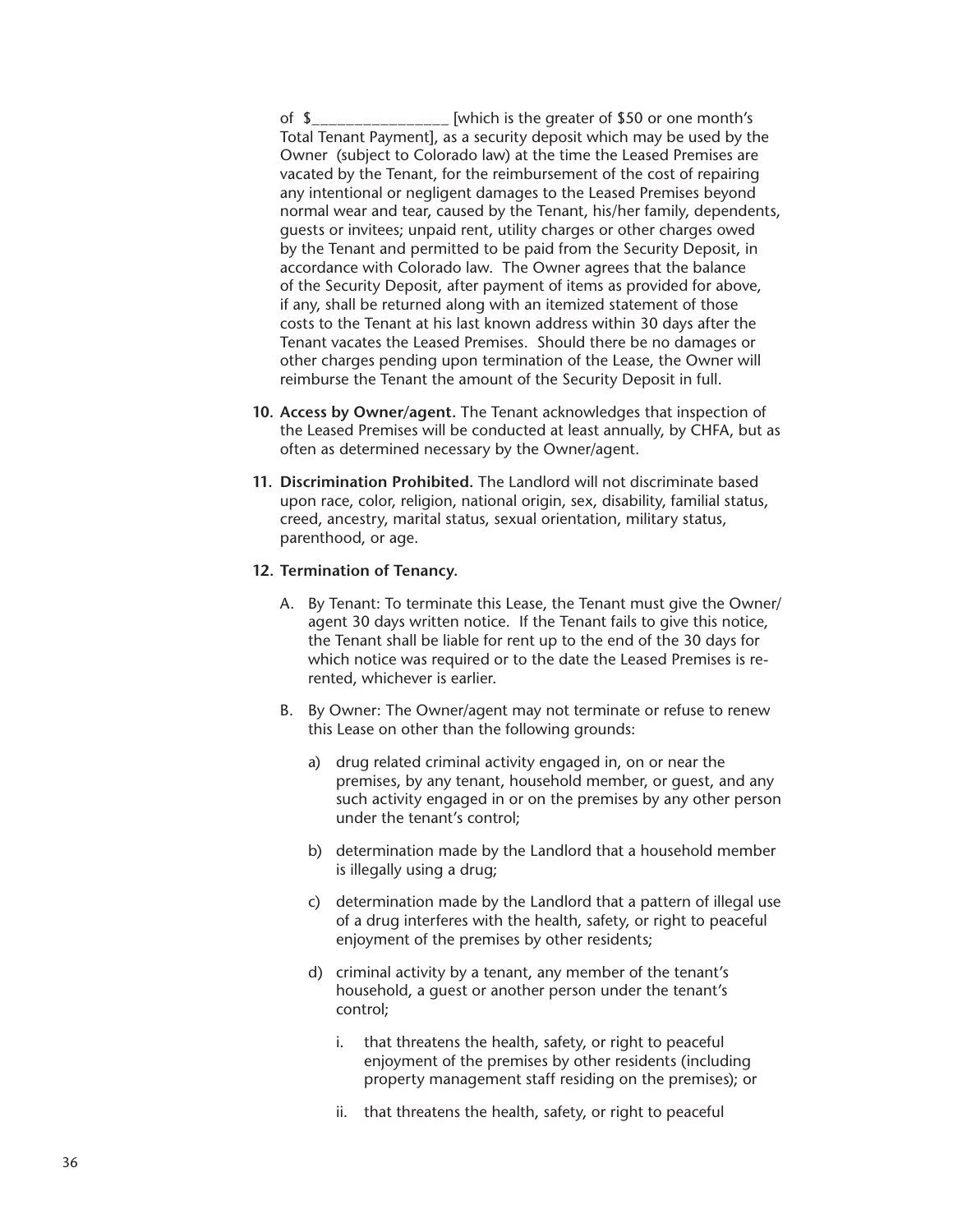of \$\_\_\_\_\_\_\_\_\_\_\_\_\_\_\_\_ [which is the greater of \$50 or one month's Total Tenant Payment], as a security deposit which may be used by the Owner (subject to Colorado law) at the time the Leased Premises are vacated by the Tenant, for the reimbursement of the cost of repairing any intentional or negligent damages to the Leased Premises beyond normal wear and tear, caused by the Tenant, his/her family, dependents, guests or invitees; unpaid rent, utility charges or other charges owed by the Tenant and permitted to be paid from the Security Deposit, in accordance with Colorado law. The Owner agrees that the balance of the Security Deposit, after payment of items as provided for above, if any, shall be returned along with an itemized statement of those costs to the Tenant at his last known address within 30 days after the Tenant vacates the Leased Premises. Should there be no damages or other charges pending upon termination of the Lease, the Owner will reimburse the Tenant the amount of the Security Deposit in full.

- **10. Access by Owner/agent.** The Tenant acknowledges that inspection of the Leased Premises will be conducted at least annually, by CHFA, but as often as determined necessary by the Owner/agent.
- **11. Discrimination Prohibited.** The Landlord will not discriminate based upon race, color, religion, national origin, sex, disability, familial status, creed, ancestry, marital status, sexual orientation, military status, parenthood, or age.

#### **12. Termination of Tenancy.**

- A. By Tenant: To terminate this Lease, the Tenant must give the Owner/ agent 30 days written notice. If the Tenant fails to give this notice, the Tenant shall be liable for rent up to the end of the 30 days for which notice was required or to the date the Leased Premises is rerented, whichever is earlier.
- B. By Owner: The Owner/agent may not terminate or refuse to renew this Lease on other than the following grounds:
	- a) drug related criminal activity engaged in, on or near the premises, by any tenant, household member, or guest, and any such activity engaged in or on the premises by any other person under the tenant's control;
	- b) determination made by the Landlord that a household member is illegally using a drug;
	- c) determination made by the Landlord that a pattern of illegal use of a drug interferes with the health, safety, or right to peaceful enjoyment of the premises by other residents;
	- d) criminal activity by a tenant, any member of the tenant's household, a guest or another person under the tenant's control;
		- i. that threatens the health, safety, or right to peaceful enjoyment of the premises by other residents (including property management staff residing on the premises); or
		- ii. that threatens the health, safety, or right to peaceful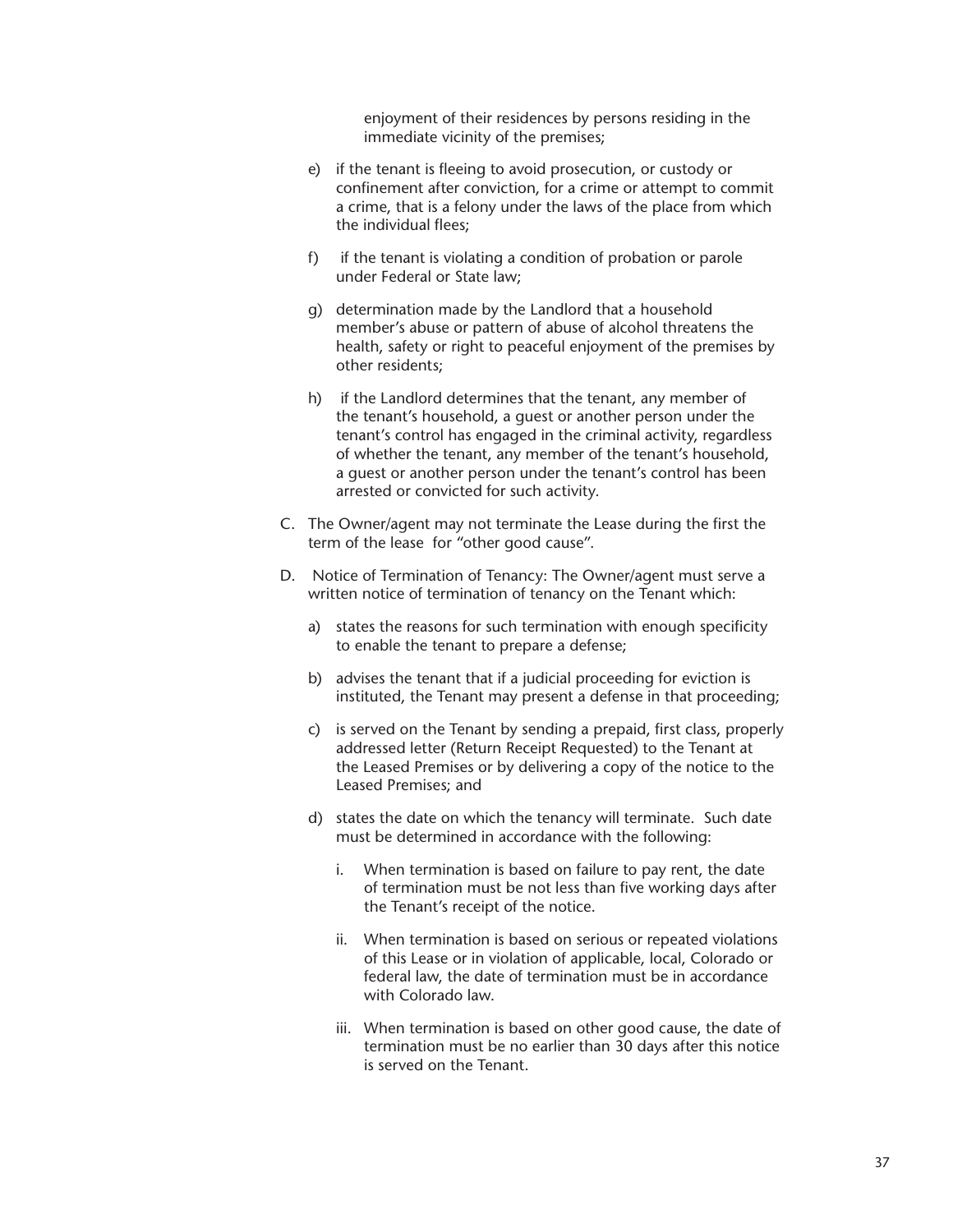enjoyment of their residences by persons residing in the immediate vicinity of the premises;

- e) if the tenant is fleeing to avoid prosecution, or custody or confinement after conviction, for a crime or attempt to commit a crime, that is a felony under the laws of the place from which the individual flees;
- f) if the tenant is violating a condition of probation or parole under Federal or State law;
- g) determination made by the Landlord that a household member's abuse or pattern of abuse of alcohol threatens the health, safety or right to peaceful enjoyment of the premises by other residents;
- h) if the Landlord determines that the tenant, any member of the tenant's household, a guest or another person under the tenant's control has engaged in the criminal activity, regardless of whether the tenant, any member of the tenant's household, a guest or another person under the tenant's control has been arrested or convicted for such activity.
- C. The Owner/agent may not terminate the Lease during the first the term of the lease for "other good cause".
- D. Notice of Termination of Tenancy: The Owner/agent must serve a written notice of termination of tenancy on the Tenant which:
	- a) states the reasons for such termination with enough specificity to enable the tenant to prepare a defense;
	- b) advises the tenant that if a judicial proceeding for eviction is instituted, the Tenant may present a defense in that proceeding;
	- c) is served on the Tenant by sending a prepaid, first class, properly addressed letter (Return Receipt Requested) to the Tenant at the Leased Premises or by delivering a copy of the notice to the Leased Premises; and
	- d) states the date on which the tenancy will terminate. Such date must be determined in accordance with the following:
		- i. When termination is based on failure to pay rent, the date of termination must be not less than five working days after the Tenant's receipt of the notice.
		- ii. When termination is based on serious or repeated violations of this Lease or in violation of applicable, local, Colorado or federal law, the date of termination must be in accordance with Colorado law.
		- iii. When termination is based on other good cause, the date of termination must be no earlier than 30 days after this notice is served on the Tenant.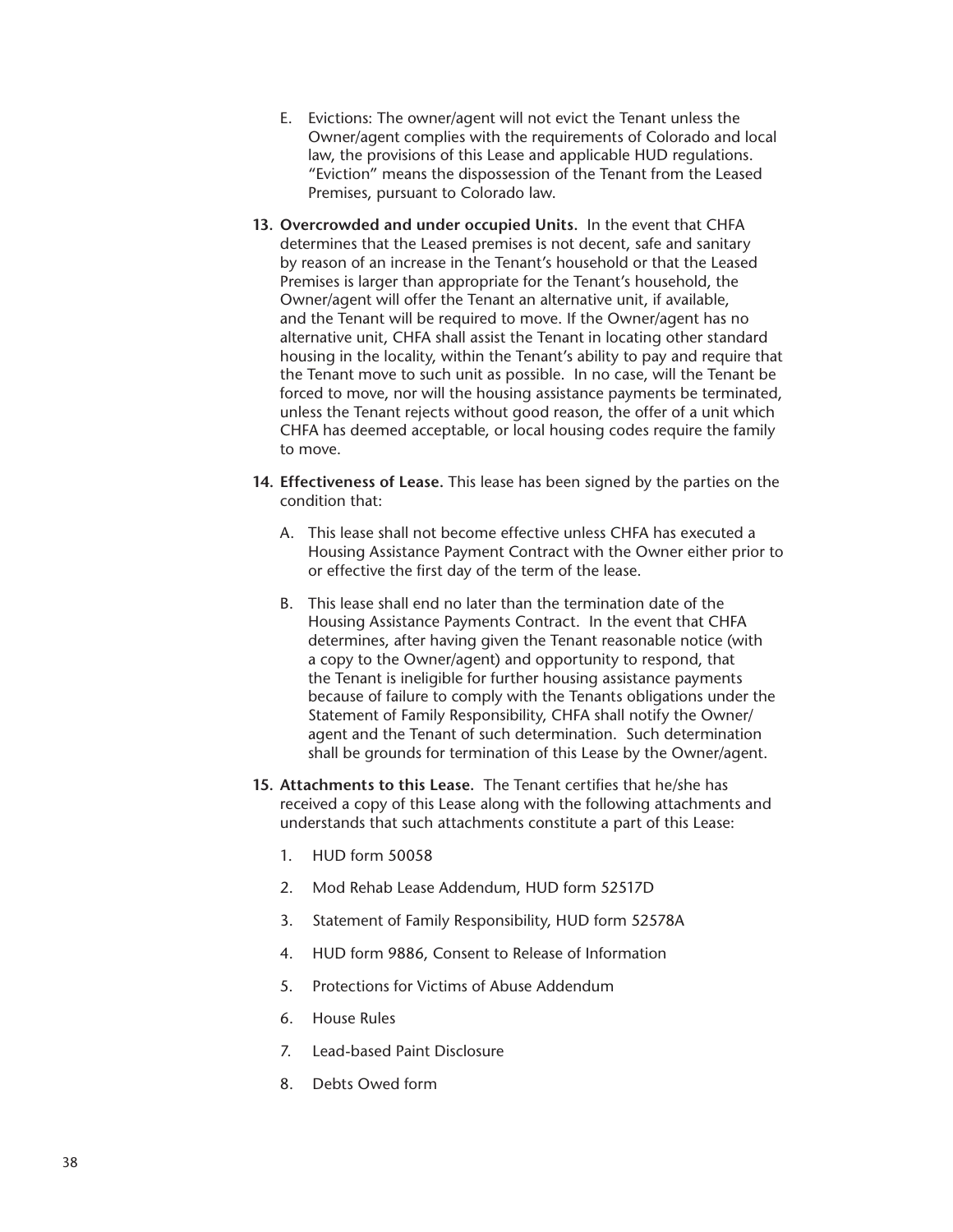- E. Evictions: The owner/agent will not evict the Tenant unless the Owner/agent complies with the requirements of Colorado and local law, the provisions of this Lease and applicable HUD regulations. "Eviction" means the dispossession of the Tenant from the Leased Premises, pursuant to Colorado law.
- **13. Overcrowded and under occupied Units.** In the event that CHFA determines that the Leased premises is not decent, safe and sanitary by reason of an increase in the Tenant's household or that the Leased Premises is larger than appropriate for the Tenant's household, the Owner/agent will offer the Tenant an alternative unit, if available, and the Tenant will be required to move. If the Owner/agent has no alternative unit, CHFA shall assist the Tenant in locating other standard housing in the locality, within the Tenant's ability to pay and require that the Tenant move to such unit as possible. In no case, will the Tenant be forced to move, nor will the housing assistance payments be terminated, unless the Tenant rejects without good reason, the offer of a unit which CHFA has deemed acceptable, or local housing codes require the family to move.
- **14. Effectiveness of Lease.** This lease has been signed by the parties on the condition that:
	- A. This lease shall not become effective unless CHFA has executed a Housing Assistance Payment Contract with the Owner either prior to or effective the first day of the term of the lease.
	- B. This lease shall end no later than the termination date of the Housing Assistance Payments Contract. In the event that CHFA determines, after having given the Tenant reasonable notice (with a copy to the Owner/agent) and opportunity to respond, that the Tenant is ineligible for further housing assistance payments because of failure to comply with the Tenants obligations under the Statement of Family Responsibility, CHFA shall notify the Owner/ agent and the Tenant of such determination. Such determination shall be grounds for termination of this Lease by the Owner/agent.
- **15. Attachments to this Lease.** The Tenant certifies that he/she has received a copy of this Lease along with the following attachments and understands that such attachments constitute a part of this Lease:
	- 1. HUD form 50058
	- 2. Mod Rehab Lease Addendum, HUD form 52517D
	- 3. Statement of Family Responsibility, HUD form 52578A
	- 4. HUD form 9886, Consent to Release of Information
	- 5. Protections for Victims of Abuse Addendum
	- 6. House Rules
	- 7. Lead-based Paint Disclosure
	- 8. Debts Owed form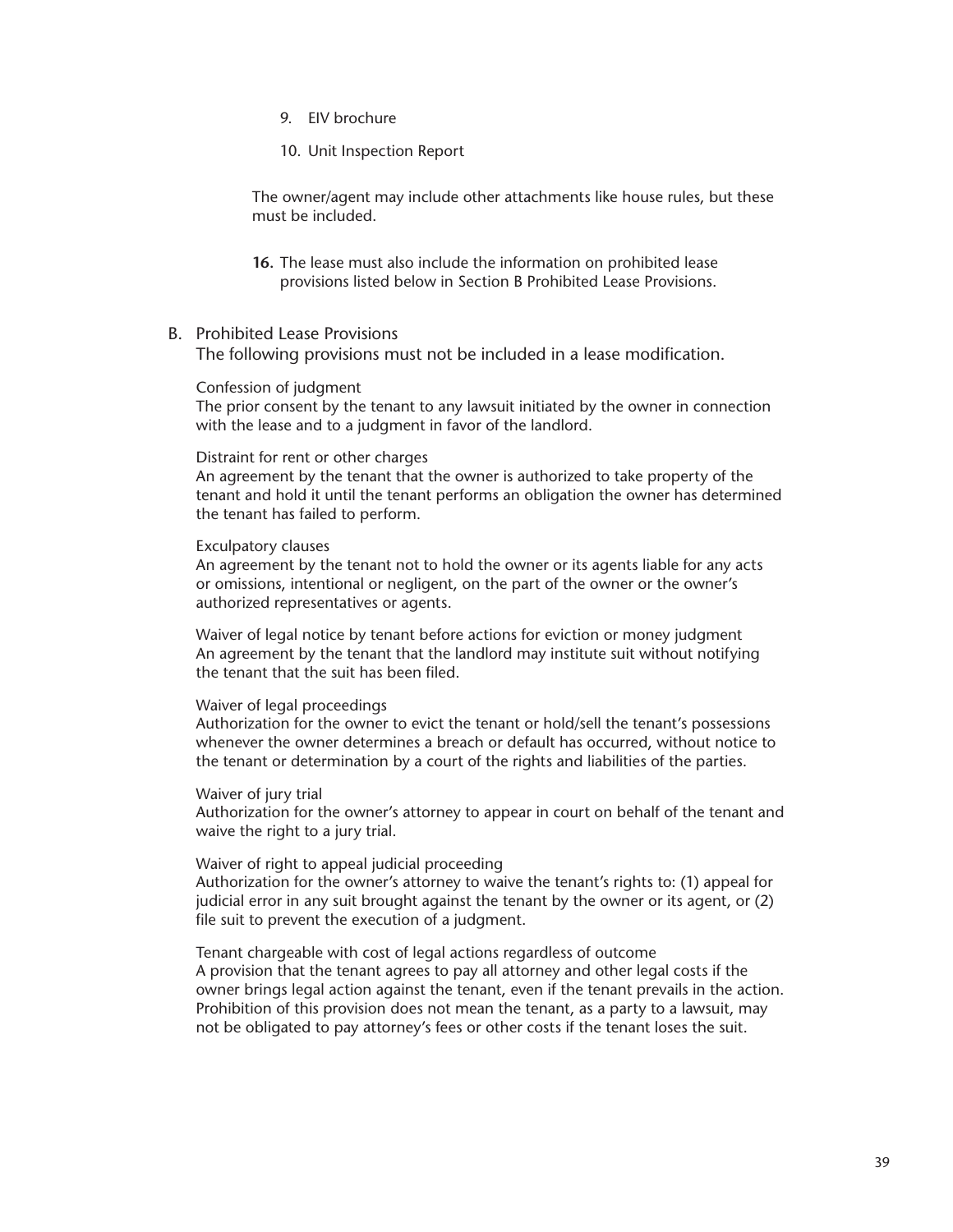- 9. EIV brochure
- 10. Unit Inspection Report

The owner/agent may include other attachments like house rules, but these must be included.

- **16.** The lease must also include the information on prohibited lease provisions listed below in Section B Prohibited Lease Provisions.
- B. Prohibited Lease Provisions

The following provisions must not be included in a lease modification.

## Confession of judgment

The prior consent by the tenant to any lawsuit initiated by the owner in connection with the lease and to a judgment in favor of the landlord.

#### Distraint for rent or other charges

An agreement by the tenant that the owner is authorized to take property of the tenant and hold it until the tenant performs an obligation the owner has determined the tenant has failed to perform.

#### Exculpatory clauses

An agreement by the tenant not to hold the owner or its agents liable for any acts or omissions, intentional or negligent, on the part of the owner or the owner's authorized representatives or agents.

Waiver of legal notice by tenant before actions for eviction or money judgment An agreement by the tenant that the landlord may institute suit without notifying the tenant that the suit has been filed.

#### Waiver of legal proceedings

Authorization for the owner to evict the tenant or hold/sell the tenant's possessions whenever the owner determines a breach or default has occurred, without notice to the tenant or determination by a court of the rights and liabilities of the parties.

#### Waiver of jury trial

Authorization for the owner's attorney to appear in court on behalf of the tenant and waive the right to a jury trial.

#### Waiver of right to appeal judicial proceeding

Authorization for the owner's attorney to waive the tenant's rights to: (1) appeal for judicial error in any suit brought against the tenant by the owner or its agent, or (2) file suit to prevent the execution of a judgment.

Tenant chargeable with cost of legal actions regardless of outcome A provision that the tenant agrees to pay all attorney and other legal costs if the owner brings legal action against the tenant, even if the tenant prevails in the action. Prohibition of this provision does not mean the tenant, as a party to a lawsuit, may not be obligated to pay attorney's fees or other costs if the tenant loses the suit.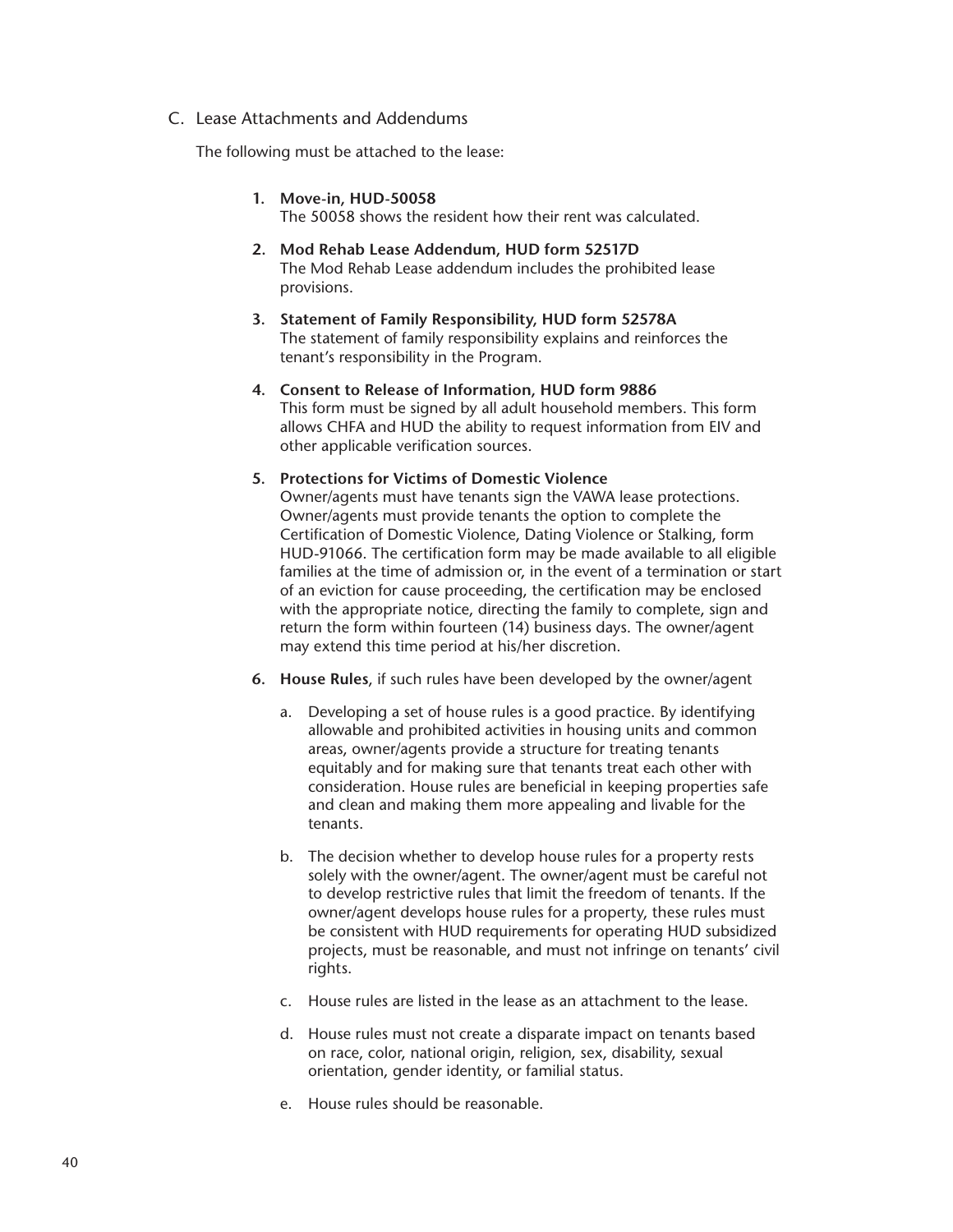## C. Lease Attachments and Addendums

The following must be attached to the lease:

- **1. Move-in, HUD-50058** The 50058 shows the resident how their rent was calculated.
- **2. Mod Rehab Lease Addendum, HUD form 52517D** The Mod Rehab Lease addendum includes the prohibited lease provisions.
- **3. Statement of Family Responsibility, HUD form 52578A** The statement of family responsibility explains and reinforces the tenant's responsibility in the Program.
- **4. Consent to Release of Information, HUD form 9886**  This form must be signed by all adult household members. This form allows CHFA and HUD the ability to request information from EIV and other applicable verification sources.

## **5. Protections for Victims of Domestic Violence**

Owner/agents must have tenants sign the VAWA lease protections. Owner/agents must provide tenants the option to complete the Certification of Domestic Violence, Dating Violence or Stalking, form HUD-91066. The certification form may be made available to all eligible families at the time of admission or, in the event of a termination or start of an eviction for cause proceeding, the certification may be enclosed with the appropriate notice, directing the family to complete, sign and return the form within fourteen (14) business days. The owner/agent may extend this time period at his/her discretion.

- **6. House Rules**, if such rules have been developed by the owner/agent
	- a. Developing a set of house rules is a good practice. By identifying allowable and prohibited activities in housing units and common areas, owner/agents provide a structure for treating tenants equitably and for making sure that tenants treat each other with consideration. House rules are beneficial in keeping properties safe and clean and making them more appealing and livable for the tenants.
	- b. The decision whether to develop house rules for a property rests solely with the owner/agent. The owner/agent must be careful not to develop restrictive rules that limit the freedom of tenants. If the owner/agent develops house rules for a property, these rules must be consistent with HUD requirements for operating HUD subsidized projects, must be reasonable, and must not infringe on tenants' civil rights.
	- c. House rules are listed in the lease as an attachment to the lease.
	- d. House rules must not create a disparate impact on tenants based on race, color, national origin, religion, sex, disability, sexual orientation, gender identity, or familial status.
	- e. House rules should be reasonable.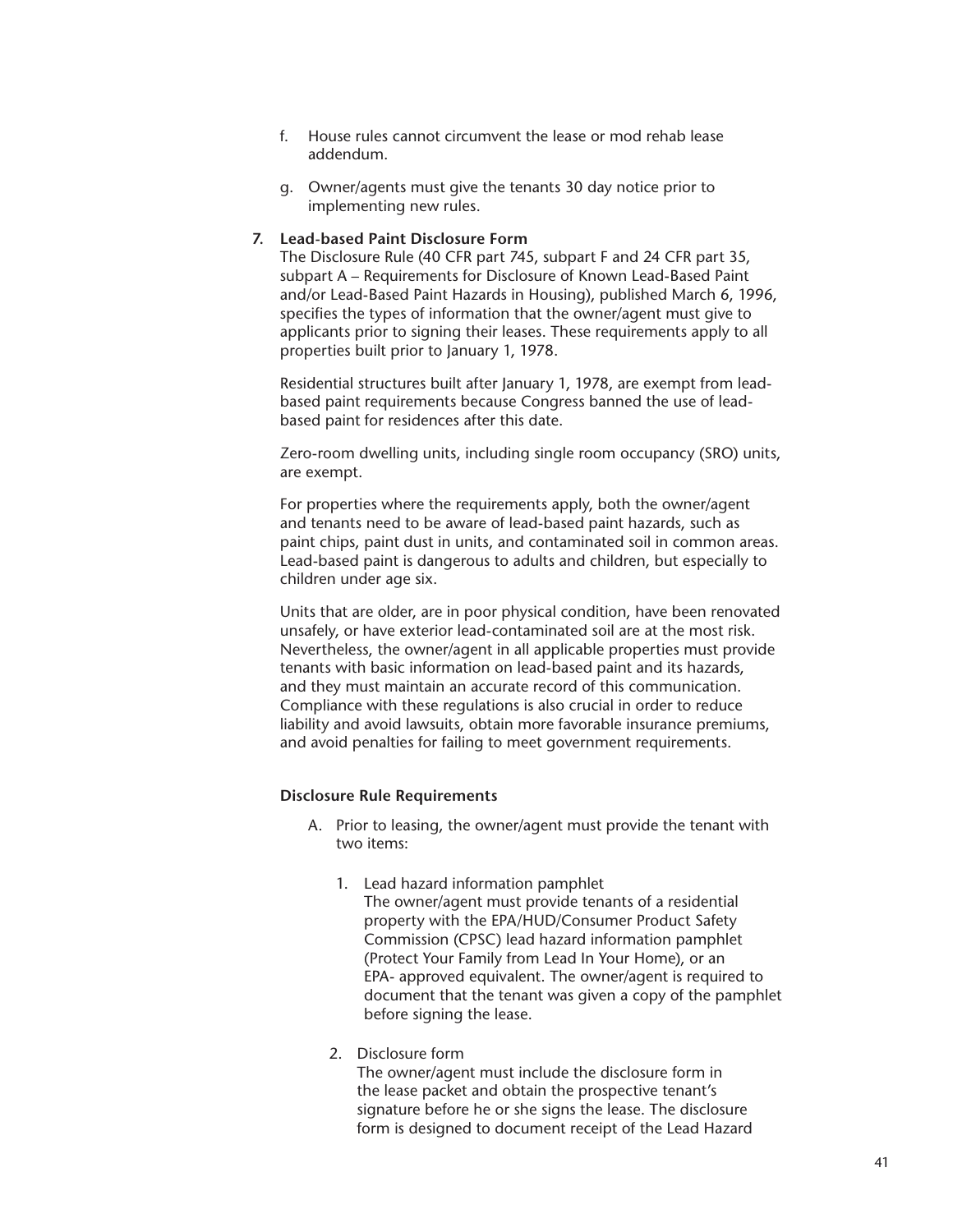- f. House rules cannot circumvent the lease or mod rehab lease addendum.
- g. Owner/agents must give the tenants 30 day notice prior to implementing new rules.

### **7. Lead-based Paint Disclosure Form**

The Disclosure Rule (40 CFR part 745, subpart F and 24 CFR part 35, subpart A – Requirements for Disclosure of Known Lead-Based Paint and/or Lead-Based Paint Hazards in Housing), published March 6, 1996, specifies the types of information that the owner/agent must give to applicants prior to signing their leases. These requirements apply to all properties built prior to January 1, 1978.

Residential structures built after January 1, 1978, are exempt from leadbased paint requirements because Congress banned the use of leadbased paint for residences after this date.

Zero-room dwelling units, including single room occupancy (SRO) units, are exempt.

For properties where the requirements apply, both the owner/agent and tenants need to be aware of lead-based paint hazards, such as paint chips, paint dust in units, and contaminated soil in common areas. Lead-based paint is dangerous to adults and children, but especially to children under age six.

Units that are older, are in poor physical condition, have been renovated unsafely, or have exterior lead-contaminated soil are at the most risk. Nevertheless, the owner/agent in all applicable properties must provide tenants with basic information on lead-based paint and its hazards, and they must maintain an accurate record of this communication. Compliance with these regulations is also crucial in order to reduce liability and avoid lawsuits, obtain more favorable insurance premiums, and avoid penalties for failing to meet government requirements.

#### **Disclosure Rule Requirements**

- A. Prior to leasing, the owner/agent must provide the tenant with two items:
	- 1. Lead hazard information pamphlet The owner/agent must provide tenants of a residential property with the EPA/HUD/Consumer Product Safety Commission (CPSC) lead hazard information pamphlet (Protect Your Family from Lead In Your Home), or an EPA- approved equivalent. The owner/agent is required to document that the tenant was given a copy of the pamphlet before signing the lease.

## 2. Disclosure form

The owner/agent must include the disclosure form in the lease packet and obtain the prospective tenant's signature before he or she signs the lease. The disclosure form is designed to document receipt of the Lead Hazard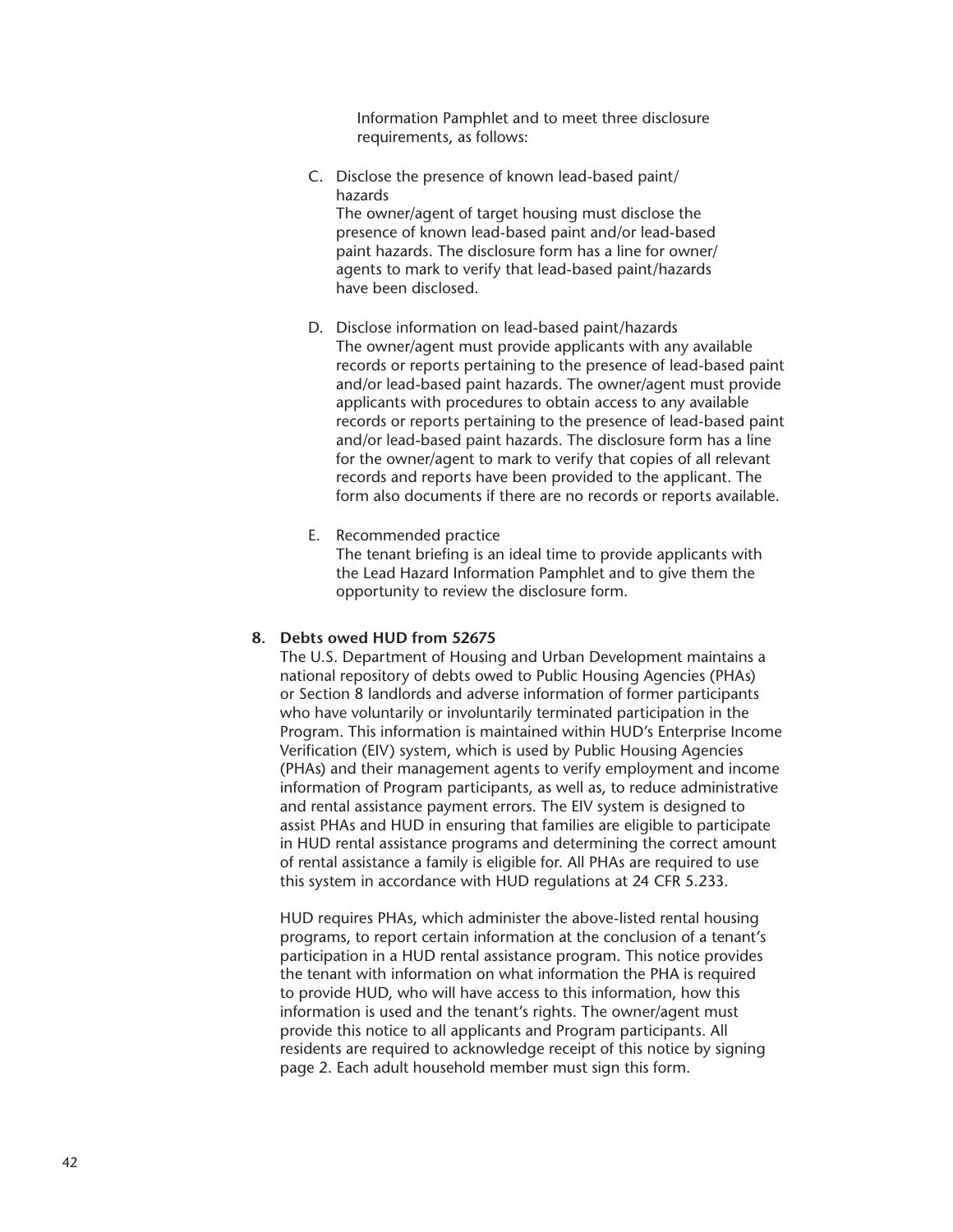Information Pamphlet and to meet three disclosure requirements, as follows:

- C. Disclose the presence of known lead-based paint/ hazards The owner/agent of target housing must disclose the presence of known lead-based paint and/or lead-based paint hazards. The disclosure form has a line for owner/ agents to mark to verify that lead-based paint/hazards have been disclosed.
- D. Disclose information on lead-based paint/hazards The owner/agent must provide applicants with any available records or reports pertaining to the presence of lead-based paint and/or lead-based paint hazards. The owner/agent must provide applicants with procedures to obtain access to any available records or reports pertaining to the presence of lead-based paint and/or lead-based paint hazards. The disclosure form has a line for the owner/agent to mark to verify that copies of all relevant records and reports have been provided to the applicant. The form also documents if there are no records or reports available.
- E. Recommended practice The tenant briefing is an ideal time to provide applicants with the Lead Hazard Information Pamphlet and to give them the opportunity to review the disclosure form.

## **8. Debts owed HUD from 52675**

The U.S. Department of Housing and Urban Development maintains a national repository of debts owed to Public Housing Agencies (PHAs) or Section 8 landlords and adverse information of former participants who have voluntarily or involuntarily terminated participation in the Program. This information is maintained within HUD's Enterprise Income Verification (EIV) system, which is used by Public Housing Agencies (PHAs) and their management agents to verify employment and income information of Program participants, as well as, to reduce administrative and rental assistance payment errors. The EIV system is designed to assist PHAs and HUD in ensuring that families are eligible to participate in HUD rental assistance programs and determining the correct amount of rental assistance a family is eligible for. All PHAs are required to use this system in accordance with HUD regulations at 24 CFR 5.233.

HUD requires PHAs, which administer the above-listed rental housing programs, to report certain information at the conclusion of a tenant's participation in a HUD rental assistance program. This notice provides the tenant with information on what information the PHA is required to provide HUD, who will have access to this information, how this information is used and the tenant's rights. The owner/agent must provide this notice to all applicants and Program participants. All residents are required to acknowledge receipt of this notice by signing page 2. Each adult household member must sign this form.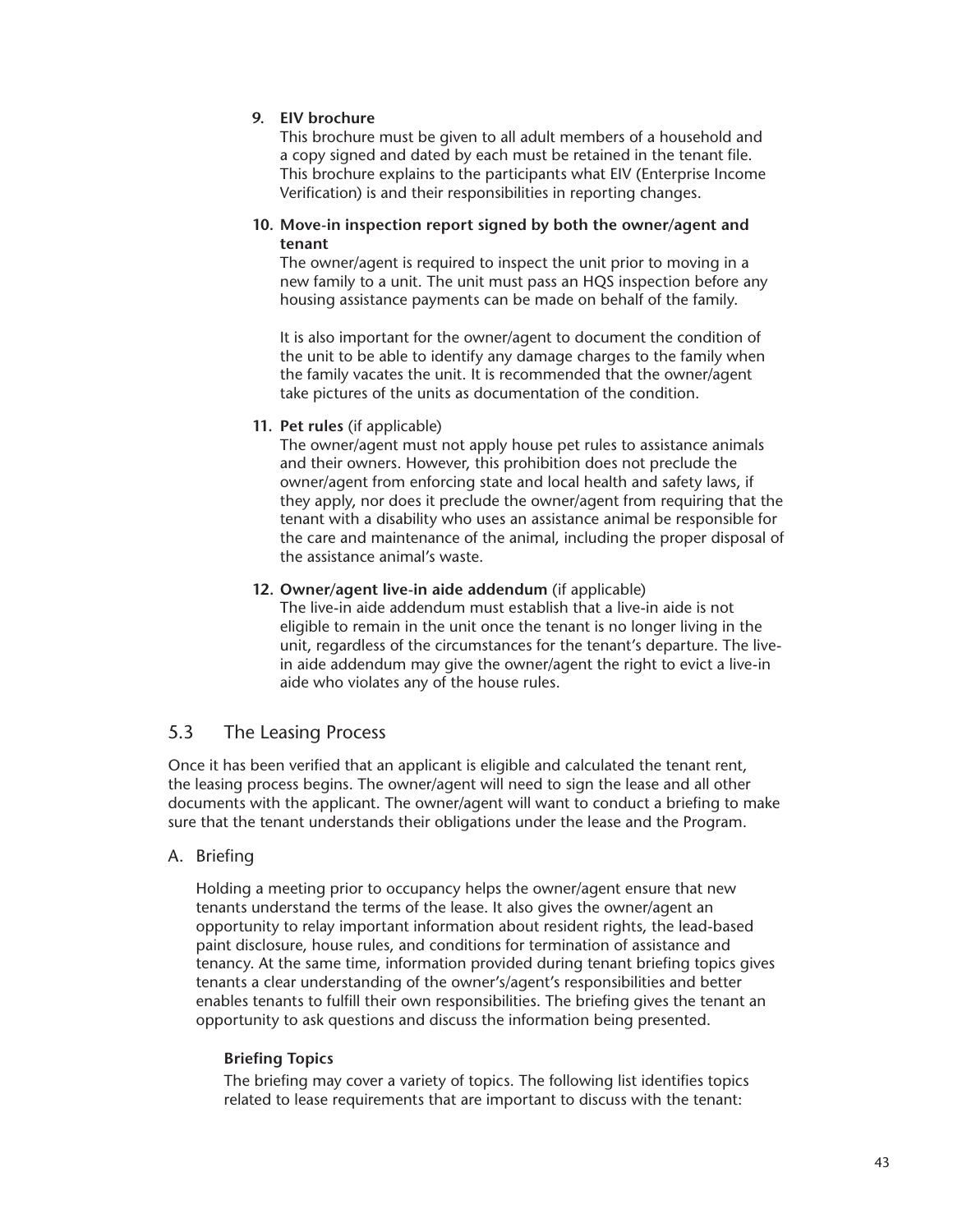## **9. EIV brochure**

This brochure must be given to all adult members of a household and a copy signed and dated by each must be retained in the tenant file. This brochure explains to the participants what EIV (Enterprise Income Verification) is and their responsibilities in reporting changes.

## **10. Move-in inspection report signed by both the owner/agent and tenant**

The owner/agent is required to inspect the unit prior to moving in a new family to a unit. The unit must pass an HQS inspection before any housing assistance payments can be made on behalf of the family.

It is also important for the owner/agent to document the condition of the unit to be able to identify any damage charges to the family when the family vacates the unit. It is recommended that the owner/agent take pictures of the units as documentation of the condition.

## **11. Pet rules** (if applicable)

The owner/agent must not apply house pet rules to assistance animals and their owners. However, this prohibition does not preclude the owner/agent from enforcing state and local health and safety laws, if they apply, nor does it preclude the owner/agent from requiring that the tenant with a disability who uses an assistance animal be responsible for the care and maintenance of the animal, including the proper disposal of the assistance animal's waste.

## **12. Owner/agent live-in aide addendum** (if applicable)

The live-in aide addendum must establish that a live-in aide is not eligible to remain in the unit once the tenant is no longer living in the unit, regardless of the circumstances for the tenant's departure. The livein aide addendum may give the owner/agent the right to evict a live-in aide who violates any of the house rules.

# 5.3 The Leasing Process

Once it has been verified that an applicant is eligible and calculated the tenant rent, the leasing process begins. The owner/agent will need to sign the lease and all other documents with the applicant. The owner/agent will want to conduct a briefing to make sure that the tenant understands their obligations under the lease and the Program.

## A. Briefing

Holding a meeting prior to occupancy helps the owner/agent ensure that new tenants understand the terms of the lease. It also gives the owner/agent an opportunity to relay important information about resident rights, the lead-based paint disclosure, house rules, and conditions for termination of assistance and tenancy. At the same time, information provided during tenant briefing topics gives tenants a clear understanding of the owner's/agent's responsibilities and better enables tenants to fulfill their own responsibilities. The briefing gives the tenant an opportunity to ask questions and discuss the information being presented.

## **Briefing Topics**

The briefing may cover a variety of topics. The following list identifies topics related to lease requirements that are important to discuss with the tenant: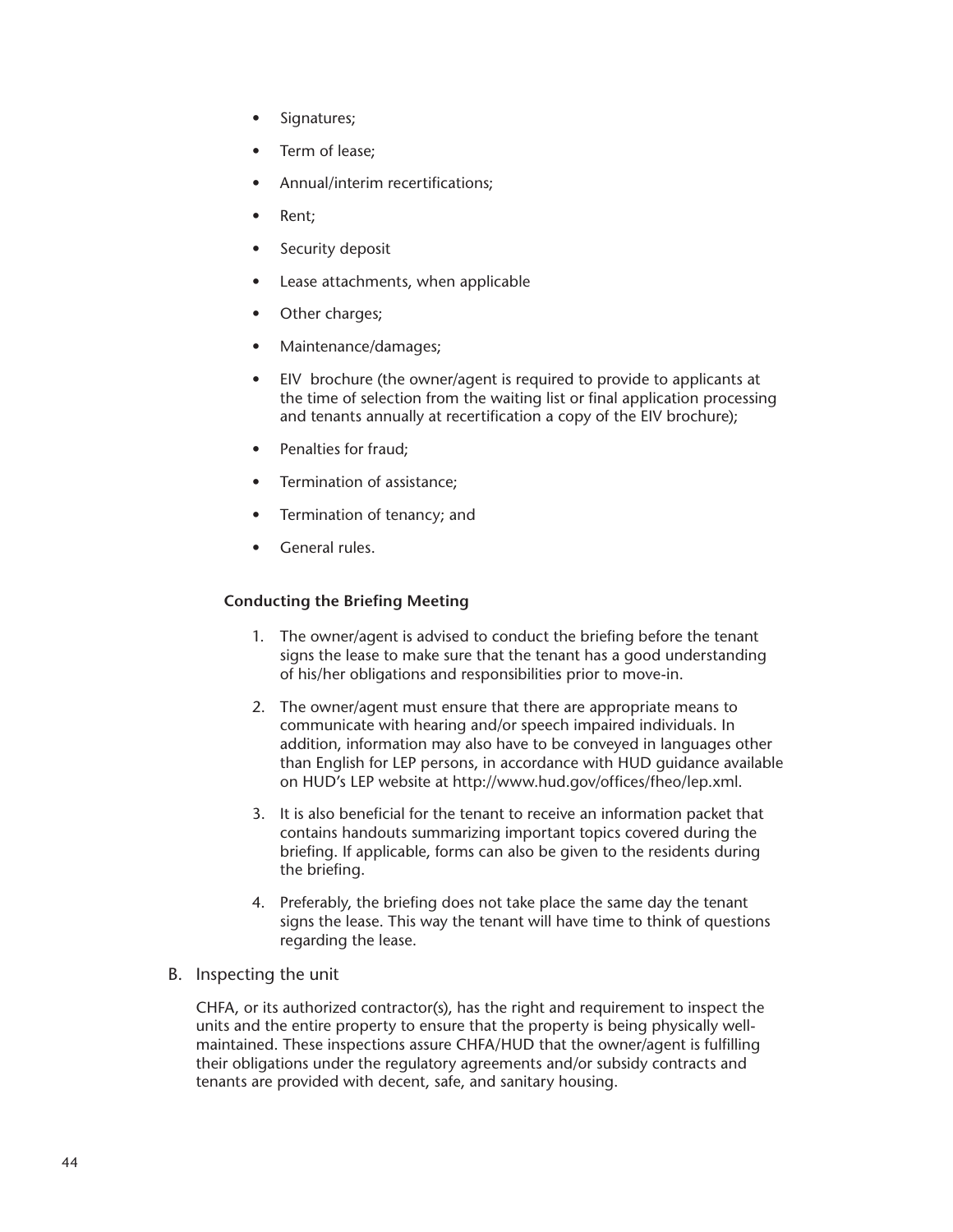- Signatures;
- Term of lease;
- Annual/interim recertifications;
- Rent:
- Security deposit
- Lease attachments, when applicable
- Other charges;
- Maintenance/damages;
- EIV brochure (the owner/agent is required to provide to applicants at the time of selection from the waiting list or final application processing and tenants annually at recertification a copy of the EIV brochure);
- Penalties for fraud:
- Termination of assistance;
- Termination of tenancy; and
- General rules.

## **Conducting the Briefing Meeting**

- 1. The owner/agent is advised to conduct the briefing before the tenant signs the lease to make sure that the tenant has a good understanding of his/her obligations and responsibilities prior to move-in.
- 2. The owner/agent must ensure that there are appropriate means to communicate with hearing and/or speech impaired individuals. In addition, information may also have to be conveyed in languages other than English for LEP persons, in accordance with HUD guidance available on HUD's LEP website at http://www.hud.gov/offices/fheo/lep.xml.
- 3. It is also beneficial for the tenant to receive an information packet that contains handouts summarizing important topics covered during the briefing. If applicable, forms can also be given to the residents during the briefing.
- 4. Preferably, the briefing does not take place the same day the tenant signs the lease. This way the tenant will have time to think of questions regarding the lease.
- B. Inspecting the unit

CHFA, or its authorized contractor(s), has the right and requirement to inspect the units and the entire property to ensure that the property is being physically wellmaintained. These inspections assure CHFA/HUD that the owner/agent is fulfilling their obligations under the regulatory agreements and/or subsidy contracts and tenants are provided with decent, safe, and sanitary housing.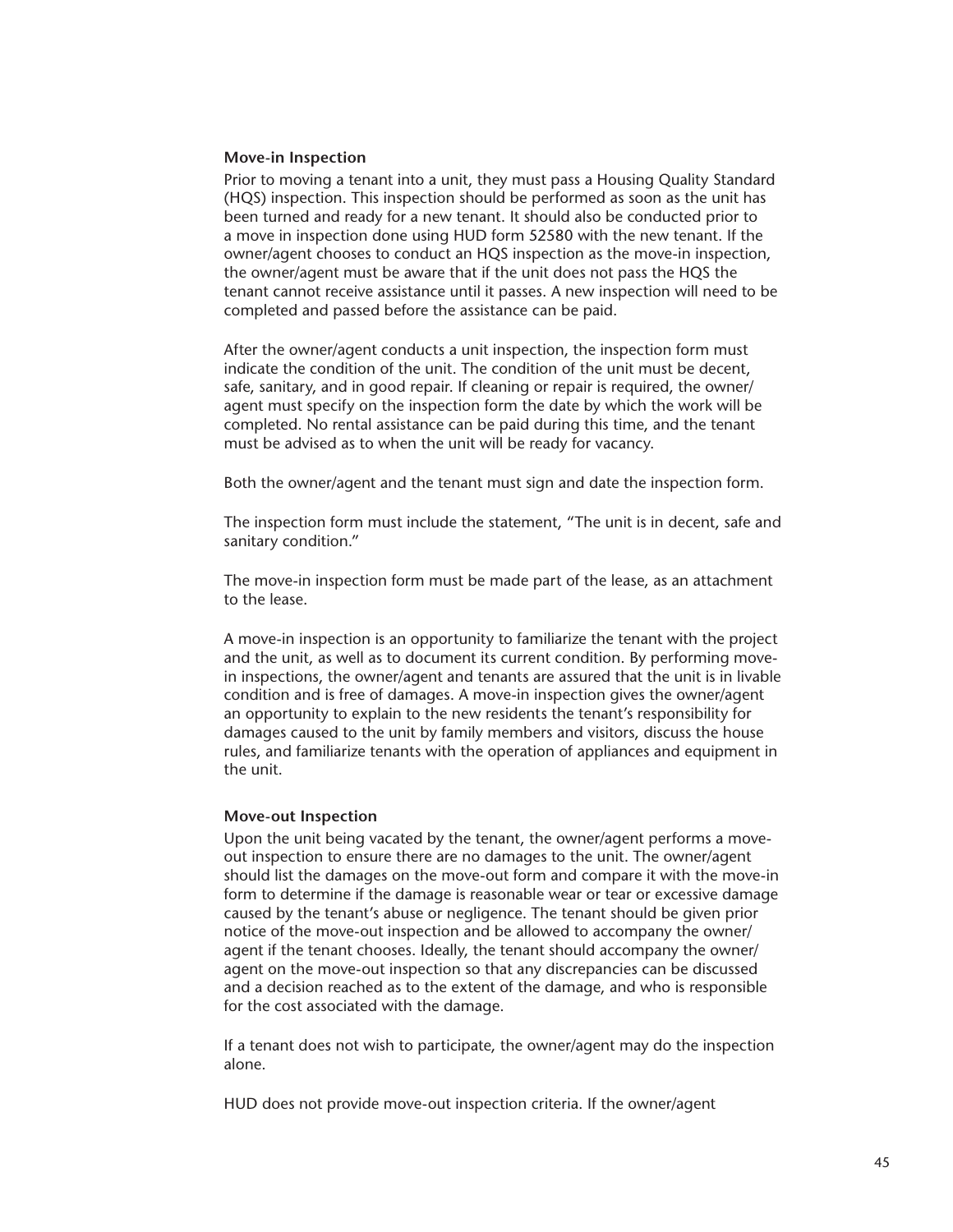#### **Move-in Inspection**

Prior to moving a tenant into a unit, they must pass a Housing Quality Standard (HQS) inspection. This inspection should be performed as soon as the unit has been turned and ready for a new tenant. It should also be conducted prior to a move in inspection done using HUD form 52580 with the new tenant. If the owner/agent chooses to conduct an HQS inspection as the move-in inspection, the owner/agent must be aware that if the unit does not pass the HQS the tenant cannot receive assistance until it passes. A new inspection will need to be completed and passed before the assistance can be paid.

After the owner/agent conducts a unit inspection, the inspection form must indicate the condition of the unit. The condition of the unit must be decent, safe, sanitary, and in good repair. If cleaning or repair is required, the owner/ agent must specify on the inspection form the date by which the work will be completed. No rental assistance can be paid during this time, and the tenant must be advised as to when the unit will be ready for vacancy.

Both the owner/agent and the tenant must sign and date the inspection form.

The inspection form must include the statement, "The unit is in decent, safe and sanitary condition."

The move-in inspection form must be made part of the lease, as an attachment to the lease.

A move-in inspection is an opportunity to familiarize the tenant with the project and the unit, as well as to document its current condition. By performing movein inspections, the owner/agent and tenants are assured that the unit is in livable condition and is free of damages. A move-in inspection gives the owner/agent an opportunity to explain to the new residents the tenant's responsibility for damages caused to the unit by family members and visitors, discuss the house rules, and familiarize tenants with the operation of appliances and equipment in the unit.

#### **Move-out Inspection**

Upon the unit being vacated by the tenant, the owner/agent performs a moveout inspection to ensure there are no damages to the unit. The owner/agent should list the damages on the move-out form and compare it with the move-in form to determine if the damage is reasonable wear or tear or excessive damage caused by the tenant's abuse or negligence. The tenant should be given prior notice of the move-out inspection and be allowed to accompany the owner/ agent if the tenant chooses. Ideally, the tenant should accompany the owner/ agent on the move-out inspection so that any discrepancies can be discussed and a decision reached as to the extent of the damage, and who is responsible for the cost associated with the damage.

If a tenant does not wish to participate, the owner/agent may do the inspection alone.

HUD does not provide move-out inspection criteria. If the owner/agent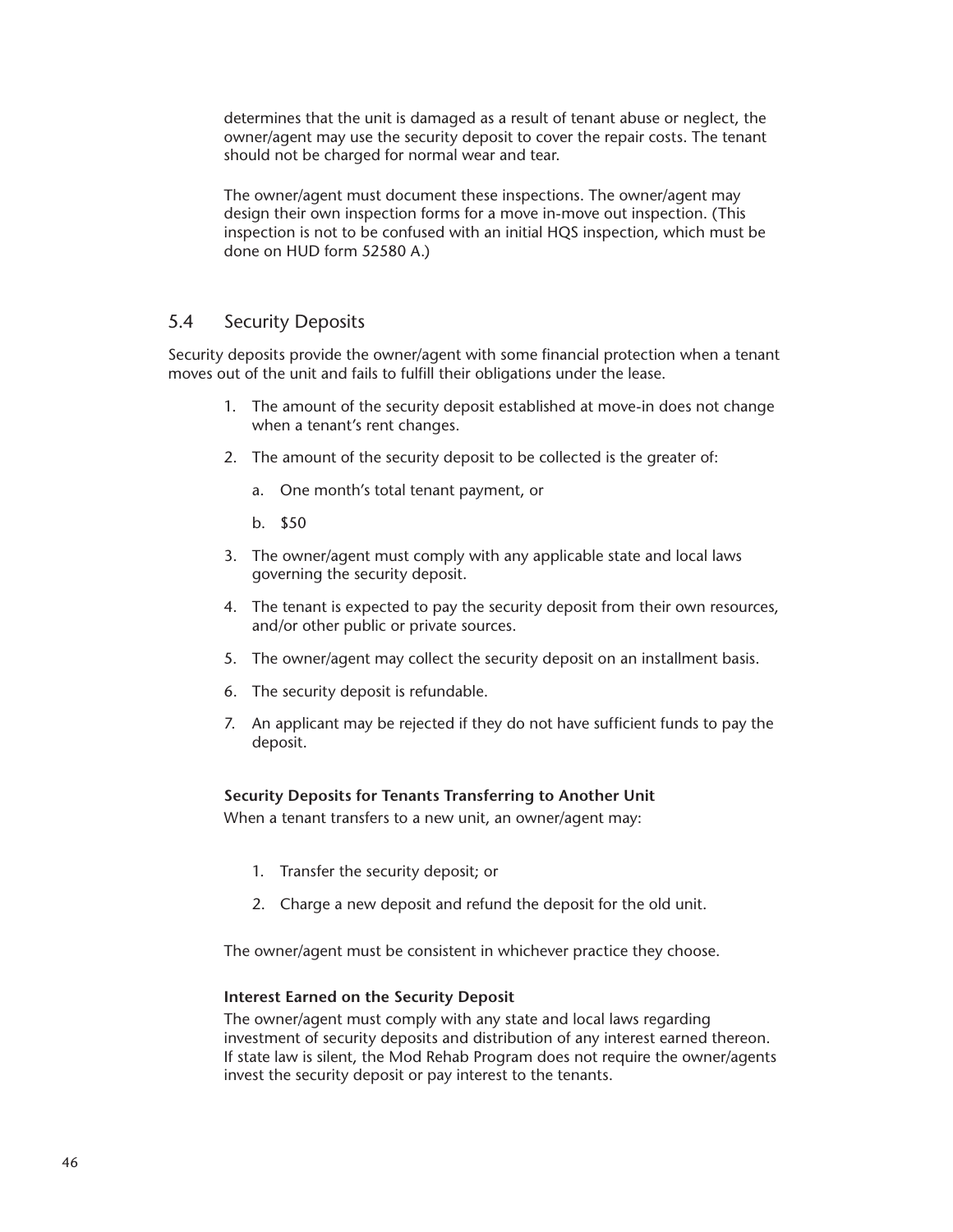determines that the unit is damaged as a result of tenant abuse or neglect, the owner/agent may use the security deposit to cover the repair costs. The tenant should not be charged for normal wear and tear.

The owner/agent must document these inspections. The owner/agent may design their own inspection forms for a move in-move out inspection. (This inspection is not to be confused with an initial HQS inspection, which must be done on HUD form 52580 A.)

## 5.4 Security Deposits

Security deposits provide the owner/agent with some financial protection when a tenant moves out of the unit and fails to fulfill their obligations under the lease.

- 1. The amount of the security deposit established at move-in does not change when a tenant's rent changes.
- 2. The amount of the security deposit to be collected is the greater of:
	- a. One month's total tenant payment, or
	- b. \$50
- 3. The owner/agent must comply with any applicable state and local laws governing the security deposit.
- 4. The tenant is expected to pay the security deposit from their own resources, and/or other public or private sources.
- 5. The owner/agent may collect the security deposit on an installment basis.
- 6. The security deposit is refundable.
- 7. An applicant may be rejected if they do not have sufficient funds to pay the deposit.

## **Security Deposits for Tenants Transferring to Another Unit**

When a tenant transfers to a new unit, an owner/agent may:

- 1. Transfer the security deposit; or
- 2. Charge a new deposit and refund the deposit for the old unit.

The owner/agent must be consistent in whichever practice they choose.

#### **Interest Earned on the Security Deposit**

The owner/agent must comply with any state and local laws regarding investment of security deposits and distribution of any interest earned thereon. If state law is silent, the Mod Rehab Program does not require the owner/agents invest the security deposit or pay interest to the tenants.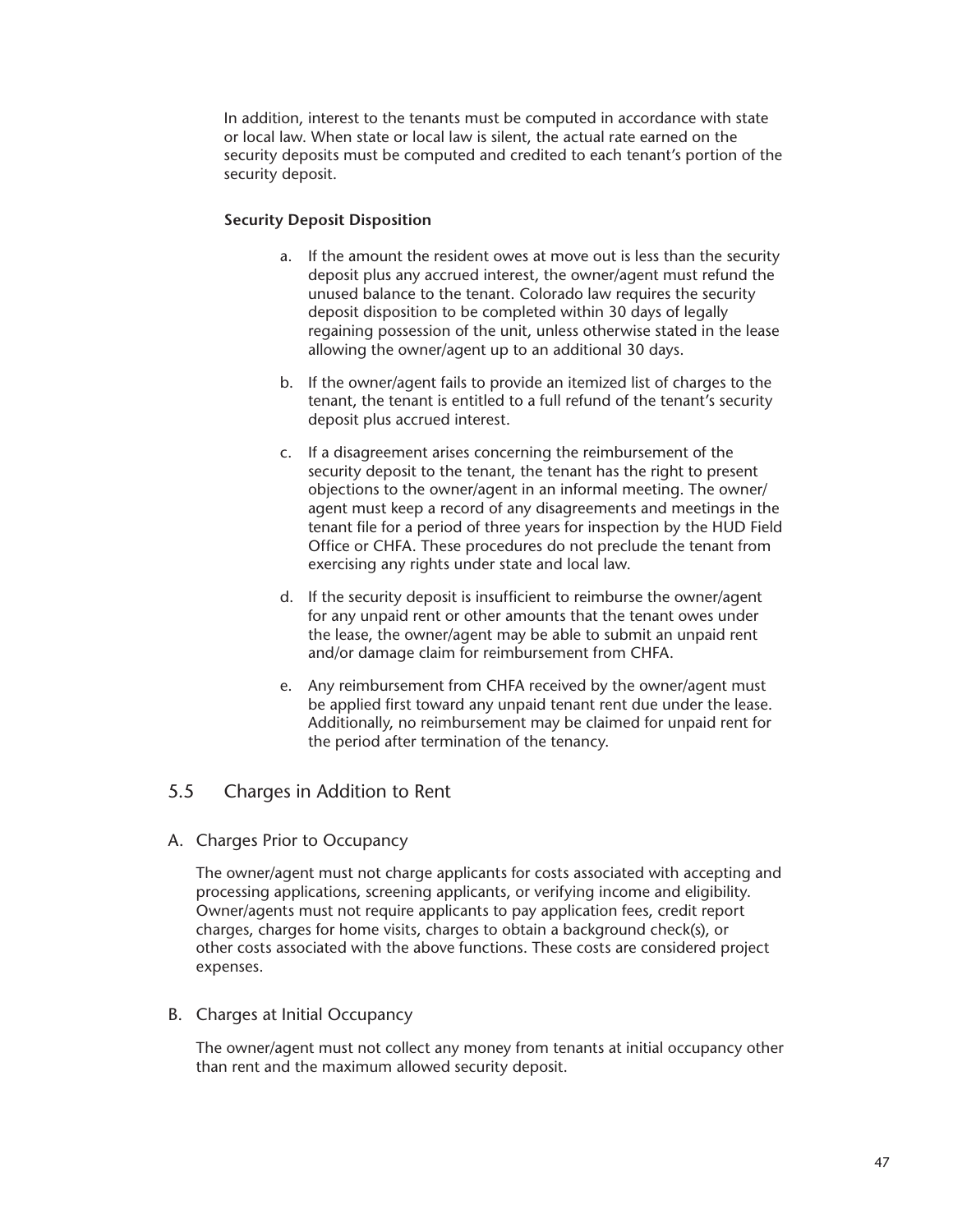In addition, interest to the tenants must be computed in accordance with state or local law. When state or local law is silent, the actual rate earned on the security deposits must be computed and credited to each tenant's portion of the security deposit.

## **Security Deposit Disposition**

- a. If the amount the resident owes at move out is less than the security deposit plus any accrued interest, the owner/agent must refund the unused balance to the tenant. Colorado law requires the security deposit disposition to be completed within 30 days of legally regaining possession of the unit, unless otherwise stated in the lease allowing the owner/agent up to an additional 30 days.
- b. If the owner/agent fails to provide an itemized list of charges to the tenant, the tenant is entitled to a full refund of the tenant's security deposit plus accrued interest.
- c. If a disagreement arises concerning the reimbursement of the security deposit to the tenant, the tenant has the right to present objections to the owner/agent in an informal meeting. The owner/ agent must keep a record of any disagreements and meetings in the tenant file for a period of three years for inspection by the HUD Field Office or CHFA. These procedures do not preclude the tenant from exercising any rights under state and local law.
- d. If the security deposit is insufficient to reimburse the owner/agent for any unpaid rent or other amounts that the tenant owes under the lease, the owner/agent may be able to submit an unpaid rent and/or damage claim for reimbursement from CHFA.
- e. Any reimbursement from CHFA received by the owner/agent must be applied first toward any unpaid tenant rent due under the lease. Additionally, no reimbursement may be claimed for unpaid rent for the period after termination of the tenancy.

# 5.5 Charges in Addition to Rent

A. Charges Prior to Occupancy

The owner/agent must not charge applicants for costs associated with accepting and processing applications, screening applicants, or verifying income and eligibility. Owner/agents must not require applicants to pay application fees, credit report charges, charges for home visits, charges to obtain a background check(s), or other costs associated with the above functions. These costs are considered project expenses.

## B. Charges at Initial Occupancy

The owner/agent must not collect any money from tenants at initial occupancy other than rent and the maximum allowed security deposit.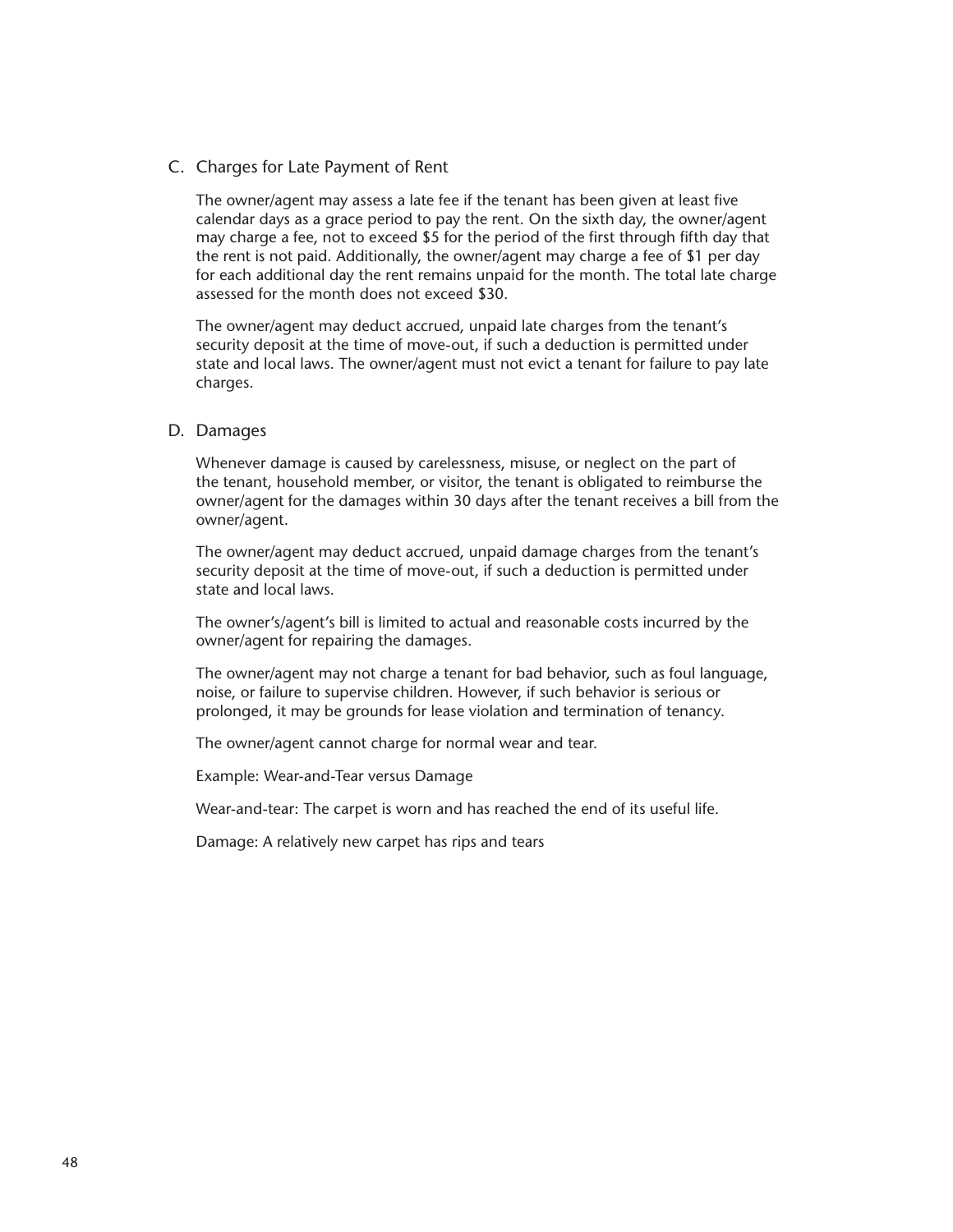C. Charges for Late Payment of Rent

The owner/agent may assess a late fee if the tenant has been given at least five calendar days as a grace period to pay the rent. On the sixth day, the owner/agent may charge a fee, not to exceed \$5 for the period of the first through fifth day that the rent is not paid. Additionally, the owner/agent may charge a fee of \$1 per day for each additional day the rent remains unpaid for the month. The total late charge assessed for the month does not exceed \$30.

The owner/agent may deduct accrued, unpaid late charges from the tenant's security deposit at the time of move-out, if such a deduction is permitted under state and local laws. The owner/agent must not evict a tenant for failure to pay late charges.

## D. Damages

Whenever damage is caused by carelessness, misuse, or neglect on the part of the tenant, household member, or visitor, the tenant is obligated to reimburse the owner/agent for the damages within 30 days after the tenant receives a bill from the owner/agent.

The owner/agent may deduct accrued, unpaid damage charges from the tenant's security deposit at the time of move-out, if such a deduction is permitted under state and local laws.

The owner's/agent's bill is limited to actual and reasonable costs incurred by the owner/agent for repairing the damages.

The owner/agent may not charge a tenant for bad behavior, such as foul language, noise, or failure to supervise children. However, if such behavior is serious or prolonged, it may be grounds for lease violation and termination of tenancy.

The owner/agent cannot charge for normal wear and tear.

Example: Wear-and-Tear versus Damage

Wear-and-tear: The carpet is worn and has reached the end of its useful life.

Damage: A relatively new carpet has rips and tears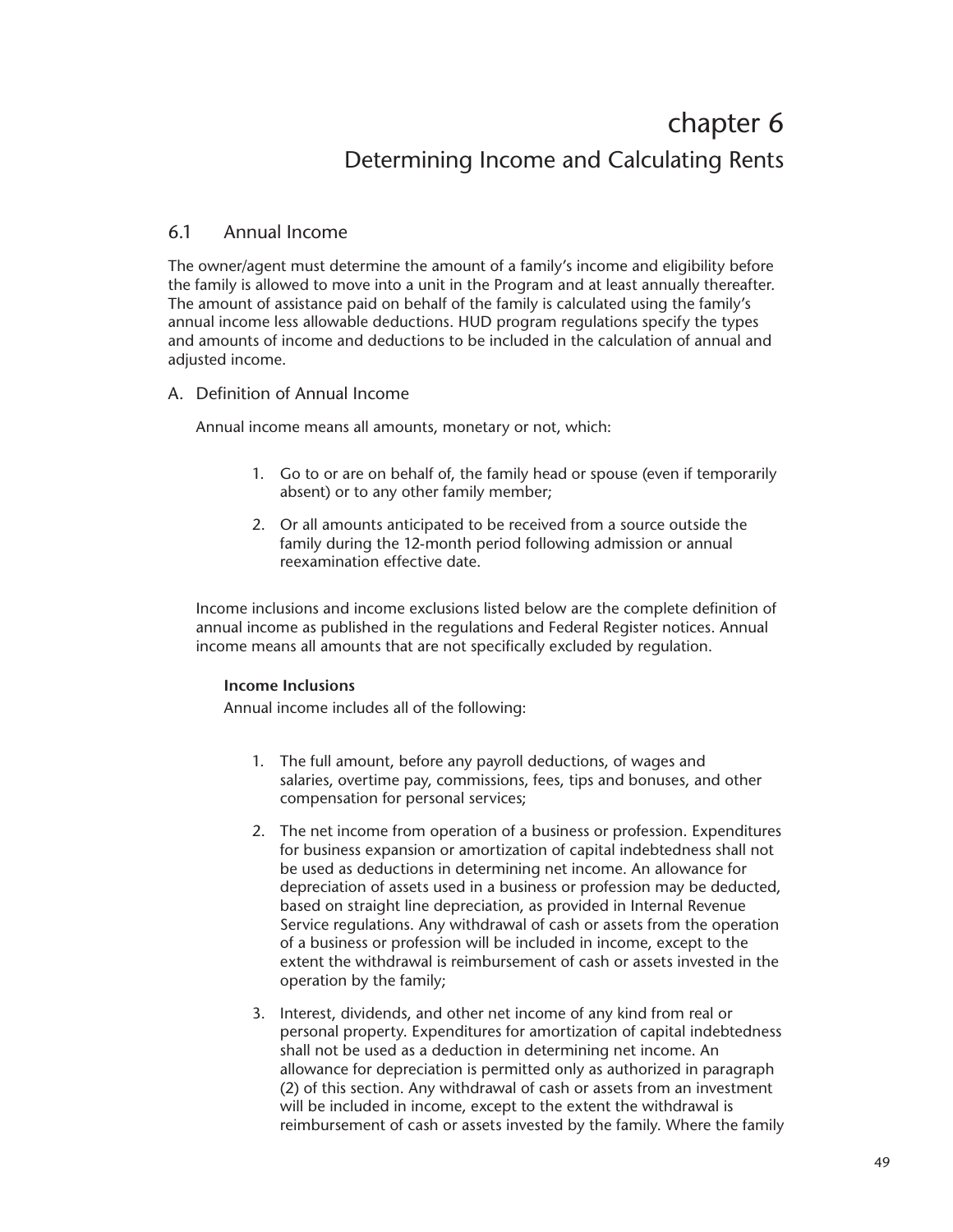# chapter 6 Determining Income and Calculating Rents

# 6.1 Annual Income

The owner/agent must determine the amount of a family's income and eligibility before the family is allowed to move into a unit in the Program and at least annually thereafter. The amount of assistance paid on behalf of the family is calculated using the family's annual income less allowable deductions. HUD program regulations specify the types and amounts of income and deductions to be included in the calculation of annual and adjusted income.

## A. Definition of Annual Income

Annual income means all amounts, monetary or not, which:

- 1. Go to or are on behalf of, the family head or spouse (even if temporarily absent) or to any other family member;
- 2. Or all amounts anticipated to be received from a source outside the family during the 12-month period following admission or annual reexamination effective date.

Income inclusions and income exclusions listed below are the complete definition of annual income as published in the regulations and Federal Register notices. Annual income means all amounts that are not specifically excluded by regulation.

## **Income Inclusions**

Annual income includes all of the following:

- 1. The full amount, before any payroll deductions, of wages and salaries, overtime pay, commissions, fees, tips and bonuses, and other compensation for personal services;
- 2. The net income from operation of a business or profession. Expenditures for business expansion or amortization of capital indebtedness shall not be used as deductions in determining net income. An allowance for depreciation of assets used in a business or profession may be deducted, based on straight line depreciation, as provided in Internal Revenue Service regulations. Any withdrawal of cash or assets from the operation of a business or profession will be included in income, except to the extent the withdrawal is reimbursement of cash or assets invested in the operation by the family;
- 3. Interest, dividends, and other net income of any kind from real or personal property. Expenditures for amortization of capital indebtedness shall not be used as a deduction in determining net income. An allowance for depreciation is permitted only as authorized in paragraph (2) of this section. Any withdrawal of cash or assets from an investment will be included in income, except to the extent the withdrawal is reimbursement of cash or assets invested by the family. Where the family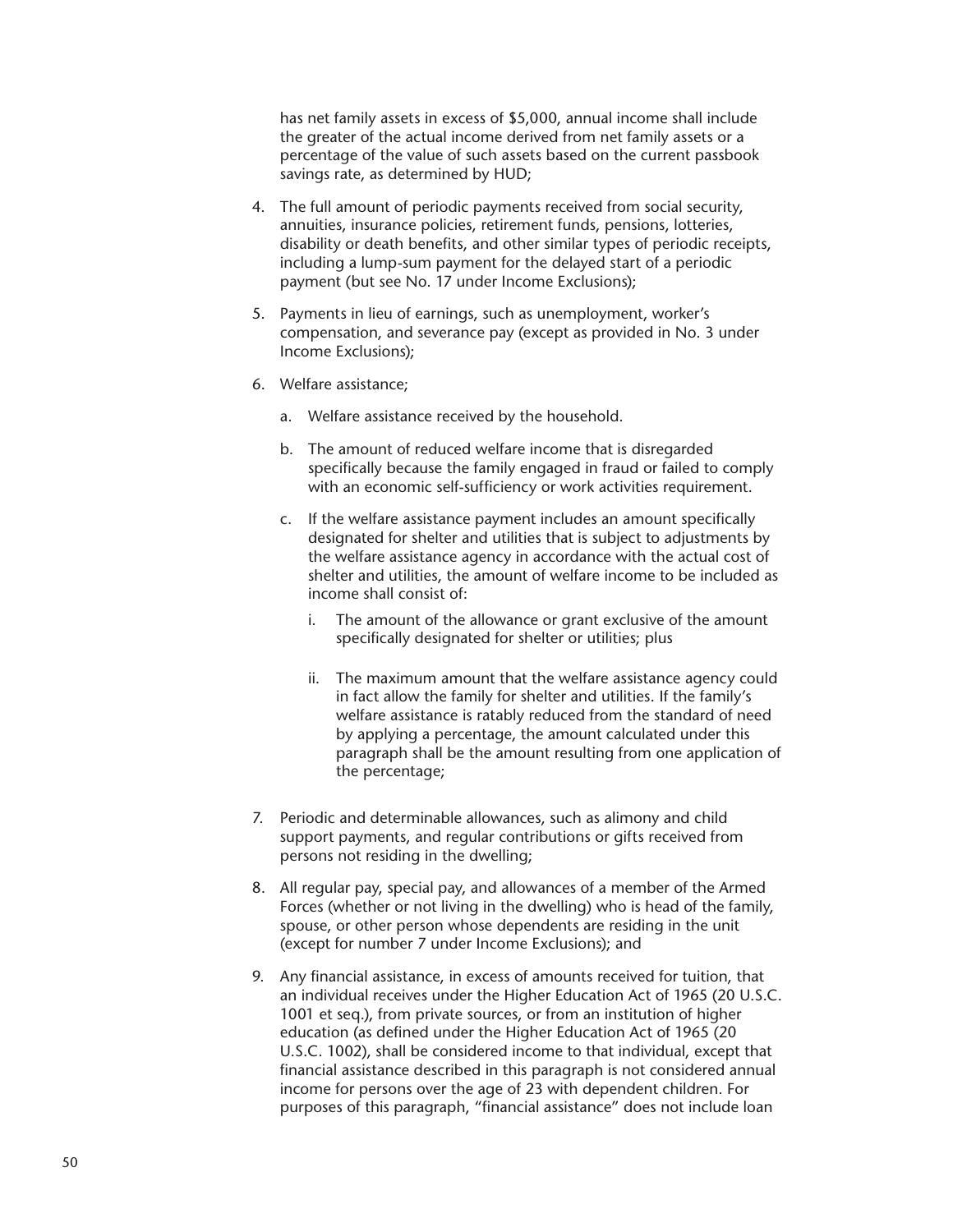has net family assets in excess of \$5,000, annual income shall include the greater of the actual income derived from net family assets or a percentage of the value of such assets based on the current passbook savings rate, as determined by HUD;

- 4. The full amount of periodic payments received from social security, annuities, insurance policies, retirement funds, pensions, lotteries, disability or death benefits, and other similar types of periodic receipts, including a lump-sum payment for the delayed start of a periodic payment (but see No. 17 under Income Exclusions);
- 5. Payments in lieu of earnings, such as unemployment, worker's compensation, and severance pay (except as provided in No. 3 under Income Exclusions);
- 6. Welfare assistance;
	- a. Welfare assistance received by the household.
	- b. The amount of reduced welfare income that is disregarded specifically because the family engaged in fraud or failed to comply with an economic self-sufficiency or work activities requirement.
	- c. If the welfare assistance payment includes an amount specifically designated for shelter and utilities that is subject to adjustments by the welfare assistance agency in accordance with the actual cost of shelter and utilities, the amount of welfare income to be included as income shall consist of:
		- i. The amount of the allowance or grant exclusive of the amount specifically designated for shelter or utilities; plus
		- ii. The maximum amount that the welfare assistance agency could in fact allow the family for shelter and utilities. If the family's welfare assistance is ratably reduced from the standard of need by applying a percentage, the amount calculated under this paragraph shall be the amount resulting from one application of the percentage;
- 7. Periodic and determinable allowances, such as alimony and child support payments, and regular contributions or gifts received from persons not residing in the dwelling;
- 8. All regular pay, special pay, and allowances of a member of the Armed Forces (whether or not living in the dwelling) who is head of the family, spouse, or other person whose dependents are residing in the unit (except for number 7 under Income Exclusions); and
- 9. Any financial assistance, in excess of amounts received for tuition, that an individual receives under the Higher Education Act of 1965 (20 U.S.C. 1001 et seq.), from private sources, or from an institution of higher education (as defined under the Higher Education Act of 1965 (20 U.S.C. 1002), shall be considered income to that individual, except that financial assistance described in this paragraph is not considered annual income for persons over the age of 23 with dependent children. For purposes of this paragraph, "financial assistance" does not include loan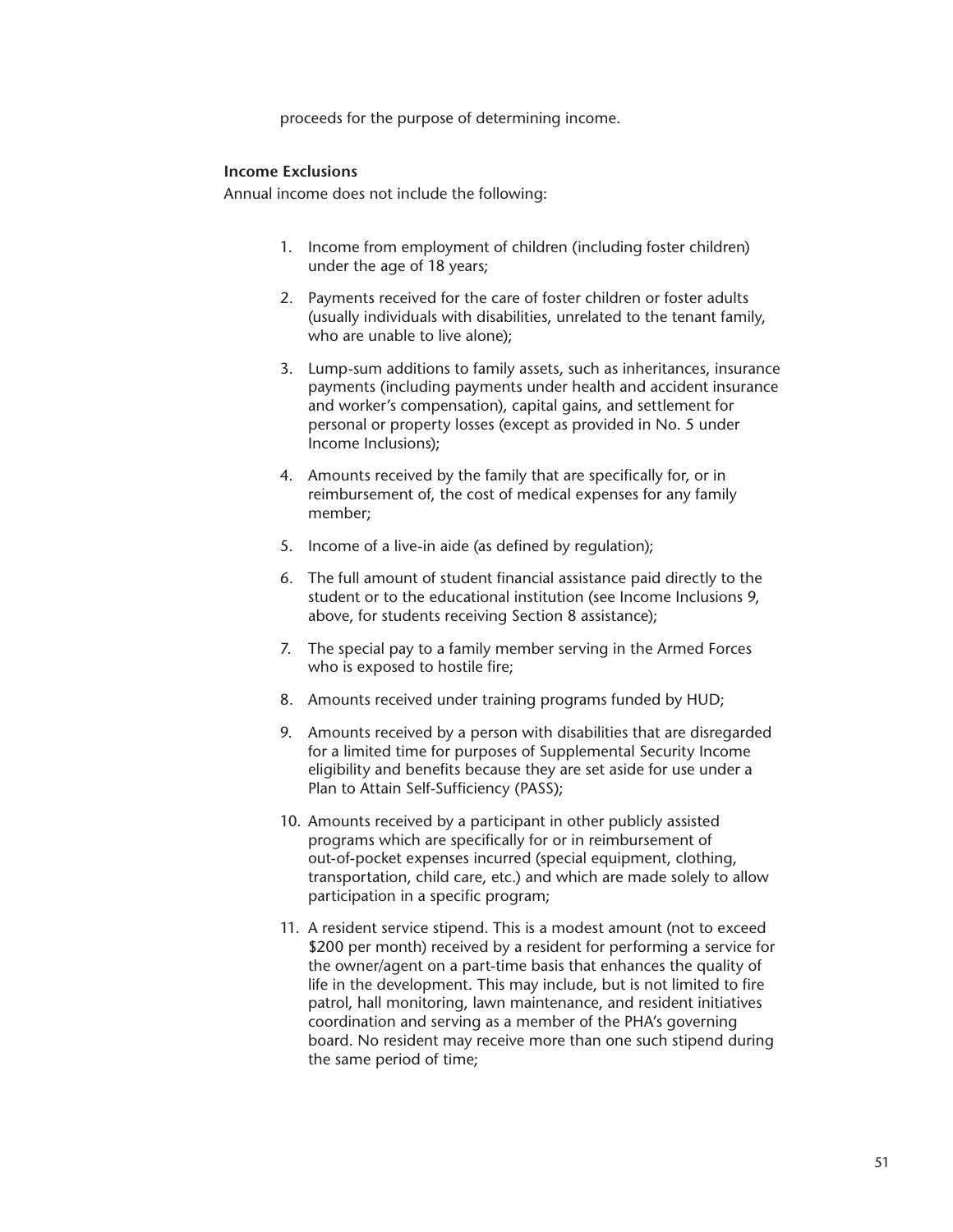proceeds for the purpose of determining income.

#### **Income Exclusions**

Annual income does not include the following:

- 1. Income from employment of children (including foster children) under the age of 18 years;
- 2. Payments received for the care of foster children or foster adults (usually individuals with disabilities, unrelated to the tenant family, who are unable to live alone);
- 3. Lump-sum additions to family assets, such as inheritances, insurance payments (including payments under health and accident insurance and worker's compensation), capital gains, and settlement for personal or property losses (except as provided in No. 5 under Income Inclusions);
- 4. Amounts received by the family that are specifically for, or in reimbursement of, the cost of medical expenses for any family member;
- 5. Income of a live-in aide (as defined by regulation);
- 6. The full amount of student financial assistance paid directly to the student or to the educational institution (see Income Inclusions 9, above, for students receiving Section 8 assistance);
- 7. The special pay to a family member serving in the Armed Forces who is exposed to hostile fire;
- 8. Amounts received under training programs funded by HUD;
- 9. Amounts received by a person with disabilities that are disregarded for a limited time for purposes of Supplemental Security Income eligibility and benefits because they are set aside for use under a Plan to Attain Self-Sufficiency (PASS);
- 10. Amounts received by a participant in other publicly assisted programs which are specifically for or in reimbursement of out-of-pocket expenses incurred (special equipment, clothing, transportation, child care, etc.) and which are made solely to allow participation in a specific program;
- 11. A resident service stipend. This is a modest amount (not to exceed \$200 per month) received by a resident for performing a service for the owner/agent on a part-time basis that enhances the quality of life in the development. This may include, but is not limited to fire patrol, hall monitoring, lawn maintenance, and resident initiatives coordination and serving as a member of the PHA's governing board. No resident may receive more than one such stipend during the same period of time;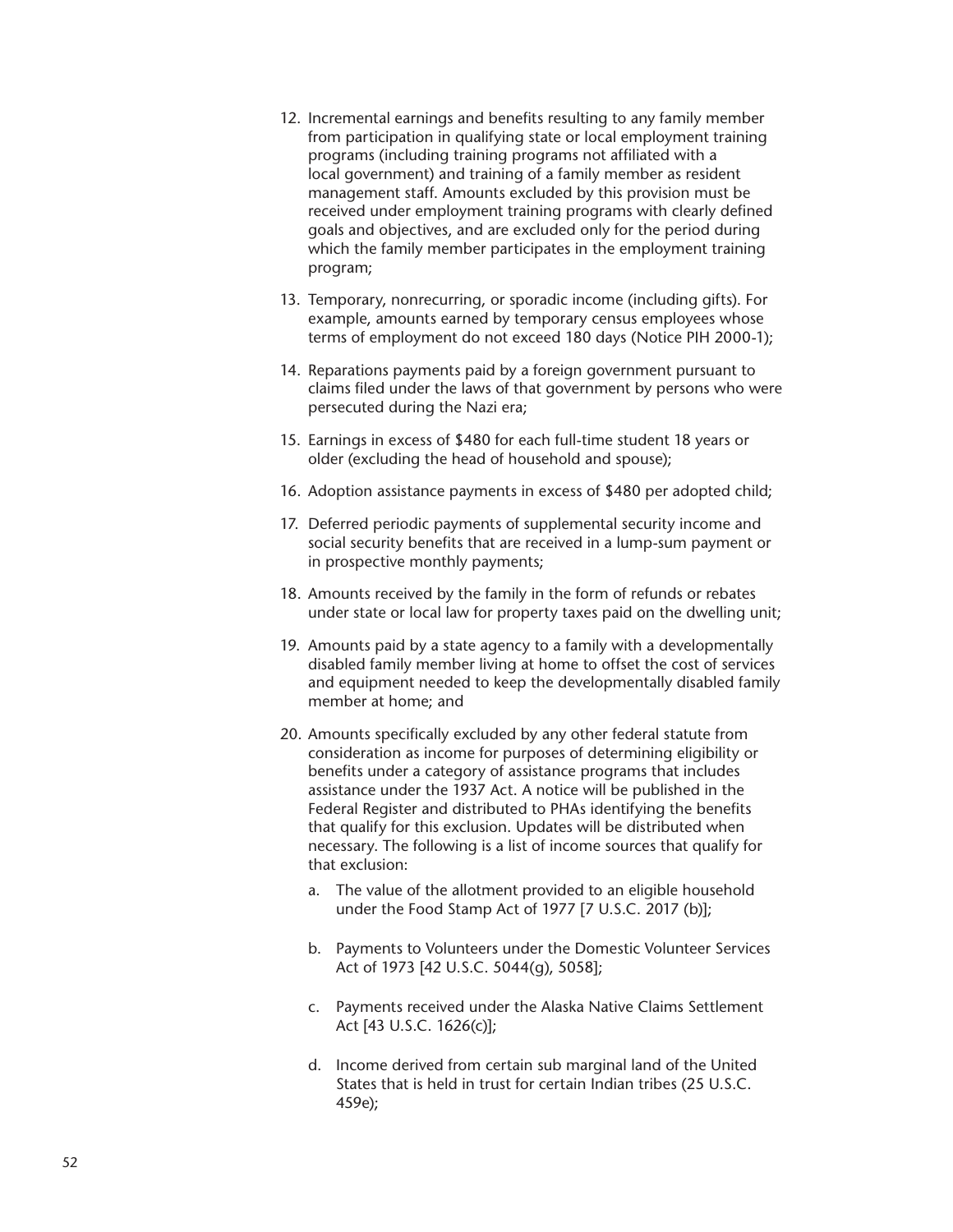- 12. Incremental earnings and benefits resulting to any family member from participation in qualifying state or local employment training programs (including training programs not affiliated with a local government) and training of a family member as resident management staff. Amounts excluded by this provision must be received under employment training programs with clearly defined goals and objectives, and are excluded only for the period during which the family member participates in the employment training program;
- 13. Temporary, nonrecurring, or sporadic income (including gifts). For example, amounts earned by temporary census employees whose terms of employment do not exceed 180 days (Notice PIH 2000-1);
- 14. Reparations payments paid by a foreign government pursuant to claims filed under the laws of that government by persons who were persecuted during the Nazi era;
- 15. Earnings in excess of \$480 for each full-time student 18 years or older (excluding the head of household and spouse);
- 16. Adoption assistance payments in excess of \$480 per adopted child;
- 17. Deferred periodic payments of supplemental security income and social security benefits that are received in a lump-sum payment or in prospective monthly payments;
- 18. Amounts received by the family in the form of refunds or rebates under state or local law for property taxes paid on the dwelling unit;
- 19. Amounts paid by a state agency to a family with a developmentally disabled family member living at home to offset the cost of services and equipment needed to keep the developmentally disabled family member at home; and
- 20. Amounts specifically excluded by any other federal statute from consideration as income for purposes of determining eligibility or benefits under a category of assistance programs that includes assistance under the 1937 Act. A notice will be published in the Federal Register and distributed to PHAs identifying the benefits that qualify for this exclusion. Updates will be distributed when necessary. The following is a list of income sources that qualify for that exclusion:
	- a. The value of the allotment provided to an eligible household under the Food Stamp Act of 1977 [7 U.S.C. 2017 (b)];
	- b. Payments to Volunteers under the Domestic Volunteer Services Act of 1973 [42 U.S.C. 5044(g), 5058];
	- c. Payments received under the Alaska Native Claims Settlement Act [43 U.S.C. 1626(c)];
	- d. Income derived from certain sub marginal land of the United States that is held in trust for certain Indian tribes (25 U.S.C. 459e);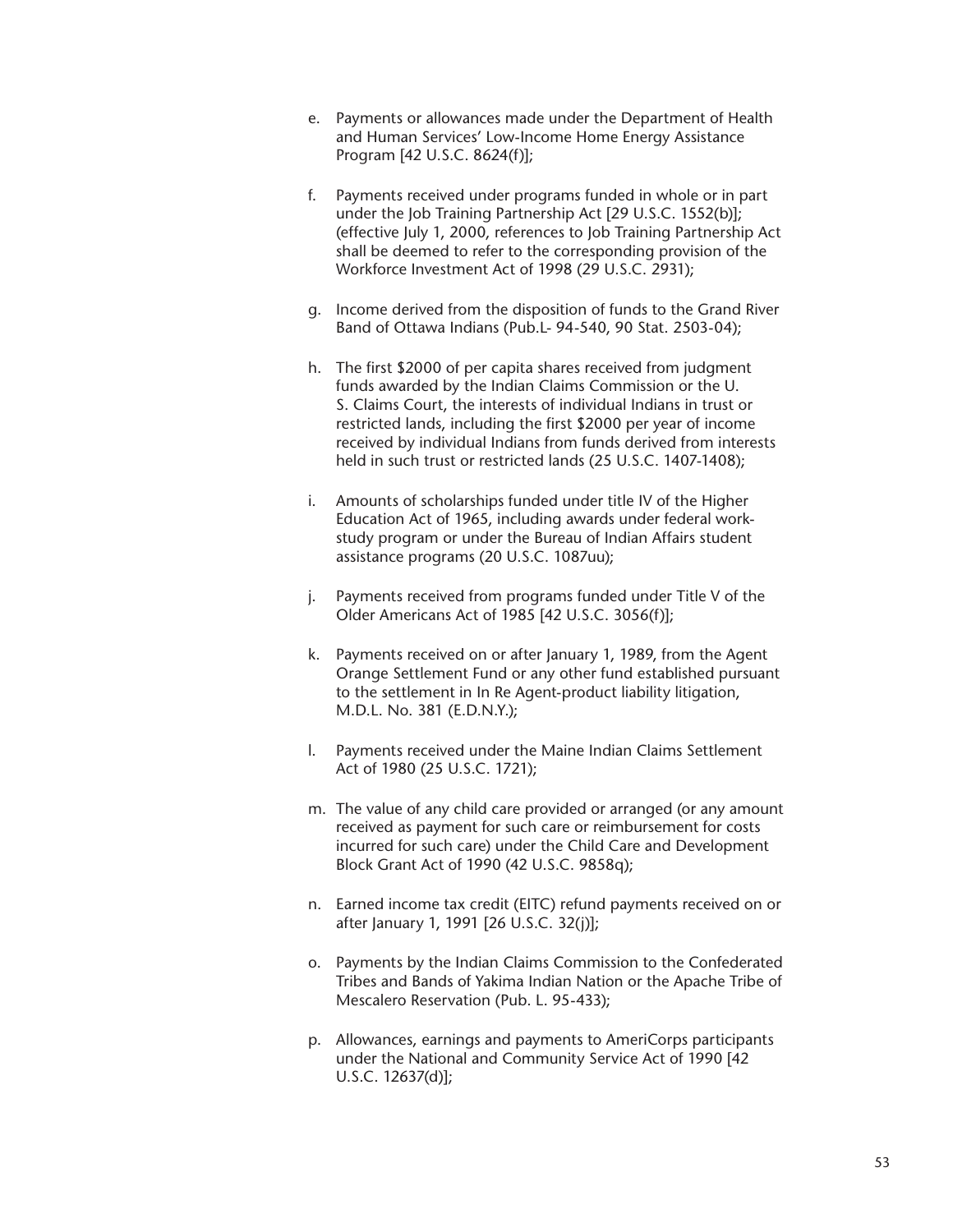- e. Payments or allowances made under the Department of Health and Human Services' Low-Income Home Energy Assistance Program [42 U.S.C. 8624(f)];
- f. Payments received under programs funded in whole or in part under the Job Training Partnership Act [29 U.S.C. 1552(b)]; (effective July 1, 2000, references to Job Training Partnership Act shall be deemed to refer to the corresponding provision of the Workforce Investment Act of 1998 (29 U.S.C. 2931);
- g. Income derived from the disposition of funds to the Grand River Band of Ottawa Indians (Pub.L- 94-540, 90 Stat. 2503-04);
- h. The first \$2000 of per capita shares received from judgment funds awarded by the Indian Claims Commission or the U. S. Claims Court, the interests of individual Indians in trust or restricted lands, including the first \$2000 per year of income received by individual Indians from funds derived from interests held in such trust or restricted lands (25 U.S.C. 1407-1408);
- i. Amounts of scholarships funded under title IV of the Higher Education Act of 1965, including awards under federal workstudy program or under the Bureau of Indian Affairs student assistance programs (20 U.S.C. 1087uu);
- j. Payments received from programs funded under Title V of the Older Americans Act of 1985 [42 U.S.C. 3056(f)];
- k. Payments received on or after January 1, 1989, from the Agent Orange Settlement Fund or any other fund established pursuant to the settlement in In Re Agent-product liability litigation, M.D.L. No. 381 (E.D.N.Y.);
- l. Payments received under the Maine Indian Claims Settlement Act of 1980 (25 U.S.C. 1721);
- m. The value of any child care provided or arranged (or any amount received as payment for such care or reimbursement for costs incurred for such care) under the Child Care and Development Block Grant Act of 1990 (42 U.S.C. 9858q);
- n. Earned income tax credit (EITC) refund payments received on or after January 1, 1991 [26 U.S.C. 32(j)];
- o. Payments by the Indian Claims Commission to the Confederated Tribes and Bands of Yakima Indian Nation or the Apache Tribe of Mescalero Reservation (Pub. L. 95-433);
- p. Allowances, earnings and payments to AmeriCorps participants under the National and Community Service Act of 1990 [42 U.S.C. 12637(d)];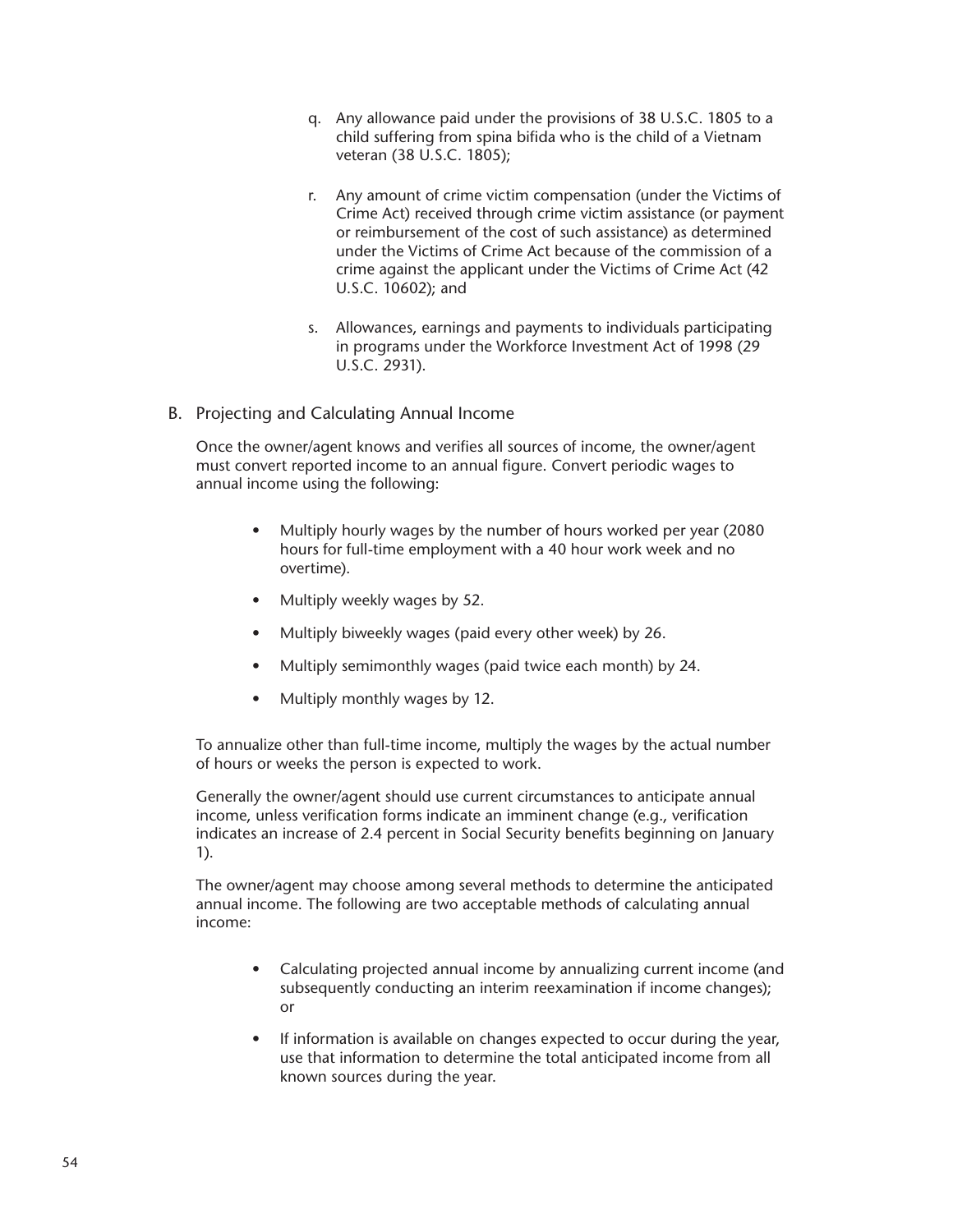- q. Any allowance paid under the provisions of 38 U.S.C. 1805 to a child suffering from spina bifida who is the child of a Vietnam veteran (38 U.S.C. 1805);
- r. Any amount of crime victim compensation (under the Victims of Crime Act) received through crime victim assistance (or payment or reimbursement of the cost of such assistance) as determined under the Victims of Crime Act because of the commission of a crime against the applicant under the Victims of Crime Act (42 U.S.C. 10602); and
- s. Allowances, earnings and payments to individuals participating in programs under the Workforce Investment Act of 1998 (29 U.S.C. 2931).
- B. Projecting and Calculating Annual Income

Once the owner/agent knows and verifies all sources of income, the owner/agent must convert reported income to an annual figure. Convert periodic wages to annual income using the following:

- Multiply hourly wages by the number of hours worked per year (2080 hours for full-time employment with a 40 hour work week and no overtime).
- Multiply weekly wages by 52.
- Multiply biweekly wages (paid every other week) by 26.
- Multiply semimonthly wages (paid twice each month) by 24.
- Multiply monthly wages by 12.

To annualize other than full-time income, multiply the wages by the actual number of hours or weeks the person is expected to work.

Generally the owner/agent should use current circumstances to anticipate annual income, unless verification forms indicate an imminent change (e.g., verification indicates an increase of 2.4 percent in Social Security benefits beginning on January 1).

The owner/agent may choose among several methods to determine the anticipated annual income. The following are two acceptable methods of calculating annual income:

- Calculating projected annual income by annualizing current income (and subsequently conducting an interim reexamination if income changes); or
- If information is available on changes expected to occur during the year, use that information to determine the total anticipated income from all known sources during the year.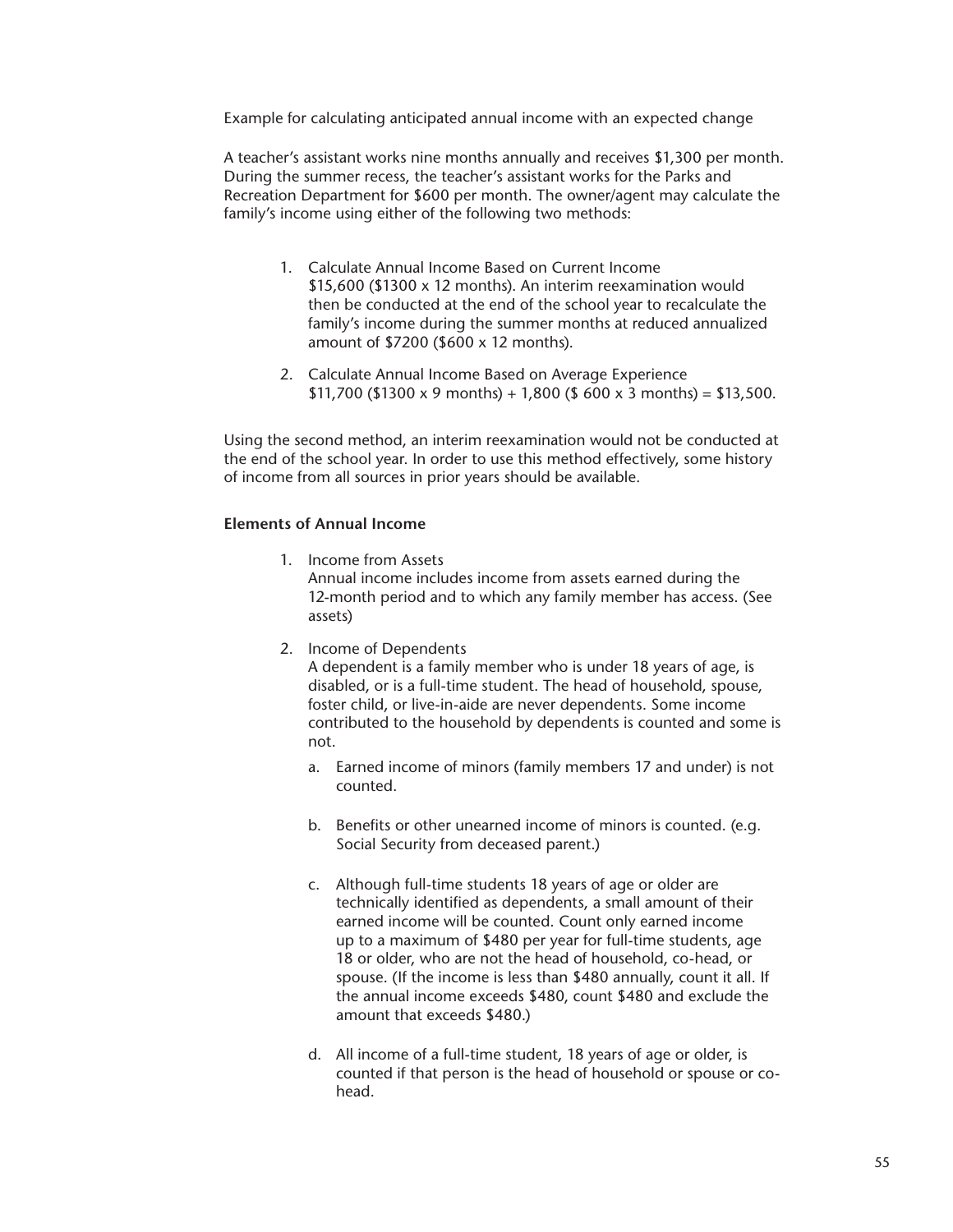Example for calculating anticipated annual income with an expected change

A teacher's assistant works nine months annually and receives \$1,300 per month. During the summer recess, the teacher's assistant works for the Parks and Recreation Department for \$600 per month. The owner/agent may calculate the family's income using either of the following two methods:

- 1. Calculate Annual Income Based on Current Income \$15,600 (\$1300 x 12 months). An interim reexamination would then be conducted at the end of the school year to recalculate the family's income during the summer months at reduced annualized amount of \$7200 (\$600 x 12 months).
- 2. Calculate Annual Income Based on Average Experience  $$11,700$  (\$1300 x 9 months) + 1,800 (\$ 600 x 3 months) = \$13,500.

Using the second method, an interim reexamination would not be conducted at the end of the school year. In order to use this method effectively, some history of income from all sources in prior years should be available.

## **Elements of Annual Income**

- 1. Income from Assets Annual income includes income from assets earned during the 12-month period and to which any family member has access. (See assets)
- 2. Income of Dependents A dependent is a family member who is under 18 years of age, is disabled, or is a full-time student. The head of household, spouse, foster child, or live-in-aide are never dependents. Some income contributed to the household by dependents is counted and some is not.
	- a. Earned income of minors (family members 17 and under) is not counted.
	- b. Benefits or other unearned income of minors is counted. (e.g. Social Security from deceased parent.)
	- c. Although full-time students 18 years of age or older are technically identified as dependents, a small amount of their earned income will be counted. Count only earned income up to a maximum of \$480 per year for full-time students, age 18 or older, who are not the head of household, co-head, or spouse. (If the income is less than \$480 annually, count it all. If the annual income exceeds \$480, count \$480 and exclude the amount that exceeds \$480.)
	- d. All income of a full-time student, 18 years of age or older, is counted if that person is the head of household or spouse or cohead.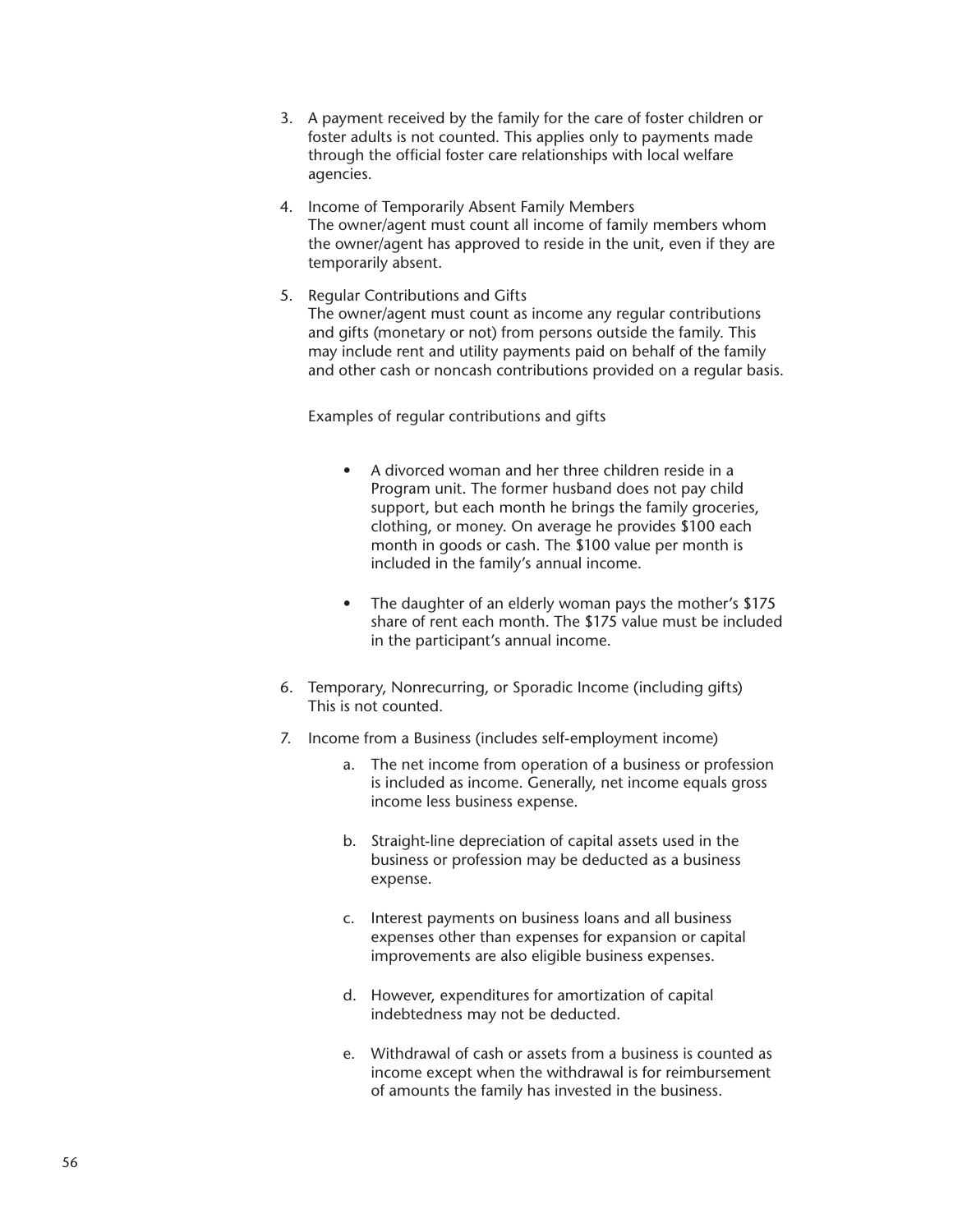- 3. A payment received by the family for the care of foster children or foster adults is not counted. This applies only to payments made through the official foster care relationships with local welfare agencies.
- 4. Income of Temporarily Absent Family Members The owner/agent must count all income of family members whom the owner/agent has approved to reside in the unit, even if they are temporarily absent.
- 5. Regular Contributions and Gifts The owner/agent must count as income any regular contributions and gifts (monetary or not) from persons outside the family. This may include rent and utility payments paid on behalf of the family and other cash or noncash contributions provided on a regular basis.

Examples of regular contributions and gifts

- A divorced woman and her three children reside in a Program unit. The former husband does not pay child support, but each month he brings the family groceries, clothing, or money. On average he provides \$100 each month in goods or cash. The \$100 value per month is included in the family's annual income.
- The daughter of an elderly woman pays the mother's \$175 share of rent each month. The \$175 value must be included in the participant's annual income.
- 6. Temporary, Nonrecurring, or Sporadic Income (including gifts) This is not counted.
- 7. Income from a Business (includes self-employment income)
	- a. The net income from operation of a business or profession is included as income. Generally, net income equals gross income less business expense.
	- b. Straight-line depreciation of capital assets used in the business or profession may be deducted as a business expense.
	- c. Interest payments on business loans and all business expenses other than expenses for expansion or capital improvements are also eligible business expenses.
	- d. However, expenditures for amortization of capital indebtedness may not be deducted.
	- e. Withdrawal of cash or assets from a business is counted as income except when the withdrawal is for reimbursement of amounts the family has invested in the business.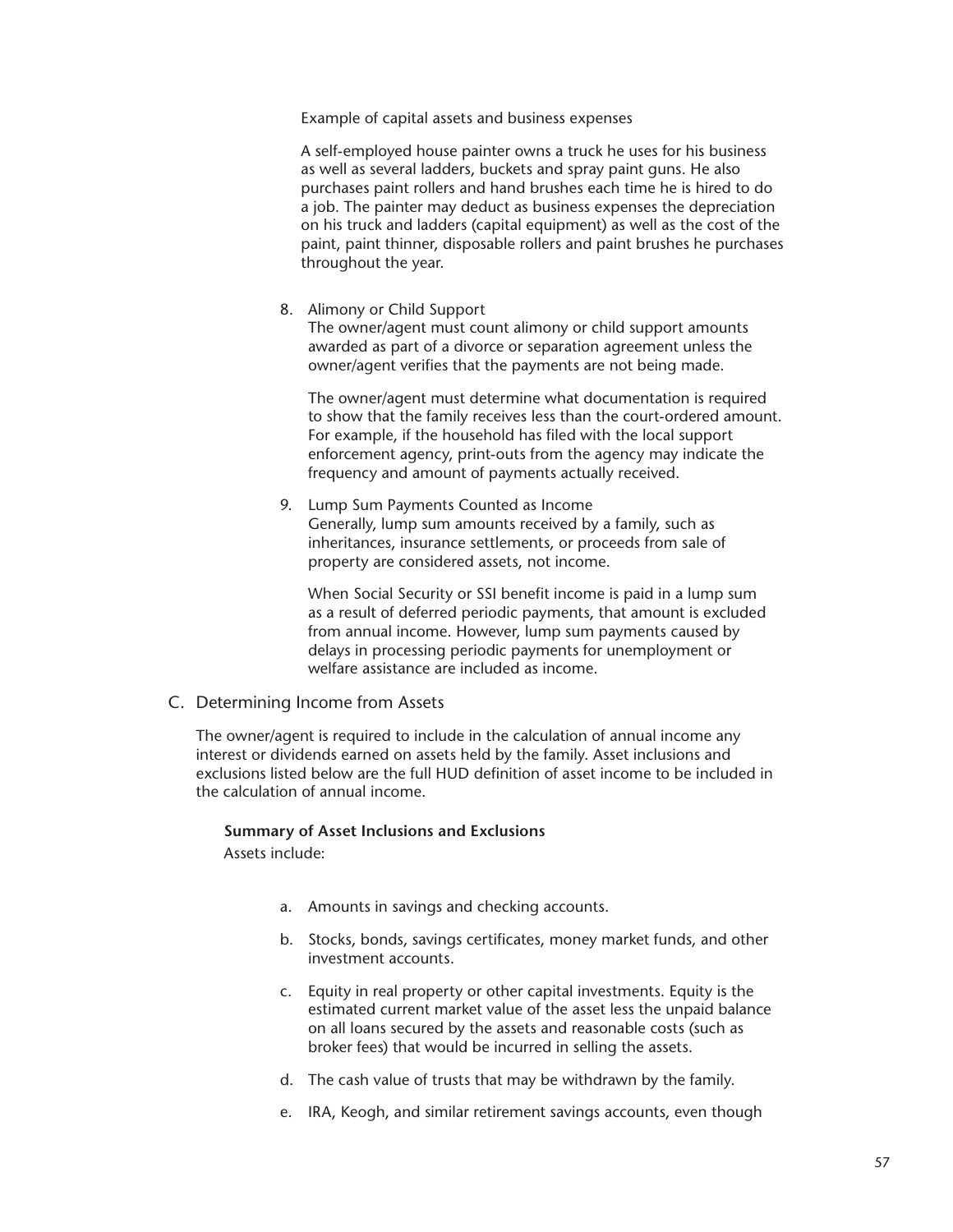Example of capital assets and business expenses

A self-employed house painter owns a truck he uses for his business as well as several ladders, buckets and spray paint guns. He also purchases paint rollers and hand brushes each time he is hired to do a job. The painter may deduct as business expenses the depreciation on his truck and ladders (capital equipment) as well as the cost of the paint, paint thinner, disposable rollers and paint brushes he purchases throughout the year.

8. Alimony or Child Support

The owner/agent must count alimony or child support amounts awarded as part of a divorce or separation agreement unless the owner/agent verifies that the payments are not being made.

The owner/agent must determine what documentation is required to show that the family receives less than the court-ordered amount. For example, if the household has filed with the local support enforcement agency, print-outs from the agency may indicate the frequency and amount of payments actually received.

9. Lump Sum Payments Counted as Income Generally, lump sum amounts received by a family, such as inheritances, insurance settlements, or proceeds from sale of property are considered assets, not income.

When Social Security or SSI benefit income is paid in a lump sum as a result of deferred periodic payments, that amount is excluded from annual income. However, lump sum payments caused by delays in processing periodic payments for unemployment or welfare assistance are included as income.

C. Determining Income from Assets

The owner/agent is required to include in the calculation of annual income any interest or dividends earned on assets held by the family. Asset inclusions and exclusions listed below are the full HUD definition of asset income to be included in the calculation of annual income.

## **Summary of Asset Inclusions and Exclusions**

Assets include:

- a. Amounts in savings and checking accounts.
- b. Stocks, bonds, savings certificates, money market funds, and other investment accounts.
- c. Equity in real property or other capital investments. Equity is the estimated current market value of the asset less the unpaid balance on all loans secured by the assets and reasonable costs (such as broker fees) that would be incurred in selling the assets.
- d. The cash value of trusts that may be withdrawn by the family.
- e. IRA, Keogh, and similar retirement savings accounts, even though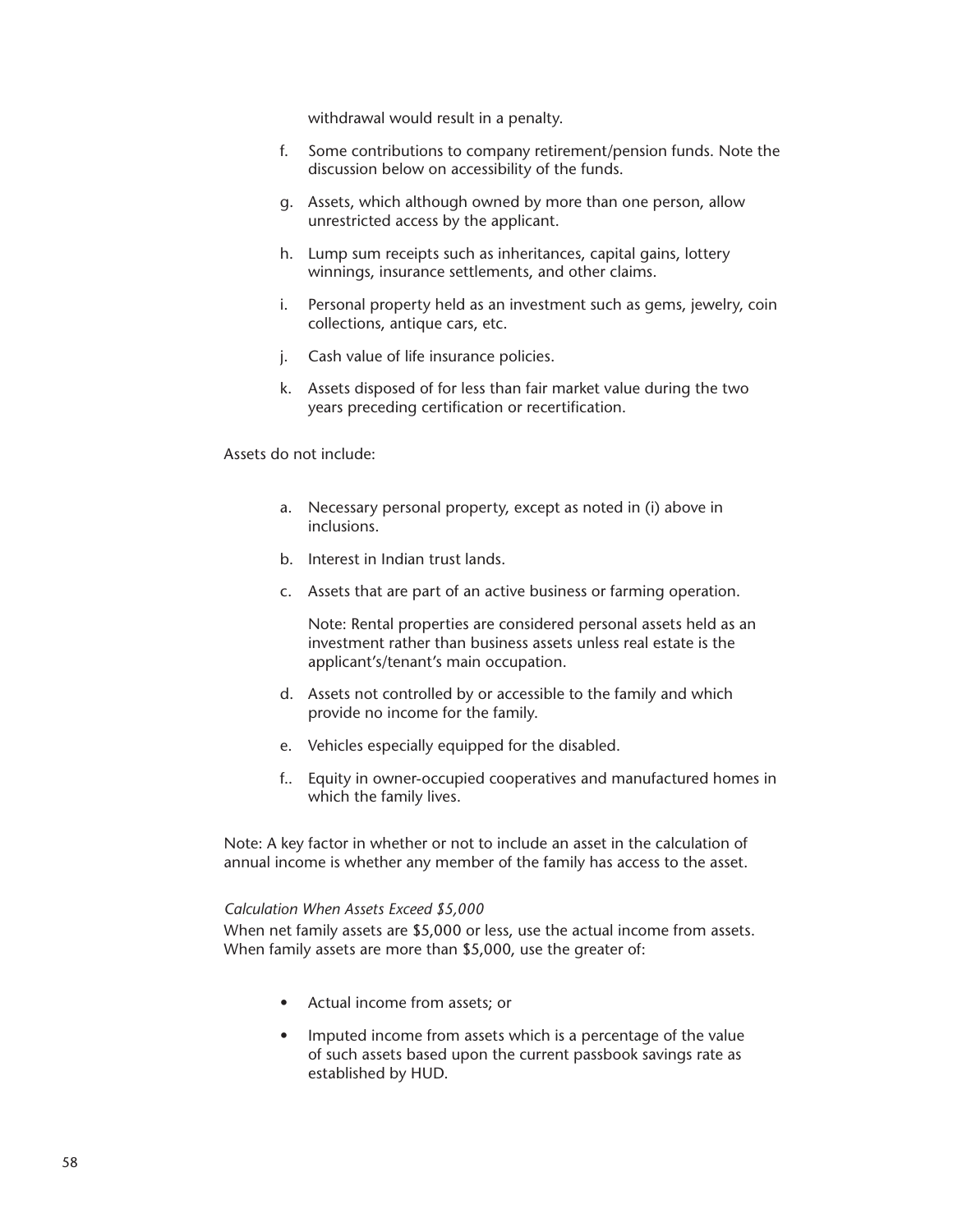withdrawal would result in a penalty.

- f. Some contributions to company retirement/pension funds. Note the discussion below on accessibility of the funds.
- g. Assets, which although owned by more than one person, allow unrestricted access by the applicant.
- h. Lump sum receipts such as inheritances, capital gains, lottery winnings, insurance settlements, and other claims.
- i. Personal property held as an investment such as gems, jewelry, coin collections, antique cars, etc.
- j. Cash value of life insurance policies.
- k. Assets disposed of for less than fair market value during the two years preceding certification or recertification.

## Assets do not include:

- a. Necessary personal property, except as noted in (i) above in inclusions.
- b. Interest in Indian trust lands.
- c. Assets that are part of an active business or farming operation.

Note: Rental properties are considered personal assets held as an investment rather than business assets unless real estate is the applicant's/tenant's main occupation.

- d. Assets not controlled by or accessible to the family and which provide no income for the family.
- e. Vehicles especially equipped for the disabled.
- f.. Equity in owner-occupied cooperatives and manufactured homes in which the family lives.

Note: A key factor in whether or not to include an asset in the calculation of annual income is whether any member of the family has access to the asset.

## *Calculation When Assets Exceed \$5,000*

When net family assets are \$5,000 or less, use the actual income from assets. When family assets are more than \$5,000, use the greater of:

- Actual income from assets; or
- Imputed income from assets which is a percentage of the value of such assets based upon the current passbook savings rate as established by HUD.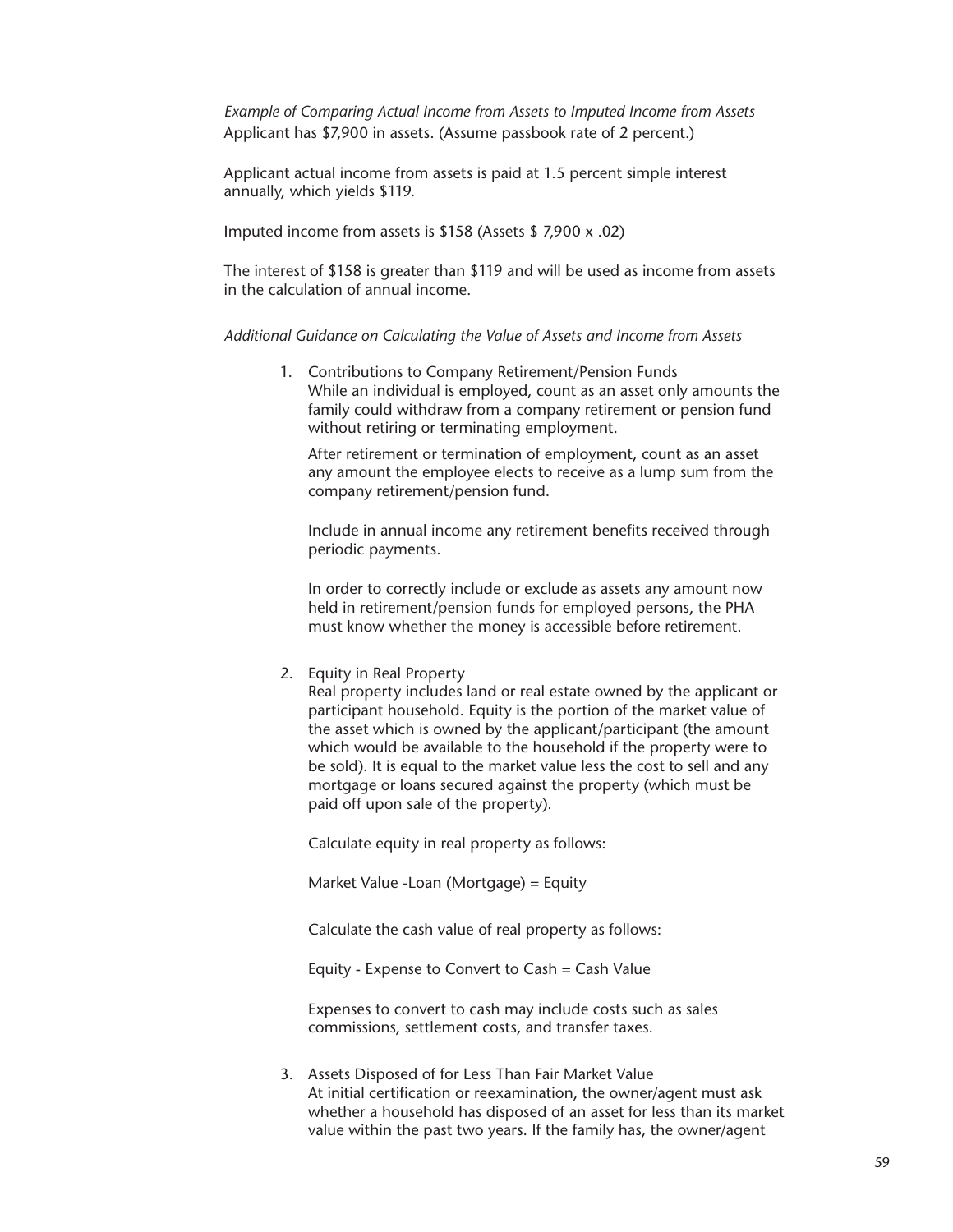*Example of Comparing Actual Income from Assets to Imputed Income from Assets* Applicant has \$7,900 in assets. (Assume passbook rate of 2 percent.)

Applicant actual income from assets is paid at 1.5 percent simple interest annually, which yields \$119.

Imputed income from assets is \$158 (Assets \$ 7,900 x .02)

The interest of \$158 is greater than \$119 and will be used as income from assets in the calculation of annual income.

*Additional Guidance on Calculating the Value of Assets and Income from Assets*

1. Contributions to Company Retirement/Pension Funds While an individual is employed, count as an asset only amounts the family could withdraw from a company retirement or pension fund without retiring or terminating employment.

After retirement or termination of employment, count as an asset any amount the employee elects to receive as a lump sum from the company retirement/pension fund.

Include in annual income any retirement benefits received through periodic payments.

In order to correctly include or exclude as assets any amount now held in retirement/pension funds for employed persons, the PHA must know whether the money is accessible before retirement.

2. Equity in Real Property

Real property includes land or real estate owned by the applicant or participant household. Equity is the portion of the market value of the asset which is owned by the applicant/participant (the amount which would be available to the household if the property were to be sold). It is equal to the market value less the cost to sell and any mortgage or loans secured against the property (which must be paid off upon sale of the property).

Calculate equity in real property as follows:

Market Value -Loan (Mortgage) = Equity

Calculate the cash value of real property as follows:

Equity - Expense to Convert to Cash = Cash Value

Expenses to convert to cash may include costs such as sales commissions, settlement costs, and transfer taxes.

3. Assets Disposed of for Less Than Fair Market Value At initial certification or reexamination, the owner/agent must ask whether a household has disposed of an asset for less than its market value within the past two years. If the family has, the owner/agent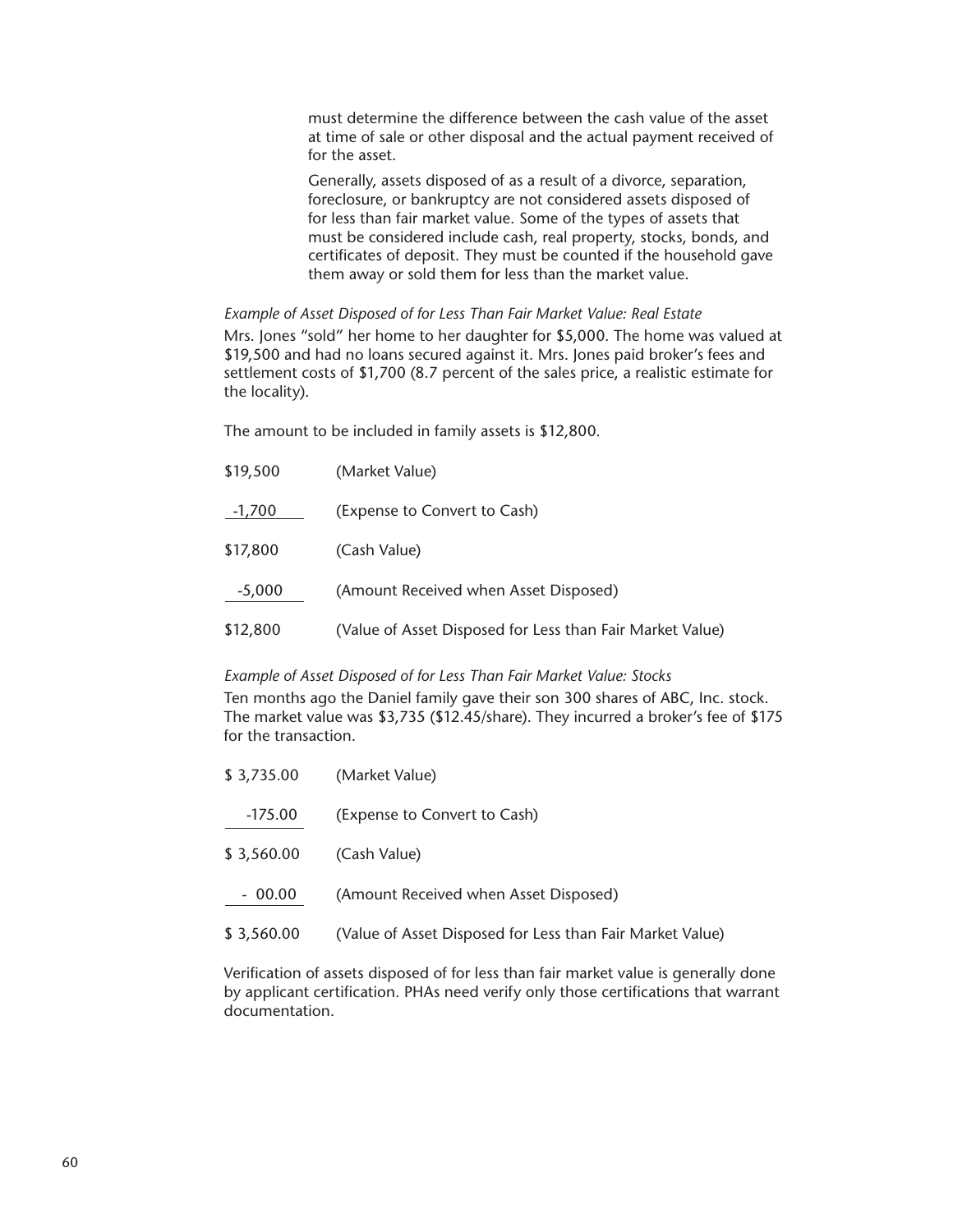must determine the difference between the cash value of the asset at time of sale or other disposal and the actual payment received of for the asset.

Generally, assets disposed of as a result of a divorce, separation, foreclosure, or bankruptcy are not considered assets disposed of for less than fair market value. Some of the types of assets that must be considered include cash, real property, stocks, bonds, and certificates of deposit. They must be counted if the household gave them away or sold them for less than the market value.

*Example of Asset Disposed of for Less Than Fair Market Value: Real Estate* Mrs. Jones "sold" her home to her daughter for \$5,000. The home was valued at \$19,500 and had no loans secured against it. Mrs. Jones paid broker's fees and settlement costs of \$1,700 (8.7 percent of the sales price, a realistic estimate for the locality).

The amount to be included in family assets is \$12,800.

| \$19,500 | (Market Value)                                            |
|----------|-----------------------------------------------------------|
| -1,700   | (Expense to Convert to Cash)                              |
| \$17,800 | (Cash Value)                                              |
| $-5,000$ | (Amount Received when Asset Disposed)                     |
| \$12,800 | (Value of Asset Disposed for Less than Fair Market Value) |

*Example of Asset Disposed of for Less Than Fair Market Value: Stocks*

Ten months ago the Daniel family gave their son 300 shares of ABC, Inc. stock. The market value was \$3,735 (\$12.45/share). They incurred a broker's fee of \$175 for the transaction.

| \$3,735.00 | (Market Value)                                            |
|------------|-----------------------------------------------------------|
| $-175.00$  | (Expense to Convert to Cash)                              |
| \$3,560.00 | (Cash Value)                                              |
| $-00.00$   | (Amount Received when Asset Disposed)                     |
| \$3,560.00 | (Value of Asset Disposed for Less than Fair Market Value) |

Verification of assets disposed of for less than fair market value is generally done by applicant certification. PHAs need verify only those certifications that warrant documentation.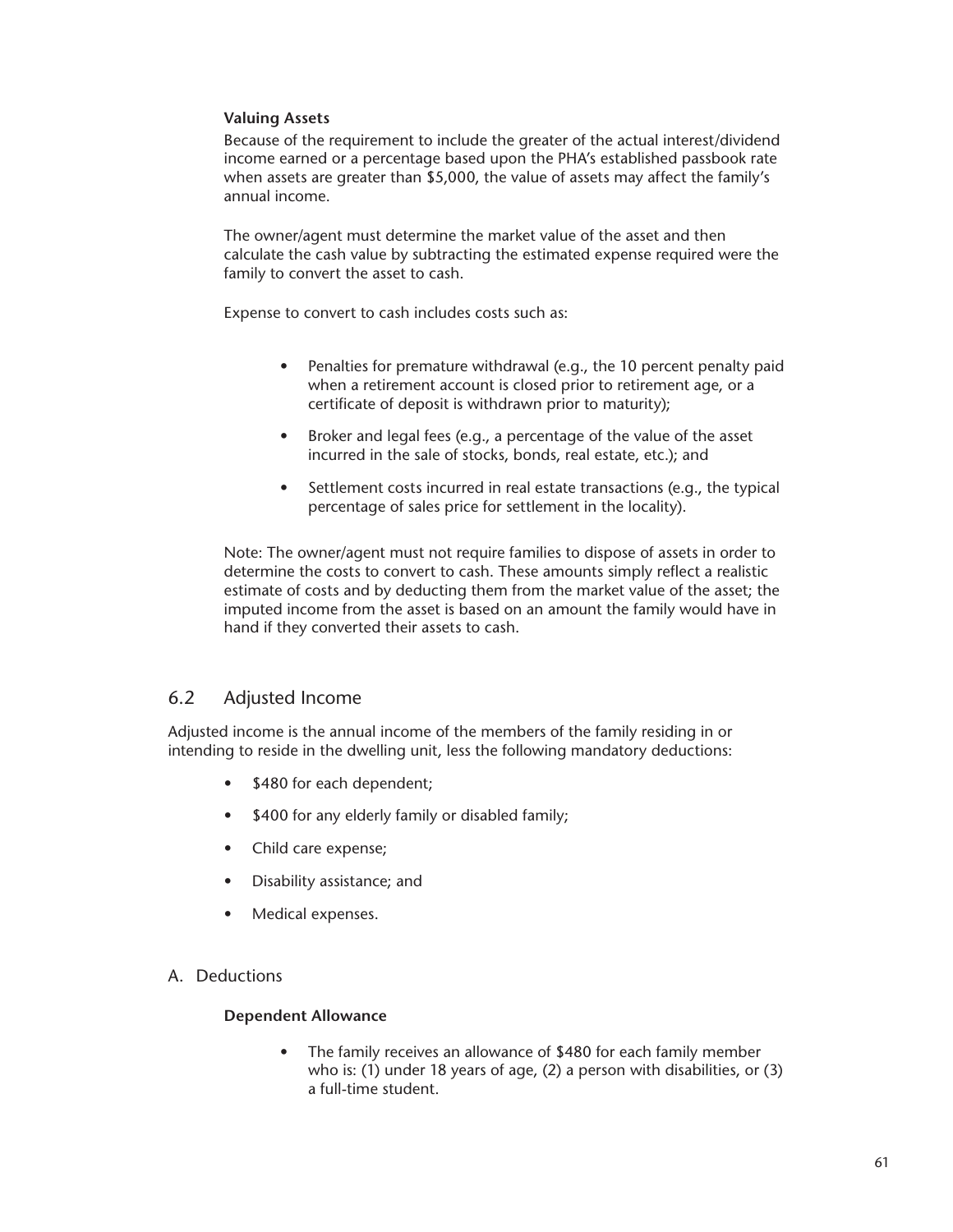## **Valuing Assets**

Because of the requirement to include the greater of the actual interest/dividend income earned or a percentage based upon the PHA's established passbook rate when assets are greater than \$5,000, the value of assets may affect the family's annual income.

The owner/agent must determine the market value of the asset and then calculate the cash value by subtracting the estimated expense required were the family to convert the asset to cash.

Expense to convert to cash includes costs such as:

- Penalties for premature withdrawal (e.g., the 10 percent penalty paid when a retirement account is closed prior to retirement age, or a certificate of deposit is withdrawn prior to maturity);
- Broker and legal fees (e.g., a percentage of the value of the asset incurred in the sale of stocks, bonds, real estate, etc.); and
- Settlement costs incurred in real estate transactions (e.g., the typical percentage of sales price for settlement in the locality).

Note: The owner/agent must not require families to dispose of assets in order to determine the costs to convert to cash. These amounts simply reflect a realistic estimate of costs and by deducting them from the market value of the asset; the imputed income from the asset is based on an amount the family would have in hand if they converted their assets to cash.

# 6.2 Adjusted Income

Adjusted income is the annual income of the members of the family residing in or intending to reside in the dwelling unit, less the following mandatory deductions:

- \$480 for each dependent;
- \$400 for any elderly family or disabled family;
- Child care expense;
- Disability assistance; and
- Medical expenses.
- A. Deductions

## **Dependent Allowance**

The family receives an allowance of \$480 for each family member who is: (1) under 18 years of age, (2) a person with disabilities, or (3) a full-time student.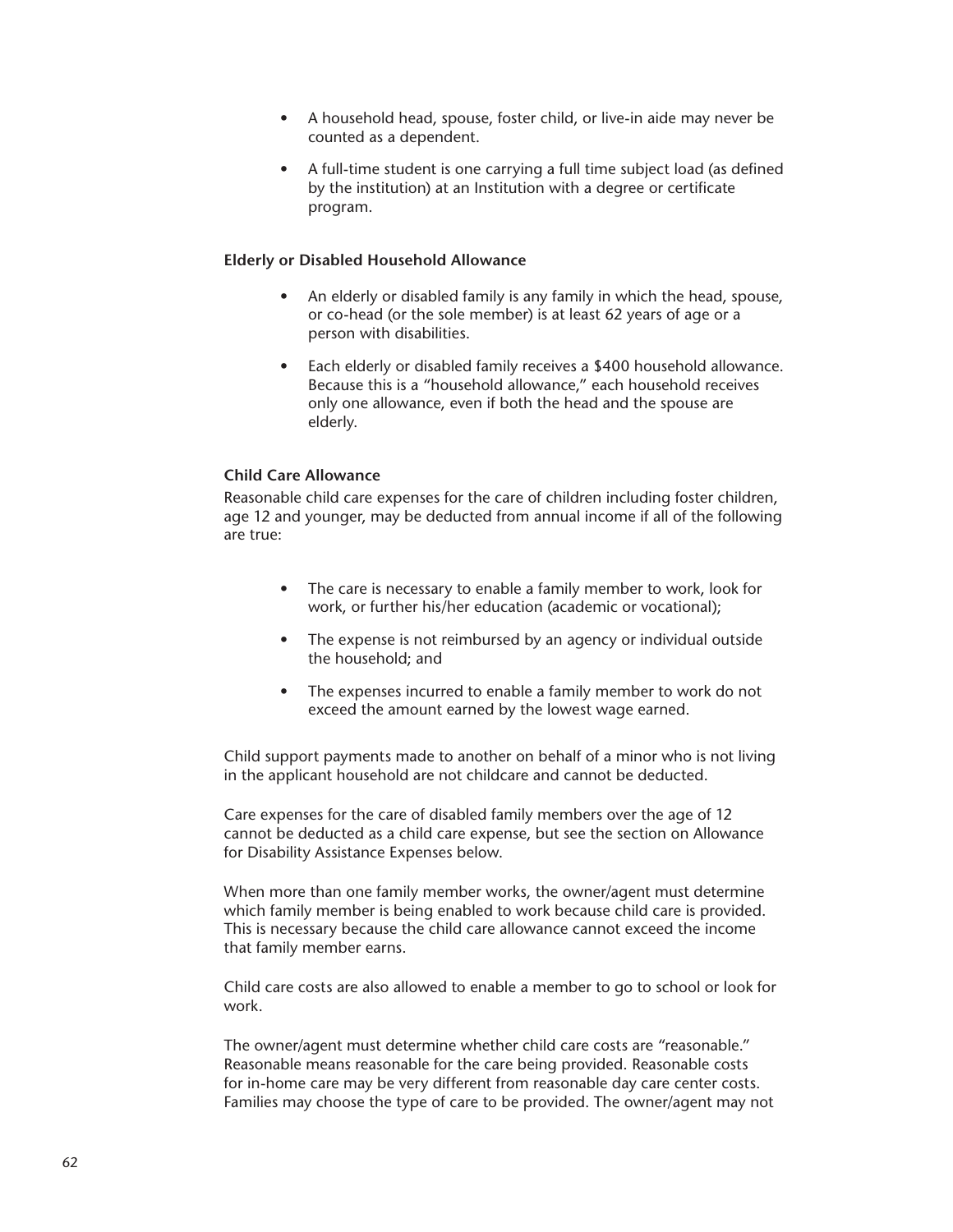- A household head, spouse, foster child, or live-in aide may never be counted as a dependent.
- A full-time student is one carrying a full time subject load (as defined by the institution) at an Institution with a degree or certificate program.

## **Elderly or Disabled Household Allowance**

- An elderly or disabled family is any family in which the head, spouse, or co-head (or the sole member) is at least 62 years of age or a person with disabilities.
- Each elderly or disabled family receives a \$400 household allowance. Because this is a "household allowance," each household receives only one allowance, even if both the head and the spouse are elderly.

## **Child Care Allowance**

Reasonable child care expenses for the care of children including foster children, age 12 and younger, may be deducted from annual income if all of the following are true:

- The care is necessary to enable a family member to work, look for work, or further his/her education (academic or vocational);
- The expense is not reimbursed by an agency or individual outside the household; and
- The expenses incurred to enable a family member to work do not exceed the amount earned by the lowest wage earned.

Child support payments made to another on behalf of a minor who is not living in the applicant household are not childcare and cannot be deducted.

Care expenses for the care of disabled family members over the age of 12 cannot be deducted as a child care expense, but see the section on Allowance for Disability Assistance Expenses below.

When more than one family member works, the owner/agent must determine which family member is being enabled to work because child care is provided. This is necessary because the child care allowance cannot exceed the income that family member earns.

Child care costs are also allowed to enable a member to go to school or look for work.

The owner/agent must determine whether child care costs are "reasonable." Reasonable means reasonable for the care being provided. Reasonable costs for in-home care may be very different from reasonable day care center costs. Families may choose the type of care to be provided. The owner/agent may not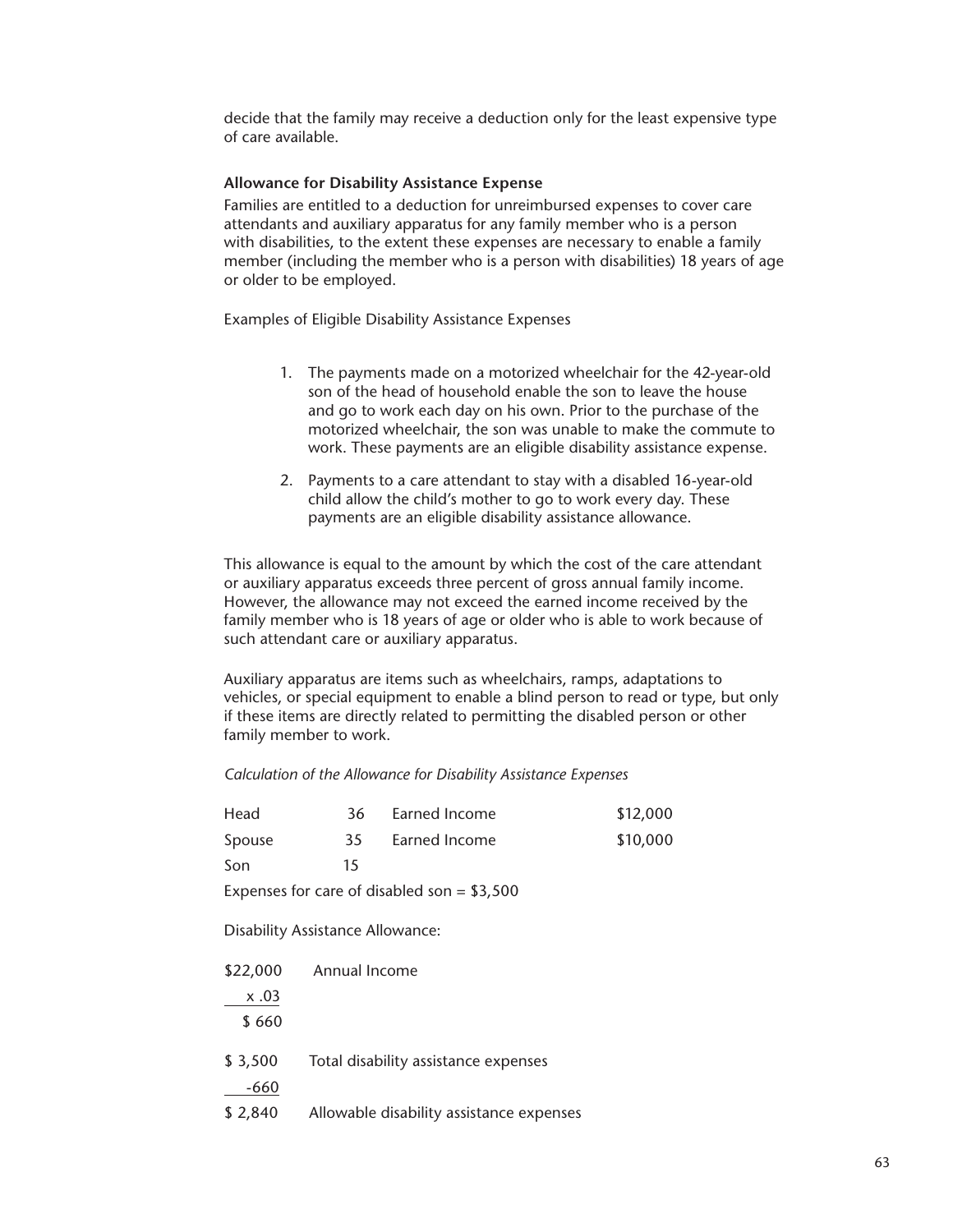decide that the family may receive a deduction only for the least expensive type of care available.

## **Allowance for Disability Assistance Expense**

Families are entitled to a deduction for unreimbursed expenses to cover care attendants and auxiliary apparatus for any family member who is a person with disabilities, to the extent these expenses are necessary to enable a family member (including the member who is a person with disabilities) 18 years of age or older to be employed.

Examples of Eligible Disability Assistance Expenses

- 1. The payments made on a motorized wheelchair for the 42-year-old son of the head of household enable the son to leave the house and go to work each day on his own. Prior to the purchase of the motorized wheelchair, the son was unable to make the commute to work. These payments are an eligible disability assistance expense.
- 2. Payments to a care attendant to stay with a disabled 16-year-old child allow the child's mother to go to work every day. These payments are an eligible disability assistance allowance.

This allowance is equal to the amount by which the cost of the care attendant or auxiliary apparatus exceeds three percent of gross annual family income. However, the allowance may not exceed the earned income received by the family member who is 18 years of age or older who is able to work because of such attendant care or auxiliary apparatus.

Auxiliary apparatus are items such as wheelchairs, ramps, adaptations to vehicles, or special equipment to enable a blind person to read or type, but only if these items are directly related to permitting the disabled person or other family member to work.

*Calculation of the Allowance for Disability Assistance Expenses*

| Head     | 36                                      | Earned Income                                | \$12,000 |
|----------|-----------------------------------------|----------------------------------------------|----------|
| Spouse   | 35                                      | Earned Income                                | \$10,000 |
| Son      | 15                                      |                                              |          |
|          |                                         | Expenses for care of disabled son = $$3,500$ |          |
|          | <b>Disability Assistance Allowance:</b> |                                              |          |
| \$22,000 | Annual Income                           |                                              |          |
| x.03     |                                         |                                              |          |
| \$660    |                                         |                                              |          |
| \$3,500  |                                         | Total disability assistance expenses         |          |
| $-660$   |                                         |                                              |          |
| \$2,840  |                                         | Allowable disability assistance expenses     |          |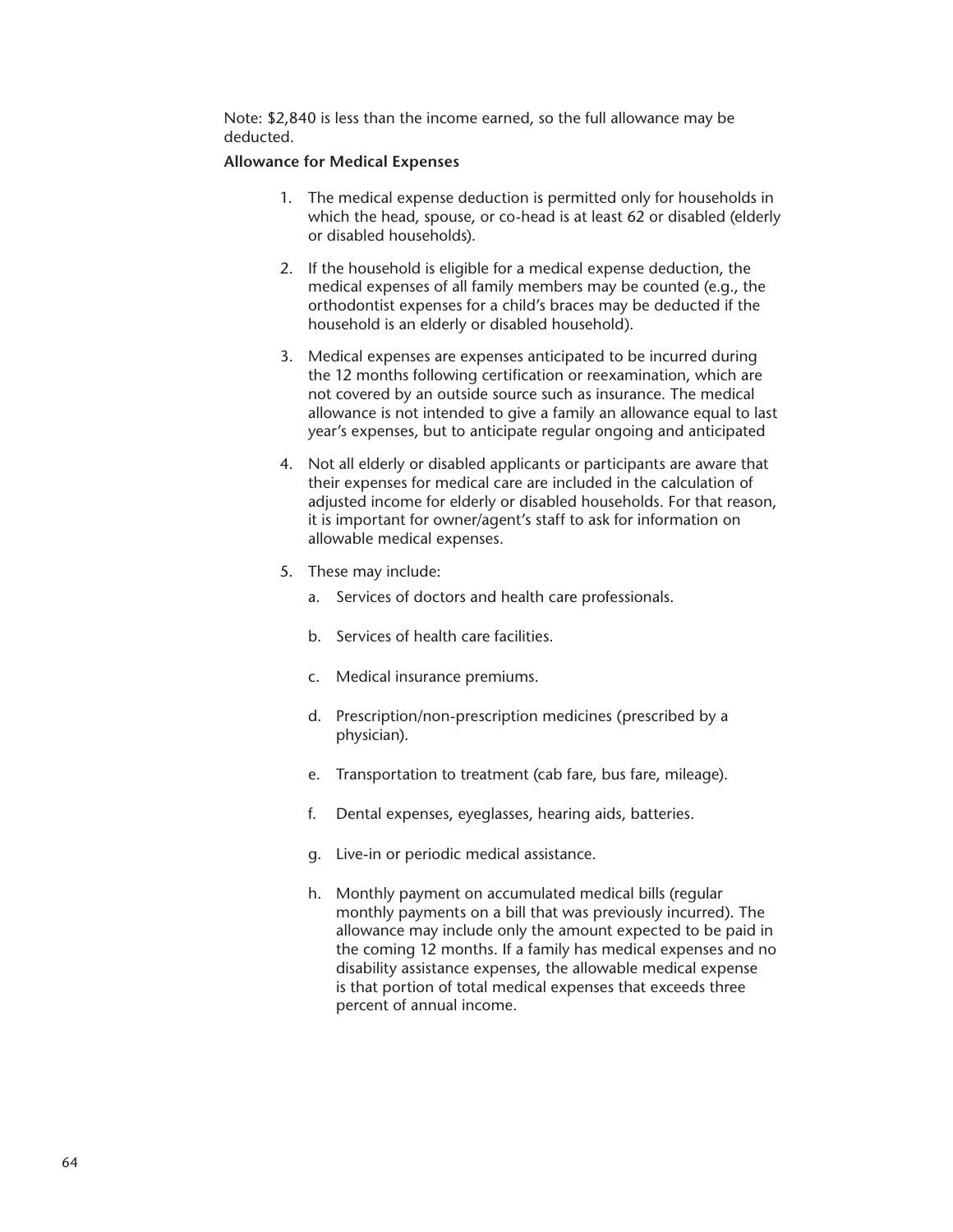Note: \$2,840 is less than the income earned, so the full allowance may be deducted.

## **Allowance for Medical Expenses**

- 1. The medical expense deduction is permitted only for households in which the head, spouse, or co-head is at least 62 or disabled (elderly or disabled households).
- 2. If the household is eligible for a medical expense deduction, the medical expenses of all family members may be counted (e.g., the orthodontist expenses for a child's braces may be deducted if the household is an elderly or disabled household).
- 3. Medical expenses are expenses anticipated to be incurred during the 12 months following certification or reexamination, which are not covered by an outside source such as insurance. The medical allowance is not intended to give a family an allowance equal to last year's expenses, but to anticipate regular ongoing and anticipated
- 4. Not all elderly or disabled applicants or participants are aware that their expenses for medical care are included in the calculation of adjusted income for elderly or disabled households. For that reason, it is important for owner/agent's staff to ask for information on allowable medical expenses.
- 5. These may include:
	- a. Services of doctors and health care professionals.
	- b. Services of health care facilities.
	- c. Medical insurance premiums.
	- d. Prescription/non-prescription medicines (prescribed by a physician).
	- e. Transportation to treatment (cab fare, bus fare, mileage).
	- f. Dental expenses, eyeglasses, hearing aids, batteries.
	- g. Live-in or periodic medical assistance.
	- h. Monthly payment on accumulated medical bills (regular monthly payments on a bill that was previously incurred). The allowance may include only the amount expected to be paid in the coming 12 months. If a family has medical expenses and no disability assistance expenses, the allowable medical expense is that portion of total medical expenses that exceeds three percent of annual income.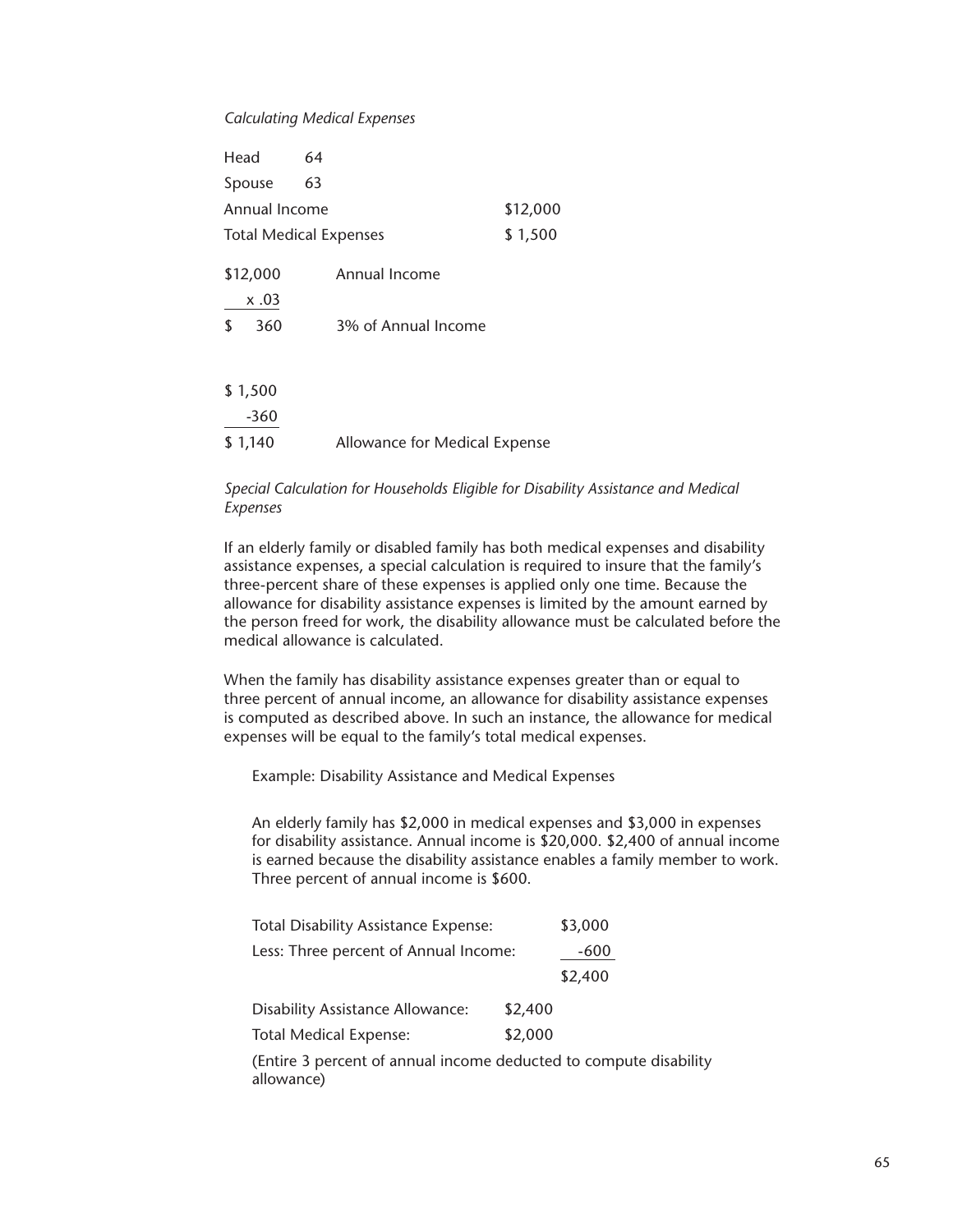#### *Calculating Medical Expenses*

| Head          | 64                            |          |
|---------------|-------------------------------|----------|
| Spouse        | 63                            |          |
| Annual Income |                               | \$12,000 |
|               | <b>Total Medical Expenses</b> | \$1,500  |
| \$12,000      | Annual Income                 |          |
| x .03         |                               |          |
| \$<br>360     | 3% of Annual Income           |          |
|               |                               |          |
| \$1,500       |                               |          |
| $-360$        |                               |          |
| \$1,140       | Allowance for Medical Expense |          |

## *Special Calculation for Households Eligible for Disability Assistance and Medical Expenses*

If an elderly family or disabled family has both medical expenses and disability assistance expenses, a special calculation is required to insure that the family's three-percent share of these expenses is applied only one time. Because the allowance for disability assistance expenses is limited by the amount earned by the person freed for work, the disability allowance must be calculated before the medical allowance is calculated.

When the family has disability assistance expenses greater than or equal to three percent of annual income, an allowance for disability assistance expenses is computed as described above. In such an instance, the allowance for medical expenses will be equal to the family's total medical expenses.

Example: Disability Assistance and Medical Expenses

An elderly family has \$2,000 in medical expenses and \$3,000 in expenses for disability assistance. Annual income is \$20,000. \$2,400 of annual income is earned because the disability assistance enables a family member to work. Three percent of annual income is \$600.

| <b>Total Disability Assistance Expense:</b> |         | \$3,000 |
|---------------------------------------------|---------|---------|
| Less: Three percent of Annual Income:       |         | -600    |
|                                             |         | \$2,400 |
| <b>Disability Assistance Allowance:</b>     | \$2,400 |         |
| <b>Total Medical Expense:</b>               | \$2,000 |         |
|                                             | .       |         |

(Entire 3 percent of annual income deducted to compute disability allowance)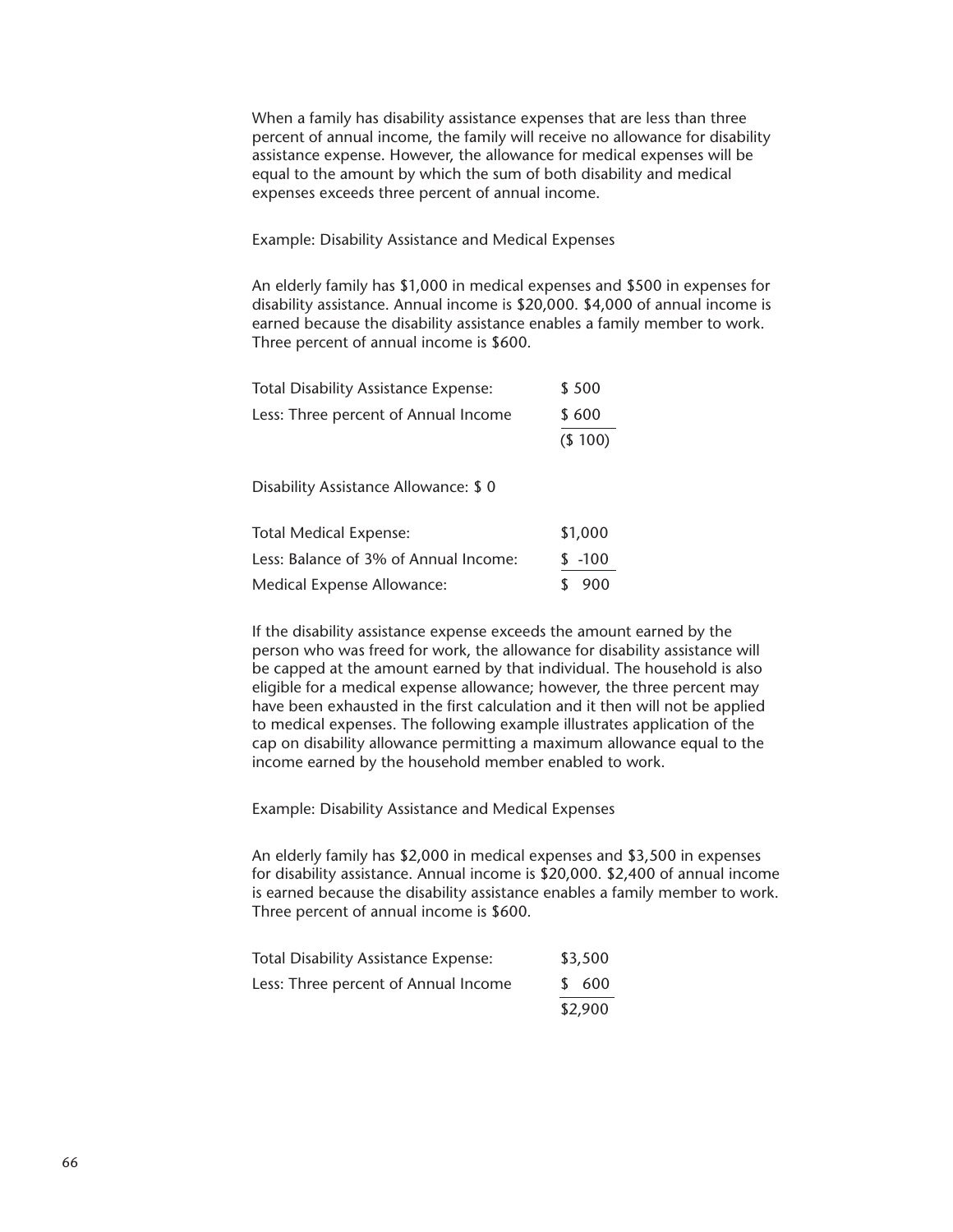When a family has disability assistance expenses that are less than three percent of annual income, the family will receive no allowance for disability assistance expense. However, the allowance for medical expenses will be equal to the amount by which the sum of both disability and medical expenses exceeds three percent of annual income.

Example: Disability Assistance and Medical Expenses

An elderly family has \$1,000 in medical expenses and \$500 in expenses for disability assistance. Annual income is \$20,000. \$4,000 of annual income is earned because the disability assistance enables a family member to work. Three percent of annual income is \$600.

| <b>Total Disability Assistance Expense:</b> | \$500  |
|---------------------------------------------|--------|
| Less: Three percent of Annual Income        | \$600  |
|                                             | (S100) |

Disability Assistance Allowance: \$ 0

| <b>Total Medical Expense:</b>         | \$1,000  |       |
|---------------------------------------|----------|-------|
| Less: Balance of 3% of Annual Income: | $$ -100$ |       |
| Medical Expense Allowance:            |          | \$900 |

If the disability assistance expense exceeds the amount earned by the person who was freed for work, the allowance for disability assistance will be capped at the amount earned by that individual. The household is also eligible for a medical expense allowance; however, the three percent may have been exhausted in the first calculation and it then will not be applied to medical expenses. The following example illustrates application of the cap on disability allowance permitting a maximum allowance equal to the income earned by the household member enabled to work.

Example: Disability Assistance and Medical Expenses

An elderly family has \$2,000 in medical expenses and \$3,500 in expenses for disability assistance. Annual income is \$20,000. \$2,400 of annual income is earned because the disability assistance enables a family member to work. Three percent of annual income is \$600.

| <b>Total Disability Assistance Expense:</b> | \$3,500 |
|---------------------------------------------|---------|
| Less: Three percent of Annual Income        | \$ 600  |
|                                             | \$2,900 |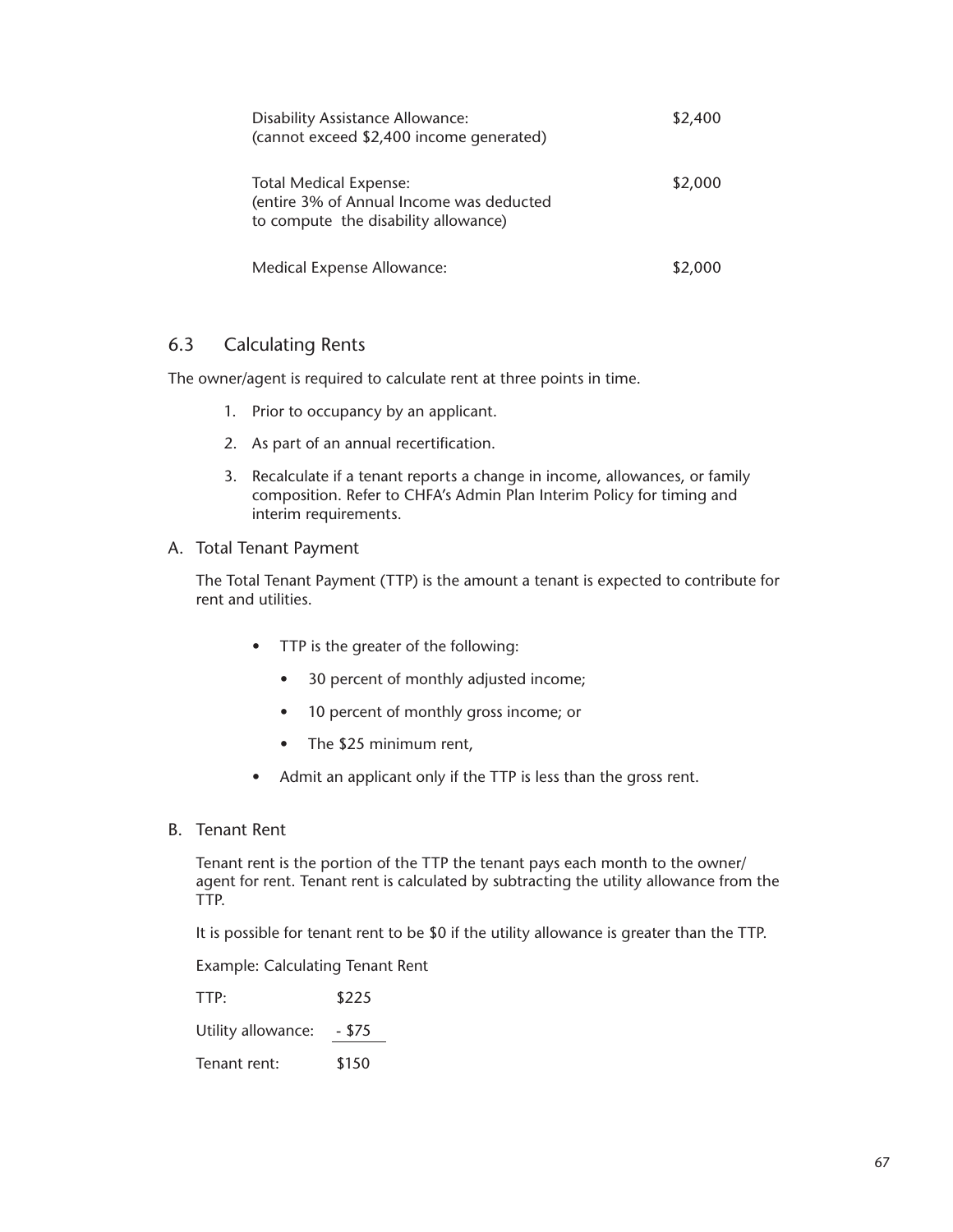| <b>Disability Assistance Allowance:</b><br>(cannot exceed \$2,400 income generated)                               | \$2,400 |
|-------------------------------------------------------------------------------------------------------------------|---------|
| <b>Total Medical Expense:</b><br>(entire 3% of Annual Income was deducted<br>to compute the disability allowance) | \$2,000 |
| Medical Expense Allowance:                                                                                        | \$2,000 |

# 6.3 Calculating Rents

The owner/agent is required to calculate rent at three points in time.

- 1. Prior to occupancy by an applicant.
- 2. As part of an annual recertification.
- 3. Recalculate if a tenant reports a change in income, allowances, or family composition. Refer to CHFA's Admin Plan Interim Policy for timing and interim requirements.
- A. Total Tenant Payment

The Total Tenant Payment (TTP) is the amount a tenant is expected to contribute for rent and utilities.

- TTP is the greater of the following:
	- 30 percent of monthly adjusted income;
	- 10 percent of monthly gross income; or
	- The \$25 minimum rent,
- Admit an applicant only if the TTP is less than the gross rent.
- B. Tenant Rent

Tenant rent is the portion of the TTP the tenant pays each month to the owner/ agent for rent. Tenant rent is calculated by subtracting the utility allowance from the TTP.

It is possible for tenant rent to be \$0 if the utility allowance is greater than the TTP.

Example: Calculating Tenant Rent

TTP: \$225

Utility allowance: - \$75

Tenant rent: \$150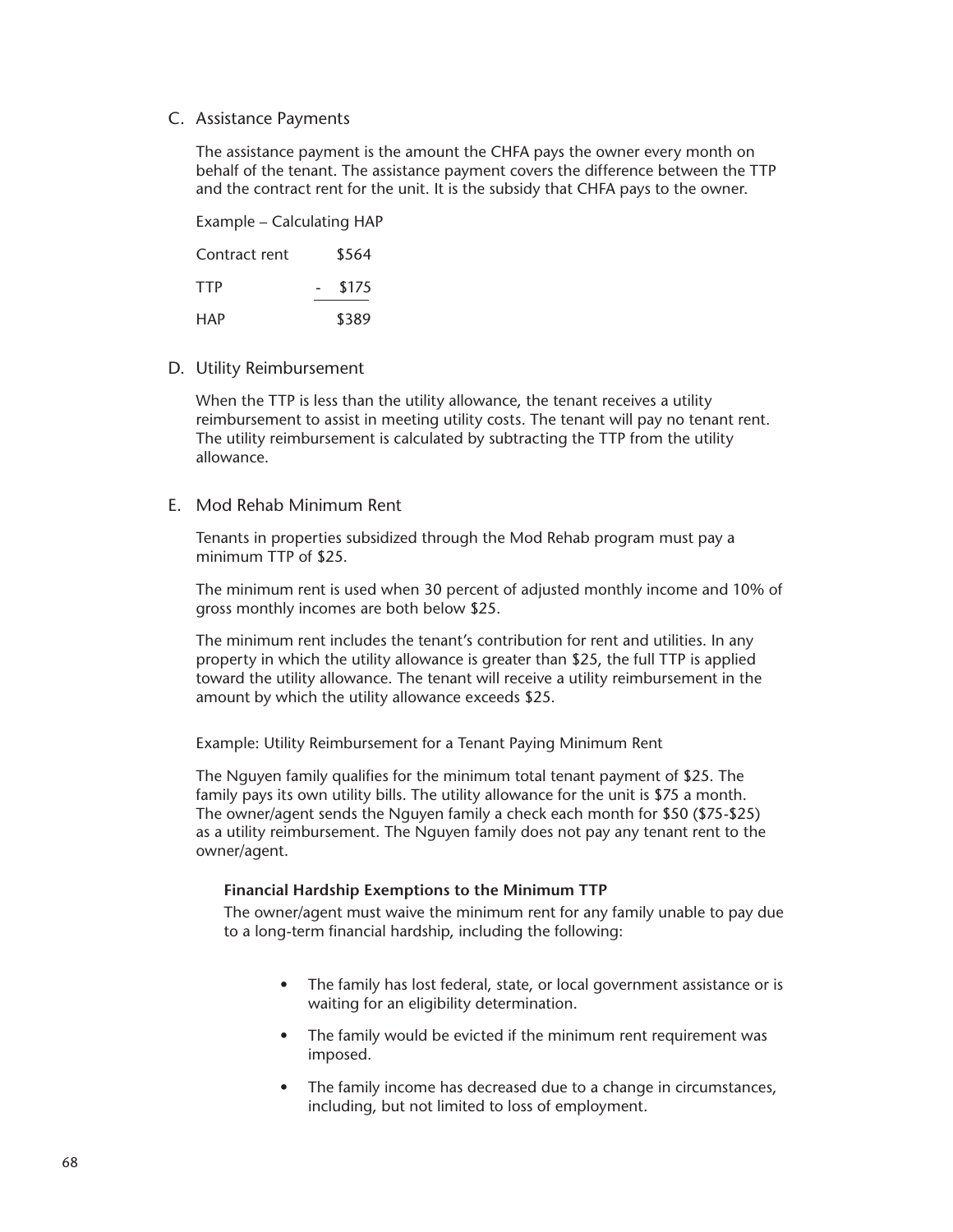#### C. Assistance Payments

The assistance payment is the amount the CHFA pays the owner every month on behalf of the tenant. The assistance payment covers the difference between the TTP and the contract rent for the unit. It is the subsidy that CHFA pays to the owner.

Example – Calculating HAP

| Contract rent | \$564 |
|---------------|-------|
| <b>TTP</b>    | \$175 |
| HAP           | \$389 |

D. Utility Reimbursement

When the TTP is less than the utility allowance, the tenant receives a utility reimbursement to assist in meeting utility costs. The tenant will pay no tenant rent. The utility reimbursement is calculated by subtracting the TTP from the utility allowance.

E. Mod Rehab Minimum Rent

Tenants in properties subsidized through the Mod Rehab program must pay a minimum TTP of \$25.

The minimum rent is used when 30 percent of adjusted monthly income and 10% of gross monthly incomes are both below \$25.

The minimum rent includes the tenant's contribution for rent and utilities. In any property in which the utility allowance is greater than \$25, the full TTP is applied toward the utility allowance. The tenant will receive a utility reimbursement in the amount by which the utility allowance exceeds \$25.

Example: Utility Reimbursement for a Tenant Paying Minimum Rent

The Nguyen family qualifies for the minimum total tenant payment of \$25. The family pays its own utility bills. The utility allowance for the unit is \$75 a month. The owner/agent sends the Nguyen family a check each month for \$50 (\$75-\$25) as a utility reimbursement. The Nguyen family does not pay any tenant rent to the owner/agent.

#### **Financial Hardship Exemptions to the Minimum TTP**

The owner/agent must waive the minimum rent for any family unable to pay due to a long-term financial hardship, including the following:

- The family has lost federal, state, or local government assistance or is waiting for an eligibility determination.
- The family would be evicted if the minimum rent requirement was imposed.
- The family income has decreased due to a change in circumstances, including, but not limited to loss of employment.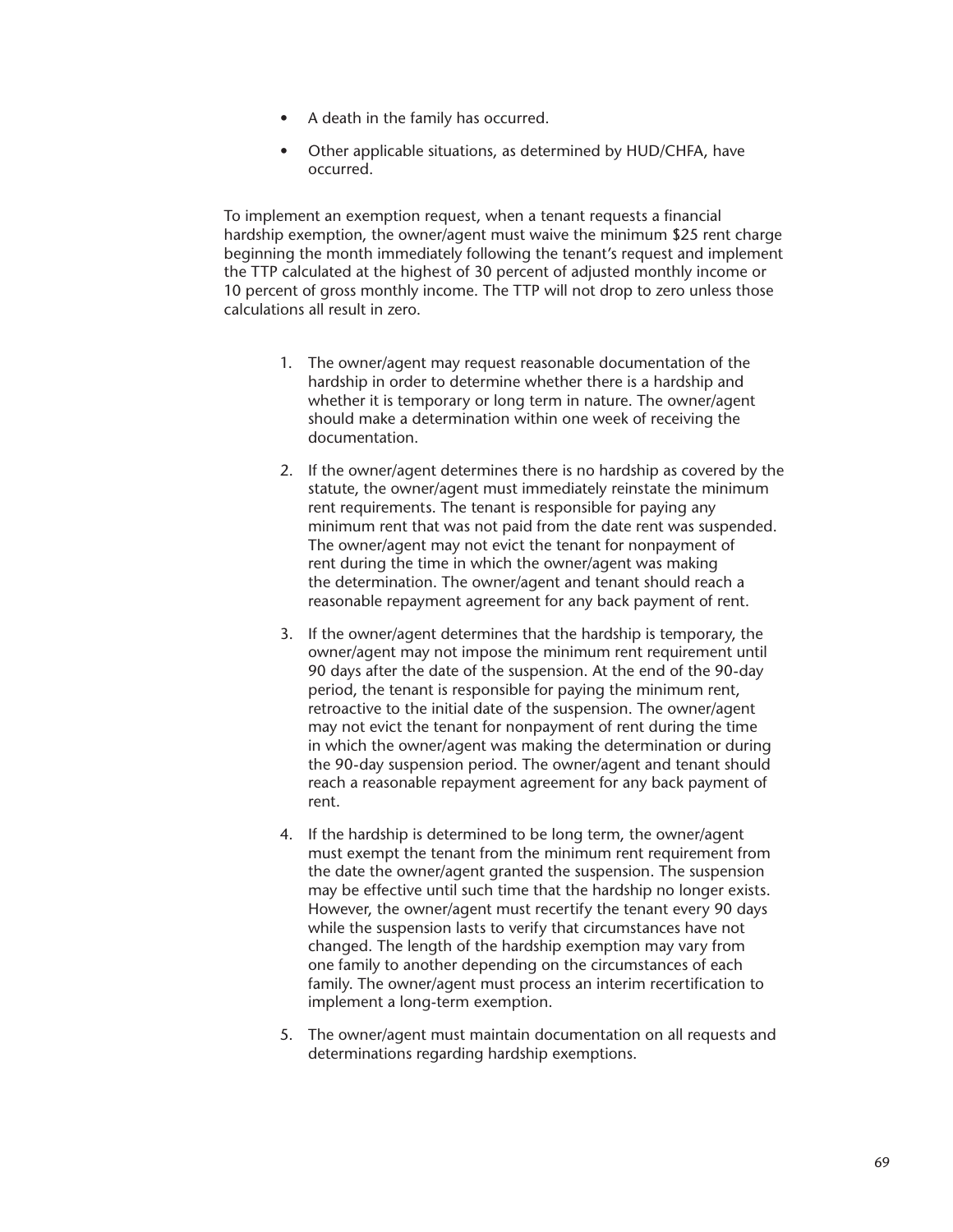- A death in the family has occurred.
- Other applicable situations, as determined by HUD/CHFA, have occurred.

To implement an exemption request, when a tenant requests a financial hardship exemption, the owner/agent must waive the minimum \$25 rent charge beginning the month immediately following the tenant's request and implement the TTP calculated at the highest of 30 percent of adjusted monthly income or 10 percent of gross monthly income. The TTP will not drop to zero unless those calculations all result in zero.

- 1. The owner/agent may request reasonable documentation of the hardship in order to determine whether there is a hardship and whether it is temporary or long term in nature. The owner/agent should make a determination within one week of receiving the documentation.
- 2. If the owner/agent determines there is no hardship as covered by the statute, the owner/agent must immediately reinstate the minimum rent requirements. The tenant is responsible for paying any minimum rent that was not paid from the date rent was suspended. The owner/agent may not evict the tenant for nonpayment of rent during the time in which the owner/agent was making the determination. The owner/agent and tenant should reach a reasonable repayment agreement for any back payment of rent.
- 3. If the owner/agent determines that the hardship is temporary, the owner/agent may not impose the minimum rent requirement until 90 days after the date of the suspension. At the end of the 90-day period, the tenant is responsible for paying the minimum rent, retroactive to the initial date of the suspension. The owner/agent may not evict the tenant for nonpayment of rent during the time in which the owner/agent was making the determination or during the 90-day suspension period. The owner/agent and tenant should reach a reasonable repayment agreement for any back payment of rent.
- 4. If the hardship is determined to be long term, the owner/agent must exempt the tenant from the minimum rent requirement from the date the owner/agent granted the suspension. The suspension may be effective until such time that the hardship no longer exists. However, the owner/agent must recertify the tenant every 90 days while the suspension lasts to verify that circumstances have not changed. The length of the hardship exemption may vary from one family to another depending on the circumstances of each family. The owner/agent must process an interim recertification to implement a long-term exemption.
- 5. The owner/agent must maintain documentation on all requests and determinations regarding hardship exemptions.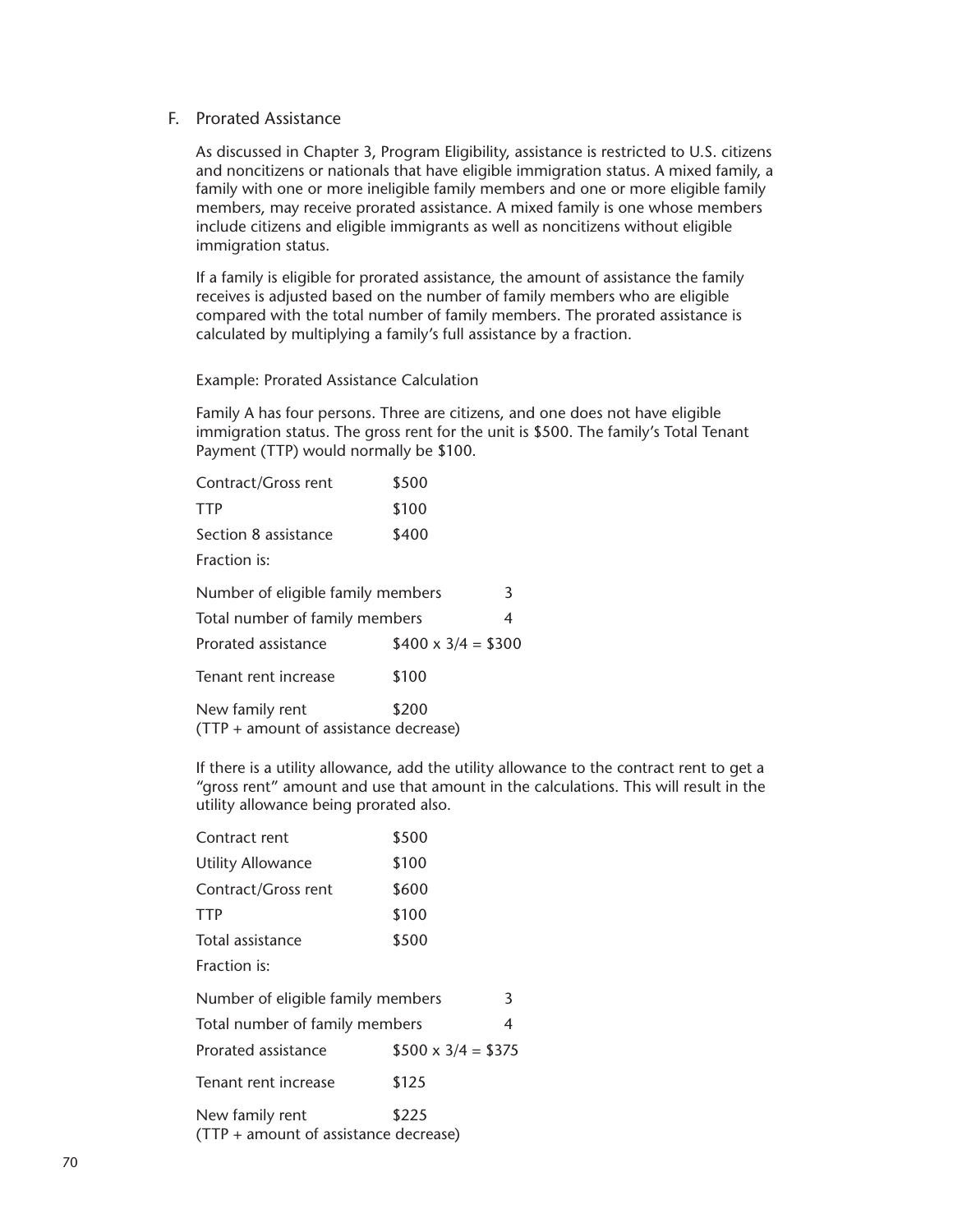#### F. Prorated Assistance

As discussed in Chapter 3, Program Eligibility, assistance is restricted to U.S. citizens and noncitizens or nationals that have eligible immigration status. A mixed family, a family with one or more ineligible family members and one or more eligible family members, may receive prorated assistance. A mixed family is one whose members include citizens and eligible immigrants as well as noncitizens without eligible immigration status.

If a family is eligible for prorated assistance, the amount of assistance the family receives is adjusted based on the number of family members who are eligible compared with the total number of family members. The prorated assistance is calculated by multiplying a family's full assistance by a fraction.

Example: Prorated Assistance Calculation

Family A has four persons. Three are citizens, and one does not have eligible immigration status. The gross rent for the unit is \$500. The family's Total Tenant Payment (TTP) would normally be \$100.

| Contract/Gross rent                                      | \$500                    |   |
|----------------------------------------------------------|--------------------------|---|
| TTP                                                      | \$100                    |   |
| Section 8 assistance                                     | \$400                    |   |
| Fraction is:                                             |                          |   |
| Number of eligible family members                        |                          | 3 |
| Total number of family members                           |                          | 4 |
| Prorated assistance                                      | $$400 \times 3/4 = $300$ |   |
| Tenant rent increase                                     | \$100                    |   |
| New family rent<br>(TTP + amount of assistance decrease) | \$200                    |   |

If there is a utility allowance, add the utility allowance to the contract rent to get a "gross rent" amount and use that amount in the calculations. This will result in the utility allowance being prorated also.

| Contract rent                                            | \$500                    |   |
|----------------------------------------------------------|--------------------------|---|
| <b>Utility Allowance</b>                                 | \$100                    |   |
| Contract/Gross rent                                      | \$600                    |   |
| <b>TTP</b>                                               | \$100                    |   |
| Total assistance                                         | \$500                    |   |
| Fraction is:                                             |                          |   |
| Number of eligible family members                        |                          | 3 |
| Total number of family members                           |                          | 4 |
| Prorated assistance                                      | $$500 \times 3/4 = $375$ |   |
| Tenant rent increase                                     | \$125                    |   |
| New family rent<br>(TTP + amount of assistance decrease) | \$225                    |   |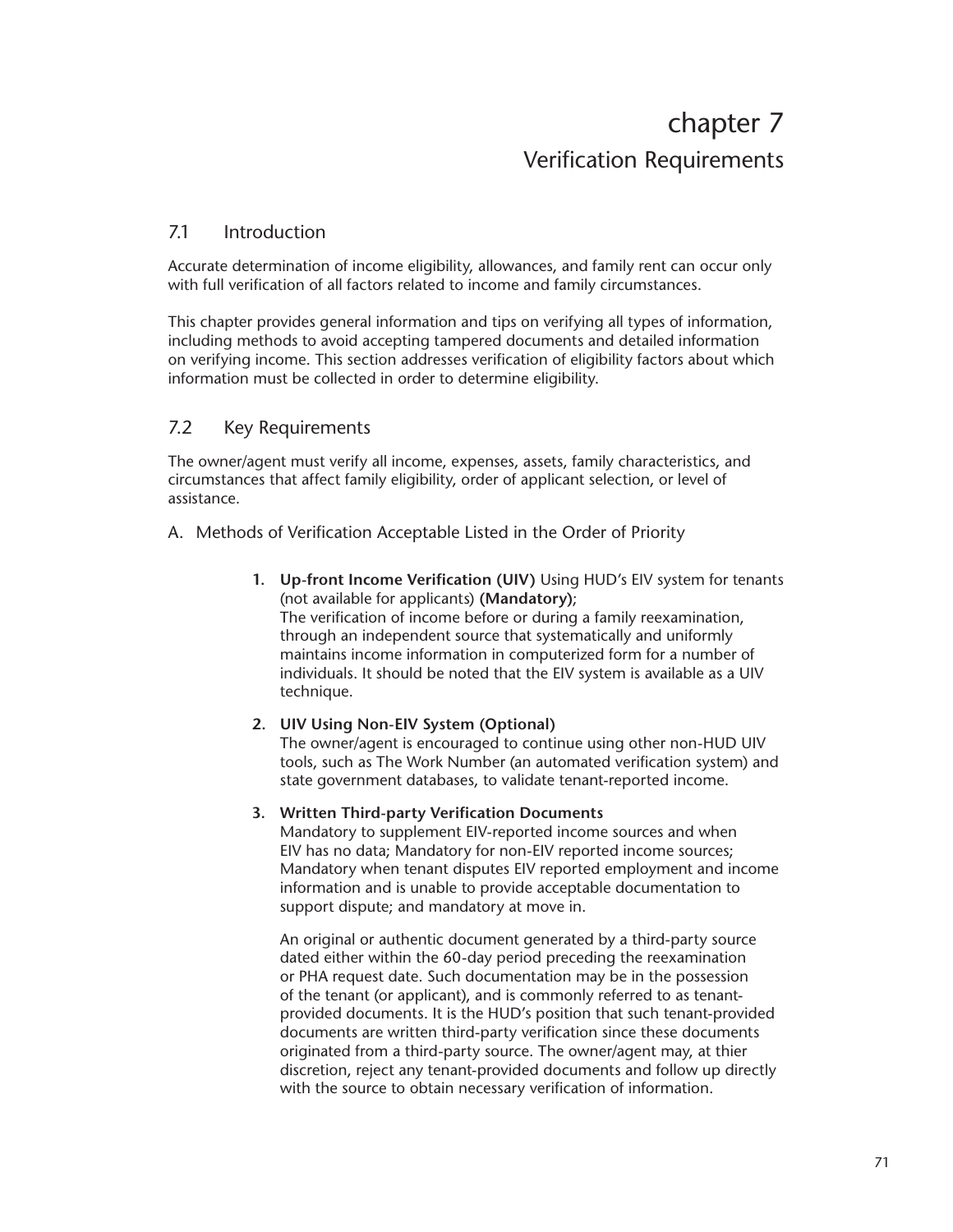# chapter 7 Verification Requirements

# 7.1 Introduction

Accurate determination of income eligibility, allowances, and family rent can occur only with full verification of all factors related to income and family circumstances.

This chapter provides general information and tips on verifying all types of information, including methods to avoid accepting tampered documents and detailed information on verifying income. This section addresses verification of eligibility factors about which information must be collected in order to determine eligibility.

# 7.2 Key Requirements

The owner/agent must verify all income, expenses, assets, family characteristics, and circumstances that affect family eligibility, order of applicant selection, or level of assistance.

## A. Methods of Verification Acceptable Listed in the Order of Priority

**1. Up-front Income Verification (UIV)** Using HUD's EIV system for tenants (not available for applicants) **(Mandatory)**; The verification of income before or during a family reexamination, through an independent source that systematically and uniformly maintains income information in computerized form for a number of individuals. It should be noted that the EIV system is available as a UIV technique.

## **2. UIV Using Non-EIV System (Optional)**

The owner/agent is encouraged to continue using other non-HUD UIV tools, such as The Work Number (an automated verification system) and state government databases, to validate tenant-reported income.

## **3. Written Third-party Verification Documents**

Mandatory to supplement EIV-reported income sources and when EIV has no data; Mandatory for non-EIV reported income sources; Mandatory when tenant disputes EIV reported employment and income information and is unable to provide acceptable documentation to support dispute; and mandatory at move in.

An original or authentic document generated by a third-party source dated either within the 60-day period preceding the reexamination or PHA request date. Such documentation may be in the possession of the tenant (or applicant), and is commonly referred to as tenantprovided documents. It is the HUD's position that such tenant-provided documents are written third-party verification since these documents originated from a third-party source. The owner/agent may, at thier discretion, reject any tenant-provided documents and follow up directly with the source to obtain necessary verification of information.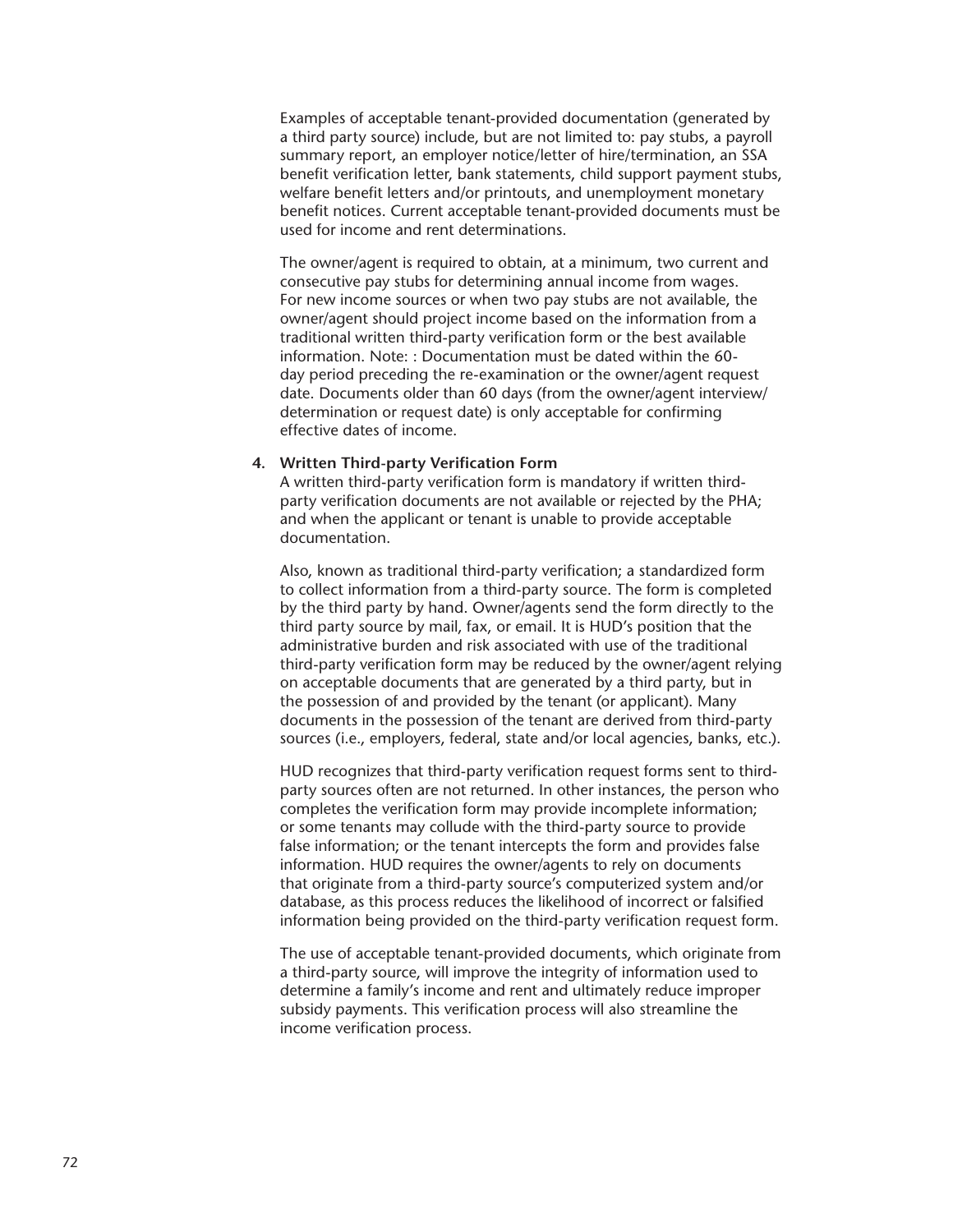Examples of acceptable tenant-provided documentation (generated by a third party source) include, but are not limited to: pay stubs, a payroll summary report, an employer notice/letter of hire/termination, an SSA benefit verification letter, bank statements, child support payment stubs, welfare benefit letters and/or printouts, and unemployment monetary benefit notices. Current acceptable tenant-provided documents must be used for income and rent determinations.

The owner/agent is required to obtain, at a minimum, two current and consecutive pay stubs for determining annual income from wages. For new income sources or when two pay stubs are not available, the owner/agent should project income based on the information from a traditional written third-party verification form or the best available information. Note: : Documentation must be dated within the 60 day period preceding the re-examination or the owner/agent request date. Documents older than 60 days (from the owner/agent interview/ determination or request date) is only acceptable for confirming effective dates of income.

#### **4. Written Third-party Verification Form**

A written third-party verification form is mandatory if written thirdparty verification documents are not available or rejected by the PHA; and when the applicant or tenant is unable to provide acceptable documentation.

Also, known as traditional third-party verification; a standardized form to collect information from a third-party source. The form is completed by the third party by hand. Owner/agents send the form directly to the third party source by mail, fax, or email. It is HUD's position that the administrative burden and risk associated with use of the traditional third-party verification form may be reduced by the owner/agent relying on acceptable documents that are generated by a third party, but in the possession of and provided by the tenant (or applicant). Many documents in the possession of the tenant are derived from third-party sources (i.e., employers, federal, state and/or local agencies, banks, etc.).

HUD recognizes that third-party verification request forms sent to thirdparty sources often are not returned. In other instances, the person who completes the verification form may provide incomplete information; or some tenants may collude with the third-party source to provide false information; or the tenant intercepts the form and provides false information. HUD requires the owner/agents to rely on documents that originate from a third-party source's computerized system and/or database, as this process reduces the likelihood of incorrect or falsified information being provided on the third-party verification request form.

The use of acceptable tenant-provided documents, which originate from a third-party source, will improve the integrity of information used to determine a family's income and rent and ultimately reduce improper subsidy payments. This verification process will also streamline the income verification process.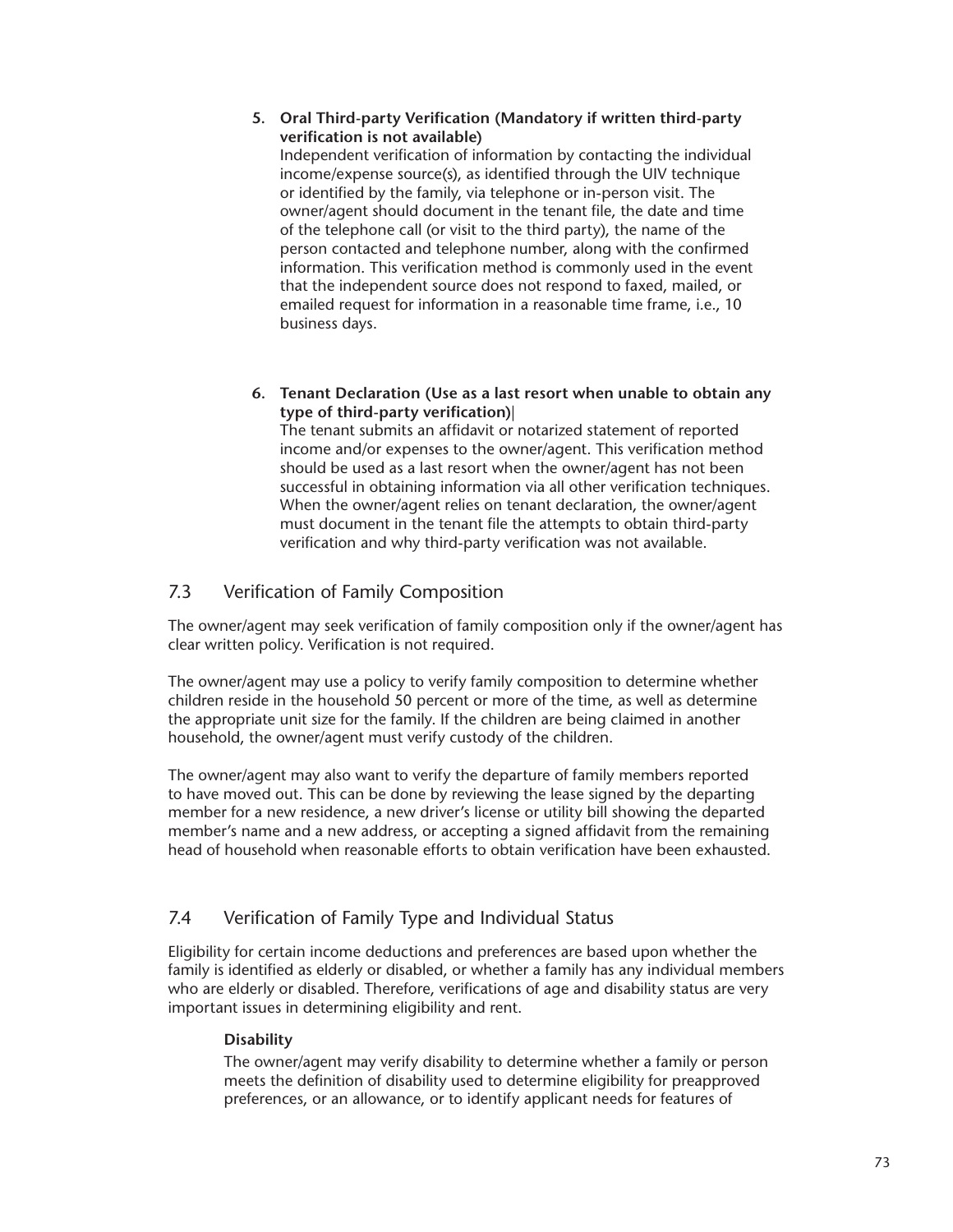#### **5. Oral Third-party Verification (Mandatory if written third-party verification is not available)**

Independent verification of information by contacting the individual income/expense source(s), as identified through the UIV technique or identified by the family, via telephone or in-person visit. The owner/agent should document in the tenant file, the date and time of the telephone call (or visit to the third party), the name of the person contacted and telephone number, along with the confirmed information. This verification method is commonly used in the event that the independent source does not respond to faxed, mailed, or emailed request for information in a reasonable time frame, i.e., 10 business days.

**6. Tenant Declaration (Use as a last resort when unable to obtain any type of third-party verification)**|

The tenant submits an affidavit or notarized statement of reported income and/or expenses to the owner/agent. This verification method should be used as a last resort when the owner/agent has not been successful in obtaining information via all other verification techniques. When the owner/agent relies on tenant declaration, the owner/agent must document in the tenant file the attempts to obtain third-party verification and why third-party verification was not available.

# 7.3 Verification of Family Composition

The owner/agent may seek verification of family composition only if the owner/agent has clear written policy. Verification is not required.

The owner/agent may use a policy to verify family composition to determine whether children reside in the household 50 percent or more of the time, as well as determine the appropriate unit size for the family. If the children are being claimed in another household, the owner/agent must verify custody of the children.

The owner/agent may also want to verify the departure of family members reported to have moved out. This can be done by reviewing the lease signed by the departing member for a new residence, a new driver's license or utility bill showing the departed member's name and a new address, or accepting a signed affidavit from the remaining head of household when reasonable efforts to obtain verification have been exhausted.

# 7.4 Verification of Family Type and Individual Status

Eligibility for certain income deductions and preferences are based upon whether the family is identified as elderly or disabled, or whether a family has any individual members who are elderly or disabled. Therefore, verifications of age and disability status are very important issues in determining eligibility and rent.

## **Disability**

The owner/agent may verify disability to determine whether a family or person meets the definition of disability used to determine eligibility for preapproved preferences, or an allowance, or to identify applicant needs for features of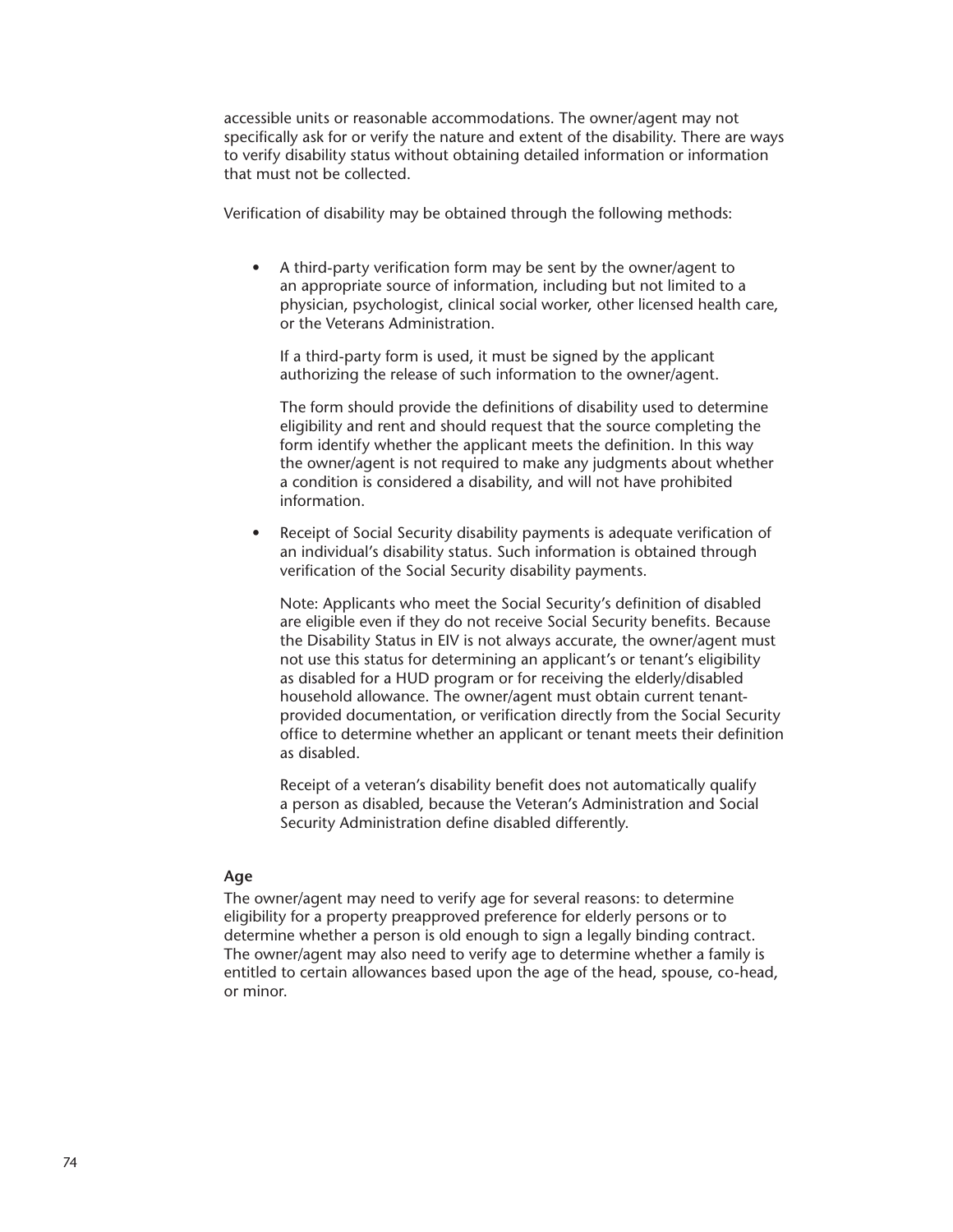accessible units or reasonable accommodations. The owner/agent may not specifically ask for or verify the nature and extent of the disability. There are ways to verify disability status without obtaining detailed information or information that must not be collected.

Verification of disability may be obtained through the following methods:

• A third-party verification form may be sent by the owner/agent to an appropriate source of information, including but not limited to a physician, psychologist, clinical social worker, other licensed health care, or the Veterans Administration.

If a third-party form is used, it must be signed by the applicant authorizing the release of such information to the owner/agent.

The form should provide the definitions of disability used to determine eligibility and rent and should request that the source completing the form identify whether the applicant meets the definition. In this way the owner/agent is not required to make any judgments about whether a condition is considered a disability, and will not have prohibited information.

Receipt of Social Security disability payments is adequate verification of an individual's disability status. Such information is obtained through verification of the Social Security disability payments.

Note: Applicants who meet the Social Security's definition of disabled are eligible even if they do not receive Social Security benefits. Because the Disability Status in EIV is not always accurate, the owner/agent must not use this status for determining an applicant's or tenant's eligibility as disabled for a HUD program or for receiving the elderly/disabled household allowance. The owner/agent must obtain current tenantprovided documentation, or verification directly from the Social Security office to determine whether an applicant or tenant meets their definition as disabled.

Receipt of a veteran's disability benefit does not automatically qualify a person as disabled, because the Veteran's Administration and Social Security Administration define disabled differently.

#### **Age**

The owner/agent may need to verify age for several reasons: to determine eligibility for a property preapproved preference for elderly persons or to determine whether a person is old enough to sign a legally binding contract. The owner/agent may also need to verify age to determine whether a family is entitled to certain allowances based upon the age of the head, spouse, co-head, or minor.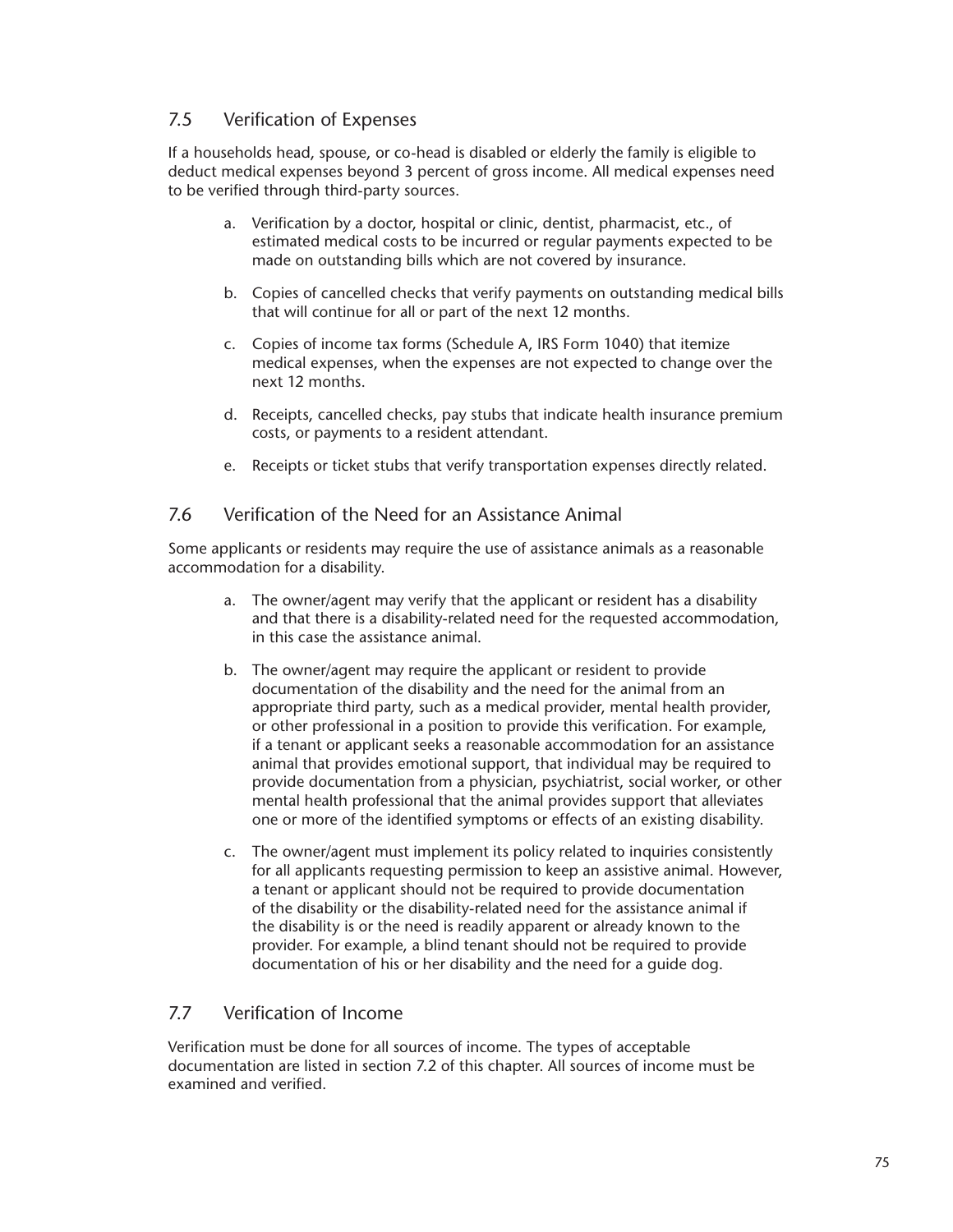# 7.5 Verification of Expenses

If a households head, spouse, or co-head is disabled or elderly the family is eligible to deduct medical expenses beyond 3 percent of gross income. All medical expenses need to be verified through third-party sources.

- a. Verification by a doctor, hospital or clinic, dentist, pharmacist, etc., of estimated medical costs to be incurred or regular payments expected to be made on outstanding bills which are not covered by insurance.
- b. Copies of cancelled checks that verify payments on outstanding medical bills that will continue for all or part of the next 12 months.
- c. Copies of income tax forms (Schedule A, IRS Form 1040) that itemize medical expenses, when the expenses are not expected to change over the next 12 months.
- d. Receipts, cancelled checks, pay stubs that indicate health insurance premium costs, or payments to a resident attendant.
- e. Receipts or ticket stubs that verify transportation expenses directly related.

## 7.6 Verification of the Need for an Assistance Animal

Some applicants or residents may require the use of assistance animals as a reasonable accommodation for a disability.

- a. The owner/agent may verify that the applicant or resident has a disability and that there is a disability-related need for the requested accommodation, in this case the assistance animal.
- b. The owner/agent may require the applicant or resident to provide documentation of the disability and the need for the animal from an appropriate third party, such as a medical provider, mental health provider, or other professional in a position to provide this verification. For example, if a tenant or applicant seeks a reasonable accommodation for an assistance animal that provides emotional support, that individual may be required to provide documentation from a physician, psychiatrist, social worker, or other mental health professional that the animal provides support that alleviates one or more of the identified symptoms or effects of an existing disability.
- c. The owner/agent must implement its policy related to inquiries consistently for all applicants requesting permission to keep an assistive animal. However, a tenant or applicant should not be required to provide documentation of the disability or the disability-related need for the assistance animal if the disability is or the need is readily apparent or already known to the provider. For example, a blind tenant should not be required to provide documentation of his or her disability and the need for a guide dog.

## 7.7 Verification of Income

Verification must be done for all sources of income. The types of acceptable documentation are listed in section 7.2 of this chapter. All sources of income must be examined and verified.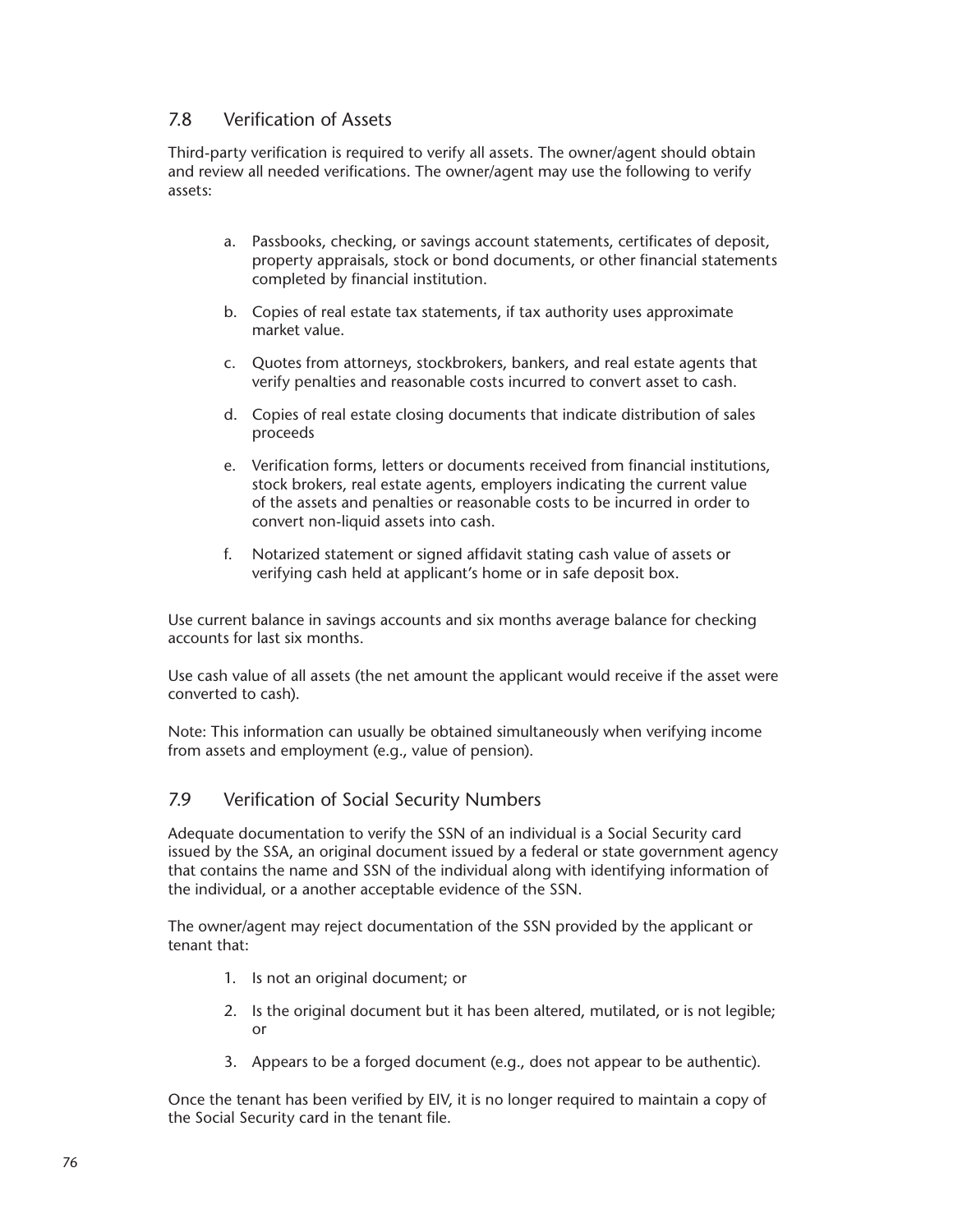## 7.8 Verification of Assets

Third-party verification is required to verify all assets. The owner/agent should obtain and review all needed verifications. The owner/agent may use the following to verify assets:

- a. Passbooks, checking, or savings account statements, certificates of deposit, property appraisals, stock or bond documents, or other financial statements completed by financial institution.
- b. Copies of real estate tax statements, if tax authority uses approximate market value.
- c. Quotes from attorneys, stockbrokers, bankers, and real estate agents that verify penalties and reasonable costs incurred to convert asset to cash.
- d. Copies of real estate closing documents that indicate distribution of sales proceeds
- e. Verification forms, letters or documents received from financial institutions, stock brokers, real estate agents, employers indicating the current value of the assets and penalties or reasonable costs to be incurred in order to convert non-liquid assets into cash.
- f. Notarized statement or signed affidavit stating cash value of assets or verifying cash held at applicant's home or in safe deposit box.

Use current balance in savings accounts and six months average balance for checking accounts for last six months.

Use cash value of all assets (the net amount the applicant would receive if the asset were converted to cash).

Note: This information can usually be obtained simultaneously when verifying income from assets and employment (e.g., value of pension).

## 7.9 Verification of Social Security Numbers

Adequate documentation to verify the SSN of an individual is a Social Security card issued by the SSA, an original document issued by a federal or state government agency that contains the name and SSN of the individual along with identifying information of the individual, or a another acceptable evidence of the SSN.

The owner/agent may reject documentation of the SSN provided by the applicant or tenant that:

- 1. Is not an original document; or
- 2. Is the original document but it has been altered, mutilated, or is not legible; or
- 3. Appears to be a forged document (e.g., does not appear to be authentic).

Once the tenant has been verified by EIV, it is no longer required to maintain a copy of the Social Security card in the tenant file.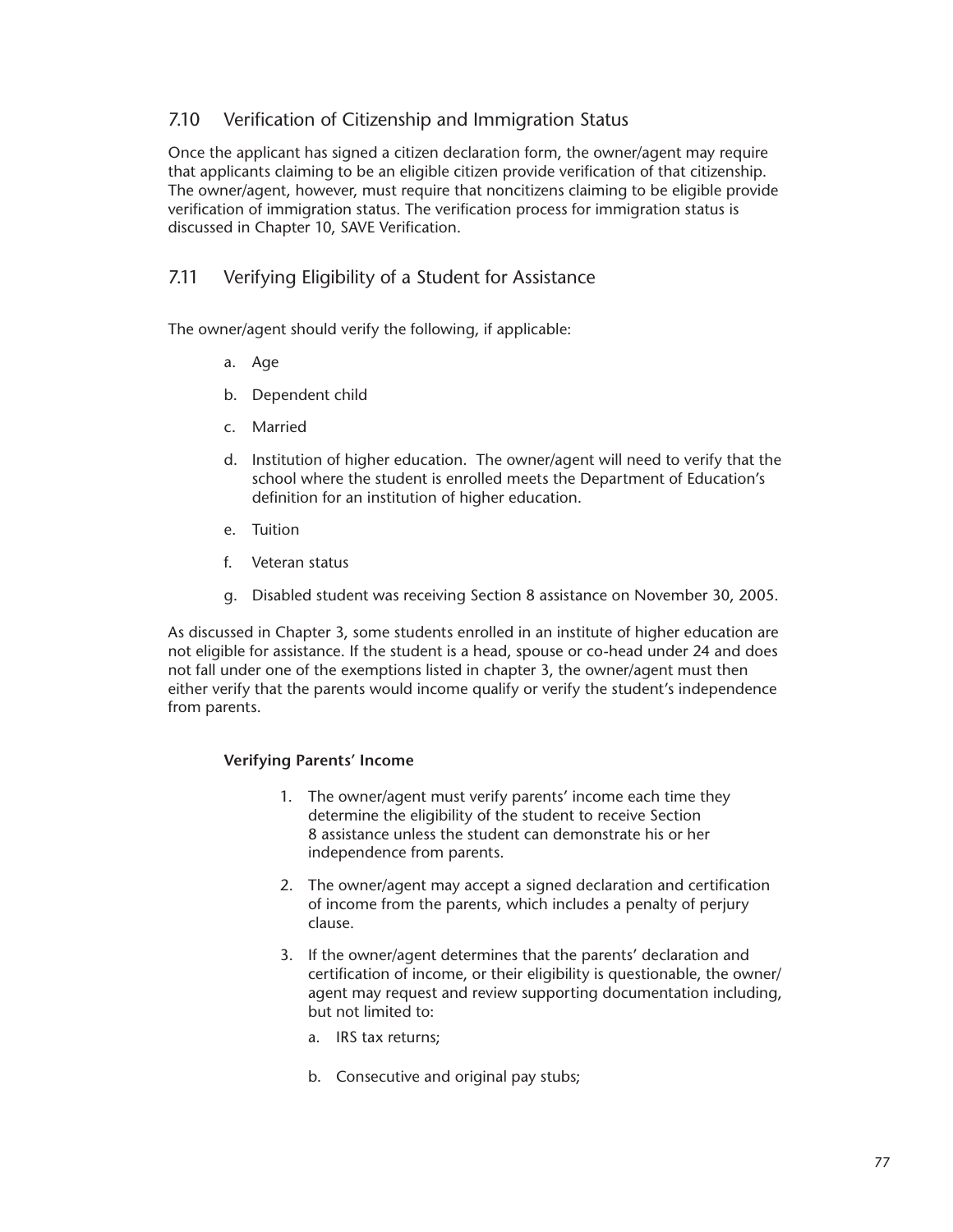# 7.10 Verification of Citizenship and Immigration Status

Once the applicant has signed a citizen declaration form, the owner/agent may require that applicants claiming to be an eligible citizen provide verification of that citizenship. The owner/agent, however, must require that noncitizens claiming to be eligible provide verification of immigration status. The verification process for immigration status is discussed in Chapter 10, SAVE Verification.

# 7.11 Verifying Eligibility of a Student for Assistance

The owner/agent should verify the following, if applicable:

- a. Age
- b. Dependent child
- c. Married
- d. Institution of higher education. The owner/agent will need to verify that the school where the student is enrolled meets the Department of Education's definition for an institution of higher education.
- e. Tuition
- f. Veteran status
- g. Disabled student was receiving Section 8 assistance on November 30, 2005.

As discussed in Chapter 3, some students enrolled in an institute of higher education are not eligible for assistance. If the student is a head, spouse or co-head under 24 and does not fall under one of the exemptions listed in chapter 3, the owner/agent must then either verify that the parents would income qualify or verify the student's independence from parents.

## **Verifying Parents' Income**

- 1. The owner/agent must verify parents' income each time they determine the eligibility of the student to receive Section 8 assistance unless the student can demonstrate his or her independence from parents.
- 2. The owner/agent may accept a signed declaration and certification of income from the parents, which includes a penalty of perjury clause.
- 3. If the owner/agent determines that the parents' declaration and certification of income, or their eligibility is questionable, the owner/ agent may request and review supporting documentation including, but not limited to:
	- a. IRS tax returns;
	- b. Consecutive and original pay stubs;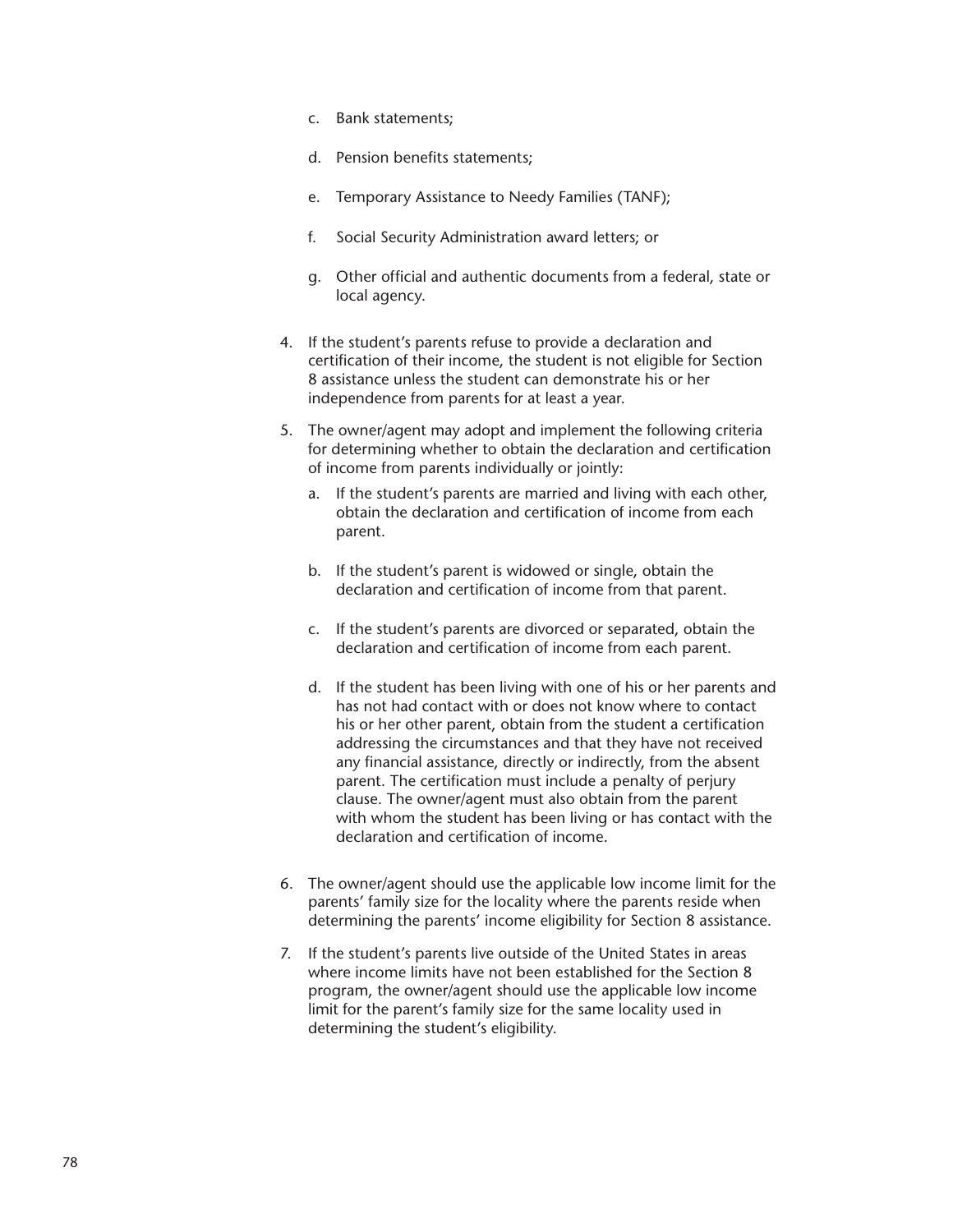- c. Bank statements;
- d. Pension benefits statements;
- e. Temporary Assistance to Needy Families (TANF);
- f. Social Security Administration award letters; or
- g. Other official and authentic documents from a federal, state or local agency.
- 4. If the student's parents refuse to provide a declaration and certification of their income, the student is not eligible for Section 8 assistance unless the student can demonstrate his or her independence from parents for at least a year.
- 5. The owner/agent may adopt and implement the following criteria for determining whether to obtain the declaration and certification of income from parents individually or jointly:
	- a. If the student's parents are married and living with each other, obtain the declaration and certification of income from each parent.
	- b. If the student's parent is widowed or single, obtain the declaration and certification of income from that parent.
	- c. If the student's parents are divorced or separated, obtain the declaration and certification of income from each parent.
	- d. If the student has been living with one of his or her parents and has not had contact with or does not know where to contact his or her other parent, obtain from the student a certification addressing the circumstances and that they have not received any financial assistance, directly or indirectly, from the absent parent. The certification must include a penalty of perjury clause. The owner/agent must also obtain from the parent with whom the student has been living or has contact with the declaration and certification of income.
- 6. The owner/agent should use the applicable low income limit for the parents' family size for the locality where the parents reside when determining the parents' income eligibility for Section 8 assistance.
- 7. If the student's parents live outside of the United States in areas where income limits have not been established for the Section 8 program, the owner/agent should use the applicable low income limit for the parent's family size for the same locality used in determining the student's eligibility.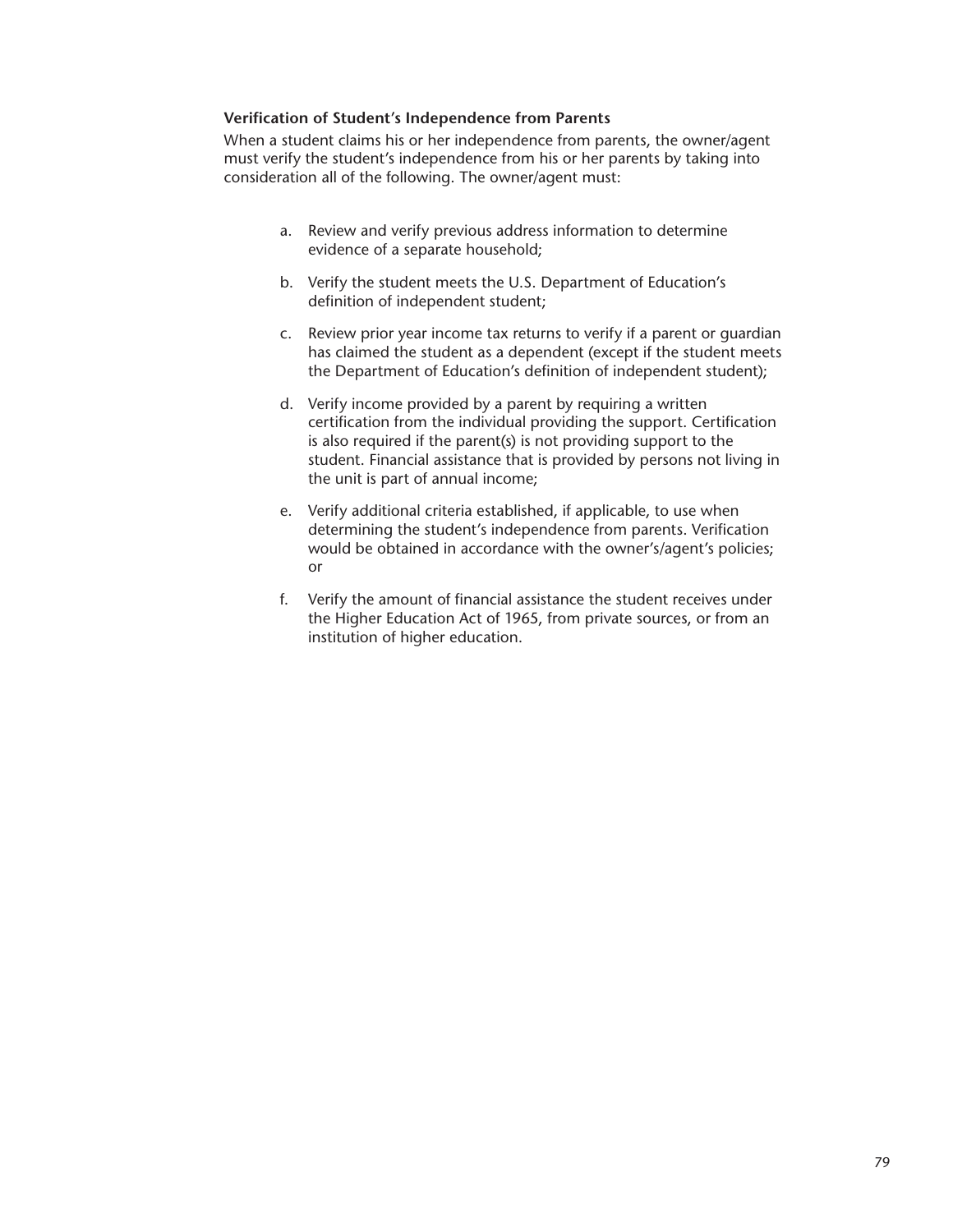#### **Verification of Student's Independence from Parents**

When a student claims his or her independence from parents, the owner/agent must verify the student's independence from his or her parents by taking into consideration all of the following. The owner/agent must:

- a. Review and verify previous address information to determine evidence of a separate household;
- b. Verify the student meets the U.S. Department of Education's definition of independent student;
- c. Review prior year income tax returns to verify if a parent or guardian has claimed the student as a dependent (except if the student meets the Department of Education's definition of independent student);
- d. Verify income provided by a parent by requiring a written certification from the individual providing the support. Certification is also required if the parent(s) is not providing support to the student. Financial assistance that is provided by persons not living in the unit is part of annual income;
- e. Verify additional criteria established, if applicable, to use when determining the student's independence from parents. Verification would be obtained in accordance with the owner's/agent's policies; or
- f. Verify the amount of financial assistance the student receives under the Higher Education Act of 1965, from private sources, or from an institution of higher education.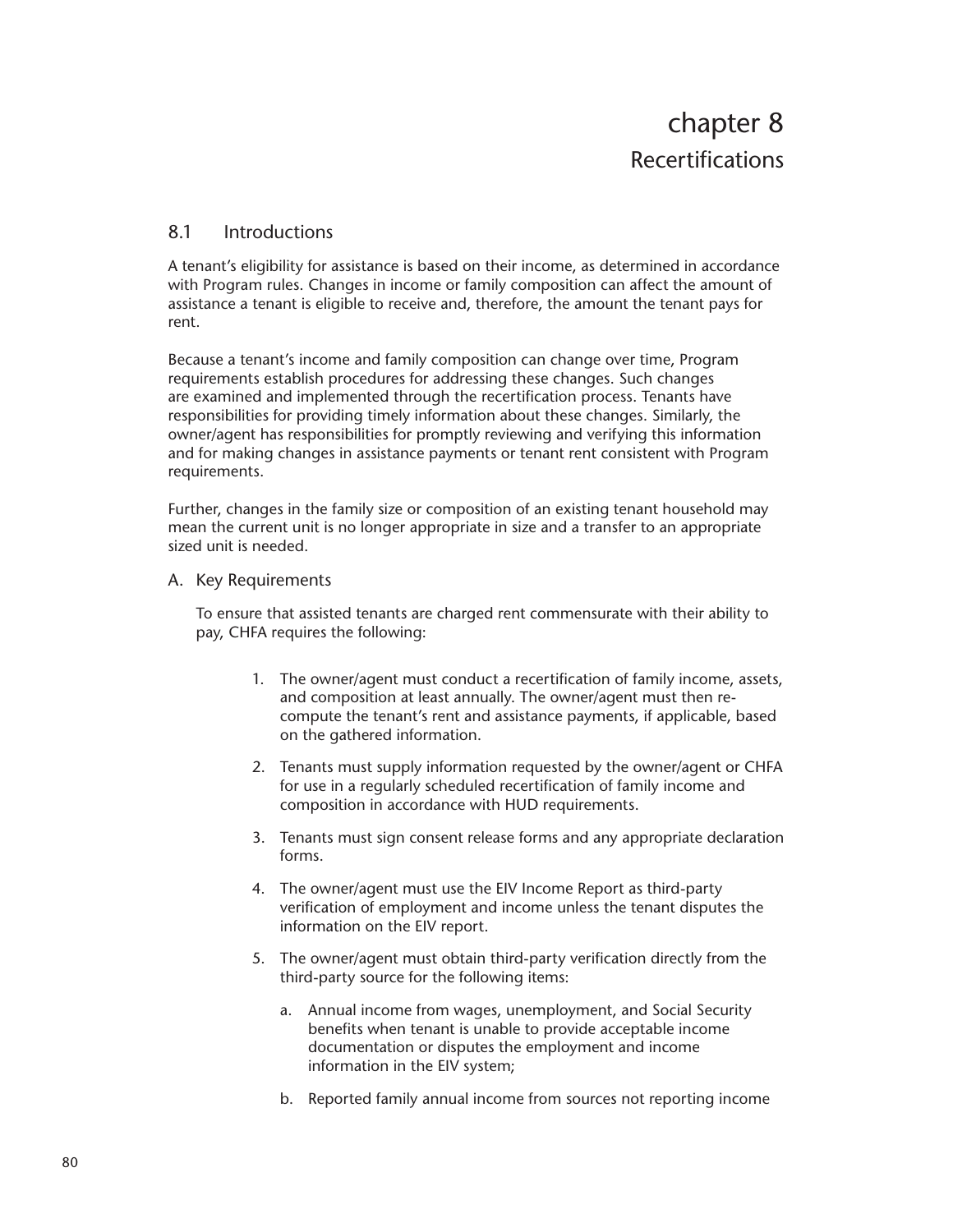## 8.1 Introductions

A tenant's eligibility for assistance is based on their income, as determined in accordance with Program rules. Changes in income or family composition can affect the amount of assistance a tenant is eligible to receive and, therefore, the amount the tenant pays for rent.

Because a tenant's income and family composition can change over time, Program requirements establish procedures for addressing these changes. Such changes are examined and implemented through the recertification process. Tenants have responsibilities for providing timely information about these changes. Similarly, the owner/agent has responsibilities for promptly reviewing and verifying this information and for making changes in assistance payments or tenant rent consistent with Program requirements.

Further, changes in the family size or composition of an existing tenant household may mean the current unit is no longer appropriate in size and a transfer to an appropriate sized unit is needed.

#### A. Key Requirements

To ensure that assisted tenants are charged rent commensurate with their ability to pay, CHFA requires the following:

- 1. The owner/agent must conduct a recertification of family income, assets, and composition at least annually. The owner/agent must then recompute the tenant's rent and assistance payments, if applicable, based on the gathered information.
- 2. Tenants must supply information requested by the owner/agent or CHFA for use in a regularly scheduled recertification of family income and composition in accordance with HUD requirements.
- 3. Tenants must sign consent release forms and any appropriate declaration forms.
- 4. The owner/agent must use the EIV Income Report as third-party verification of employment and income unless the tenant disputes the information on the EIV report.
- 5. The owner/agent must obtain third-party verification directly from the third-party source for the following items:
	- a. Annual income from wages, unemployment, and Social Security benefits when tenant is unable to provide acceptable income documentation or disputes the employment and income information in the EIV system;
	- b. Reported family annual income from sources not reporting income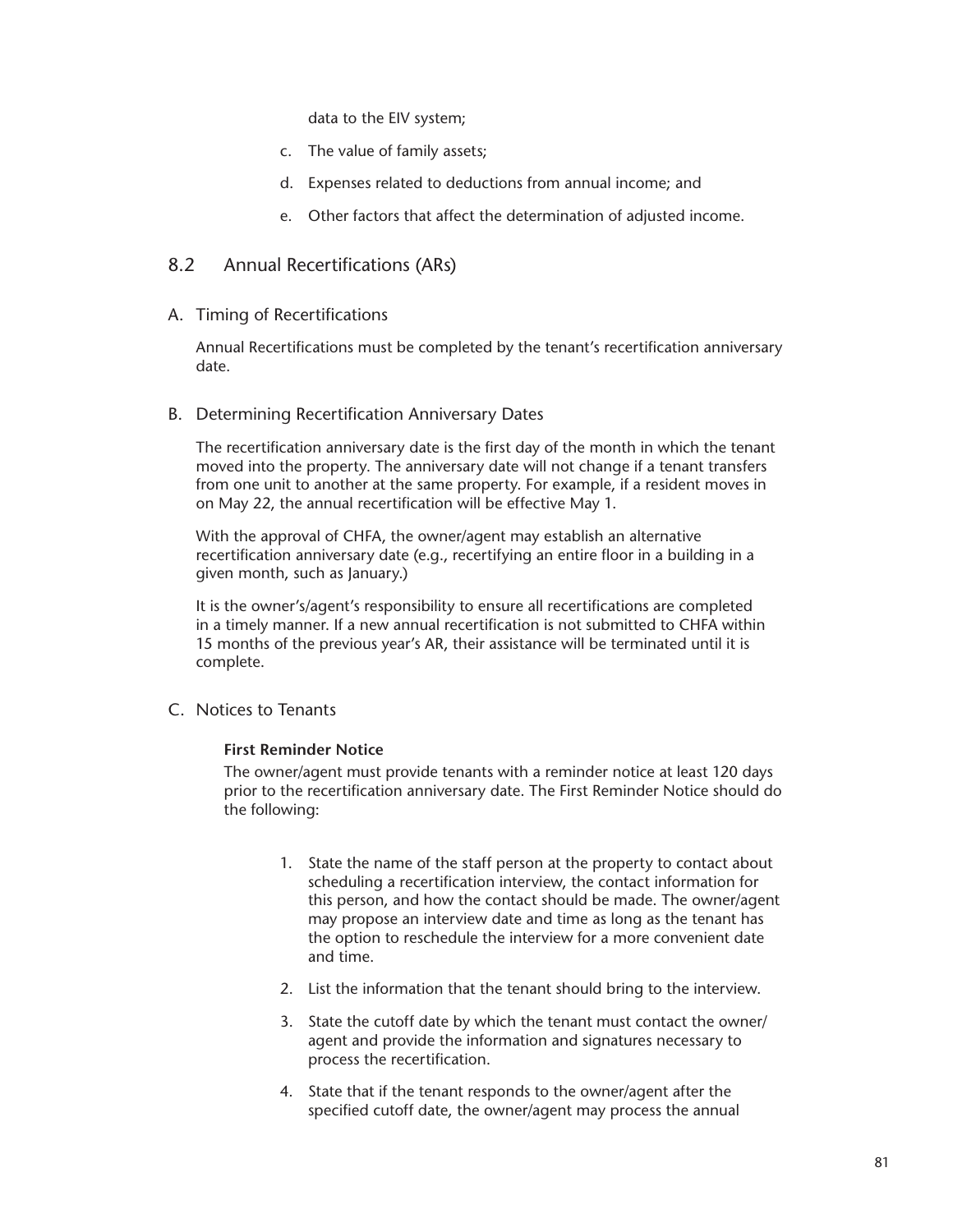data to the EIV system;

- c. The value of family assets;
- d. Expenses related to deductions from annual income; and
- e. Other factors that affect the determination of adjusted income.

## 8.2 Annual Recertifications (ARs)

#### A. Timing of Recertifications

Annual Recertifications must be completed by the tenant's recertification anniversary date.

#### B. Determining Recertification Anniversary Dates

The recertification anniversary date is the first day of the month in which the tenant moved into the property. The anniversary date will not change if a tenant transfers from one unit to another at the same property. For example, if a resident moves in on May 22, the annual recertification will be effective May 1.

With the approval of CHFA, the owner/agent may establish an alternative recertification anniversary date (e.g., recertifying an entire floor in a building in a given month, such as January.)

It is the owner's/agent's responsibility to ensure all recertifications are completed in a timely manner. If a new annual recertification is not submitted to CHFA within 15 months of the previous year's AR, their assistance will be terminated until it is complete.

C. Notices to Tenants

## **First Reminder Notice**

The owner/agent must provide tenants with a reminder notice at least 120 days prior to the recertification anniversary date. The First Reminder Notice should do the following:

- 1. State the name of the staff person at the property to contact about scheduling a recertification interview, the contact information for this person, and how the contact should be made. The owner/agent may propose an interview date and time as long as the tenant has the option to reschedule the interview for a more convenient date and time.
- 2. List the information that the tenant should bring to the interview.
- 3. State the cutoff date by which the tenant must contact the owner/ agent and provide the information and signatures necessary to process the recertification.
- 4. State that if the tenant responds to the owner/agent after the specified cutoff date, the owner/agent may process the annual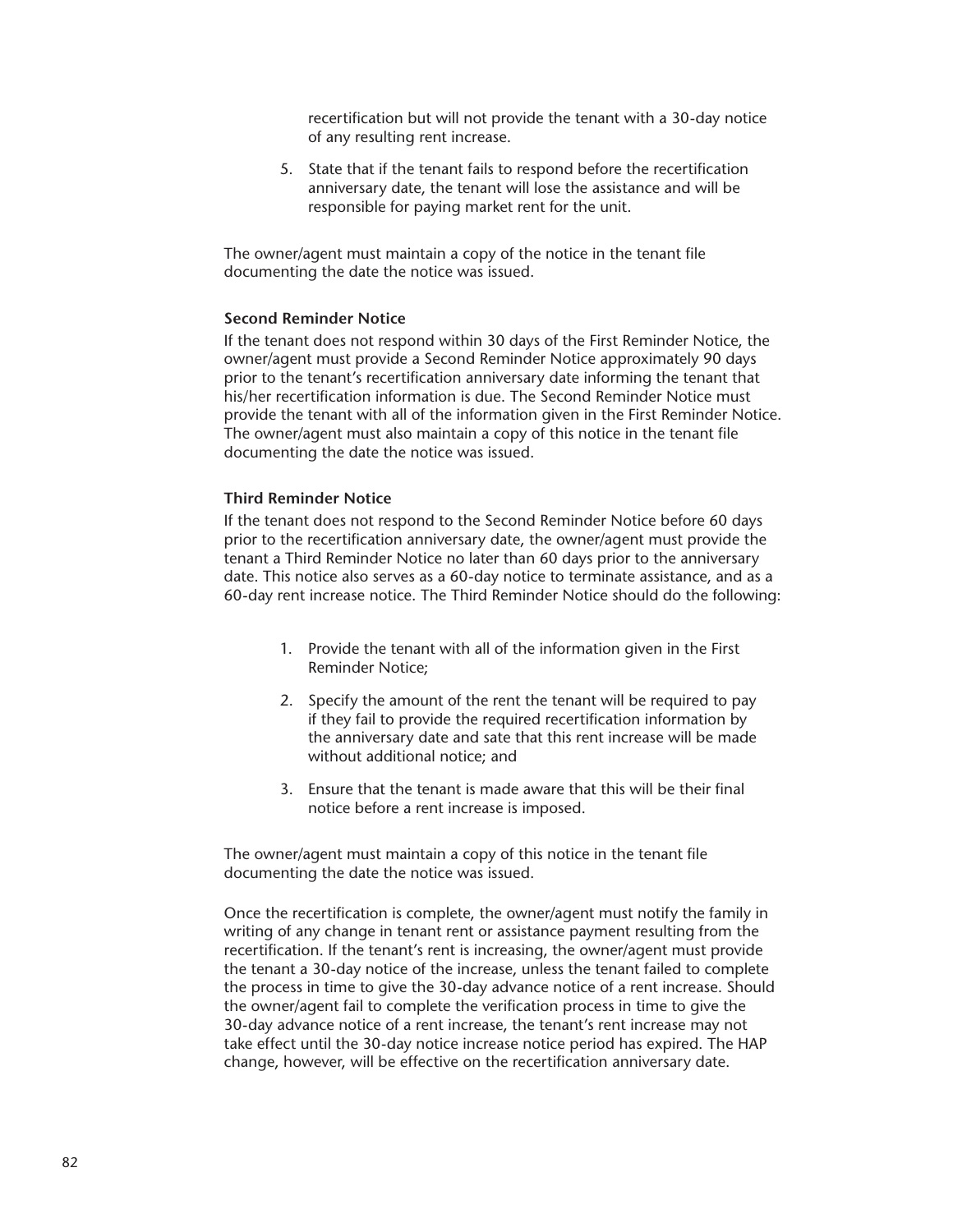recertification but will not provide the tenant with a 30-day notice of any resulting rent increase.

5. State that if the tenant fails to respond before the recertification anniversary date, the tenant will lose the assistance and will be responsible for paying market rent for the unit.

The owner/agent must maintain a copy of the notice in the tenant file documenting the date the notice was issued.

#### **Second Reminder Notice**

If the tenant does not respond within 30 days of the First Reminder Notice, the owner/agent must provide a Second Reminder Notice approximately 90 days prior to the tenant's recertification anniversary date informing the tenant that his/her recertification information is due. The Second Reminder Notice must provide the tenant with all of the information given in the First Reminder Notice. The owner/agent must also maintain a copy of this notice in the tenant file documenting the date the notice was issued.

#### **Third Reminder Notice**

If the tenant does not respond to the Second Reminder Notice before 60 days prior to the recertification anniversary date, the owner/agent must provide the tenant a Third Reminder Notice no later than 60 days prior to the anniversary date. This notice also serves as a 60-day notice to terminate assistance, and as a 60-day rent increase notice. The Third Reminder Notice should do the following:

- 1. Provide the tenant with all of the information given in the First Reminder Notice;
- 2. Specify the amount of the rent the tenant will be required to pay if they fail to provide the required recertification information by the anniversary date and sate that this rent increase will be made without additional notice; and
- 3. Ensure that the tenant is made aware that this will be their final notice before a rent increase is imposed.

The owner/agent must maintain a copy of this notice in the tenant file documenting the date the notice was issued.

Once the recertification is complete, the owner/agent must notify the family in writing of any change in tenant rent or assistance payment resulting from the recertification. If the tenant's rent is increasing, the owner/agent must provide the tenant a 30-day notice of the increase, unless the tenant failed to complete the process in time to give the 30-day advance notice of a rent increase. Should the owner/agent fail to complete the verification process in time to give the 30-day advance notice of a rent increase, the tenant's rent increase may not take effect until the 30-day notice increase notice period has expired. The HAP change, however, will be effective on the recertification anniversary date.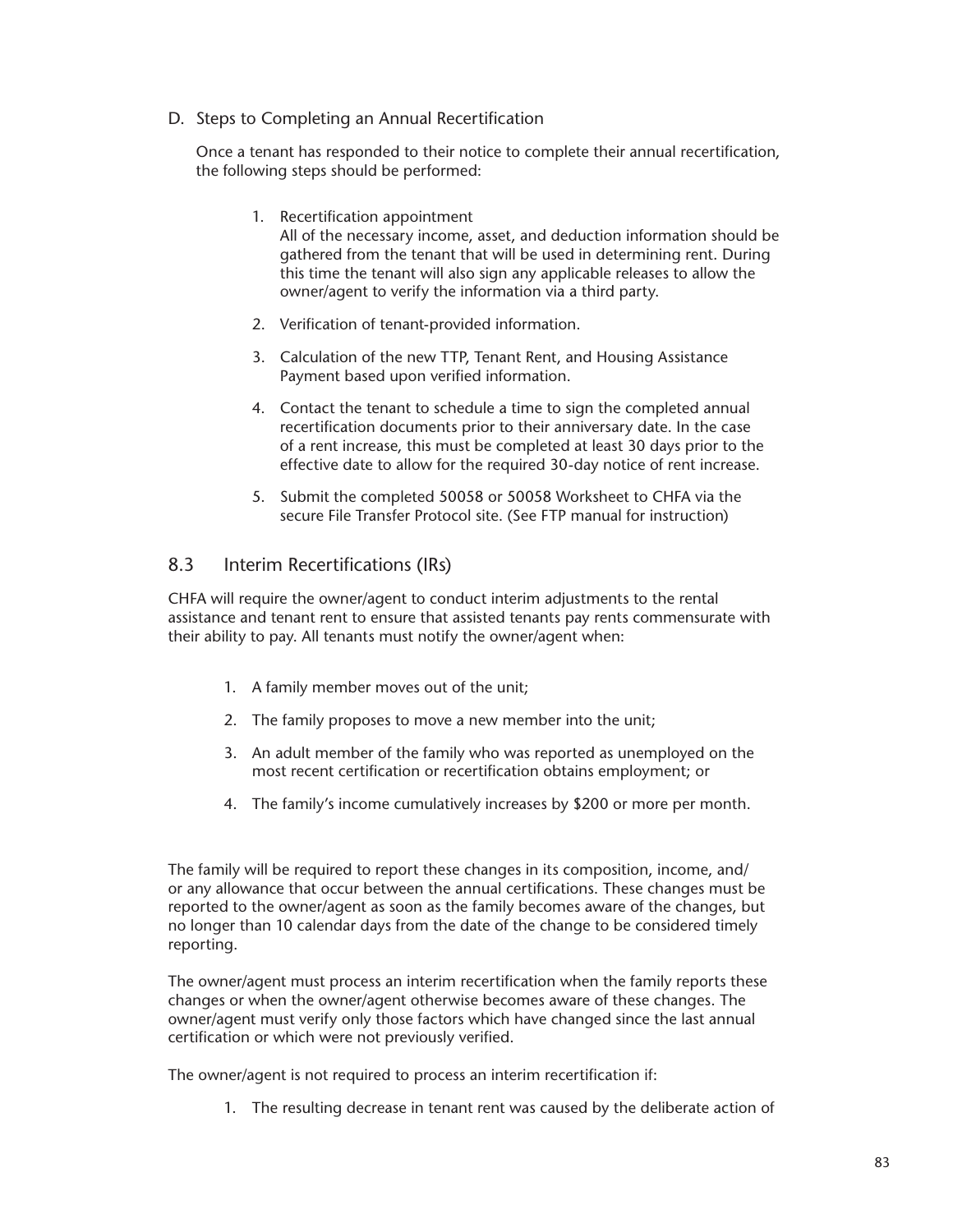D. Steps to Completing an Annual Recertification

Once a tenant has responded to their notice to complete their annual recertification, the following steps should be performed:

- 1. Recertification appointment All of the necessary income, asset, and deduction information should be gathered from the tenant that will be used in determining rent. During this time the tenant will also sign any applicable releases to allow the owner/agent to verify the information via a third party.
- 2. Verification of tenant-provided information.
- 3. Calculation of the new TTP, Tenant Rent, and Housing Assistance Payment based upon verified information.
- 4. Contact the tenant to schedule a time to sign the completed annual recertification documents prior to their anniversary date. In the case of a rent increase, this must be completed at least 30 days prior to the effective date to allow for the required 30-day notice of rent increase.
- 5. Submit the completed 50058 or 50058 Worksheet to CHFA via the secure File Transfer Protocol site. (See FTP manual for instruction)

## 8.3 Interim Recertifications (IRs)

CHFA will require the owner/agent to conduct interim adjustments to the rental assistance and tenant rent to ensure that assisted tenants pay rents commensurate with their ability to pay. All tenants must notify the owner/agent when:

- 1. A family member moves out of the unit;
- 2. The family proposes to move a new member into the unit;
- 3. An adult member of the family who was reported as unemployed on the most recent certification or recertification obtains employment; or
- 4. The family's income cumulatively increases by \$200 or more per month.

The family will be required to report these changes in its composition, income, and/ or any allowance that occur between the annual certifications. These changes must be reported to the owner/agent as soon as the family becomes aware of the changes, but no longer than 10 calendar days from the date of the change to be considered timely reporting.

The owner/agent must process an interim recertification when the family reports these changes or when the owner/agent otherwise becomes aware of these changes. The owner/agent must verify only those factors which have changed since the last annual certification or which were not previously verified.

The owner/agent is not required to process an interim recertification if:

1. The resulting decrease in tenant rent was caused by the deliberate action of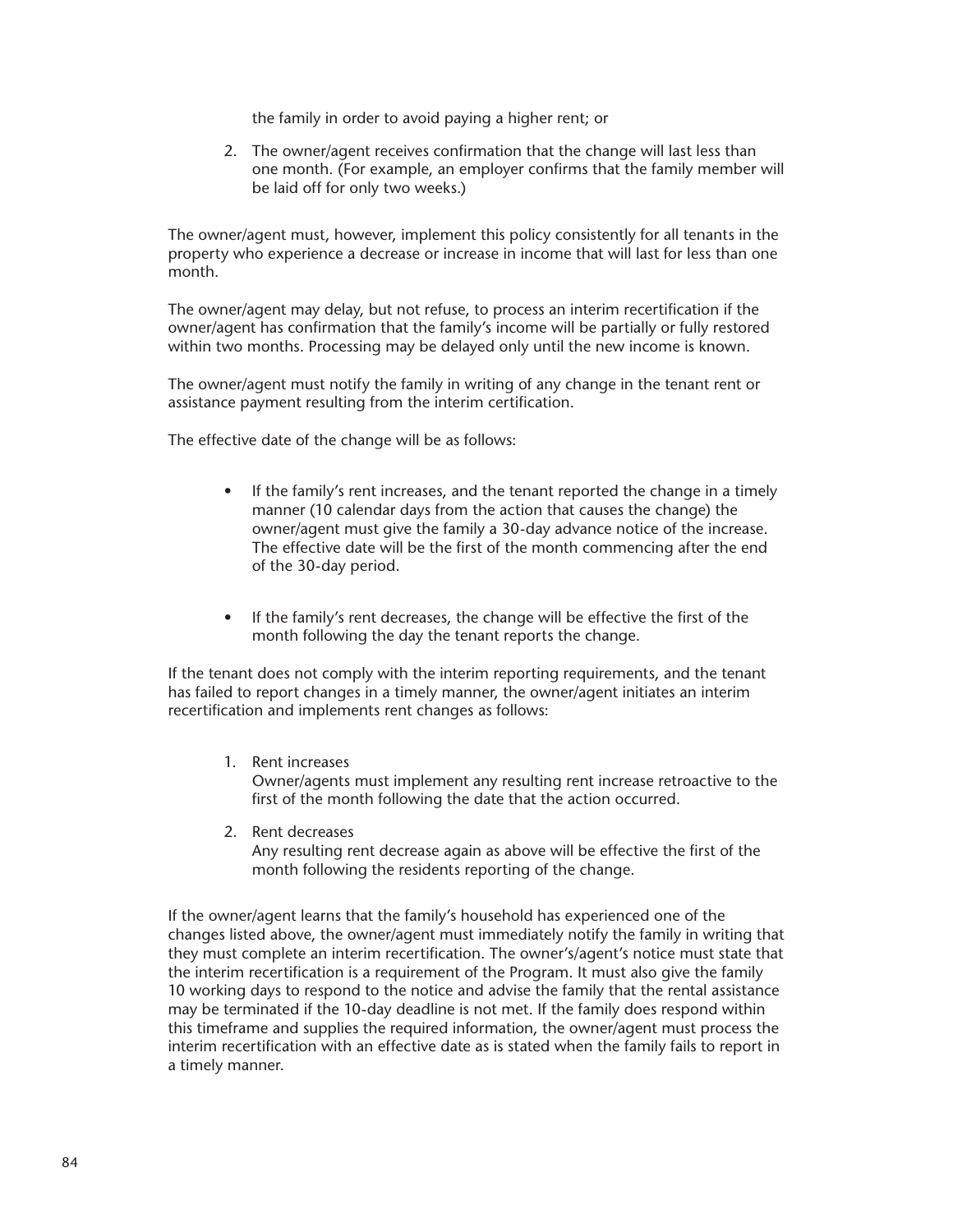the family in order to avoid paying a higher rent; or

2. The owner/agent receives confirmation that the change will last less than one month. (For example, an employer confirms that the family member will be laid off for only two weeks.)

The owner/agent must, however, implement this policy consistently for all tenants in the property who experience a decrease or increase in income that will last for less than one month.

The owner/agent may delay, but not refuse, to process an interim recertification if the owner/agent has confirmation that the family's income will be partially or fully restored within two months. Processing may be delayed only until the new income is known.

The owner/agent must notify the family in writing of any change in the tenant rent or assistance payment resulting from the interim certification.

The effective date of the change will be as follows:

- If the family's rent increases, and the tenant reported the change in a timely manner (10 calendar days from the action that causes the change) the owner/agent must give the family a 30-day advance notice of the increase. The effective date will be the first of the month commencing after the end of the 30-day period.
- If the family's rent decreases, the change will be effective the first of the month following the day the tenant reports the change.

If the tenant does not comply with the interim reporting requirements, and the tenant has failed to report changes in a timely manner, the owner/agent initiates an interim recertification and implements rent changes as follows:

1. Rent increases

Owner/agents must implement any resulting rent increase retroactive to the first of the month following the date that the action occurred.

2. Rent decreases Any resulting rent decrease again as above will be effective the first of the month following the residents reporting of the change.

If the owner/agent learns that the family's household has experienced one of the changes listed above, the owner/agent must immediately notify the family in writing that they must complete an interim recertification. The owner's/agent's notice must state that the interim recertification is a requirement of the Program. It must also give the family 10 working days to respond to the notice and advise the family that the rental assistance may be terminated if the 10-day deadline is not met. If the family does respond within this timeframe and supplies the required information, the owner/agent must process the interim recertification with an effective date as is stated when the family fails to report in a timely manner.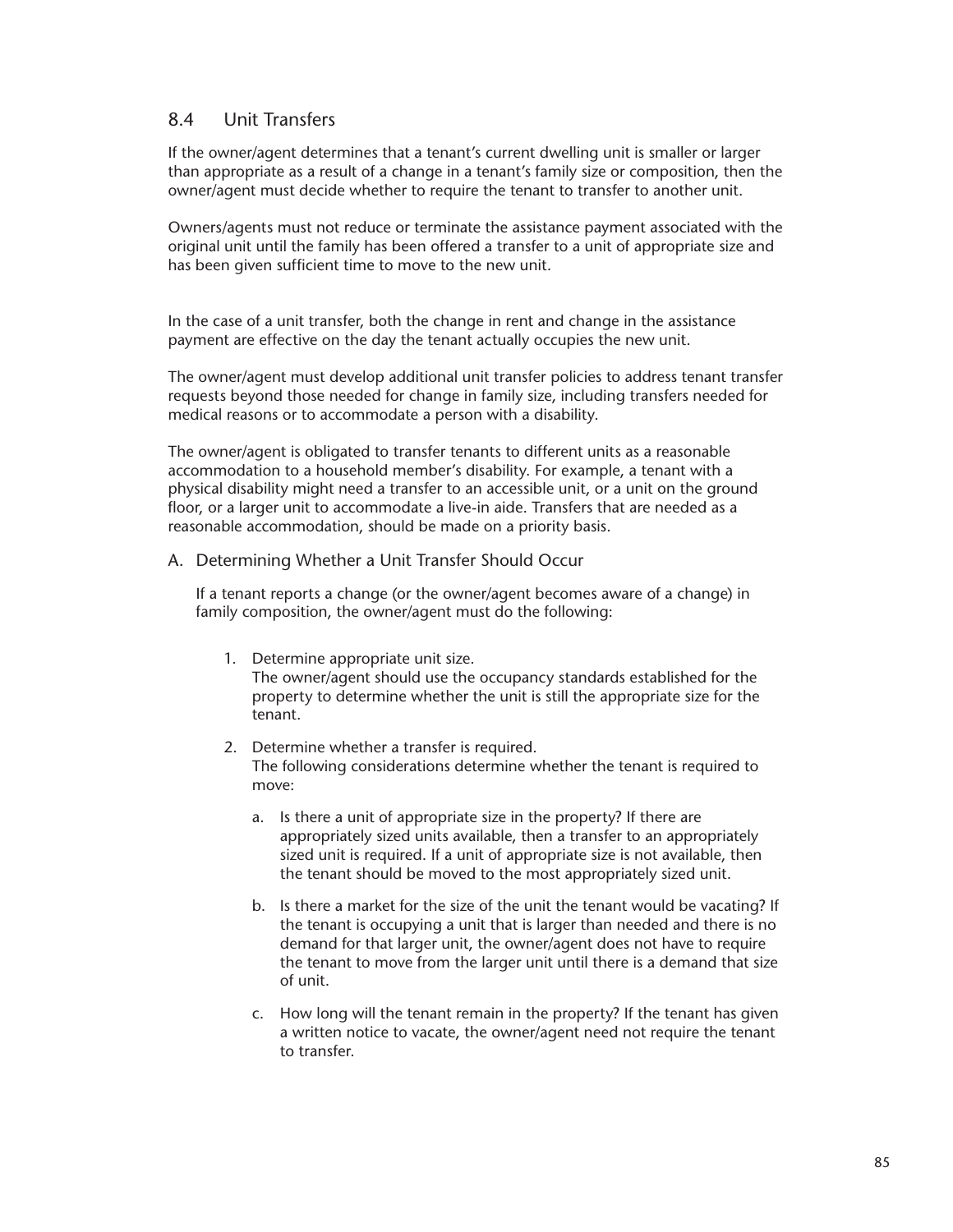## 8.4 Unit Transfers

If the owner/agent determines that a tenant's current dwelling unit is smaller or larger than appropriate as a result of a change in a tenant's family size or composition, then the owner/agent must decide whether to require the tenant to transfer to another unit.

Owners/agents must not reduce or terminate the assistance payment associated with the original unit until the family has been offered a transfer to a unit of appropriate size and has been given sufficient time to move to the new unit.

In the case of a unit transfer, both the change in rent and change in the assistance payment are effective on the day the tenant actually occupies the new unit.

The owner/agent must develop additional unit transfer policies to address tenant transfer requests beyond those needed for change in family size, including transfers needed for medical reasons or to accommodate a person with a disability.

The owner/agent is obligated to transfer tenants to different units as a reasonable accommodation to a household member's disability. For example, a tenant with a physical disability might need a transfer to an accessible unit, or a unit on the ground floor, or a larger unit to accommodate a live-in aide. Transfers that are needed as a reasonable accommodation, should be made on a priority basis.

#### A. Determining Whether a Unit Transfer Should Occur

If a tenant reports a change (or the owner/agent becomes aware of a change) in family composition, the owner/agent must do the following:

- 1. Determine appropriate unit size. The owner/agent should use the occupancy standards established for the property to determine whether the unit is still the appropriate size for the tenant.
- 2. Determine whether a transfer is required. The following considerations determine whether the tenant is required to move:
	- a. Is there a unit of appropriate size in the property? If there are appropriately sized units available, then a transfer to an appropriately sized unit is required. If a unit of appropriate size is not available, then the tenant should be moved to the most appropriately sized unit.
	- b. Is there a market for the size of the unit the tenant would be vacating? If the tenant is occupying a unit that is larger than needed and there is no demand for that larger unit, the owner/agent does not have to require the tenant to move from the larger unit until there is a demand that size of unit.
	- c. How long will the tenant remain in the property? If the tenant has given a written notice to vacate, the owner/agent need not require the tenant to transfer.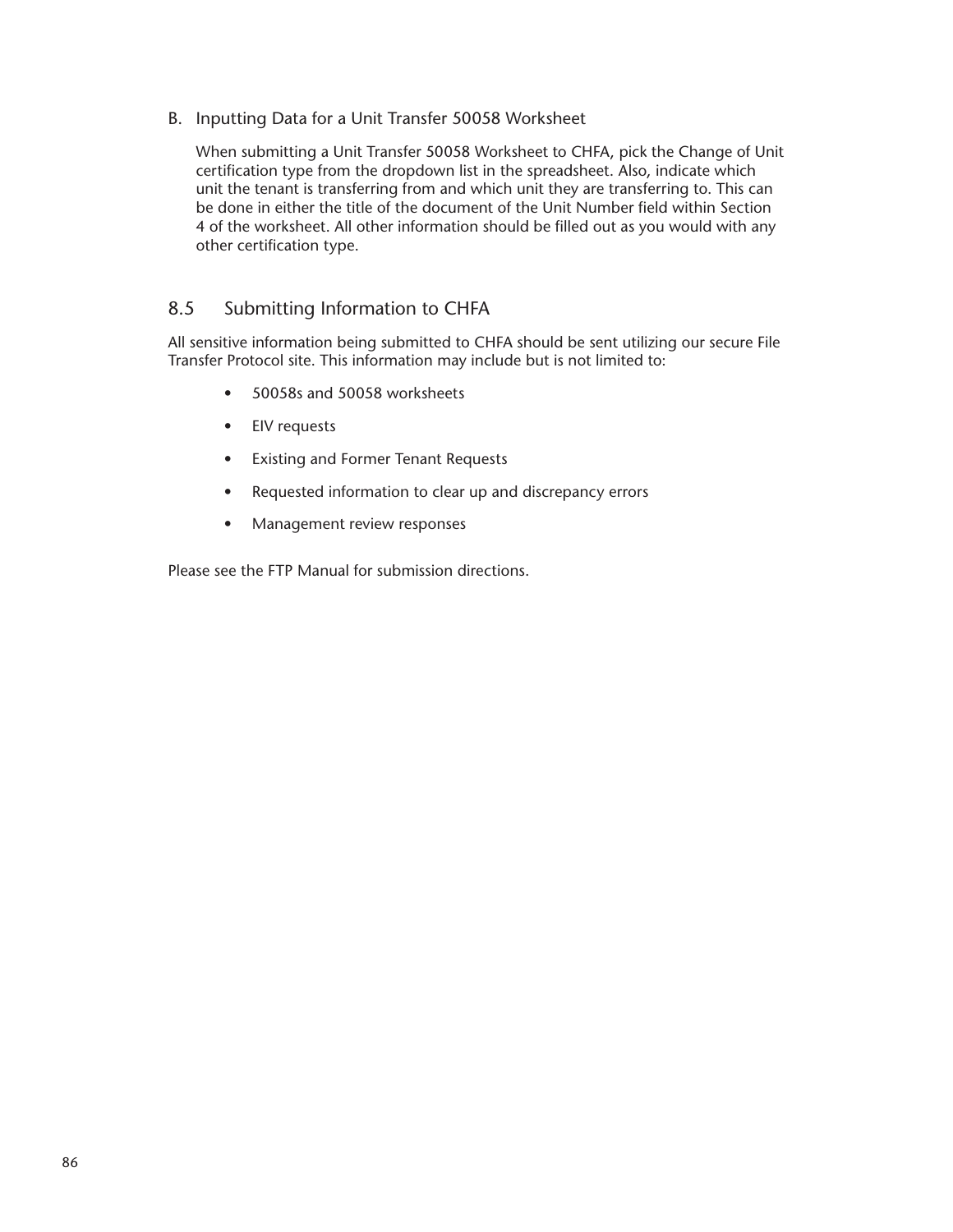B. Inputting Data for a Unit Transfer 50058 Worksheet

When submitting a Unit Transfer 50058 Worksheet to CHFA, pick the Change of Unit certification type from the dropdown list in the spreadsheet. Also, indicate which unit the tenant is transferring from and which unit they are transferring to. This can be done in either the title of the document of the Unit Number field within Section 4 of the worksheet. All other information should be filled out as you would with any other certification type.

## 8.5 Submitting Information to CHFA

All sensitive information being submitted to CHFA should be sent utilizing our secure File Transfer Protocol site. This information may include but is not limited to:

- 50058s and 50058 worksheets
- EIV requests
- Existing and Former Tenant Requests
- Requested information to clear up and discrepancy errors
- Management review responses

Please see the FTP Manual for submission directions.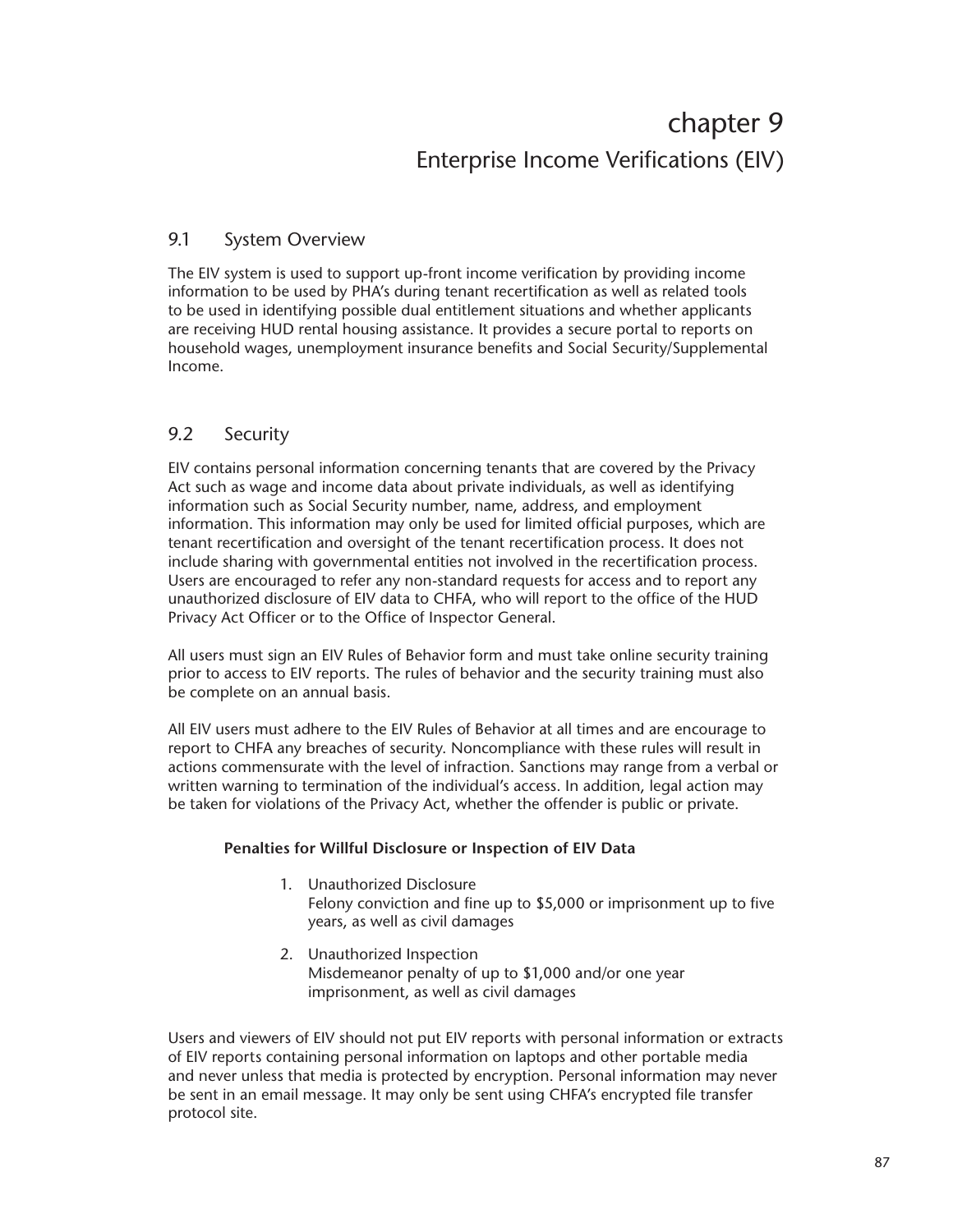# chapter 9 Enterprise Income Verifications (EIV)

## 9.1 System Overview

The EIV system is used to support up-front income verification by providing income information to be used by PHA's during tenant recertification as well as related tools to be used in identifying possible dual entitlement situations and whether applicants are receiving HUD rental housing assistance. It provides a secure portal to reports on household wages, unemployment insurance benefits and Social Security/Supplemental Income.

# 9.2 Security

EIV contains personal information concerning tenants that are covered by the Privacy Act such as wage and income data about private individuals, as well as identifying information such as Social Security number, name, address, and employment information. This information may only be used for limited official purposes, which are tenant recertification and oversight of the tenant recertification process. It does not include sharing with governmental entities not involved in the recertification process. Users are encouraged to refer any non-standard requests for access and to report any unauthorized disclosure of EIV data to CHFA, who will report to the office of the HUD Privacy Act Officer or to the Office of Inspector General.

All users must sign an EIV Rules of Behavior form and must take online security training prior to access to EIV reports. The rules of behavior and the security training must also be complete on an annual basis.

All EIV users must adhere to the EIV Rules of Behavior at all times and are encourage to report to CHFA any breaches of security. Noncompliance with these rules will result in actions commensurate with the level of infraction. Sanctions may range from a verbal or written warning to termination of the individual's access. In addition, legal action may be taken for violations of the Privacy Act, whether the offender is public or private.

## **Penalties for Willful Disclosure or Inspection of EIV Data**

- 1. Unauthorized Disclosure Felony conviction and fine up to \$5,000 or imprisonment up to five years, as well as civil damages
- 2. Unauthorized Inspection Misdemeanor penalty of up to \$1,000 and/or one year imprisonment, as well as civil damages

Users and viewers of EIV should not put EIV reports with personal information or extracts of EIV reports containing personal information on laptops and other portable media and never unless that media is protected by encryption. Personal information may never be sent in an email message. It may only be sent using CHFA's encrypted file transfer protocol site.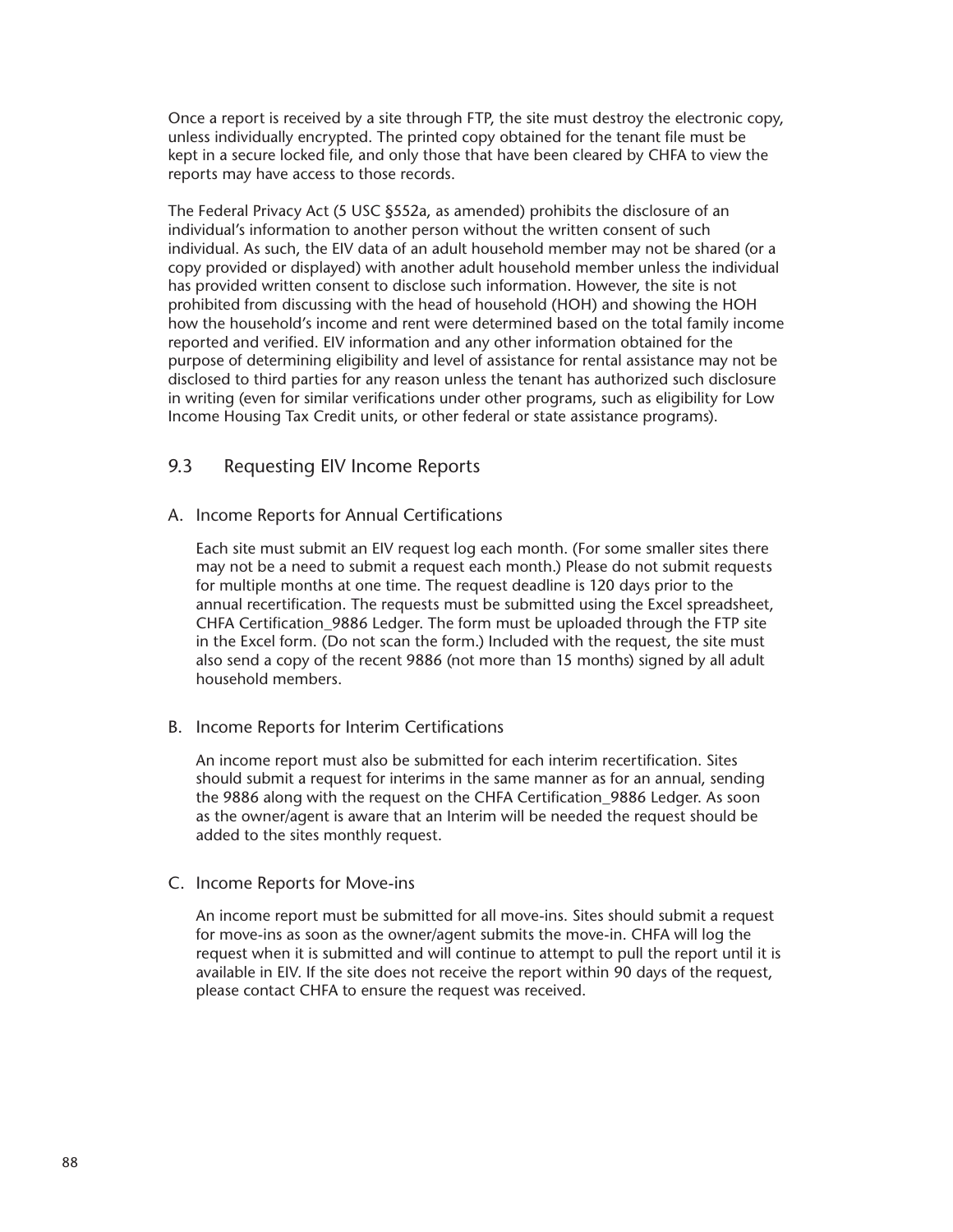Once a report is received by a site through FTP, the site must destroy the electronic copy, unless individually encrypted. The printed copy obtained for the tenant file must be kept in a secure locked file, and only those that have been cleared by CHFA to view the reports may have access to those records.

The Federal Privacy Act (5 USC §552a, as amended) prohibits the disclosure of an individual's information to another person without the written consent of such individual. As such, the EIV data of an adult household member may not be shared (or a copy provided or displayed) with another adult household member unless the individual has provided written consent to disclose such information. However, the site is not prohibited from discussing with the head of household (HOH) and showing the HOH how the household's income and rent were determined based on the total family income reported and verified. EIV information and any other information obtained for the purpose of determining eligibility and level of assistance for rental assistance may not be disclosed to third parties for any reason unless the tenant has authorized such disclosure in writing (even for similar verifications under other programs, such as eligibility for Low Income Housing Tax Credit units, or other federal or state assistance programs).

## 9.3 Requesting EIV Income Reports

#### A. Income Reports for Annual Certifications

Each site must submit an EIV request log each month. (For some smaller sites there may not be a need to submit a request each month.) Please do not submit requests for multiple months at one time. The request deadline is 120 days prior to the annual recertification. The requests must be submitted using the Excel spreadsheet, CHFA Certification\_9886 Ledger. The form must be uploaded through the FTP site in the Excel form. (Do not scan the form.) Included with the request, the site must also send a copy of the recent 9886 (not more than 15 months) signed by all adult household members.

## B. Income Reports for Interim Certifications

An income report must also be submitted for each interim recertification. Sites should submit a request for interims in the same manner as for an annual, sending the 9886 along with the request on the CHFA Certification 9886 Ledger. As soon as the owner/agent is aware that an Interim will be needed the request should be added to the sites monthly request.

#### C. Income Reports for Move-ins

An income report must be submitted for all move-ins. Sites should submit a request for move-ins as soon as the owner/agent submits the move-in. CHFA will log the request when it is submitted and will continue to attempt to pull the report until it is available in EIV. If the site does not receive the report within 90 days of the request, please contact CHFA to ensure the request was received.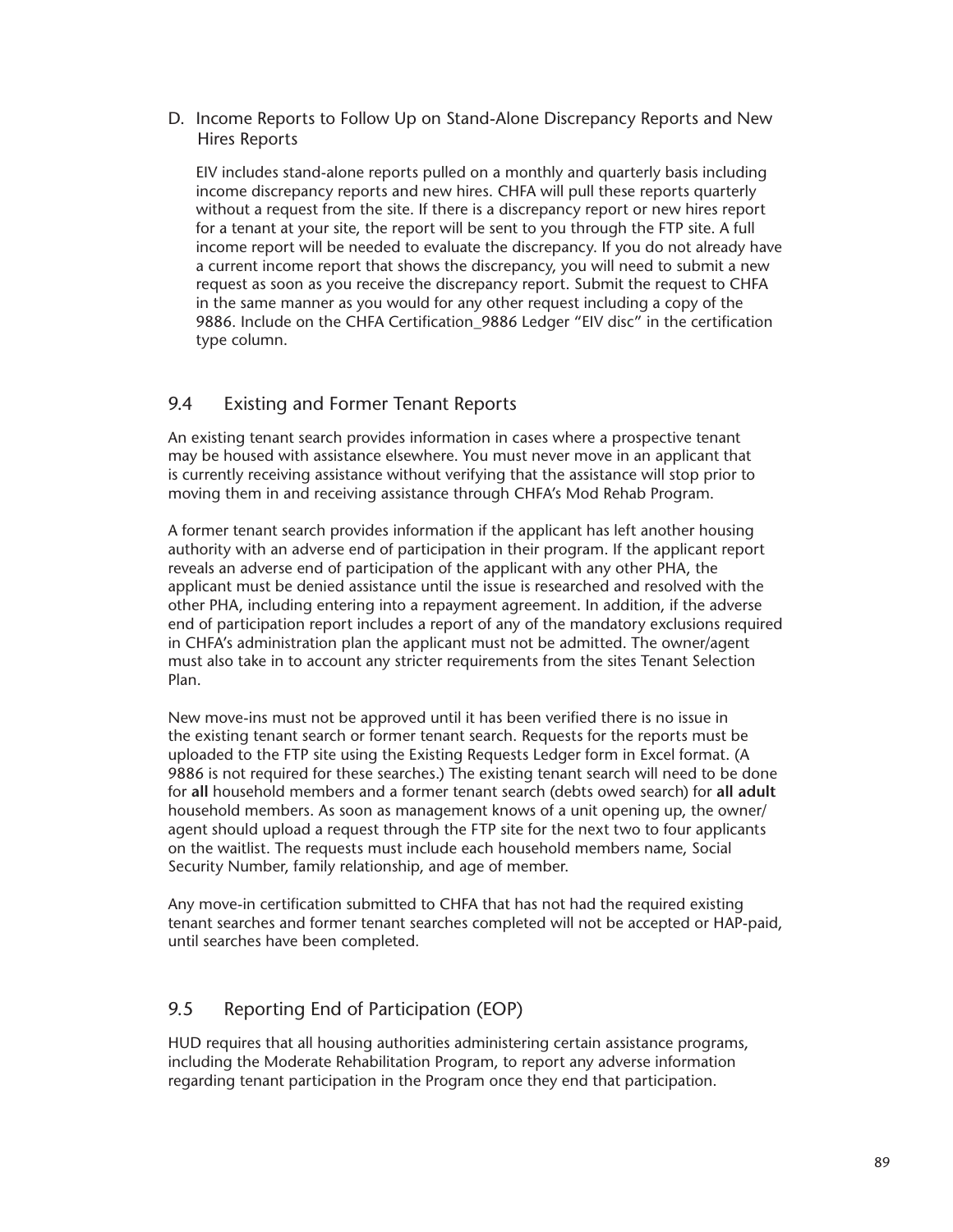## D. Income Reports to Follow Up on Stand-Alone Discrepancy Reports and New Hires Reports

EIV includes stand-alone reports pulled on a monthly and quarterly basis including income discrepancy reports and new hires. CHFA will pull these reports quarterly without a request from the site. If there is a discrepancy report or new hires report for a tenant at your site, the report will be sent to you through the FTP site. A full income report will be needed to evaluate the discrepancy. If you do not already have a current income report that shows the discrepancy, you will need to submit a new request as soon as you receive the discrepancy report. Submit the request to CHFA in the same manner as you would for any other request including a copy of the 9886. Include on the CHFA Certification\_9886 Ledger "EIV disc" in the certification type column.

# 9.4 Existing and Former Tenant Reports

An existing tenant search provides information in cases where a prospective tenant may be housed with assistance elsewhere. You must never move in an applicant that is currently receiving assistance without verifying that the assistance will stop prior to moving them in and receiving assistance through CHFA's Mod Rehab Program.

A former tenant search provides information if the applicant has left another housing authority with an adverse end of participation in their program. If the applicant report reveals an adverse end of participation of the applicant with any other PHA, the applicant must be denied assistance until the issue is researched and resolved with the other PHA, including entering into a repayment agreement. In addition, if the adverse end of participation report includes a report of any of the mandatory exclusions required in CHFA's administration plan the applicant must not be admitted. The owner/agent must also take in to account any stricter requirements from the sites Tenant Selection Plan.

New move-ins must not be approved until it has been verified there is no issue in the existing tenant search or former tenant search. Requests for the reports must be uploaded to the FTP site using the Existing Requests Ledger form in Excel format. (A 9886 is not required for these searches.) The existing tenant search will need to be done for **all** household members and a former tenant search (debts owed search) for **all adult** household members. As soon as management knows of a unit opening up, the owner/ agent should upload a request through the FTP site for the next two to four applicants on the waitlist. The requests must include each household members name, Social Security Number, family relationship, and age of member.

Any move-in certification submitted to CHFA that has not had the required existing tenant searches and former tenant searches completed will not be accepted or HAP-paid, until searches have been completed.

# 9.5 Reporting End of Participation (EOP)

HUD requires that all housing authorities administering certain assistance programs, including the Moderate Rehabilitation Program, to report any adverse information regarding tenant participation in the Program once they end that participation.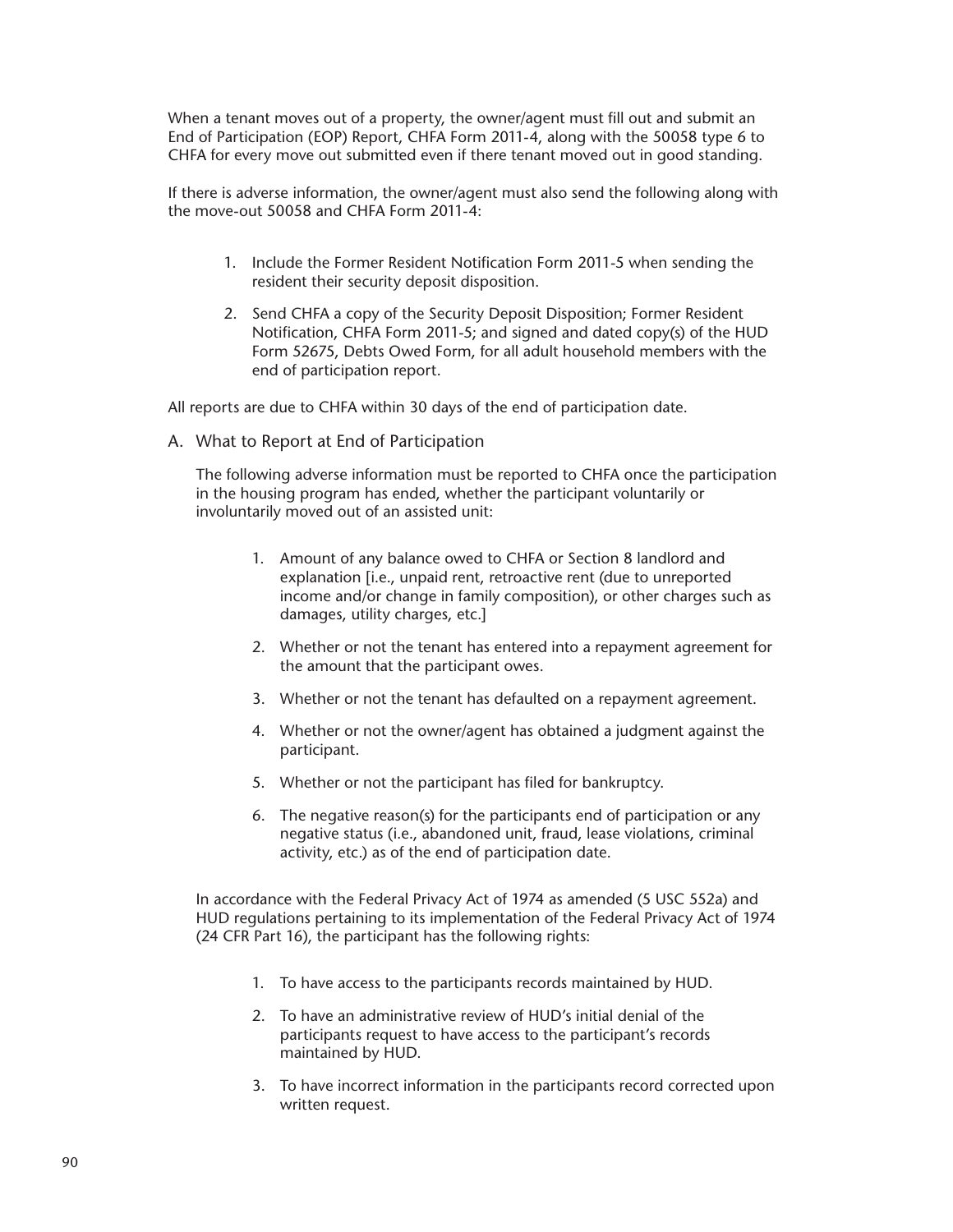When a tenant moves out of a property, the owner/agent must fill out and submit an End of Participation (EOP) Report, CHFA Form 2011-4, along with the 50058 type 6 to CHFA for every move out submitted even if there tenant moved out in good standing.

If there is adverse information, the owner/agent must also send the following along with the move-out 50058 and CHFA Form 2011-4:

- 1. Include the Former Resident Notification Form 2011-5 when sending the resident their security deposit disposition.
- 2. Send CHFA a copy of the Security Deposit Disposition; Former Resident Notification, CHFA Form 2011-5; and signed and dated copy(s) of the HUD Form 52675, Debts Owed Form, for all adult household members with the end of participation report.

All reports are due to CHFA within 30 days of the end of participation date.

A. What to Report at End of Participation

The following adverse information must be reported to CHFA once the participation in the housing program has ended, whether the participant voluntarily or involuntarily moved out of an assisted unit:

- 1. Amount of any balance owed to CHFA or Section 8 landlord and explanation [i.e., unpaid rent, retroactive rent (due to unreported income and/or change in family composition), or other charges such as damages, utility charges, etc.]
- 2. Whether or not the tenant has entered into a repayment agreement for the amount that the participant owes.
- 3. Whether or not the tenant has defaulted on a repayment agreement.
- 4. Whether or not the owner/agent has obtained a judgment against the participant.
- 5. Whether or not the participant has filed for bankruptcy.
- 6. The negative reason(s) for the participants end of participation or any negative status (i.e., abandoned unit, fraud, lease violations, criminal activity, etc.) as of the end of participation date.

In accordance with the Federal Privacy Act of 1974 as amended (5 USC 552a) and HUD regulations pertaining to its implementation of the Federal Privacy Act of 1974 (24 CFR Part 16), the participant has the following rights:

- 1. To have access to the participants records maintained by HUD.
- 2. To have an administrative review of HUD's initial denial of the participants request to have access to the participant's records maintained by HUD.
- 3. To have incorrect information in the participants record corrected upon written request.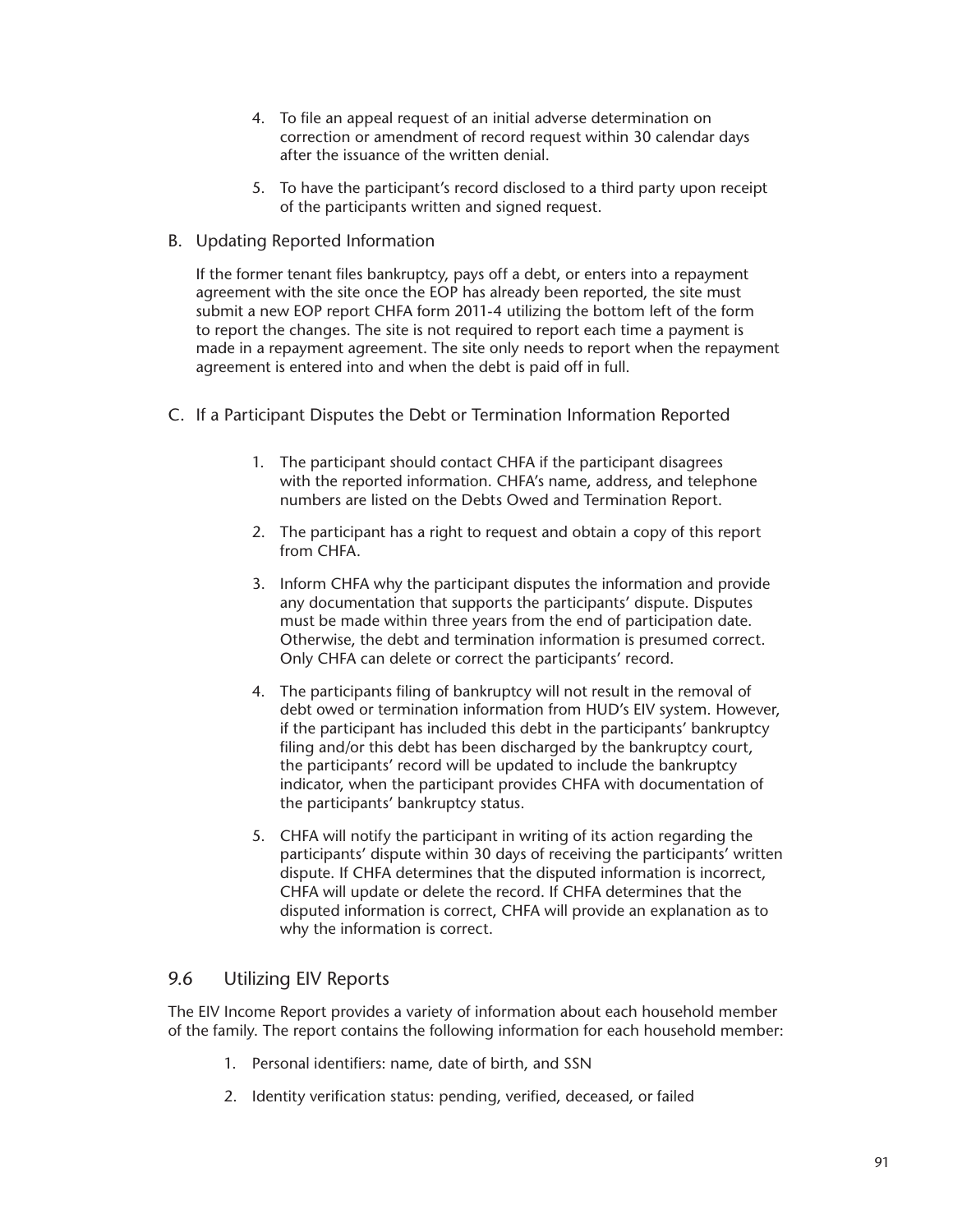- 4. To file an appeal request of an initial adverse determination on correction or amendment of record request within 30 calendar days after the issuance of the written denial.
- 5. To have the participant's record disclosed to a third party upon receipt of the participants written and signed request.
- B. Updating Reported Information

If the former tenant files bankruptcy, pays off a debt, or enters into a repayment agreement with the site once the EOP has already been reported, the site must submit a new EOP report CHFA form 2011-4 utilizing the bottom left of the form to report the changes. The site is not required to report each time a payment is made in a repayment agreement. The site only needs to report when the repayment agreement is entered into and when the debt is paid off in full.

- C. If a Participant Disputes the Debt or Termination Information Reported
	- 1. The participant should contact CHFA if the participant disagrees with the reported information. CHFA's name, address, and telephone numbers are listed on the Debts Owed and Termination Report.
	- 2. The participant has a right to request and obtain a copy of this report from CHFA.
	- 3. Inform CHFA why the participant disputes the information and provide any documentation that supports the participants' dispute. Disputes must be made within three years from the end of participation date. Otherwise, the debt and termination information is presumed correct. Only CHFA can delete or correct the participants' record.
	- 4. The participants filing of bankruptcy will not result in the removal of debt owed or termination information from HUD's EIV system. However, if the participant has included this debt in the participants' bankruptcy filing and/or this debt has been discharged by the bankruptcy court. the participants' record will be updated to include the bankruptcy indicator, when the participant provides CHFA with documentation of the participants' bankruptcy status.
	- 5. CHFA will notify the participant in writing of its action regarding the participants' dispute within 30 days of receiving the participants' written dispute. If CHFA determines that the disputed information is incorrect, CHFA will update or delete the record. If CHFA determines that the disputed information is correct, CHFA will provide an explanation as to why the information is correct.

## 9.6 Utilizing EIV Reports

The EIV Income Report provides a variety of information about each household member of the family. The report contains the following information for each household member:

- 1. Personal identifiers: name, date of birth, and SSN
- 2. Identity verification status: pending, verified, deceased, or failed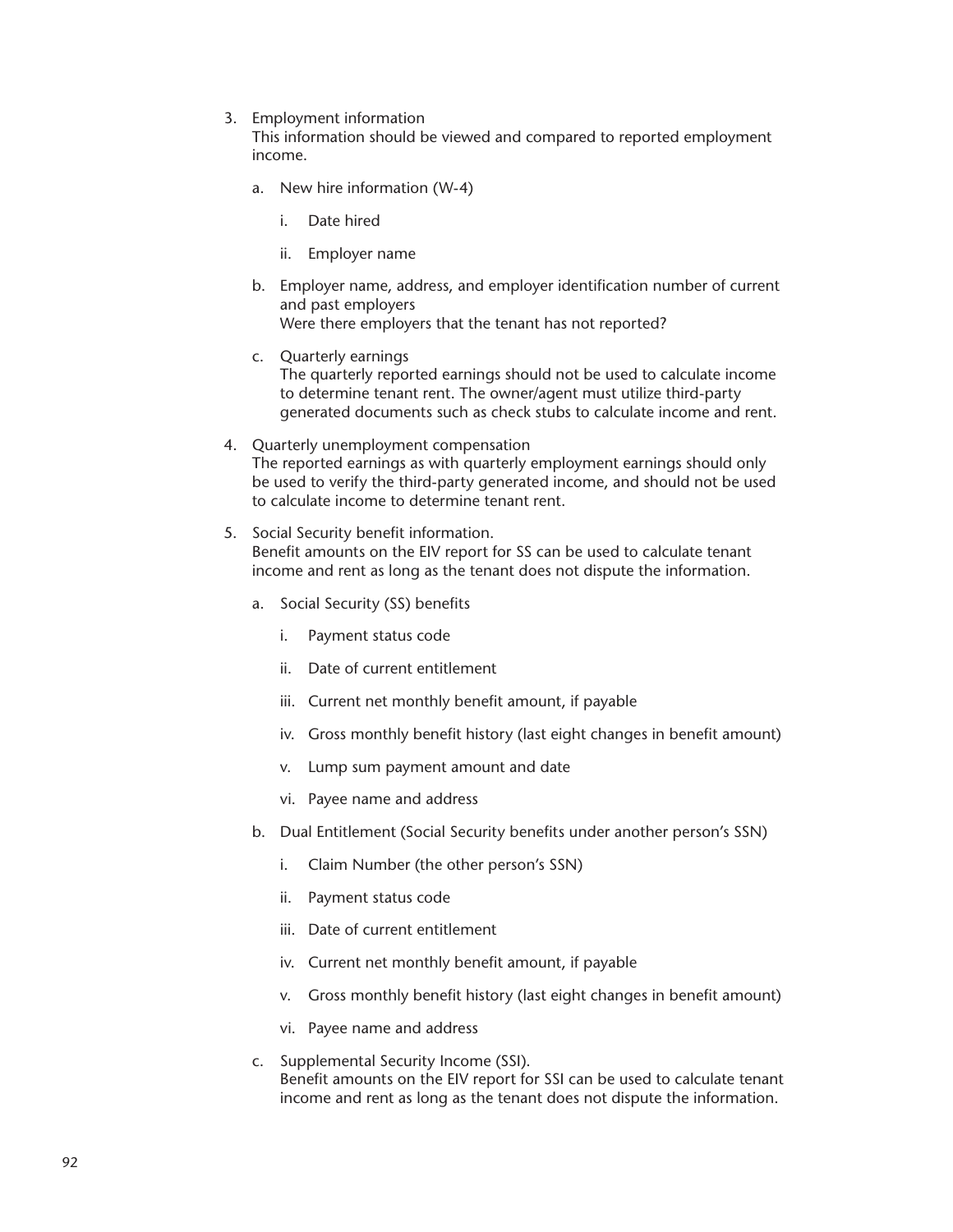3. Employment information

This information should be viewed and compared to reported employment income.

- a. New hire information (W-4)
	- i. Date hired
	- ii. Employer name
- b. Employer name, address, and employer identification number of current and past employers Were there employers that the tenant has not reported?
- c. Quarterly earnings The quarterly reported earnings should not be used to calculate income to determine tenant rent. The owner/agent must utilize third-party generated documents such as check stubs to calculate income and rent.
- 4. Quarterly unemployment compensation The reported earnings as with quarterly employment earnings should only be used to verify the third-party generated income, and should not be used to calculate income to determine tenant rent.
- 5. Social Security benefit information. Benefit amounts on the EIV report for SS can be used to calculate tenant income and rent as long as the tenant does not dispute the information.
	- a. Social Security (SS) benefits
		- i. Payment status code
		- ii. Date of current entitlement
		- iii. Current net monthly benefit amount, if payable
		- iv. Gross monthly benefit history (last eight changes in benefit amount)
		- v. Lump sum payment amount and date
		- vi. Payee name and address
	- b. Dual Entitlement (Social Security benefits under another person's SSN)
		- i. Claim Number (the other person's SSN)
		- ii. Payment status code
		- iii. Date of current entitlement
		- iv. Current net monthly benefit amount, if payable
		- v. Gross monthly benefit history (last eight changes in benefit amount)
		- vi. Payee name and address
	- c. Supplemental Security Income (SSI). Benefit amounts on the EIV report for SSI can be used to calculate tenant income and rent as long as the tenant does not dispute the information.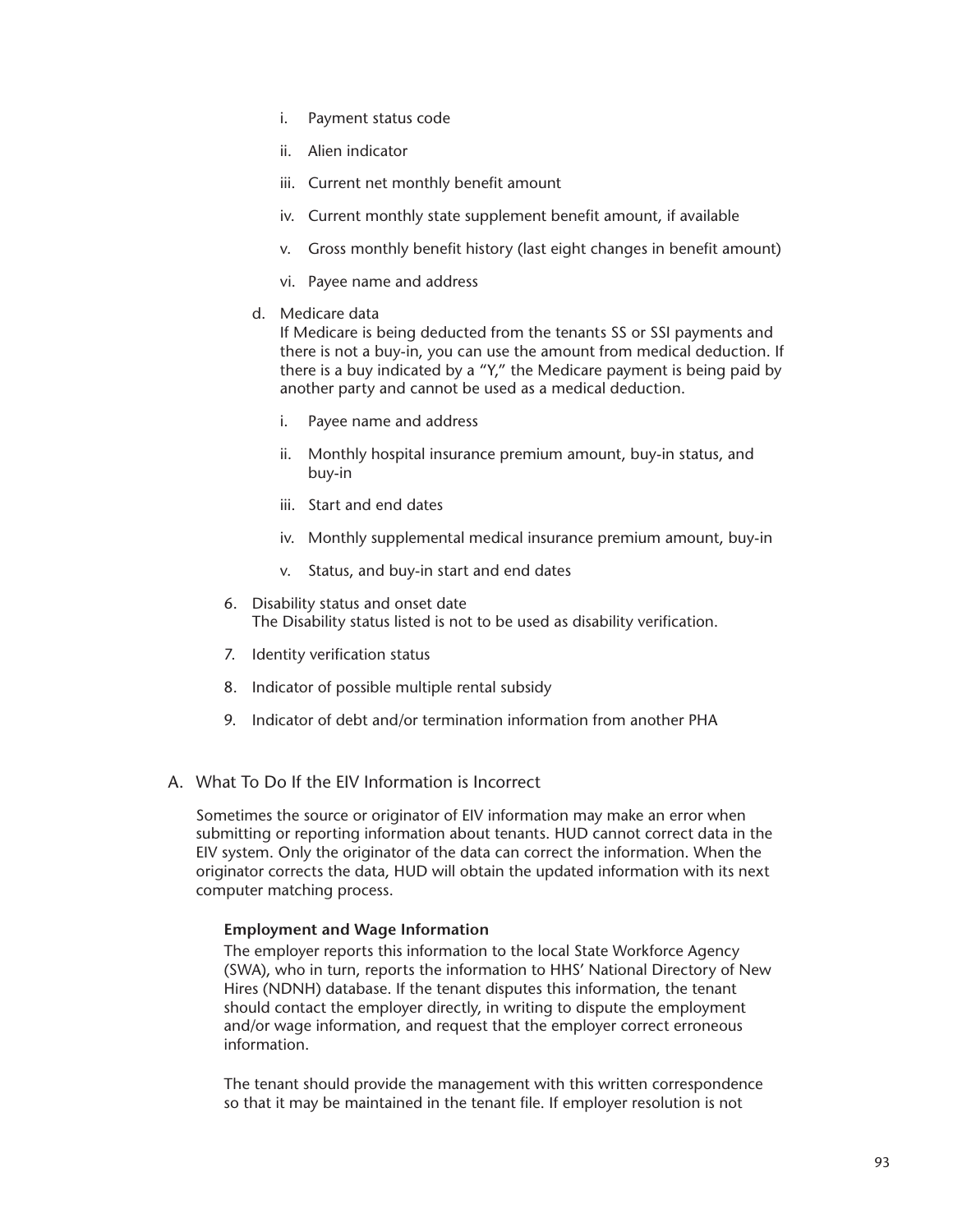- i. Payment status code
- ii. Alien indicator
- iii. Current net monthly benefit amount
- iv. Current monthly state supplement benefit amount, if available
- v. Gross monthly benefit history (last eight changes in benefit amount)
- vi. Payee name and address
- d. Medicare data

If Medicare is being deducted from the tenants SS or SSI payments and there is not a buy-in, you can use the amount from medical deduction. If there is a buy indicated by a "Y," the Medicare payment is being paid by another party and cannot be used as a medical deduction.

- i. Payee name and address
- ii. Monthly hospital insurance premium amount, buy-in status, and buy-in
- iii. Start and end dates
- iv. Monthly supplemental medical insurance premium amount, buy-in
- v. Status, and buy-in start and end dates
- 6. Disability status and onset date The Disability status listed is not to be used as disability verification.
- 7. Identity verification status
- 8. Indicator of possible multiple rental subsidy
- 9. Indicator of debt and/or termination information from another PHA
- A. What To Do If the EIV Information is Incorrect

Sometimes the source or originator of EIV information may make an error when submitting or reporting information about tenants. HUD cannot correct data in the EIV system. Only the originator of the data can correct the information. When the originator corrects the data, HUD will obtain the updated information with its next computer matching process.

## **Employment and Wage Information**

The employer reports this information to the local State Workforce Agency (SWA), who in turn, reports the information to HHS' National Directory of New Hires (NDNH) database. If the tenant disputes this information, the tenant should contact the employer directly, in writing to dispute the employment and/or wage information, and request that the employer correct erroneous information.

The tenant should provide the management with this written correspondence so that it may be maintained in the tenant file. If employer resolution is not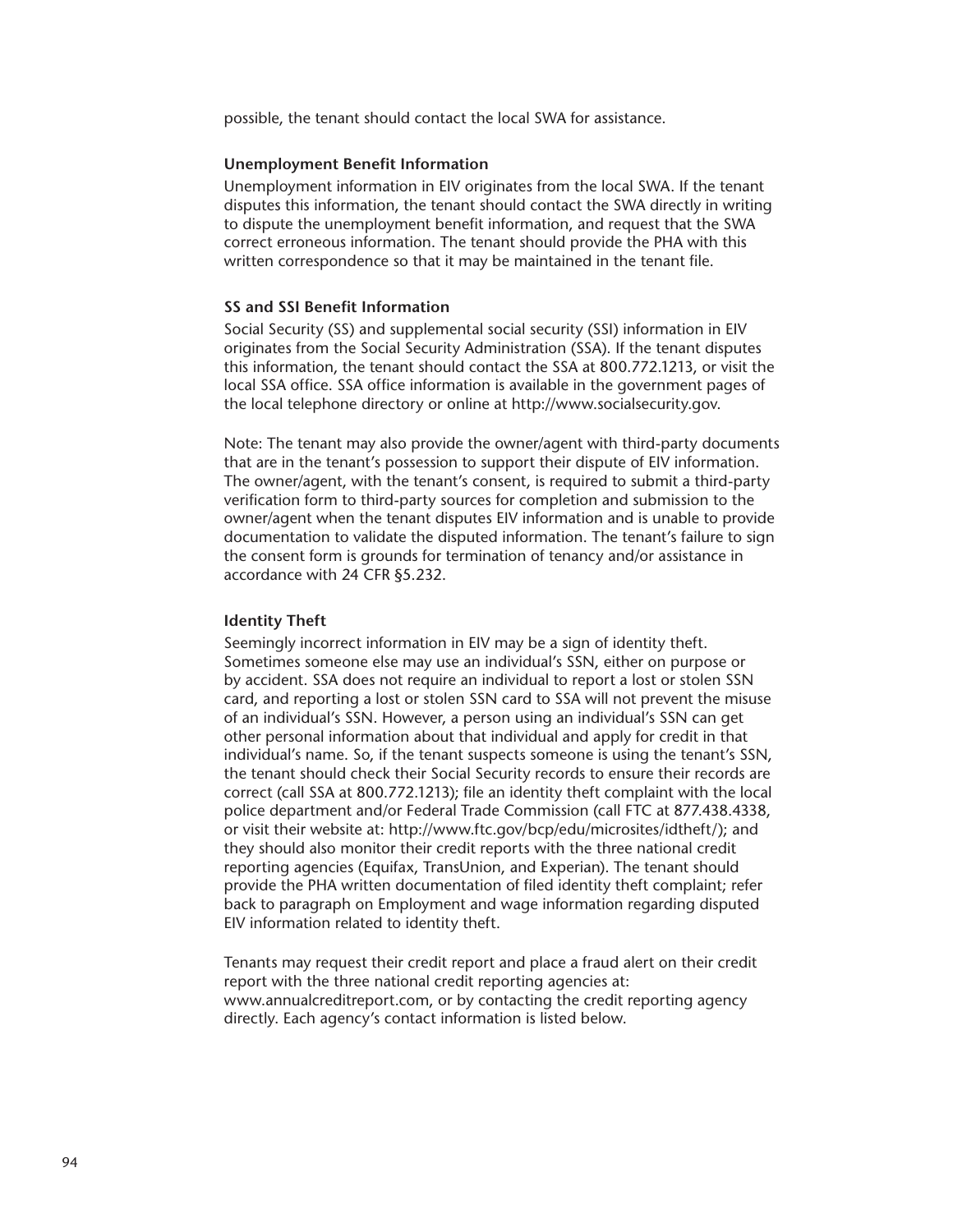possible, the tenant should contact the local SWA for assistance.

#### **Unemployment Benefit Information**

Unemployment information in EIV originates from the local SWA. If the tenant disputes this information, the tenant should contact the SWA directly in writing to dispute the unemployment benefit information, and request that the SWA correct erroneous information. The tenant should provide the PHA with this written correspondence so that it may be maintained in the tenant file.

#### **SS and SSI Benefit Information**

Social Security (SS) and supplemental social security (SSI) information in EIV originates from the Social Security Administration (SSA). If the tenant disputes this information, the tenant should contact the SSA at 800.772.1213, or visit the local SSA office. SSA office information is available in the government pages of the local telephone directory or online at http://www.socialsecurity.gov.

Note: The tenant may also provide the owner/agent with third-party documents that are in the tenant's possession to support their dispute of EIV information. The owner/agent, with the tenant's consent, is required to submit a third-party verification form to third-party sources for completion and submission to the owner/agent when the tenant disputes EIV information and is unable to provide documentation to validate the disputed information. The tenant's failure to sign the consent form is grounds for termination of tenancy and/or assistance in accordance with 24 CFR §5.232.

#### **Identity Theft**

Seemingly incorrect information in EIV may be a sign of identity theft. Sometimes someone else may use an individual's SSN, either on purpose or by accident. SSA does not require an individual to report a lost or stolen SSN card, and reporting a lost or stolen SSN card to SSA will not prevent the misuse of an individual's SSN. However, a person using an individual's SSN can get other personal information about that individual and apply for credit in that individual's name. So, if the tenant suspects someone is using the tenant's SSN, the tenant should check their Social Security records to ensure their records are correct (call SSA at 800.772.1213); file an identity theft complaint with the local police department and/or Federal Trade Commission (call FTC at 877.438.4338, or visit their website at: http://www.ftc.gov/bcp/edu/microsites/idtheft/); and they should also monitor their credit reports with the three national credit reporting agencies (Equifax, TransUnion, and Experian). The tenant should provide the PHA written documentation of filed identity theft complaint; refer back to paragraph on Employment and wage information regarding disputed EIV information related to identity theft.

Tenants may request their credit report and place a fraud alert on their credit report with the three national credit reporting agencies at: www.annualcreditreport.com, or by contacting the credit reporting agency directly. Each agency's contact information is listed below.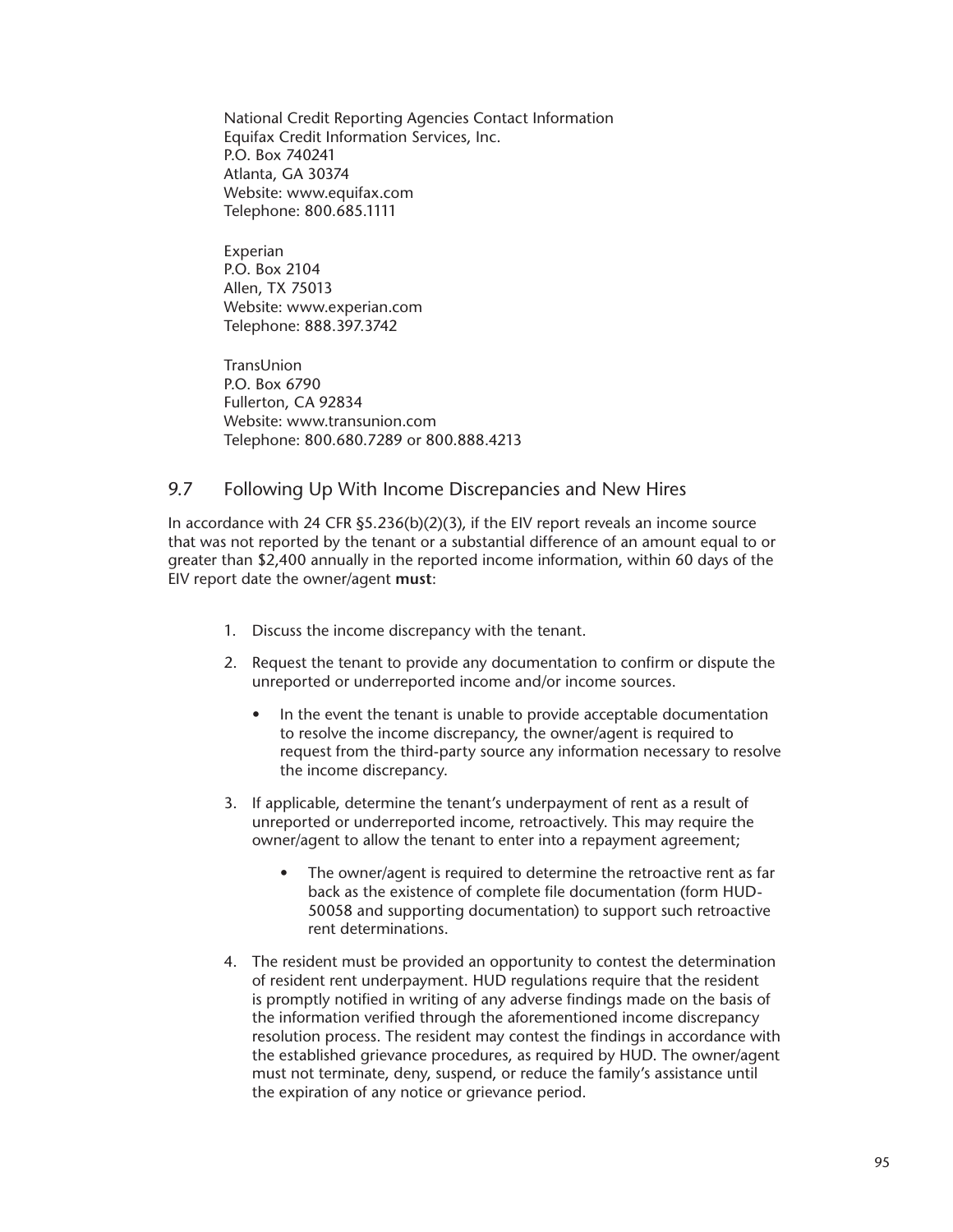National Credit Reporting Agencies Contact Information Equifax Credit Information Services, Inc. P.O. Box 740241 Atlanta, GA 30374 Website: www.equifax.com Telephone: 800.685.1111

Experian P.O. Box 2104 Allen, TX 75013 Website: www.experian.com Telephone: 888.397.3742

TransUnion P.O. Box 6790 Fullerton, CA 92834 Website: www.transunion.com Telephone: 800.680.7289 or 800.888.4213

## 9.7 Following Up With Income Discrepancies and New Hires

In accordance with 24 CFR  $\S5.236(b)(2)(3)$ , if the EIV report reveals an income source that was not reported by the tenant or a substantial difference of an amount equal to or greater than \$2,400 annually in the reported income information, within 60 days of the EIV report date the owner/agent **must**:

- 1. Discuss the income discrepancy with the tenant.
- 2. Request the tenant to provide any documentation to confirm or dispute the unreported or underreported income and/or income sources.
	- In the event the tenant is unable to provide acceptable documentation to resolve the income discrepancy, the owner/agent is required to request from the third-party source any information necessary to resolve the income discrepancy.
- 3. If applicable, determine the tenant's underpayment of rent as a result of unreported or underreported income, retroactively. This may require the owner/agent to allow the tenant to enter into a repayment agreement;
	- The owner/agent is required to determine the retroactive rent as far back as the existence of complete file documentation (form HUD-50058 and supporting documentation) to support such retroactive rent determinations.
- 4. The resident must be provided an opportunity to contest the determination of resident rent underpayment. HUD regulations require that the resident is promptly notified in writing of any adverse findings made on the basis of the information verified through the aforementioned income discrepancy resolution process. The resident may contest the findings in accordance with the established grievance procedures, as required by HUD. The owner/agent must not terminate, deny, suspend, or reduce the family's assistance until the expiration of any notice or grievance period.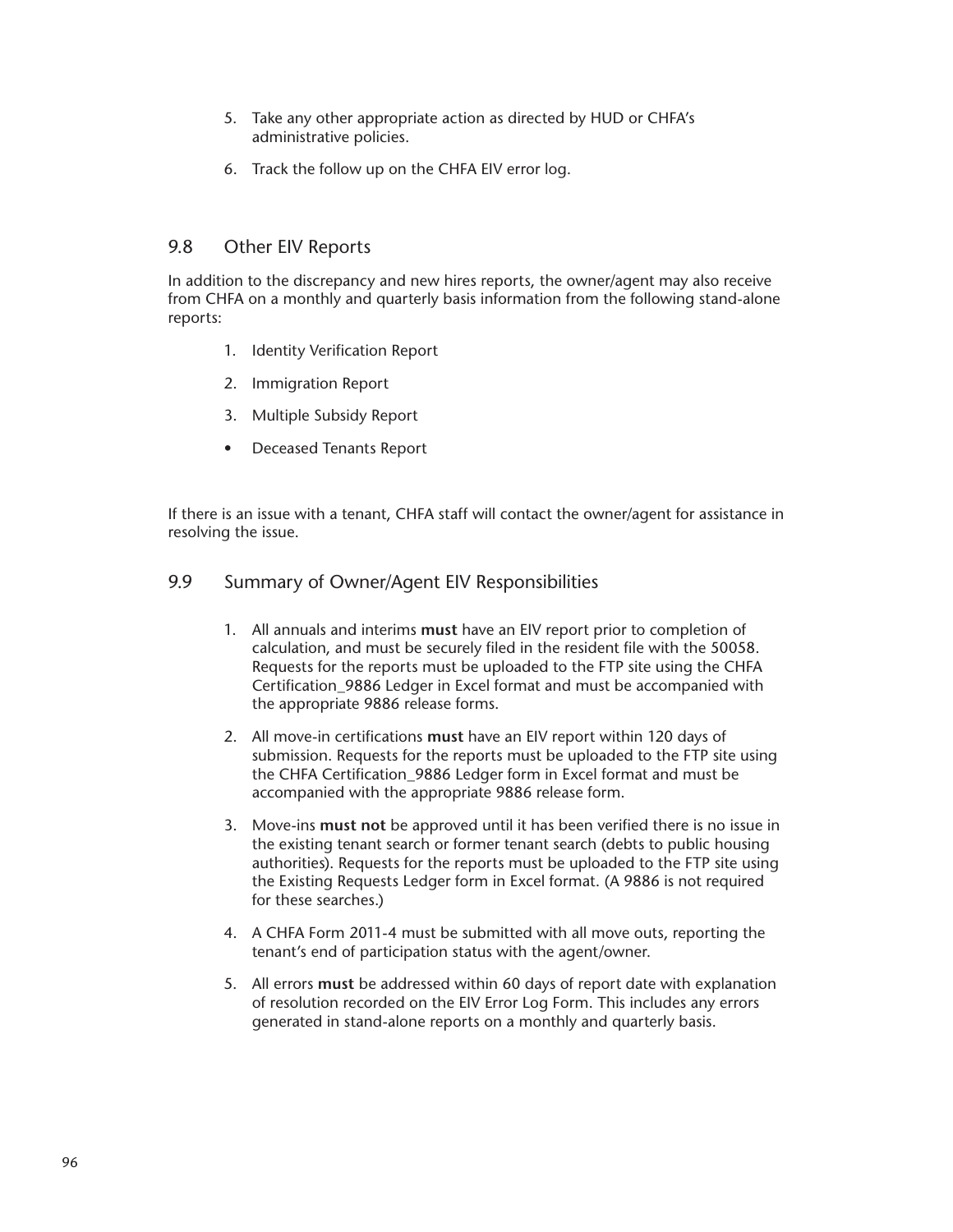- 5. Take any other appropriate action as directed by HUD or CHFA's administrative policies.
- 6. Track the follow up on the CHFA EIV error log.

## 9.8 Other EIV Reports

In addition to the discrepancy and new hires reports, the owner/agent may also receive from CHFA on a monthly and quarterly basis information from the following stand-alone reports:

- 1. Identity Verification Report
- 2. Immigration Report
- 3. Multiple Subsidy Report
- Deceased Tenants Report

If there is an issue with a tenant, CHFA staff will contact the owner/agent for assistance in resolving the issue.

## 9.9 Summary of Owner/Agent EIV Responsibilities

- 1. All annuals and interims **must** have an EIV report prior to completion of calculation, and must be securely filed in the resident file with the 50058. Requests for the reports must be uploaded to the FTP site using the CHFA Certification\_9886 Ledger in Excel format and must be accompanied with the appropriate 9886 release forms.
- 2. All move-in certifications **must** have an EIV report within 120 days of submission. Requests for the reports must be uploaded to the FTP site using the CHFA Certification 9886 Ledger form in Excel format and must be accompanied with the appropriate 9886 release form.
- 3. Move-ins **must not** be approved until it has been verified there is no issue in the existing tenant search or former tenant search (debts to public housing authorities). Requests for the reports must be uploaded to the FTP site using the Existing Requests Ledger form in Excel format. (A 9886 is not required for these searches.)
- 4. A CHFA Form 2011-4 must be submitted with all move outs, reporting the tenant's end of participation status with the agent/owner.
- 5. All errors **must** be addressed within 60 days of report date with explanation of resolution recorded on the EIV Error Log Form. This includes any errors generated in stand-alone reports on a monthly and quarterly basis.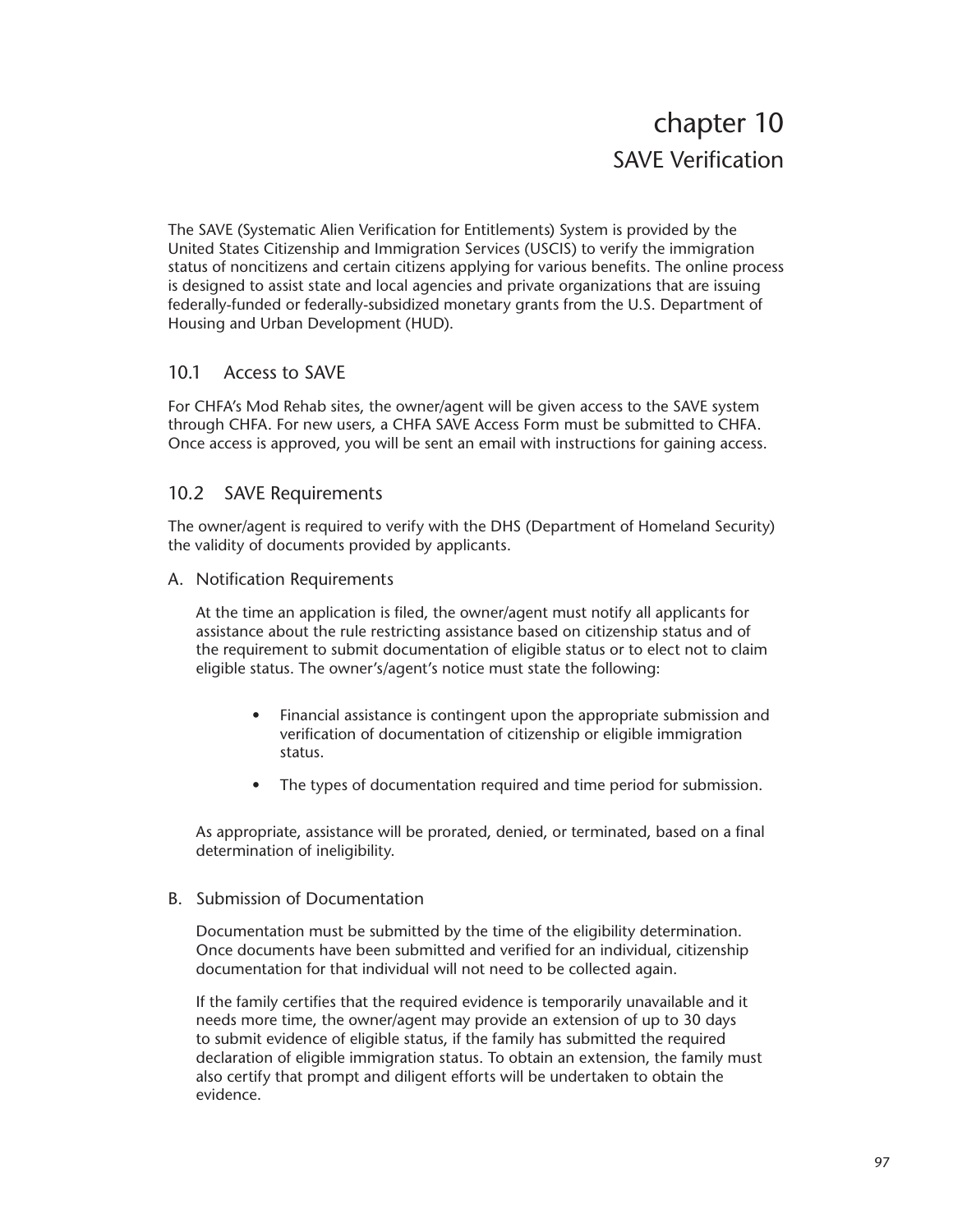# chapter 10 SAVE Verification

The SAVE (Systematic Alien Verification for Entitlements) System is provided by the United States Citizenship and Immigration Services (USCIS) to verify the immigration status of noncitizens and certain citizens applying for various benefits. The online process is designed to assist state and local agencies and private organizations that are issuing federally-funded or federally-subsidized monetary grants from the U.S. Department of Housing and Urban Development (HUD).

## 10.1 Access to SAVE

For CHFA's Mod Rehab sites, the owner/agent will be given access to the SAVE system through CHFA. For new users, a CHFA SAVE Access Form must be submitted to CHFA. Once access is approved, you will be sent an email with instructions for gaining access.

## 10.2 SAVE Requirements

The owner/agent is required to verify with the DHS (Department of Homeland Security) the validity of documents provided by applicants.

A. Notification Requirements

At the time an application is filed, the owner/agent must notify all applicants for assistance about the rule restricting assistance based on citizenship status and of the requirement to submit documentation of eligible status or to elect not to claim eligible status. The owner's/agent's notice must state the following:

- Financial assistance is contingent upon the appropriate submission and verification of documentation of citizenship or eligible immigration status.
- The types of documentation required and time period for submission.

As appropriate, assistance will be prorated, denied, or terminated, based on a final determination of ineligibility.

## B. Submission of Documentation

Documentation must be submitted by the time of the eligibility determination. Once documents have been submitted and verified for an individual, citizenship documentation for that individual will not need to be collected again.

If the family certifies that the required evidence is temporarily unavailable and it needs more time, the owner/agent may provide an extension of up to 30 days to submit evidence of eligible status, if the family has submitted the required declaration of eligible immigration status. To obtain an extension, the family must also certify that prompt and diligent efforts will be undertaken to obtain the evidence.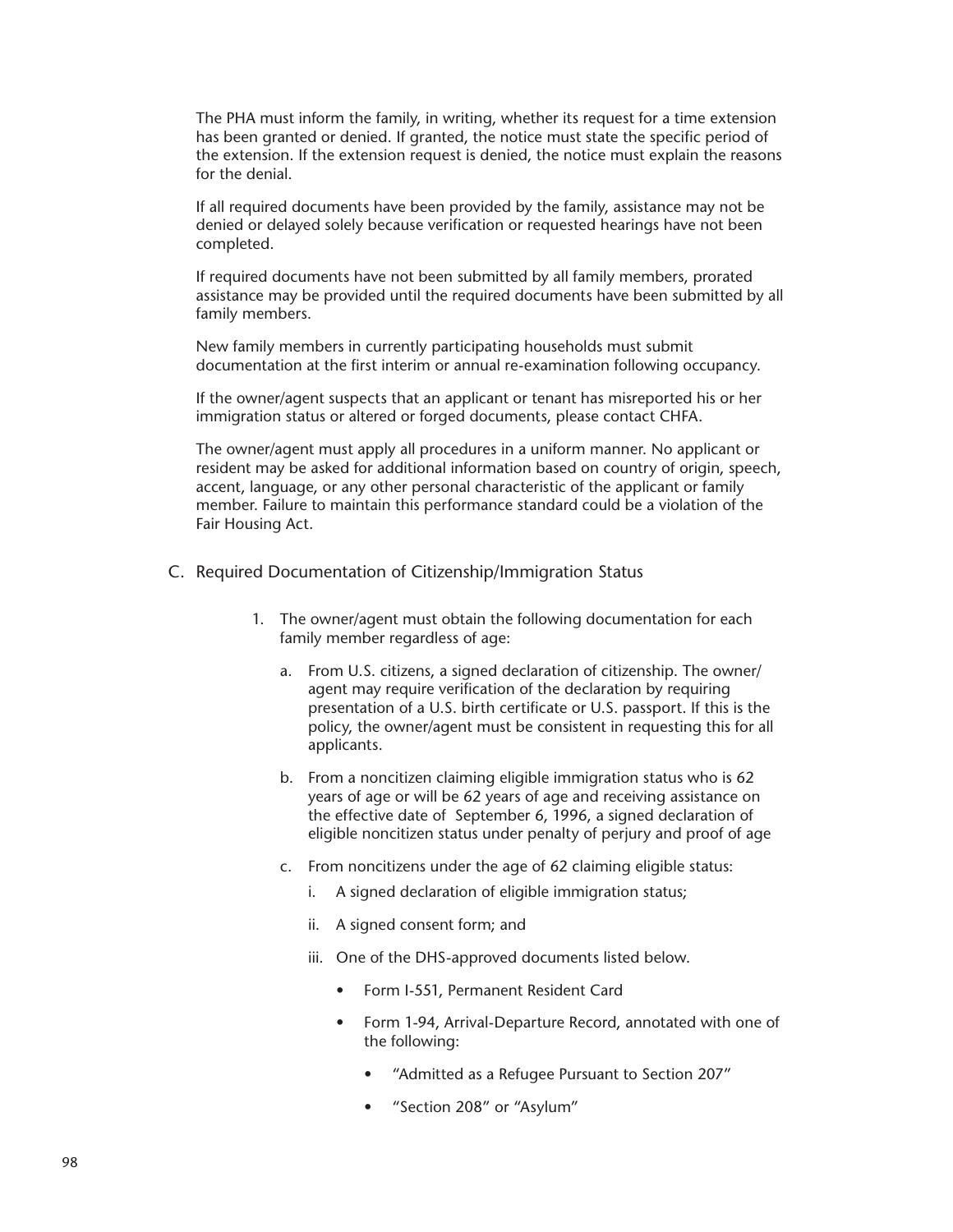The PHA must inform the family, in writing, whether its request for a time extension has been granted or denied. If granted, the notice must state the specific period of the extension. If the extension request is denied, the notice must explain the reasons for the denial.

If all required documents have been provided by the family, assistance may not be denied or delayed solely because verification or requested hearings have not been completed.

If required documents have not been submitted by all family members, prorated assistance may be provided until the required documents have been submitted by all family members.

New family members in currently participating households must submit documentation at the first interim or annual re-examination following occupancy.

If the owner/agent suspects that an applicant or tenant has misreported his or her immigration status or altered or forged documents, please contact CHFA.

The owner/agent must apply all procedures in a uniform manner. No applicant or resident may be asked for additional information based on country of origin, speech, accent, language, or any other personal characteristic of the applicant or family member. Failure to maintain this performance standard could be a violation of the Fair Housing Act.

- C. Required Documentation of Citizenship/Immigration Status
	- 1. The owner/agent must obtain the following documentation for each family member regardless of age:
		- a. From U.S. citizens, a signed declaration of citizenship. The owner/ agent may require verification of the declaration by requiring presentation of a U.S. birth certificate or U.S. passport. If this is the policy, the owner/agent must be consistent in requesting this for all applicants.
		- b. From a noncitizen claiming eligible immigration status who is 62 years of age or will be 62 years of age and receiving assistance on the effective date of September 6, 1996, a signed declaration of eligible noncitizen status under penalty of perjury and proof of age
		- c. From noncitizens under the age of 62 claiming eligible status:
			- i. A signed declaration of eligible immigration status;
			- ii. A signed consent form; and
			- iii. One of the DHS-approved documents listed below.
				- Form I-551, Permanent Resident Card
				- Form 1-94, Arrival-Departure Record, annotated with one of the following:
					- "Admitted as a Refugee Pursuant to Section 207"
					- "Section 208" or "Asylum"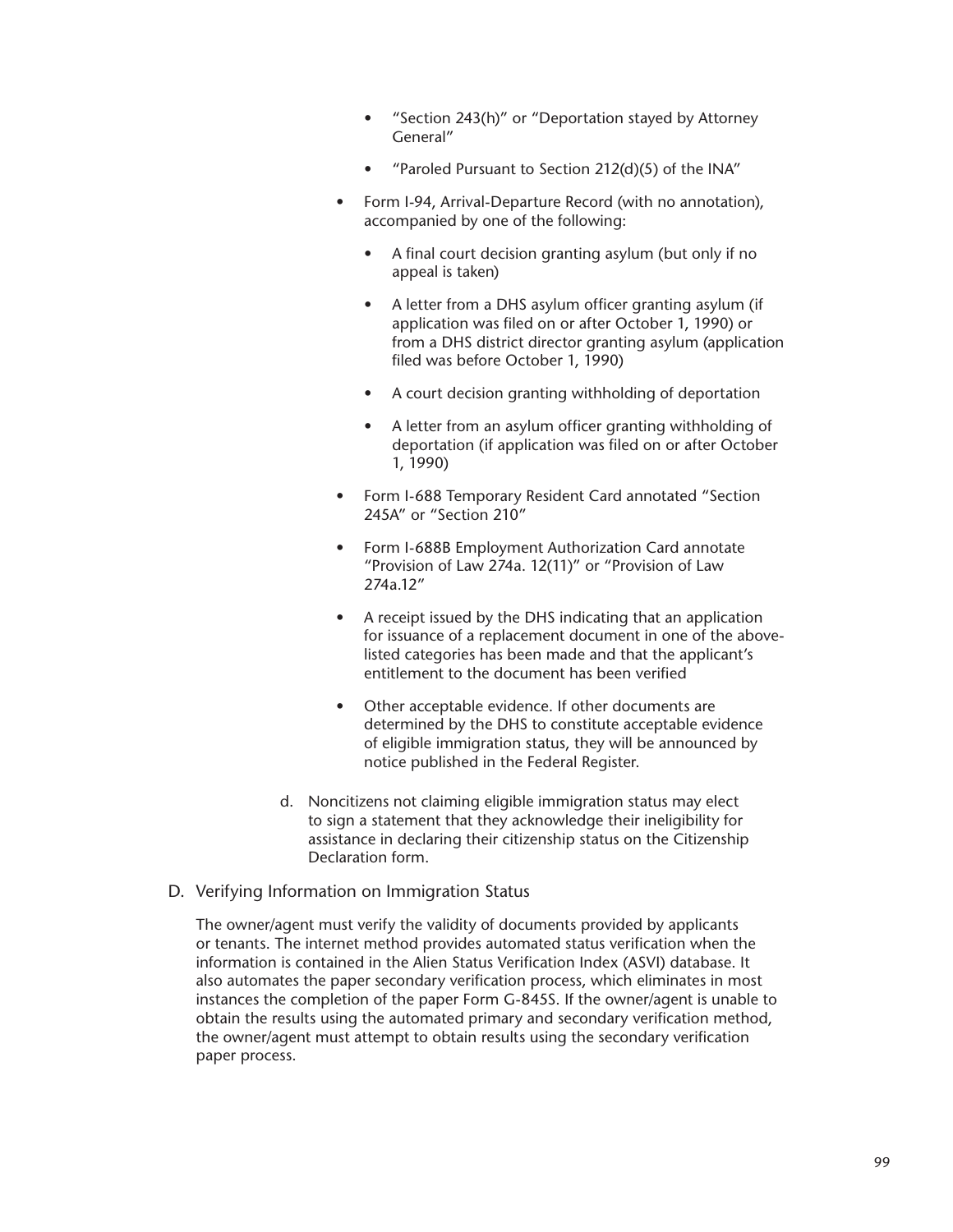- "Section 243(h)" or "Deportation stayed by Attorney General"
- "Paroled Pursuant to Section 212(d)(5) of the INA"
- Form I-94, Arrival-Departure Record (with no annotation), accompanied by one of the following:
	- A final court decision granting asylum (but only if no appeal is taken)
	- A letter from a DHS asylum officer granting asylum (if application was filed on or after October 1, 1990) or from a DHS district director granting asylum (application filed was before October 1, 1990)
	- A court decision granting withholding of deportation
	- A letter from an asylum officer granting withholding of deportation (if application was filed on or after October 1, 1990)
- Form I-688 Temporary Resident Card annotated "Section 245A" or "Section 210"
- Form I-688B Employment Authorization Card annotate "Provision of Law 274a. 12(11)" or "Provision of Law 274a.12"
- A receipt issued by the DHS indicating that an application for issuance of a replacement document in one of the abovelisted categories has been made and that the applicant's entitlement to the document has been verified
- Other acceptable evidence. If other documents are determined by the DHS to constitute acceptable evidence of eligible immigration status, they will be announced by notice published in the Federal Register.
- d. Noncitizens not claiming eligible immigration status may elect to sign a statement that they acknowledge their ineligibility for assistance in declaring their citizenship status on the Citizenship Declaration form.

## D. Verifying Information on Immigration Status

The owner/agent must verify the validity of documents provided by applicants or tenants. The internet method provides automated status verification when the information is contained in the Alien Status Verification Index (ASVI) database. It also automates the paper secondary verification process, which eliminates in most instances the completion of the paper Form G-845S. If the owner/agent is unable to obtain the results using the automated primary and secondary verification method, the owner/agent must attempt to obtain results using the secondary verification paper process.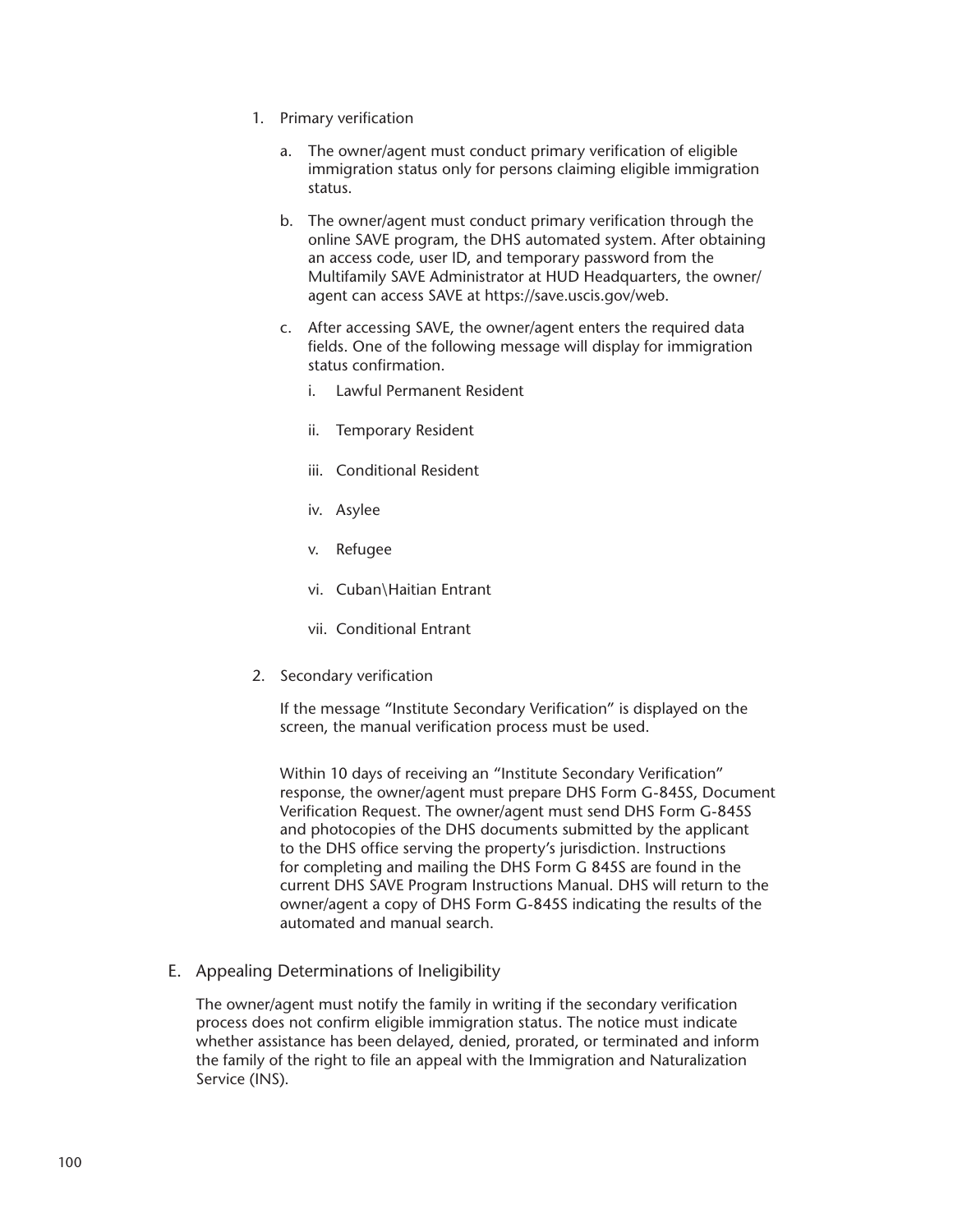- 1. Primary verification
	- a. The owner/agent must conduct primary verification of eligible immigration status only for persons claiming eligible immigration status.
	- b. The owner/agent must conduct primary verification through the online SAVE program, the DHS automated system. After obtaining an access code, user ID, and temporary password from the Multifamily SAVE Administrator at HUD Headquarters, the owner/ agent can access SAVE at https://save.uscis.gov/web.
	- c. After accessing SAVE, the owner/agent enters the required data fields. One of the following message will display for immigration status confirmation.
		- i. Lawful Permanent Resident
		- ii. Temporary Resident
		- iii. Conditional Resident
		- iv. Asylee
		- v. Refugee
		- vi. Cuban\Haitian Entrant
		- vii. Conditional Entrant
- 2. Secondary verification

If the message "Institute Secondary Verification" is displayed on the screen, the manual verification process must be used.

Within 10 days of receiving an "Institute Secondary Verification" response, the owner/agent must prepare DHS Form G-845S, Document Verification Request. The owner/agent must send DHS Form G-845S and photocopies of the DHS documents submitted by the applicant to the DHS office serving the property's jurisdiction. Instructions for completing and mailing the DHS Form G 845S are found in the current DHS SAVE Program Instructions Manual. DHS will return to the owner/agent a copy of DHS Form G-845S indicating the results of the automated and manual search.

E. Appealing Determinations of Ineligibility

The owner/agent must notify the family in writing if the secondary verification process does not confirm eligible immigration status. The notice must indicate whether assistance has been delayed, denied, prorated, or terminated and inform the family of the right to file an appeal with the Immigration and Naturalization Service (INS).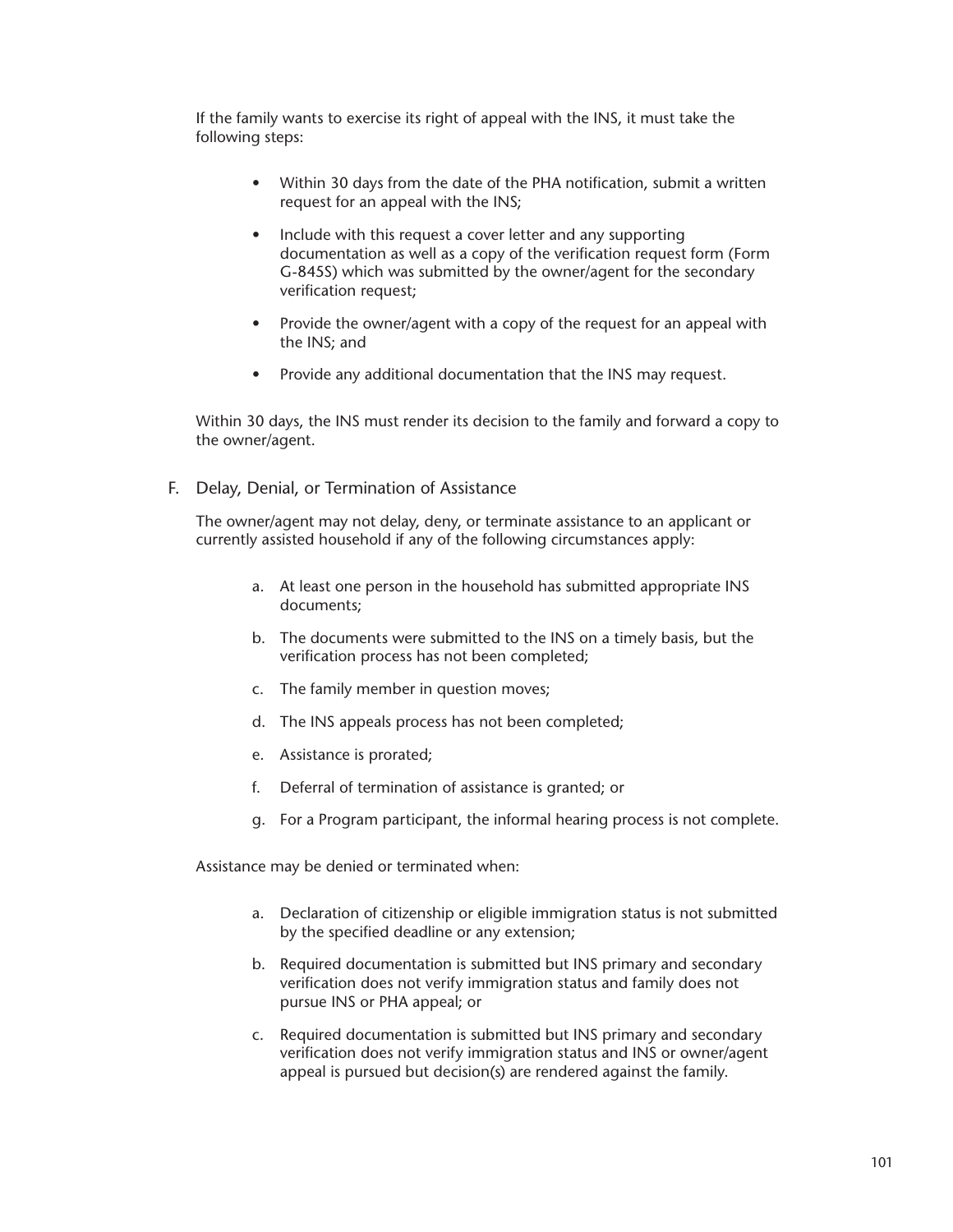If the family wants to exercise its right of appeal with the INS, it must take the following steps:

- Within 30 days from the date of the PHA notification, submit a written request for an appeal with the INS;
- Include with this request a cover letter and any supporting documentation as well as a copy of the verification request form (Form G-845S) which was submitted by the owner/agent for the secondary verification request;
- Provide the owner/agent with a copy of the request for an appeal with the INS; and
- Provide any additional documentation that the INS may request.

Within 30 days, the INS must render its decision to the family and forward a copy to the owner/agent.

F. Delay, Denial, or Termination of Assistance

The owner/agent may not delay, deny, or terminate assistance to an applicant or currently assisted household if any of the following circumstances apply:

- a. At least one person in the household has submitted appropriate INS documents;
- b. The documents were submitted to the INS on a timely basis, but the verification process has not been completed;
- c. The family member in question moves;
- d. The INS appeals process has not been completed;
- e. Assistance is prorated;
- f. Deferral of termination of assistance is granted; or
- g. For a Program participant, the informal hearing process is not complete.

Assistance may be denied or terminated when:

- a. Declaration of citizenship or eligible immigration status is not submitted by the specified deadline or any extension;
- b. Required documentation is submitted but INS primary and secondary verification does not verify immigration status and family does not pursue INS or PHA appeal; or
- c. Required documentation is submitted but INS primary and secondary verification does not verify immigration status and INS or owner/agent appeal is pursued but decision(s) are rendered against the family.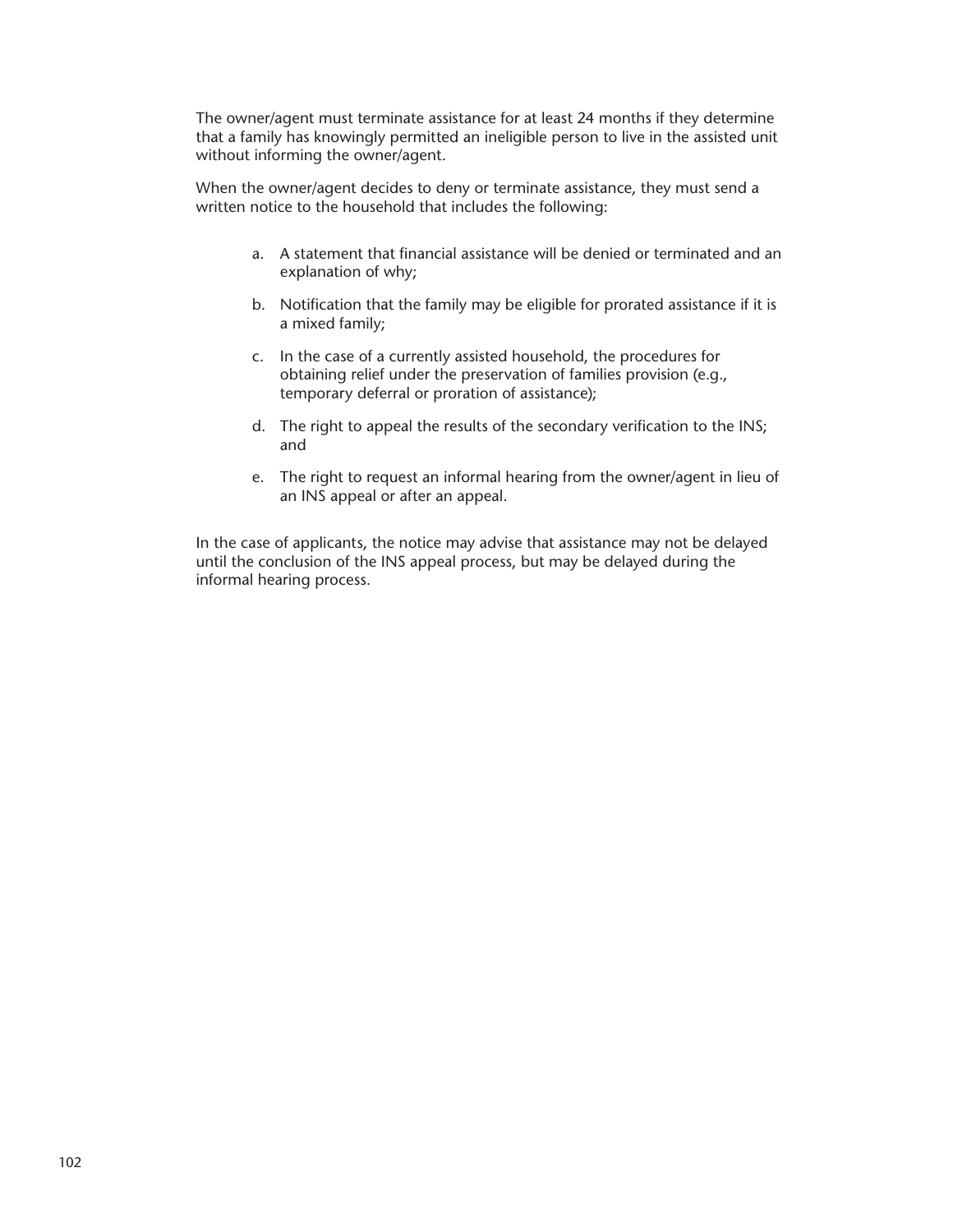The owner/agent must terminate assistance for at least 24 months if they determine that a family has knowingly permitted an ineligible person to live in the assisted unit without informing the owner/agent.

When the owner/agent decides to deny or terminate assistance, they must send a written notice to the household that includes the following:

- a. A statement that financial assistance will be denied or terminated and an explanation of why;
- b. Notification that the family may be eligible for prorated assistance if it is a mixed family;
- c. In the case of a currently assisted household, the procedures for obtaining relief under the preservation of families provision (e.g., temporary deferral or proration of assistance);
- d. The right to appeal the results of the secondary verification to the INS; and
- e. The right to request an informal hearing from the owner/agent in lieu of an INS appeal or after an appeal.

In the case of applicants, the notice may advise that assistance may not be delayed until the conclusion of the INS appeal process, but may be delayed during the informal hearing process.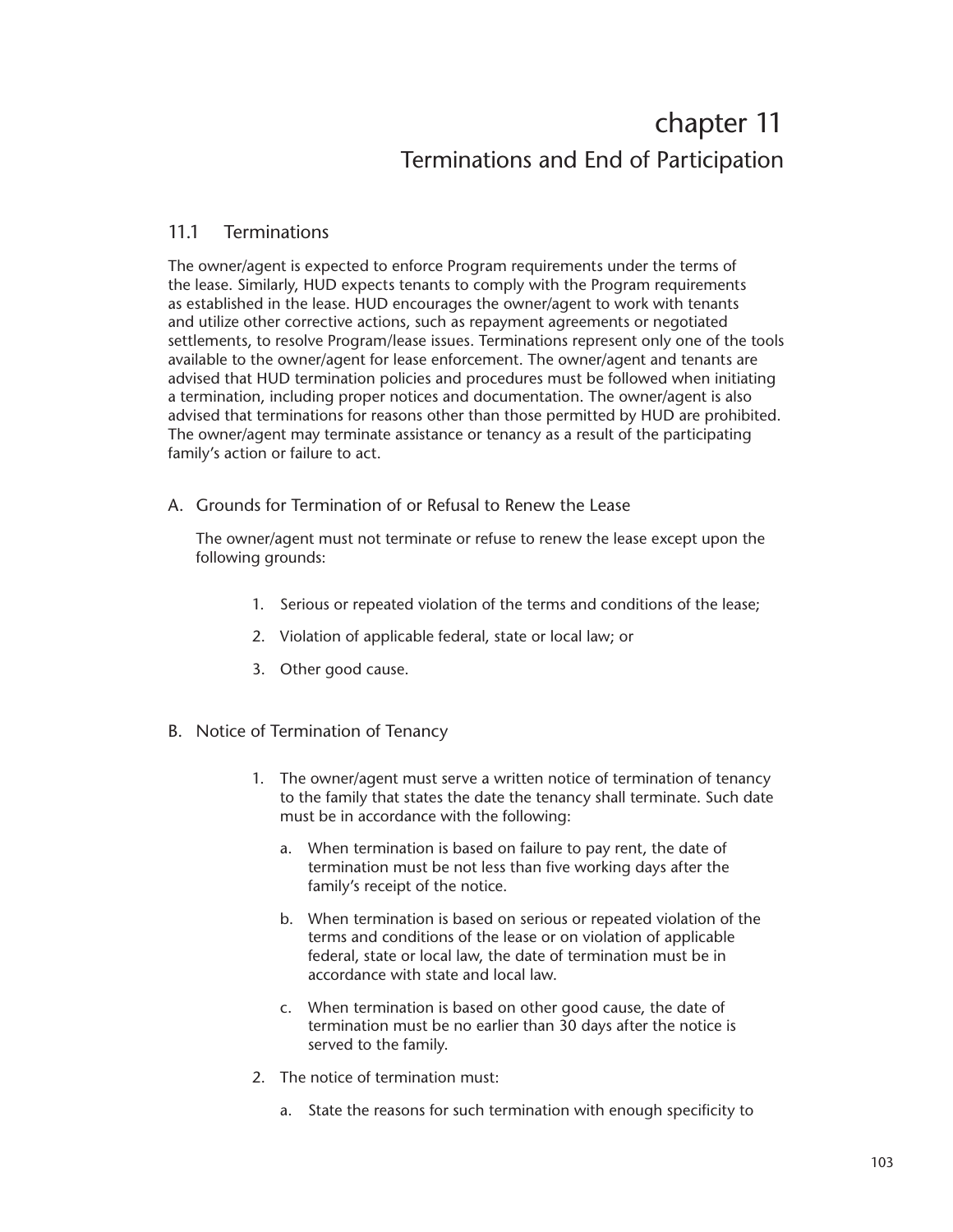# chapter 11 Terminations and End of Participation

# 11.1 Terminations

The owner/agent is expected to enforce Program requirements under the terms of the lease. Similarly, HUD expects tenants to comply with the Program requirements as established in the lease. HUD encourages the owner/agent to work with tenants and utilize other corrective actions, such as repayment agreements or negotiated settlements, to resolve Program/lease issues. Terminations represent only one of the tools available to the owner/agent for lease enforcement. The owner/agent and tenants are advised that HUD termination policies and procedures must be followed when initiating a termination, including proper notices and documentation. The owner/agent is also advised that terminations for reasons other than those permitted by HUD are prohibited. The owner/agent may terminate assistance or tenancy as a result of the participating family's action or failure to act.

A. Grounds for Termination of or Refusal to Renew the Lease

The owner/agent must not terminate or refuse to renew the lease except upon the following grounds:

- 1. Serious or repeated violation of the terms and conditions of the lease;
- 2. Violation of applicable federal, state or local law; or
- 3. Other good cause.
- B. Notice of Termination of Tenancy
	- 1. The owner/agent must serve a written notice of termination of tenancy to the family that states the date the tenancy shall terminate. Such date must be in accordance with the following:
		- a. When termination is based on failure to pay rent, the date of termination must be not less than five working days after the family's receipt of the notice.
		- b. When termination is based on serious or repeated violation of the terms and conditions of the lease or on violation of applicable federal, state or local law, the date of termination must be in accordance with state and local law.
		- c. When termination is based on other good cause, the date of termination must be no earlier than 30 days after the notice is served to the family.
	- 2. The notice of termination must:
		- a. State the reasons for such termination with enough specificity to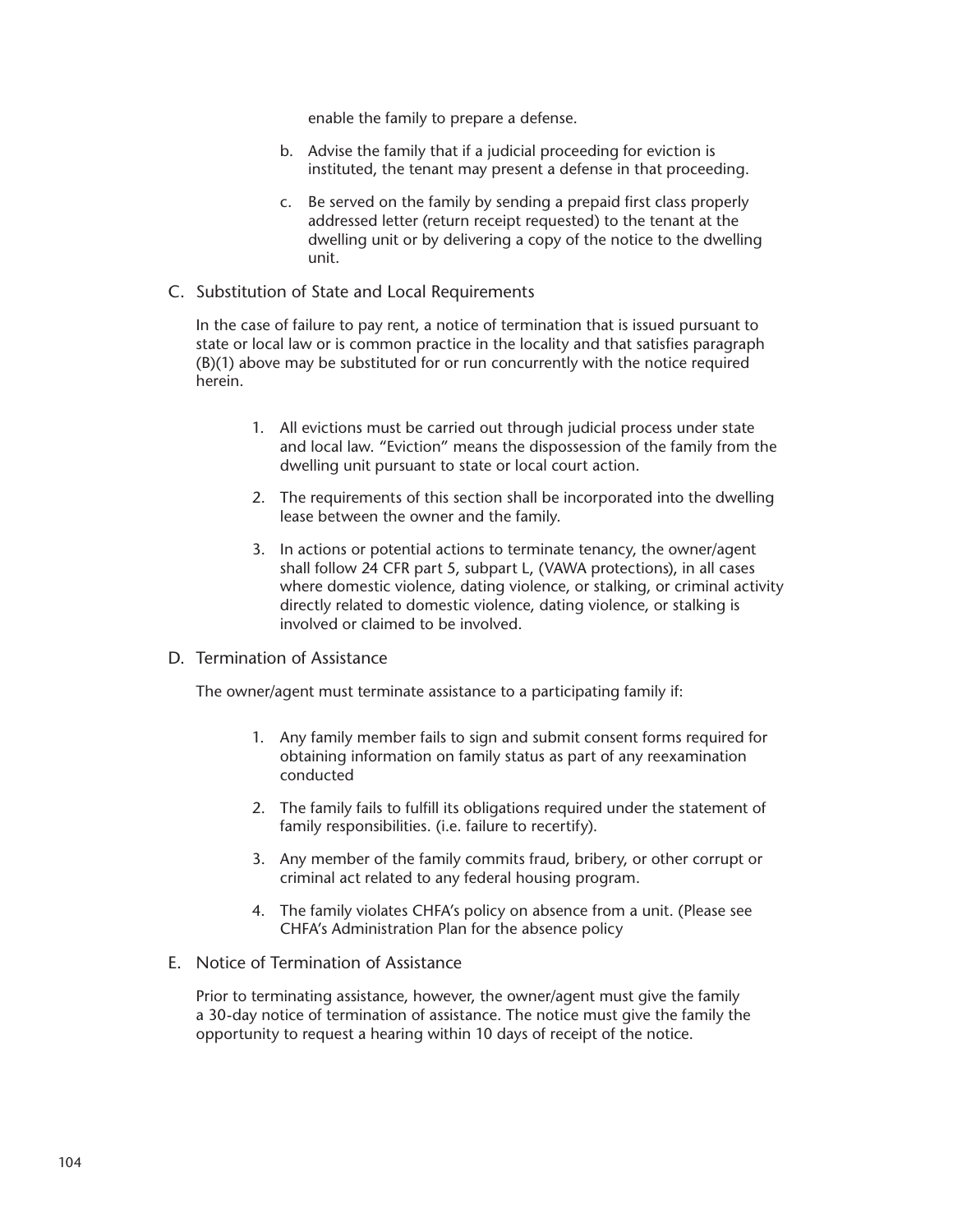enable the family to prepare a defense.

- b. Advise the family that if a judicial proceeding for eviction is instituted, the tenant may present a defense in that proceeding.
- c. Be served on the family by sending a prepaid first class properly addressed letter (return receipt requested) to the tenant at the dwelling unit or by delivering a copy of the notice to the dwelling unit.
- C. Substitution of State and Local Requirements

In the case of failure to pay rent, a notice of termination that is issued pursuant to state or local law or is common practice in the locality and that satisfies paragraph (B)(1) above may be substituted for or run concurrently with the notice required herein.

- 1. All evictions must be carried out through judicial process under state and local law. "Eviction" means the dispossession of the family from the dwelling unit pursuant to state or local court action.
- 2. The requirements of this section shall be incorporated into the dwelling lease between the owner and the family.
- 3. In actions or potential actions to terminate tenancy, the owner/agent shall follow 24 CFR part 5, subpart L, (VAWA protections), in all cases where domestic violence, dating violence, or stalking, or criminal activity directly related to domestic violence, dating violence, or stalking is involved or claimed to be involved.
- D. Termination of Assistance

The owner/agent must terminate assistance to a participating family if:

- 1. Any family member fails to sign and submit consent forms required for obtaining information on family status as part of any reexamination conducted
- 2. The family fails to fulfill its obligations required under the statement of family responsibilities. (i.e. failure to recertify).
- 3. Any member of the family commits fraud, bribery, or other corrupt or criminal act related to any federal housing program.
- 4. The family violates CHFA's policy on absence from a unit. (Please see CHFA's Administration Plan for the absence policy
- E. Notice of Termination of Assistance

Prior to terminating assistance, however, the owner/agent must give the family a 30-day notice of termination of assistance. The notice must give the family the opportunity to request a hearing within 10 days of receipt of the notice.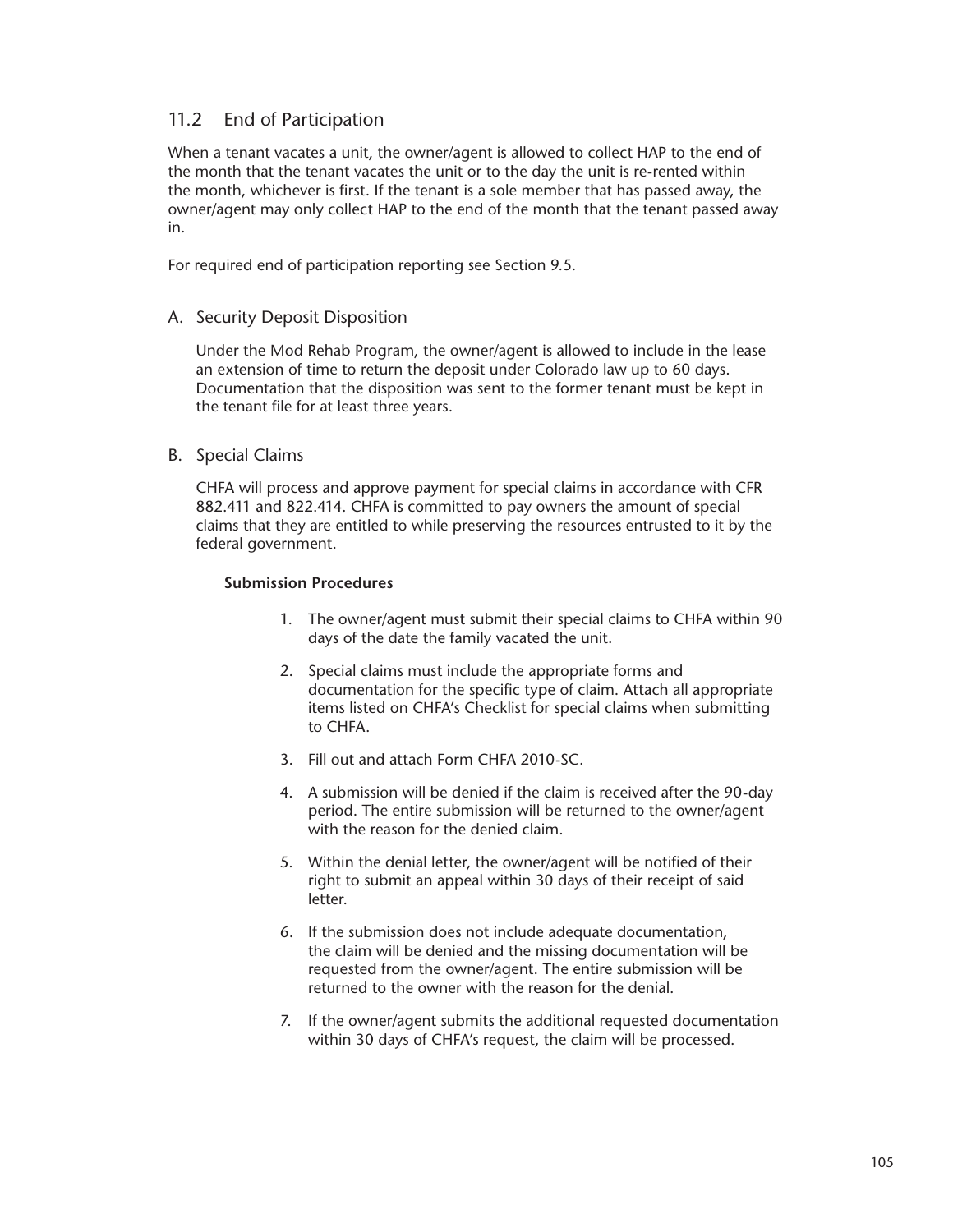# 11.2 End of Participation

When a tenant vacates a unit, the owner/agent is allowed to collect HAP to the end of the month that the tenant vacates the unit or to the day the unit is re-rented within the month, whichever is first. If the tenant is a sole member that has passed away, the owner/agent may only collect HAP to the end of the month that the tenant passed away in.

For required end of participation reporting see Section 9.5.

# A. Security Deposit Disposition

Under the Mod Rehab Program, the owner/agent is allowed to include in the lease an extension of time to return the deposit under Colorado law up to 60 days. Documentation that the disposition was sent to the former tenant must be kept in the tenant file for at least three years.

B. Special Claims

CHFA will process and approve payment for special claims in accordance with CFR 882.411 and 822.414. CHFA is committed to pay owners the amount of special claims that they are entitled to while preserving the resources entrusted to it by the federal government.

#### **Submission Procedures**

- 1. The owner/agent must submit their special claims to CHFA within 90 days of the date the family vacated the unit.
- 2. Special claims must include the appropriate forms and documentation for the specific type of claim. Attach all appropriate items listed on CHFA's Checklist for special claims when submitting to CHFA.
- 3. Fill out and attach Form CHFA 2010-SC.
- 4. A submission will be denied if the claim is received after the 90-day period. The entire submission will be returned to the owner/agent with the reason for the denied claim.
- 5. Within the denial letter, the owner/agent will be notified of their right to submit an appeal within 30 days of their receipt of said letter.
- 6. If the submission does not include adequate documentation, the claim will be denied and the missing documentation will be requested from the owner/agent. The entire submission will be returned to the owner with the reason for the denial.
- 7. If the owner/agent submits the additional requested documentation within 30 days of CHFA's request, the claim will be processed.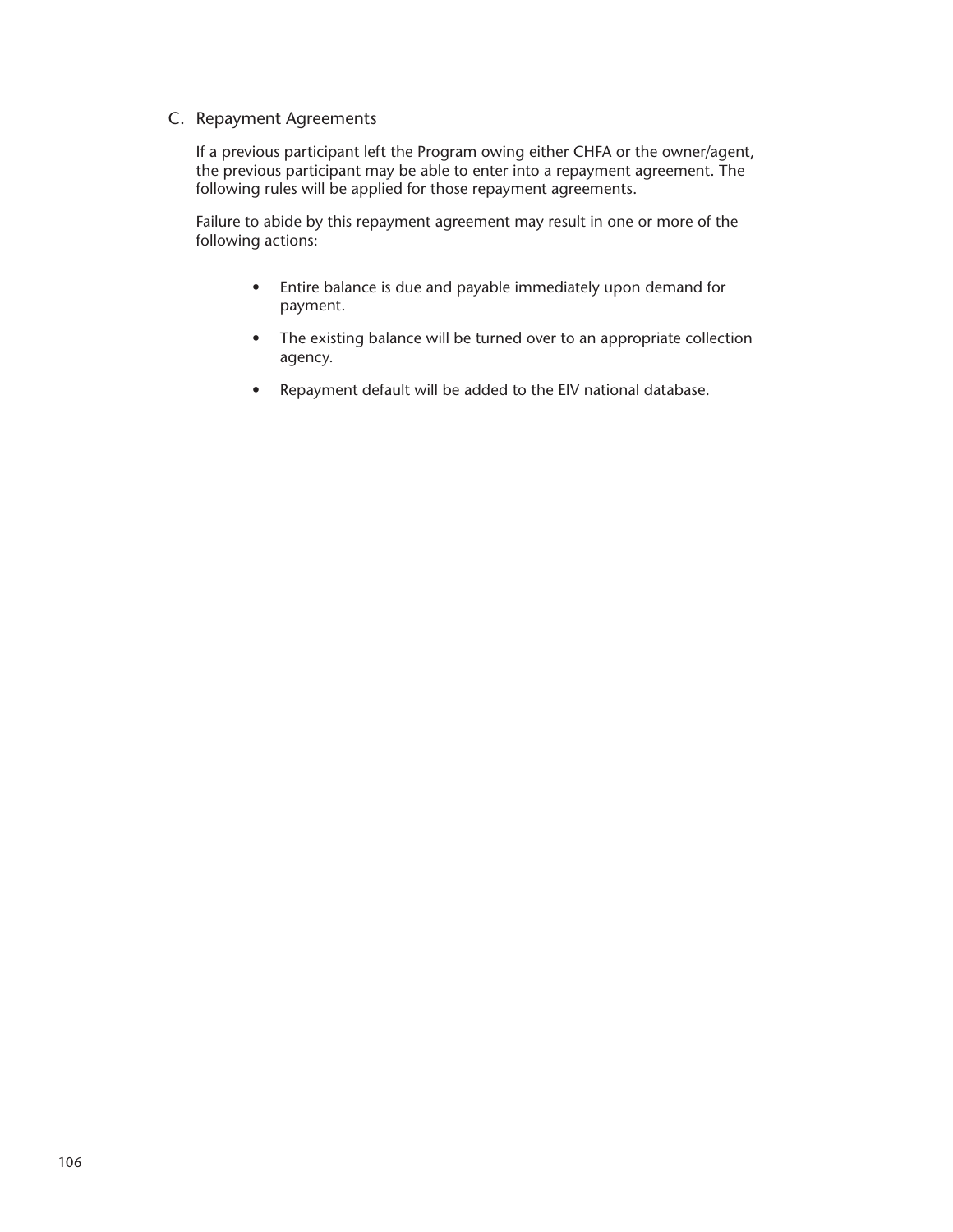# C. Repayment Agreements

If a previous participant left the Program owing either CHFA or the owner/agent, the previous participant may be able to enter into a repayment agreement. The following rules will be applied for those repayment agreements.

Failure to abide by this repayment agreement may result in one or more of the following actions:

- Entire balance is due and payable immediately upon demand for payment.
- The existing balance will be turned over to an appropriate collection agency.
- Repayment default will be added to the EIV national database.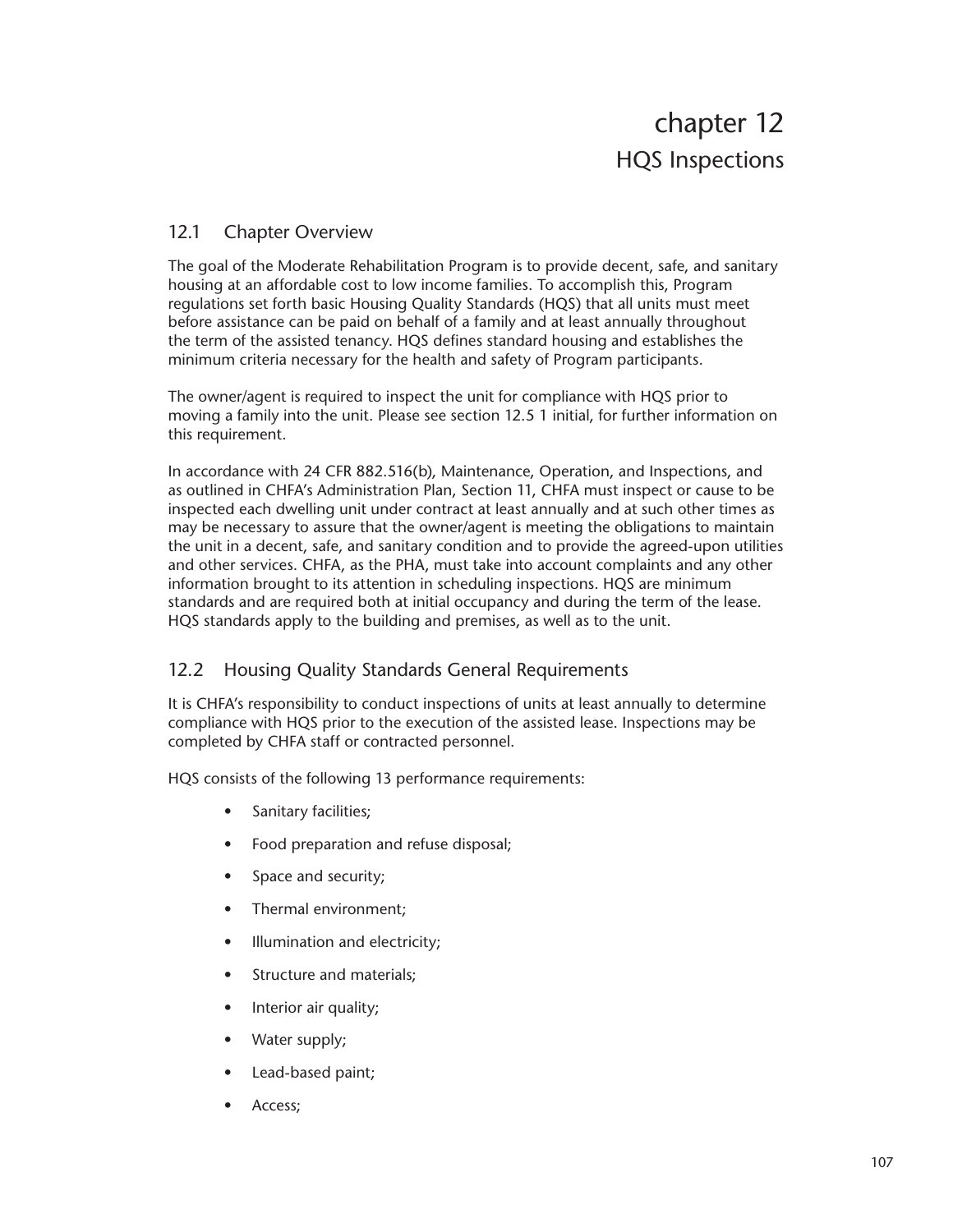# 12.1 Chapter Overview

The goal of the Moderate Rehabilitation Program is to provide decent, safe, and sanitary housing at an affordable cost to low income families. To accomplish this, Program regulations set forth basic Housing Quality Standards (HQS) that all units must meet before assistance can be paid on behalf of a family and at least annually throughout the term of the assisted tenancy. HQS defines standard housing and establishes the minimum criteria necessary for the health and safety of Program participants.

The owner/agent is required to inspect the unit for compliance with HQS prior to moving a family into the unit. Please see section 12.5 1 initial, for further information on this requirement.

In accordance with 24 CFR 882.516(b), Maintenance, Operation, and Inspections, and as outlined in CHFA's Administration Plan, Section 11, CHFA must inspect or cause to be inspected each dwelling unit under contract at least annually and at such other times as may be necessary to assure that the owner/agent is meeting the obligations to maintain the unit in a decent, safe, and sanitary condition and to provide the agreed-upon utilities and other services. CHFA, as the PHA, must take into account complaints and any other information brought to its attention in scheduling inspections. HQS are minimum standards and are required both at initial occupancy and during the term of the lease. HQS standards apply to the building and premises, as well as to the unit.

# 12.2 Housing Quality Standards General Requirements

It is CHFA's responsibility to conduct inspections of units at least annually to determine compliance with HQS prior to the execution of the assisted lease. Inspections may be completed by CHFA staff or contracted personnel.

HQS consists of the following 13 performance requirements:

- Sanitary facilities;
- Food preparation and refuse disposal;
- Space and security;
- Thermal environment;
- Illumination and electricity;
- Structure and materials;
- Interior air quality;
- Water supply;
- Lead-based paint;
- Access;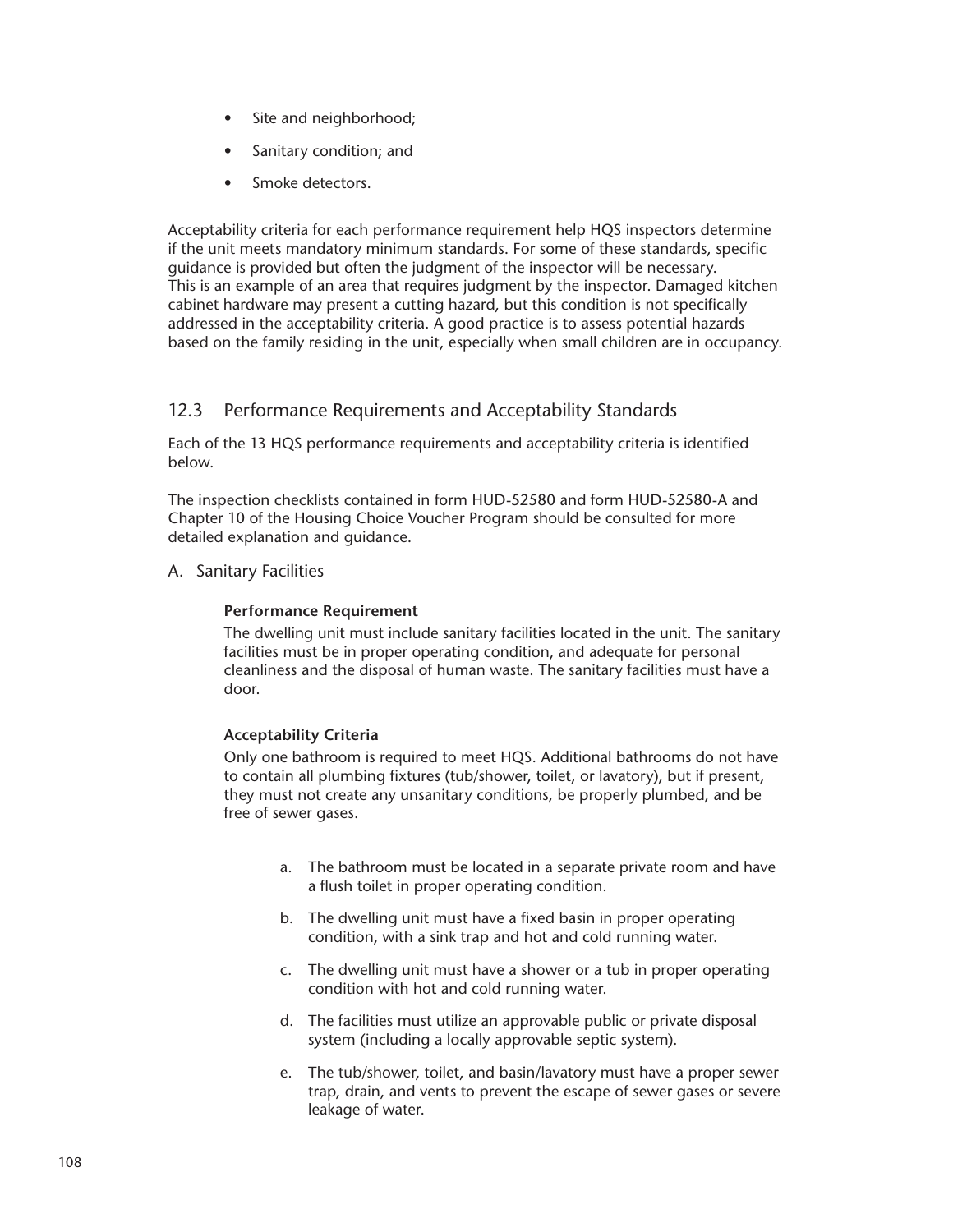- Site and neighborhood;
- Sanitary condition; and
- Smoke detectors.

Acceptability criteria for each performance requirement help HQS inspectors determine if the unit meets mandatory minimum standards. For some of these standards, specific guidance is provided but often the judgment of the inspector will be necessary. This is an example of an area that requires judgment by the inspector. Damaged kitchen cabinet hardware may present a cutting hazard, but this condition is not specifically addressed in the acceptability criteria. A good practice is to assess potential hazards based on the family residing in the unit, especially when small children are in occupancy.

# 12.3 Performance Requirements and Acceptability Standards

Each of the 13 HQS performance requirements and acceptability criteria is identified below.

The inspection checklists contained in form HUD-52580 and form HUD-52580-A and Chapter 10 of the Housing Choice Voucher Program should be consulted for more detailed explanation and guidance.

## A. Sanitary Facilities

#### **Performance Requirement**

The dwelling unit must include sanitary facilities located in the unit. The sanitary facilities must be in proper operating condition, and adequate for personal cleanliness and the disposal of human waste. The sanitary facilities must have a door.

#### **Acceptability Criteria**

Only one bathroom is required to meet HQS. Additional bathrooms do not have to contain all plumbing fixtures (tub/shower, toilet, or lavatory), but if present, they must not create any unsanitary conditions, be properly plumbed, and be free of sewer gases.

- a. The bathroom must be located in a separate private room and have a flush toilet in proper operating condition.
- b. The dwelling unit must have a fixed basin in proper operating condition, with a sink trap and hot and cold running water.
- c. The dwelling unit must have a shower or a tub in proper operating condition with hot and cold running water.
- d. The facilities must utilize an approvable public or private disposal system (including a locally approvable septic system).
- e. The tub/shower, toilet, and basin/lavatory must have a proper sewer trap, drain, and vents to prevent the escape of sewer gases or severe leakage of water.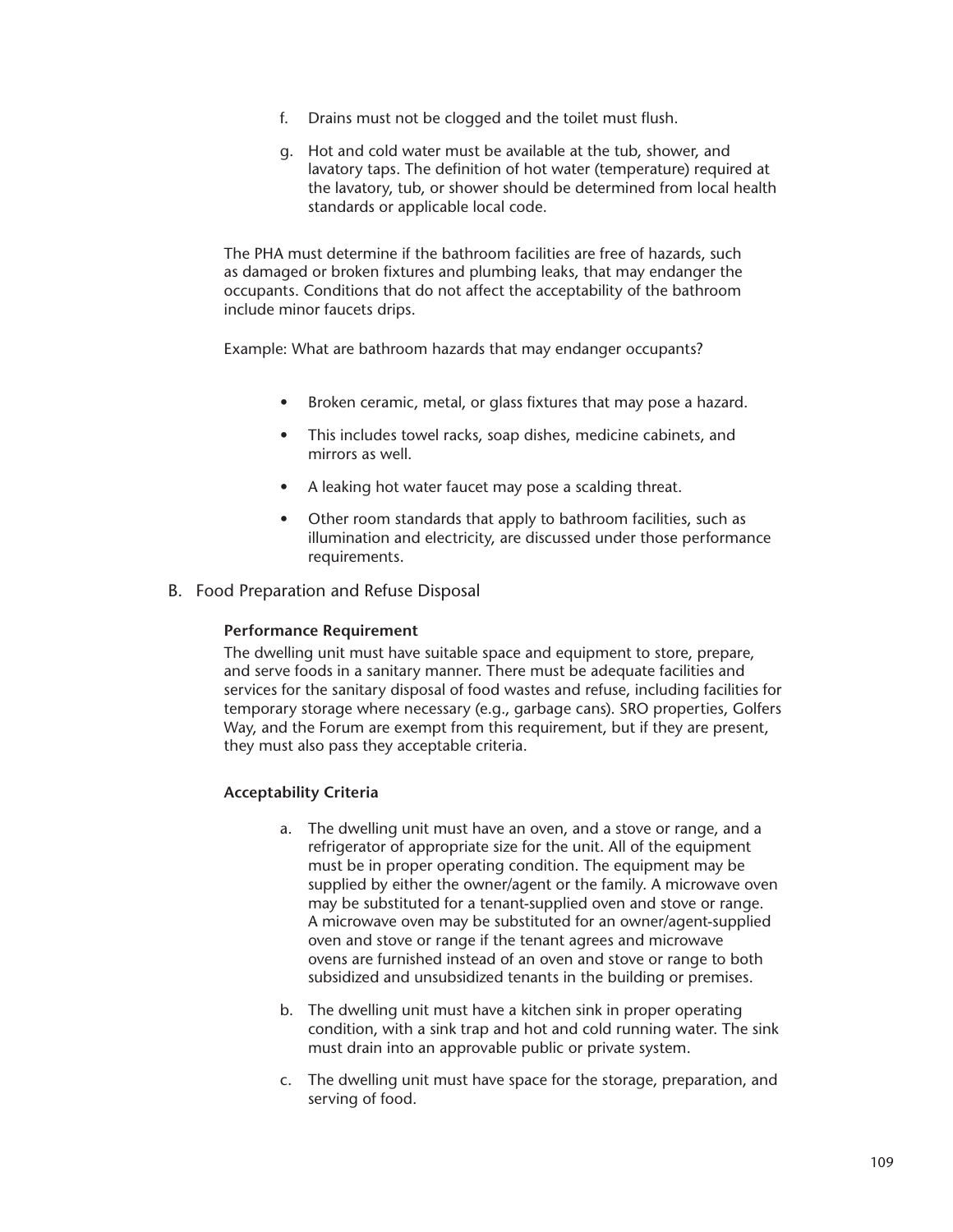- f. Drains must not be clogged and the toilet must flush.
- g. Hot and cold water must be available at the tub, shower, and lavatory taps. The definition of hot water (temperature) required at the lavatory, tub, or shower should be determined from local health standards or applicable local code.

The PHA must determine if the bathroom facilities are free of hazards, such as damaged or broken fixtures and plumbing leaks, that may endanger the occupants. Conditions that do not affect the acceptability of the bathroom include minor faucets drips.

Example: What are bathroom hazards that may endanger occupants?

- Broken ceramic, metal, or glass fixtures that may pose a hazard.
- This includes towel racks, soap dishes, medicine cabinets, and mirrors as well.
- A leaking hot water faucet may pose a scalding threat.
- Other room standards that apply to bathroom facilities, such as illumination and electricity, are discussed under those performance requirements.
- B. Food Preparation and Refuse Disposal

#### **Performance Requirement**

The dwelling unit must have suitable space and equipment to store, prepare, and serve foods in a sanitary manner. There must be adequate facilities and services for the sanitary disposal of food wastes and refuse, including facilities for temporary storage where necessary (e.g., garbage cans). SRO properties, Golfers Way, and the Forum are exempt from this requirement, but if they are present, they must also pass they acceptable criteria.

# **Acceptability Criteria**

- a. The dwelling unit must have an oven, and a stove or range, and a refrigerator of appropriate size for the unit. All of the equipment must be in proper operating condition. The equipment may be supplied by either the owner/agent or the family. A microwave oven may be substituted for a tenant-supplied oven and stove or range. A microwave oven may be substituted for an owner/agent-supplied oven and stove or range if the tenant agrees and microwave ovens are furnished instead of an oven and stove or range to both subsidized and unsubsidized tenants in the building or premises.
- b. The dwelling unit must have a kitchen sink in proper operating condition, with a sink trap and hot and cold running water. The sink must drain into an approvable public or private system.
- c. The dwelling unit must have space for the storage, preparation, and serving of food.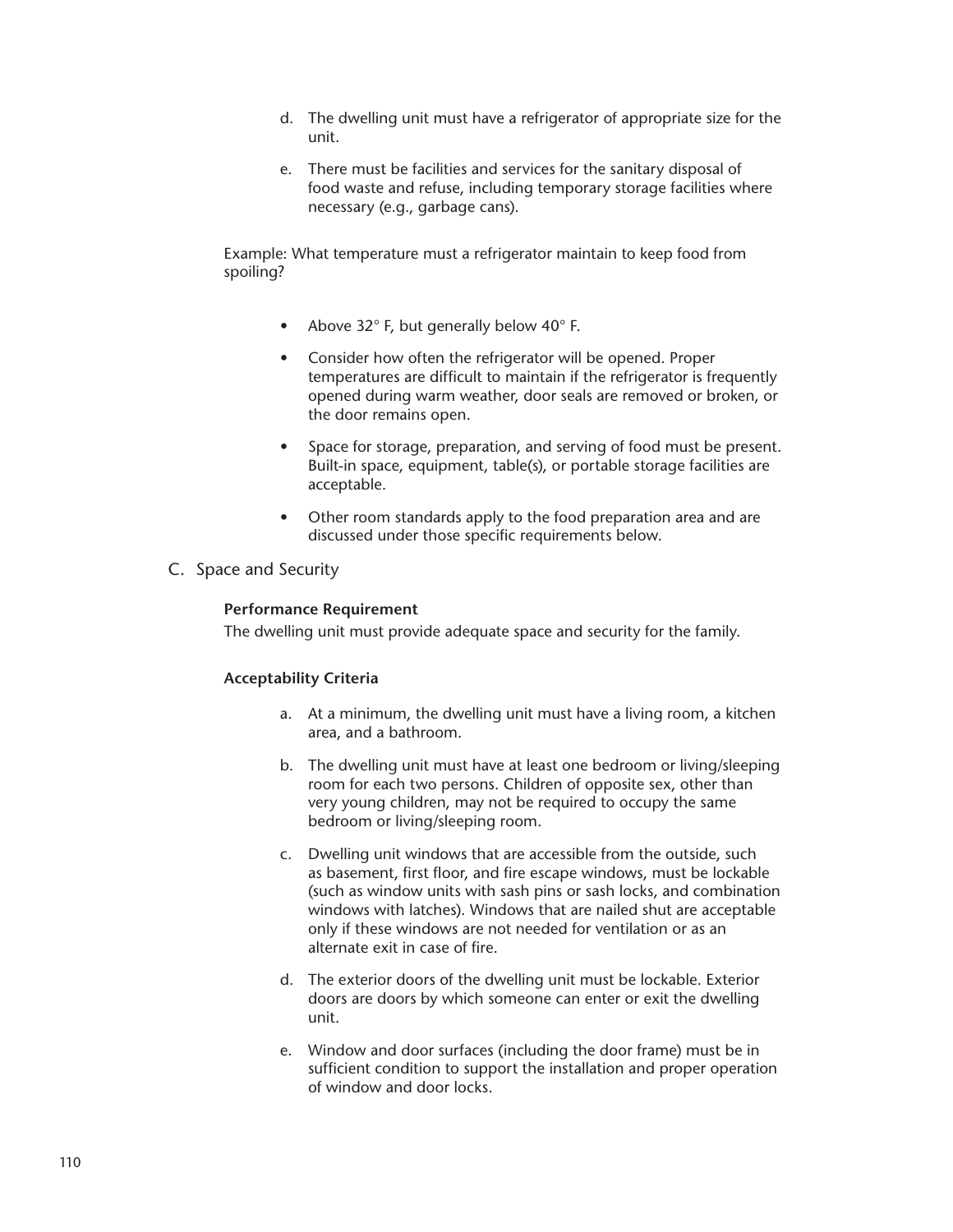- d. The dwelling unit must have a refrigerator of appropriate size for the unit.
- e. There must be facilities and services for the sanitary disposal of food waste and refuse, including temporary storage facilities where necessary (e.g., garbage cans).

Example: What temperature must a refrigerator maintain to keep food from spoiling?

- Above 32° F, but generally below 40° F.
- Consider how often the refrigerator will be opened. Proper temperatures are difficult to maintain if the refrigerator is frequently opened during warm weather, door seals are removed or broken, or the door remains open.
- Space for storage, preparation, and serving of food must be present. Built-in space, equipment, table(s), or portable storage facilities are acceptable.
- Other room standards apply to the food preparation area and are discussed under those specific requirements below.
- C. Space and Security

# **Performance Requirement**

The dwelling unit must provide adequate space and security for the family.

#### **Acceptability Criteria**

- a. At a minimum, the dwelling unit must have a living room, a kitchen area, and a bathroom.
- b. The dwelling unit must have at least one bedroom or living/sleeping room for each two persons. Children of opposite sex, other than very young children, may not be required to occupy the same bedroom or living/sleeping room.
- c. Dwelling unit windows that are accessible from the outside, such as basement, first floor, and fire escape windows, must be lockable (such as window units with sash pins or sash locks, and combination windows with latches). Windows that are nailed shut are acceptable only if these windows are not needed for ventilation or as an alternate exit in case of fire.
- d. The exterior doors of the dwelling unit must be lockable. Exterior doors are doors by which someone can enter or exit the dwelling unit.
- e. Window and door surfaces (including the door frame) must be in sufficient condition to support the installation and proper operation of window and door locks.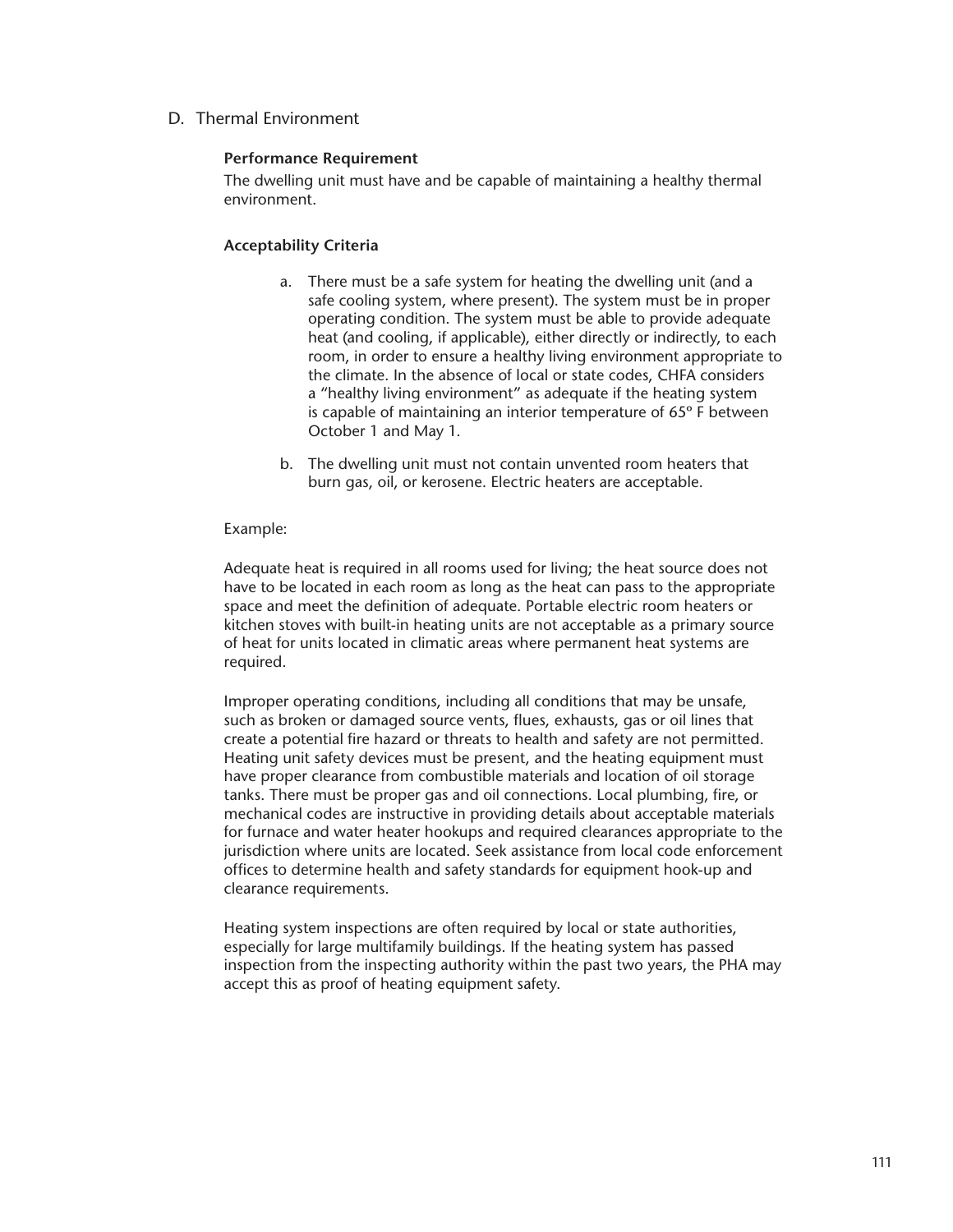D. Thermal Environment

## **Performance Requirement**

The dwelling unit must have and be capable of maintaining a healthy thermal environment.

## **Acceptability Criteria**

- a. There must be a safe system for heating the dwelling unit (and a safe cooling system, where present). The system must be in proper operating condition. The system must be able to provide adequate heat (and cooling, if applicable), either directly or indirectly, to each room, in order to ensure a healthy living environment appropriate to the climate. In the absence of local or state codes, CHFA considers a "healthy living environment" as adequate if the heating system is capable of maintaining an interior temperature of 65º F between October 1 and May 1.
- b. The dwelling unit must not contain unvented room heaters that burn gas, oil, or kerosene. Electric heaters are acceptable.

#### Example:

Adequate heat is required in all rooms used for living; the heat source does not have to be located in each room as long as the heat can pass to the appropriate space and meet the definition of adequate. Portable electric room heaters or kitchen stoves with built-in heating units are not acceptable as a primary source of heat for units located in climatic areas where permanent heat systems are required.

Improper operating conditions, including all conditions that may be unsafe, such as broken or damaged source vents, flues, exhausts, gas or oil lines that create a potential fire hazard or threats to health and safety are not permitted. Heating unit safety devices must be present, and the heating equipment must have proper clearance from combustible materials and location of oil storage tanks. There must be proper gas and oil connections. Local plumbing, fire, or mechanical codes are instructive in providing details about acceptable materials for furnace and water heater hookups and required clearances appropriate to the jurisdiction where units are located. Seek assistance from local code enforcement offices to determine health and safety standards for equipment hook-up and clearance requirements.

Heating system inspections are often required by local or state authorities, especially for large multifamily buildings. If the heating system has passed inspection from the inspecting authority within the past two years, the PHA may accept this as proof of heating equipment safety.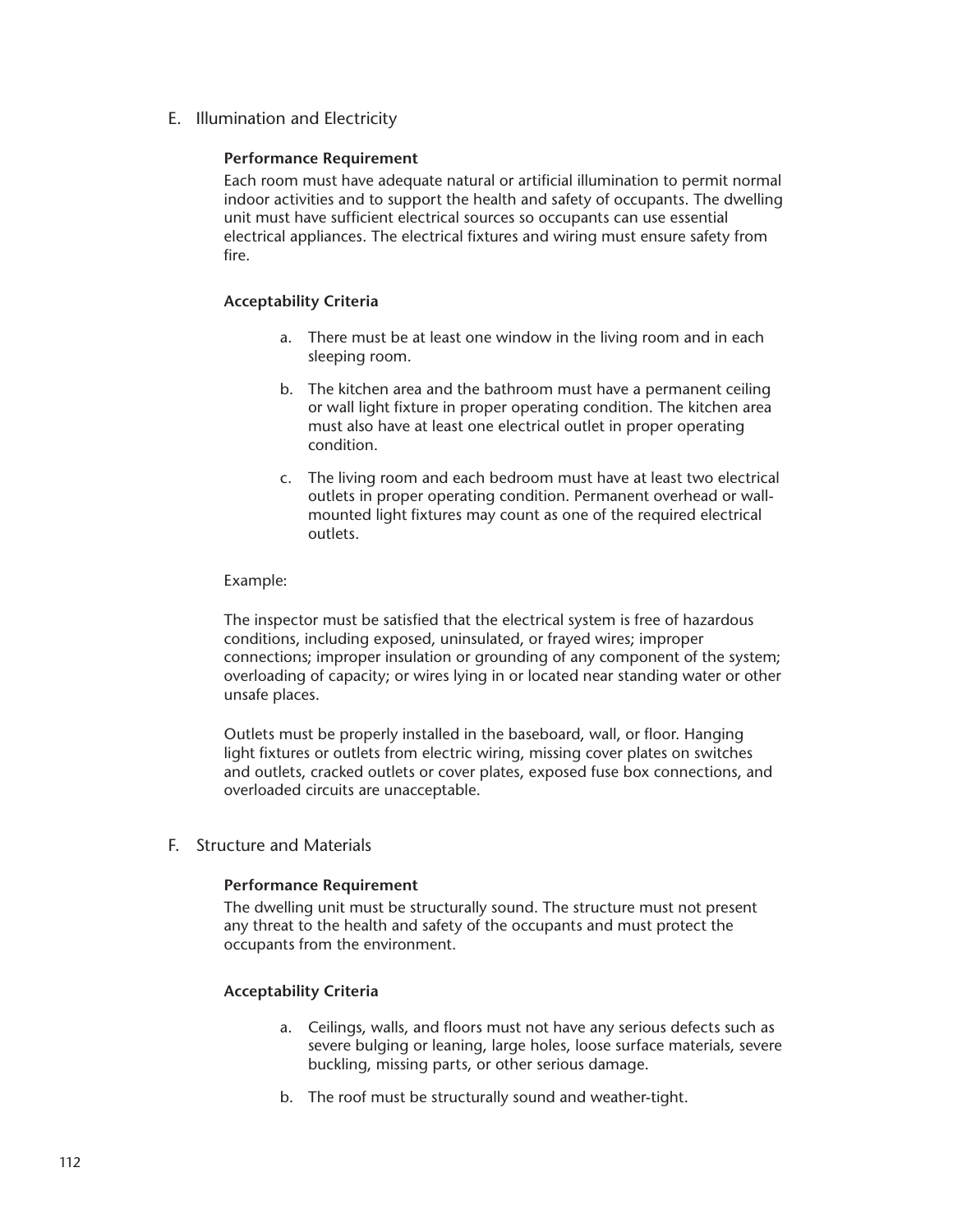E. Illumination and Electricity

## **Performance Requirement**

Each room must have adequate natural or artificial illumination to permit normal indoor activities and to support the health and safety of occupants. The dwelling unit must have sufficient electrical sources so occupants can use essential electrical appliances. The electrical fixtures and wiring must ensure safety from fire.

## **Acceptability Criteria**

- a. There must be at least one window in the living room and in each sleeping room.
- b. The kitchen area and the bathroom must have a permanent ceiling or wall light fixture in proper operating condition. The kitchen area must also have at least one electrical outlet in proper operating condition.
- c. The living room and each bedroom must have at least two electrical outlets in proper operating condition. Permanent overhead or wallmounted light fixtures may count as one of the required electrical outlets.

## Example:

The inspector must be satisfied that the electrical system is free of hazardous conditions, including exposed, uninsulated, or frayed wires; improper connections; improper insulation or grounding of any component of the system; overloading of capacity; or wires lying in or located near standing water or other unsafe places.

Outlets must be properly installed in the baseboard, wall, or floor. Hanging light fixtures or outlets from electric wiring, missing cover plates on switches and outlets, cracked outlets or cover plates, exposed fuse box connections, and overloaded circuits are unacceptable.

# F. Structure and Materials

#### **Performance Requirement**

The dwelling unit must be structurally sound. The structure must not present any threat to the health and safety of the occupants and must protect the occupants from the environment.

#### **Acceptability Criteria**

- a. Ceilings, walls, and floors must not have any serious defects such as severe bulging or leaning, large holes, loose surface materials, severe buckling, missing parts, or other serious damage.
- b. The roof must be structurally sound and weather-tight.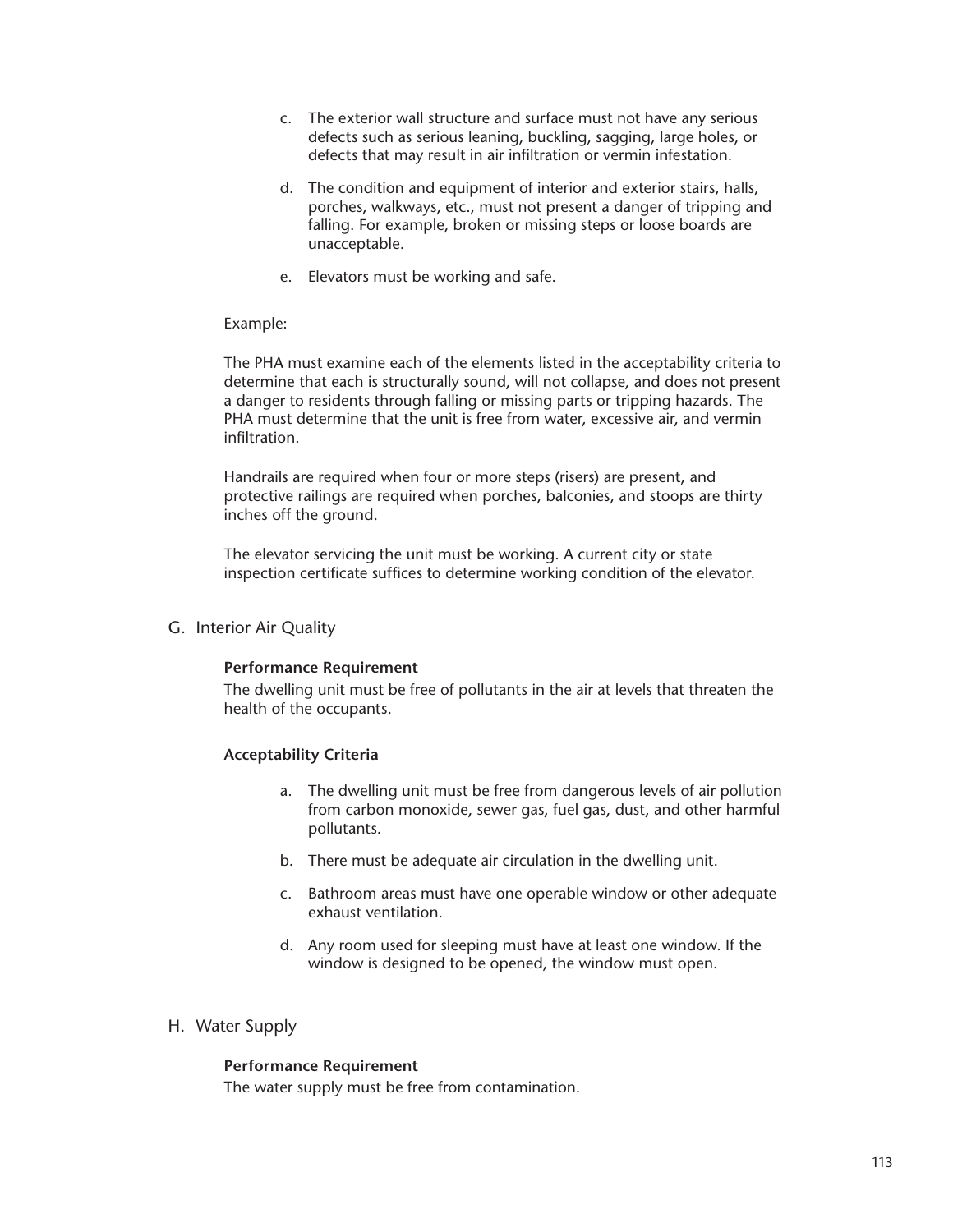- c. The exterior wall structure and surface must not have any serious defects such as serious leaning, buckling, sagging, large holes, or defects that may result in air infiltration or vermin infestation.
- d. The condition and equipment of interior and exterior stairs, halls, porches, walkways, etc., must not present a danger of tripping and falling. For example, broken or missing steps or loose boards are unacceptable.
- e. Elevators must be working and safe.

## Example:

The PHA must examine each of the elements listed in the acceptability criteria to determine that each is structurally sound, will not collapse, and does not present a danger to residents through falling or missing parts or tripping hazards. The PHA must determine that the unit is free from water, excessive air, and vermin infiltration.

Handrails are required when four or more steps (risers) are present, and protective railings are required when porches, balconies, and stoops are thirty inches off the ground.

The elevator servicing the unit must be working. A current city or state inspection certificate suffices to determine working condition of the elevator.

G. Interior Air Quality

#### **Performance Requirement**

The dwelling unit must be free of pollutants in the air at levels that threaten the health of the occupants.

# **Acceptability Criteria**

- a. The dwelling unit must be free from dangerous levels of air pollution from carbon monoxide, sewer gas, fuel gas, dust, and other harmful pollutants.
- b. There must be adequate air circulation in the dwelling unit.
- c. Bathroom areas must have one operable window or other adequate exhaust ventilation.
- d. Any room used for sleeping must have at least one window. If the window is designed to be opened, the window must open.
- H. Water Supply

# **Performance Requirement**

The water supply must be free from contamination.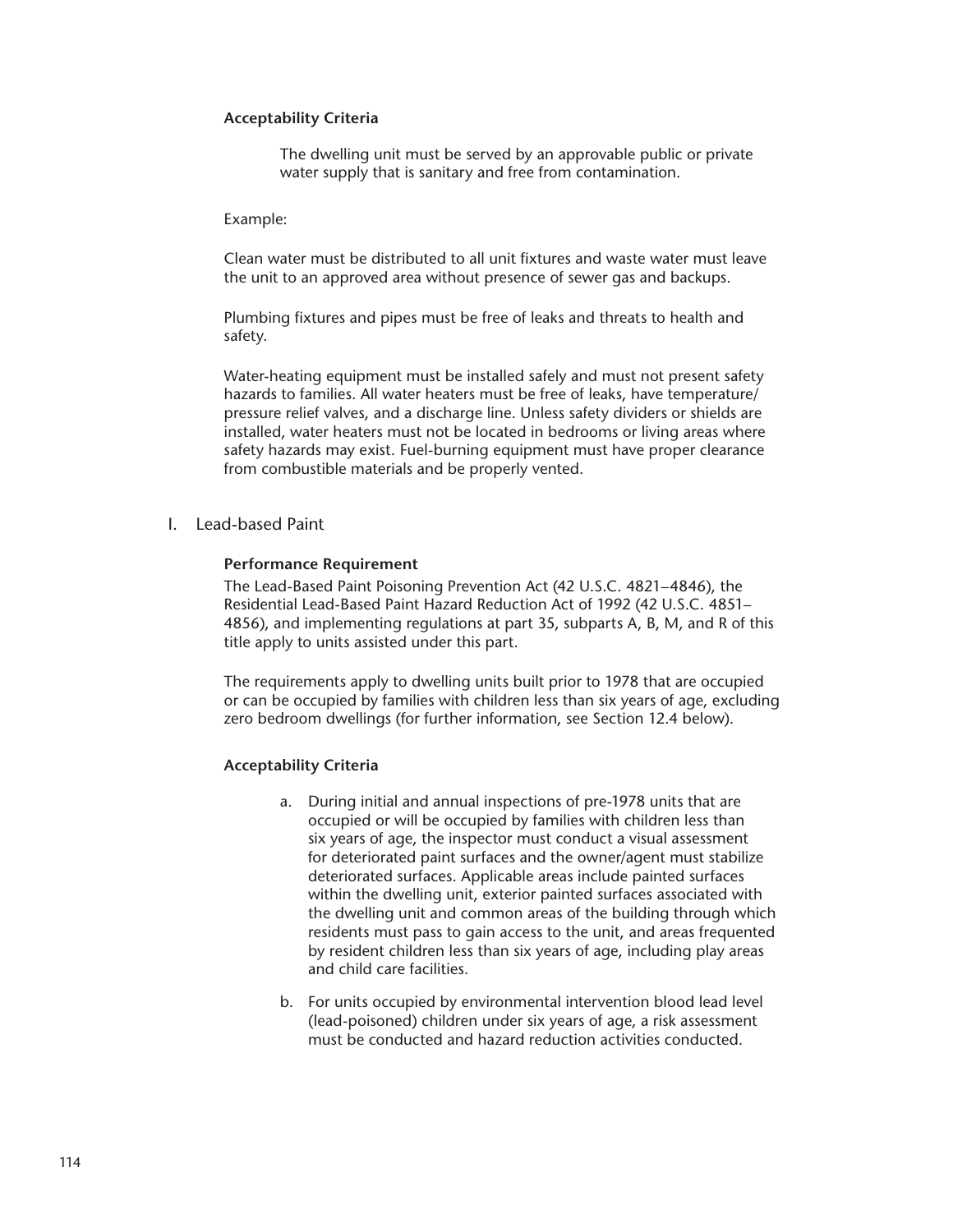## **Acceptability Criteria**

The dwelling unit must be served by an approvable public or private water supply that is sanitary and free from contamination.

#### Example:

Clean water must be distributed to all unit fixtures and waste water must leave the unit to an approved area without presence of sewer gas and backups.

Plumbing fixtures and pipes must be free of leaks and threats to health and safety.

Water-heating equipment must be installed safely and must not present safety hazards to families. All water heaters must be free of leaks, have temperature/ pressure relief valves, and a discharge line. Unless safety dividers or shields are installed, water heaters must not be located in bedrooms or living areas where safety hazards may exist. Fuel-burning equipment must have proper clearance from combustible materials and be properly vented.

I. Lead-based Paint

#### **Performance Requirement**

The Lead-Based Paint Poisoning Prevention Act (42 U.S.C. 4821–4846), the Residential Lead-Based Paint Hazard Reduction Act of 1992 (42 U.S.C. 4851– 4856), and implementing regulations at part 35, subparts A, B, M, and R of this title apply to units assisted under this part.

The requirements apply to dwelling units built prior to 1978 that are occupied or can be occupied by families with children less than six years of age, excluding zero bedroom dwellings (for further information, see Section 12.4 below).

#### **Acceptability Criteria**

- a. During initial and annual inspections of pre-1978 units that are occupied or will be occupied by families with children less than six years of age, the inspector must conduct a visual assessment for deteriorated paint surfaces and the owner/agent must stabilize deteriorated surfaces. Applicable areas include painted surfaces within the dwelling unit, exterior painted surfaces associated with the dwelling unit and common areas of the building through which residents must pass to gain access to the unit, and areas frequented by resident children less than six years of age, including play areas and child care facilities.
- b. For units occupied by environmental intervention blood lead level (lead-poisoned) children under six years of age, a risk assessment must be conducted and hazard reduction activities conducted.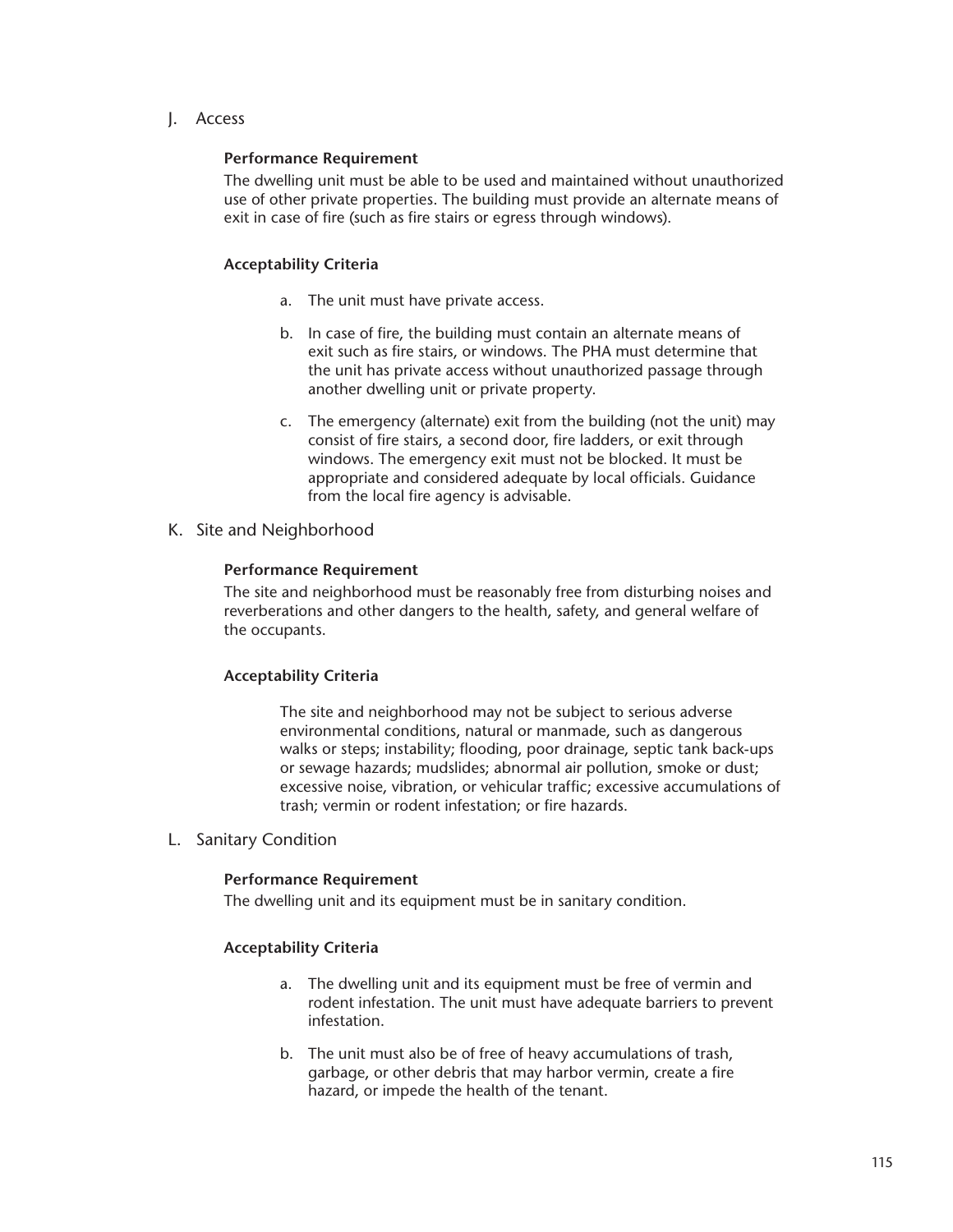J. Access

## **Performance Requirement**

The dwelling unit must be able to be used and maintained without unauthorized use of other private properties. The building must provide an alternate means of exit in case of fire (such as fire stairs or egress through windows).

## **Acceptability Criteria**

- a. The unit must have private access.
- b. In case of fire, the building must contain an alternate means of exit such as fire stairs, or windows. The PHA must determine that the unit has private access without unauthorized passage through another dwelling unit or private property.
- c. The emergency (alternate) exit from the building (not the unit) may consist of fire stairs, a second door, fire ladders, or exit through windows. The emergency exit must not be blocked. It must be appropriate and considered adequate by local officials. Guidance from the local fire agency is advisable.
- K. Site and Neighborhood

## **Performance Requirement**

The site and neighborhood must be reasonably free from disturbing noises and reverberations and other dangers to the health, safety, and general welfare of the occupants.

# **Acceptability Criteria**

The site and neighborhood may not be subject to serious adverse environmental conditions, natural or manmade, such as dangerous walks or steps; instability; flooding, poor drainage, septic tank back-ups or sewage hazards; mudslides; abnormal air pollution, smoke or dust; excessive noise, vibration, or vehicular traffic; excessive accumulations of trash; vermin or rodent infestation; or fire hazards.

L. Sanitary Condition

#### **Performance Requirement**

The dwelling unit and its equipment must be in sanitary condition.

# **Acceptability Criteria**

- a. The dwelling unit and its equipment must be free of vermin and rodent infestation. The unit must have adequate barriers to prevent infestation.
- b. The unit must also be of free of heavy accumulations of trash, garbage, or other debris that may harbor vermin, create a fire hazard, or impede the health of the tenant.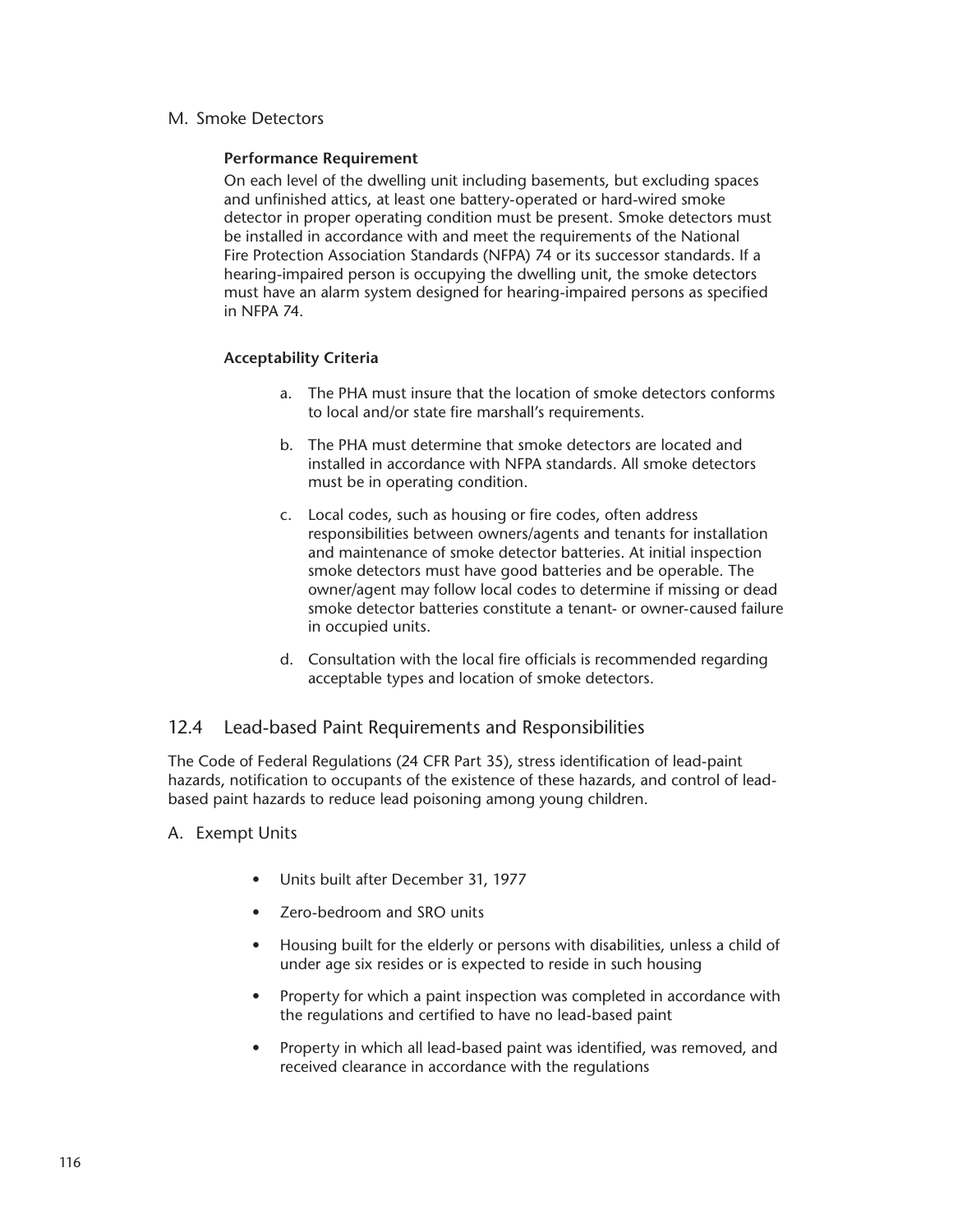M. Smoke Detectors

# **Performance Requirement**

On each level of the dwelling unit including basements, but excluding spaces and unfinished attics, at least one battery-operated or hard-wired smoke detector in proper operating condition must be present. Smoke detectors must be installed in accordance with and meet the requirements of the National Fire Protection Association Standards (NFPA) 74 or its successor standards. If a hearing-impaired person is occupying the dwelling unit, the smoke detectors must have an alarm system designed for hearing-impaired persons as specified in NFPA 74.

# **Acceptability Criteria**

- a. The PHA must insure that the location of smoke detectors conforms to local and/or state fire marshall's requirements.
- b. The PHA must determine that smoke detectors are located and installed in accordance with NFPA standards. All smoke detectors must be in operating condition.
- c. Local codes, such as housing or fire codes, often address responsibilities between owners/agents and tenants for installation and maintenance of smoke detector batteries. At initial inspection smoke detectors must have good batteries and be operable. The owner/agent may follow local codes to determine if missing or dead smoke detector batteries constitute a tenant- or owner-caused failure in occupied units.
- d. Consultation with the local fire officials is recommended regarding acceptable types and location of smoke detectors.

# 12.4 Lead-based Paint Requirements and Responsibilities

The Code of Federal Regulations (24 CFR Part 35), stress identification of lead-paint hazards, notification to occupants of the existence of these hazards, and control of leadbased paint hazards to reduce lead poisoning among young children.

- A. Exempt Units
	- Units built after December 31, 1977
	- Zero-bedroom and SRO units
	- Housing built for the elderly or persons with disabilities, unless a child of under age six resides or is expected to reside in such housing
	- Property for which a paint inspection was completed in accordance with the regulations and certified to have no lead-based paint
	- Property in which all lead-based paint was identified, was removed, and received clearance in accordance with the regulations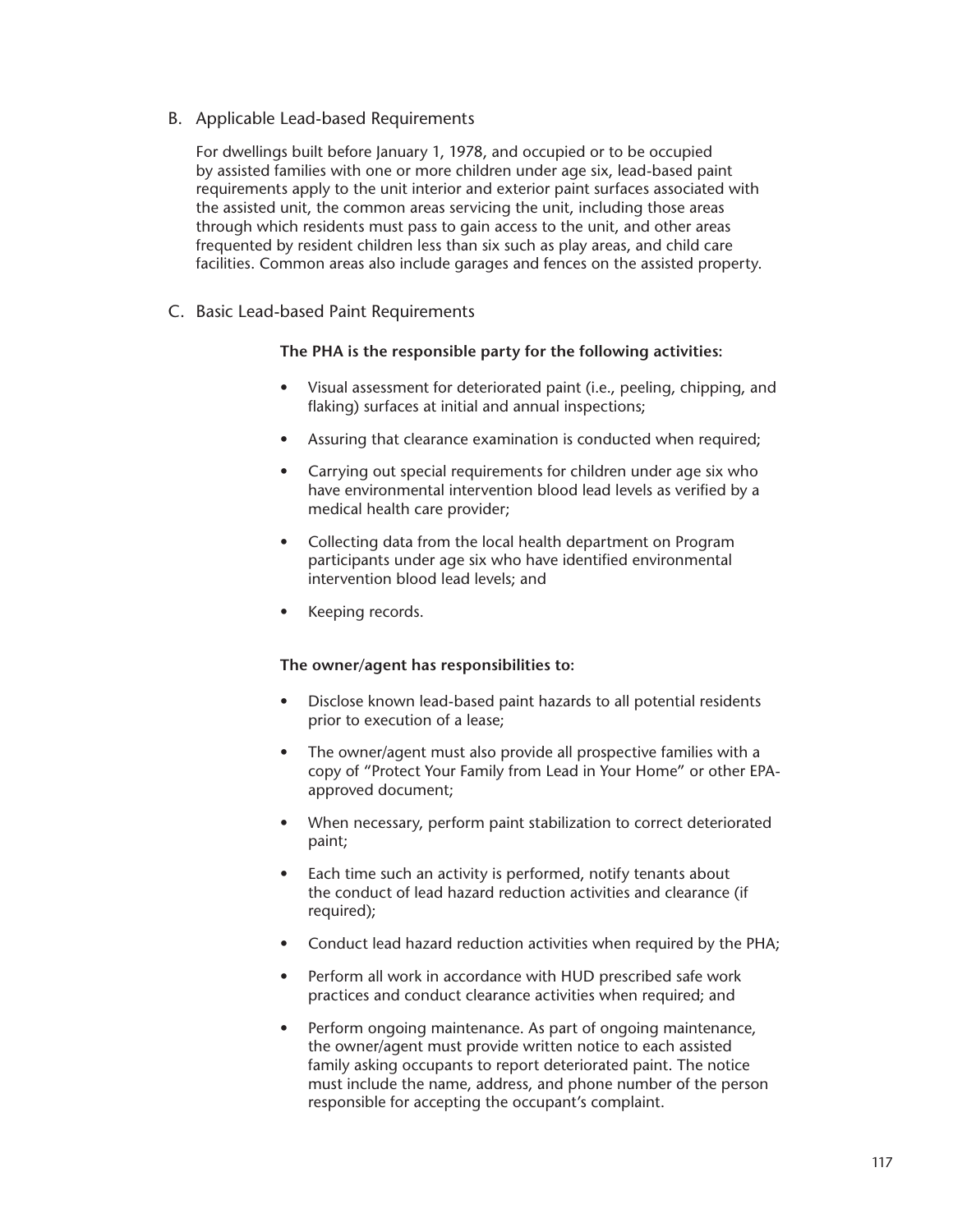B. Applicable Lead-based Requirements

For dwellings built before January 1, 1978, and occupied or to be occupied by assisted families with one or more children under age six, lead-based paint requirements apply to the unit interior and exterior paint surfaces associated with the assisted unit, the common areas servicing the unit, including those areas through which residents must pass to gain access to the unit, and other areas frequented by resident children less than six such as play areas, and child care facilities. Common areas also include garages and fences on the assisted property.

C. Basic Lead-based Paint Requirements

# **The PHA is the responsible party for the following activities:**

- Visual assessment for deteriorated paint (i.e., peeling, chipping, and flaking) surfaces at initial and annual inspections;
- Assuring that clearance examination is conducted when required;
- Carrying out special requirements for children under age six who have environmental intervention blood lead levels as verified by a medical health care provider;
- Collecting data from the local health department on Program participants under age six who have identified environmental intervention blood lead levels; and
- Keeping records.

# **The owner/agent has responsibilities to:**

- Disclose known lead-based paint hazards to all potential residents prior to execution of a lease;
- The owner/agent must also provide all prospective families with a copy of "Protect Your Family from Lead in Your Home" or other EPAapproved document;
- When necessary, perform paint stabilization to correct deteriorated paint;
- Each time such an activity is performed, notify tenants about the conduct of lead hazard reduction activities and clearance (if required);
- Conduct lead hazard reduction activities when required by the PHA;
- Perform all work in accordance with HUD prescribed safe work practices and conduct clearance activities when required; and
- Perform ongoing maintenance. As part of ongoing maintenance, the owner/agent must provide written notice to each assisted family asking occupants to report deteriorated paint. The notice must include the name, address, and phone number of the person responsible for accepting the occupant's complaint.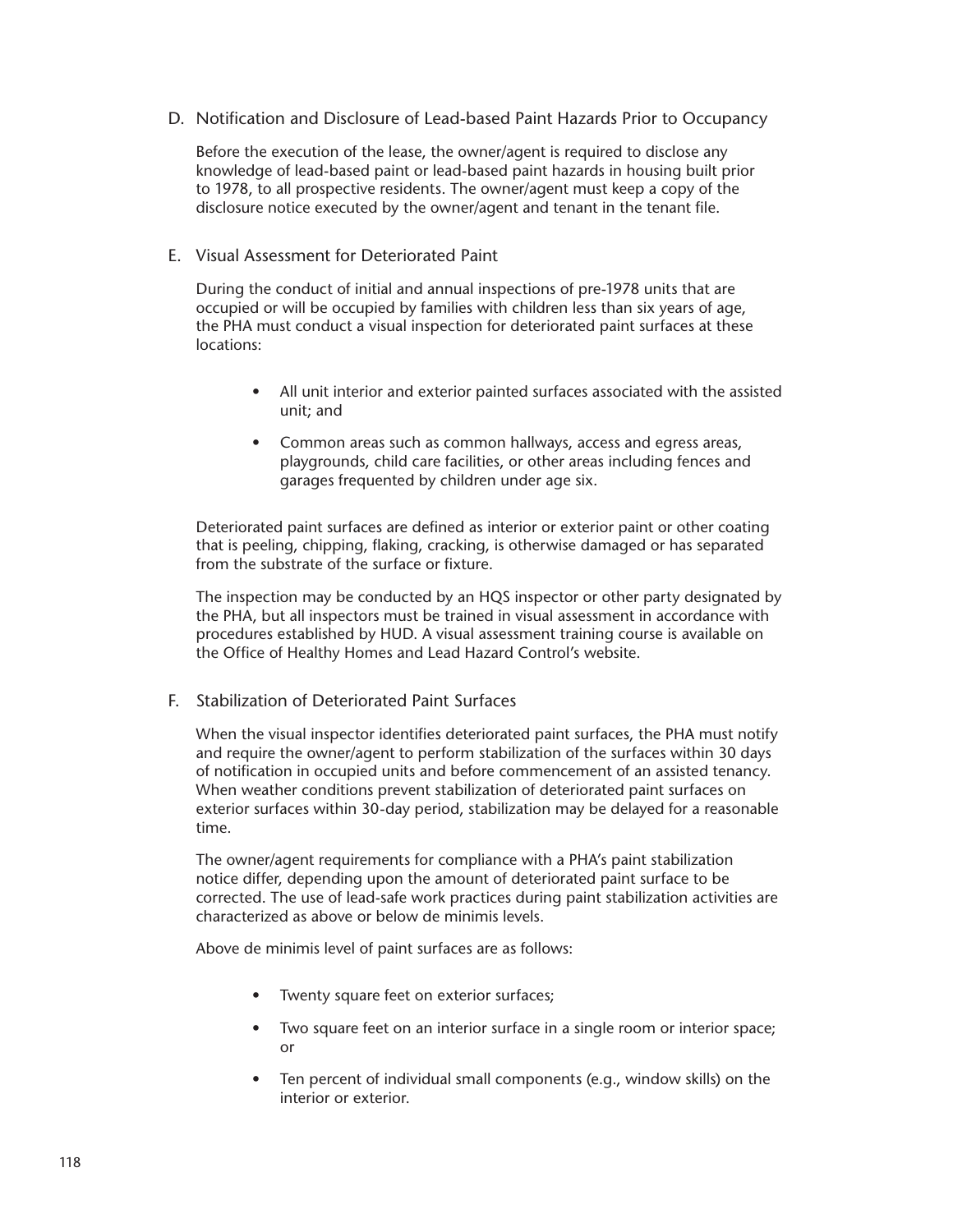D. Notification and Disclosure of Lead-based Paint Hazards Prior to Occupancy

Before the execution of the lease, the owner/agent is required to disclose any knowledge of lead-based paint or lead-based paint hazards in housing built prior to 1978, to all prospective residents. The owner/agent must keep a copy of the disclosure notice executed by the owner/agent and tenant in the tenant file.

#### E. Visual Assessment for Deteriorated Paint

During the conduct of initial and annual inspections of pre-1978 units that are occupied or will be occupied by families with children less than six years of age, the PHA must conduct a visual inspection for deteriorated paint surfaces at these locations:

- All unit interior and exterior painted surfaces associated with the assisted unit; and
- Common areas such as common hallways, access and egress areas, playgrounds, child care facilities, or other areas including fences and garages frequented by children under age six.

Deteriorated paint surfaces are defined as interior or exterior paint or other coating that is peeling, chipping, flaking, cracking, is otherwise damaged or has separated from the substrate of the surface or fixture.

The inspection may be conducted by an HQS inspector or other party designated by the PHA, but all inspectors must be trained in visual assessment in accordance with procedures established by HUD. A visual assessment training course is available on the Office of Healthy Homes and Lead Hazard Control's website.

F. Stabilization of Deteriorated Paint Surfaces

When the visual inspector identifies deteriorated paint surfaces, the PHA must notify and require the owner/agent to perform stabilization of the surfaces within 30 days of notification in occupied units and before commencement of an assisted tenancy. When weather conditions prevent stabilization of deteriorated paint surfaces on exterior surfaces within 30-day period, stabilization may be delayed for a reasonable time.

The owner/agent requirements for compliance with a PHA's paint stabilization notice differ, depending upon the amount of deteriorated paint surface to be corrected. The use of lead-safe work practices during paint stabilization activities are characterized as above or below de minimis levels.

Above de minimis level of paint surfaces are as follows:

- Twenty square feet on exterior surfaces;
- Two square feet on an interior surface in a single room or interior space; or
- Ten percent of individual small components (e.g., window skills) on the interior or exterior.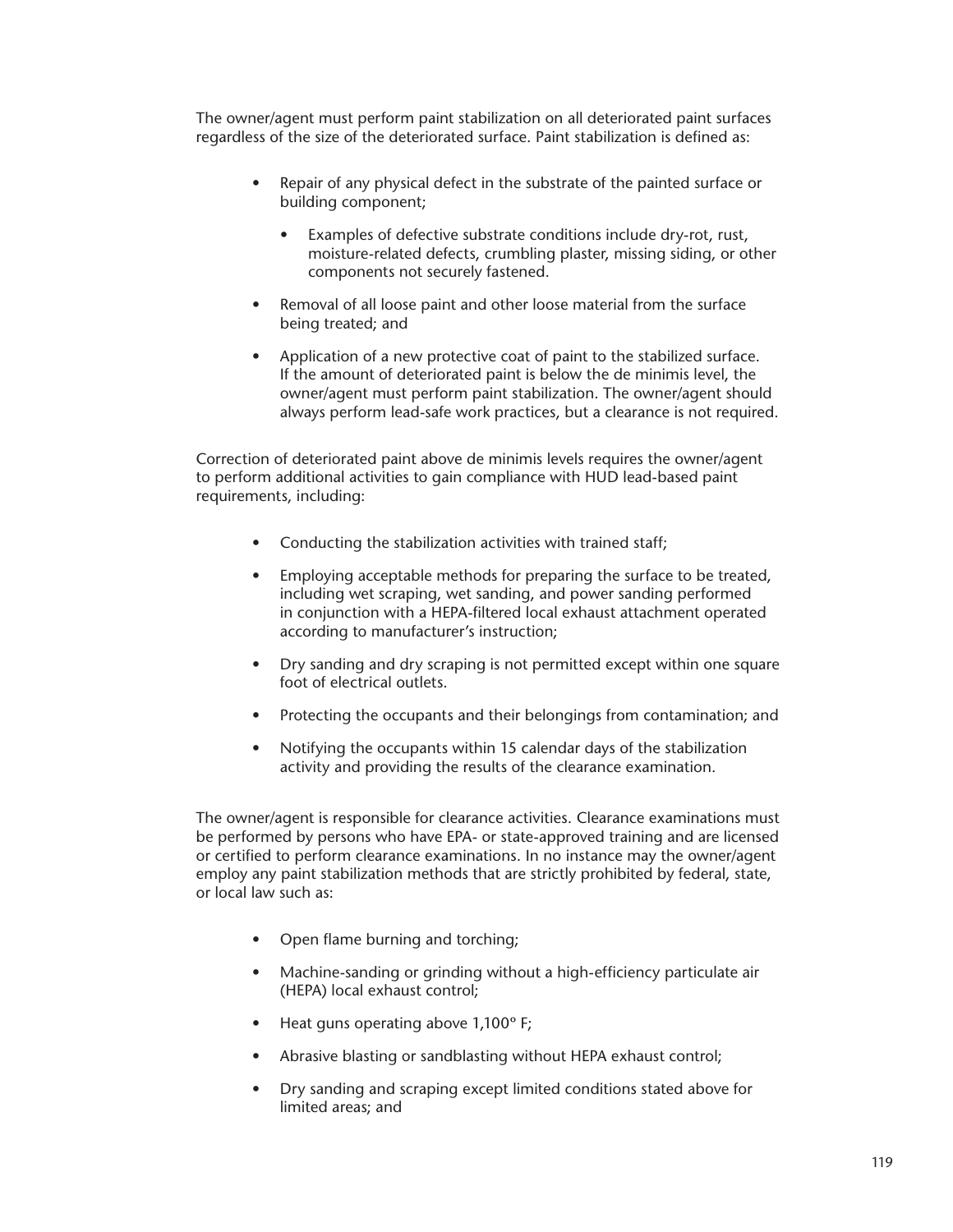The owner/agent must perform paint stabilization on all deteriorated paint surfaces regardless of the size of the deteriorated surface. Paint stabilization is defined as:

- Repair of any physical defect in the substrate of the painted surface or building component;
	- Examples of defective substrate conditions include dry-rot, rust, moisture-related defects, crumbling plaster, missing siding, or other components not securely fastened.
- Removal of all loose paint and other loose material from the surface being treated; and
- Application of a new protective coat of paint to the stabilized surface. If the amount of deteriorated paint is below the de minimis level, the owner/agent must perform paint stabilization. The owner/agent should always perform lead-safe work practices, but a clearance is not required.

Correction of deteriorated paint above de minimis levels requires the owner/agent to perform additional activities to gain compliance with HUD lead-based paint requirements, including:

- Conducting the stabilization activities with trained staff;
- Employing acceptable methods for preparing the surface to be treated, including wet scraping, wet sanding, and power sanding performed in conjunction with a HEPA-filtered local exhaust attachment operated according to manufacturer's instruction;
- Dry sanding and dry scraping is not permitted except within one square foot of electrical outlets.
- Protecting the occupants and their belongings from contamination; and
- Notifying the occupants within 15 calendar days of the stabilization activity and providing the results of the clearance examination.

The owner/agent is responsible for clearance activities. Clearance examinations must be performed by persons who have EPA- or state-approved training and are licensed or certified to perform clearance examinations. In no instance may the owner/agent employ any paint stabilization methods that are strictly prohibited by federal, state, or local law such as:

- Open flame burning and torching;
- Machine-sanding or grinding without a high-efficiency particulate air (HEPA) local exhaust control;
- Heat guns operating above 1,100° F;
- Abrasive blasting or sandblasting without HEPA exhaust control;
- Dry sanding and scraping except limited conditions stated above for limited areas; and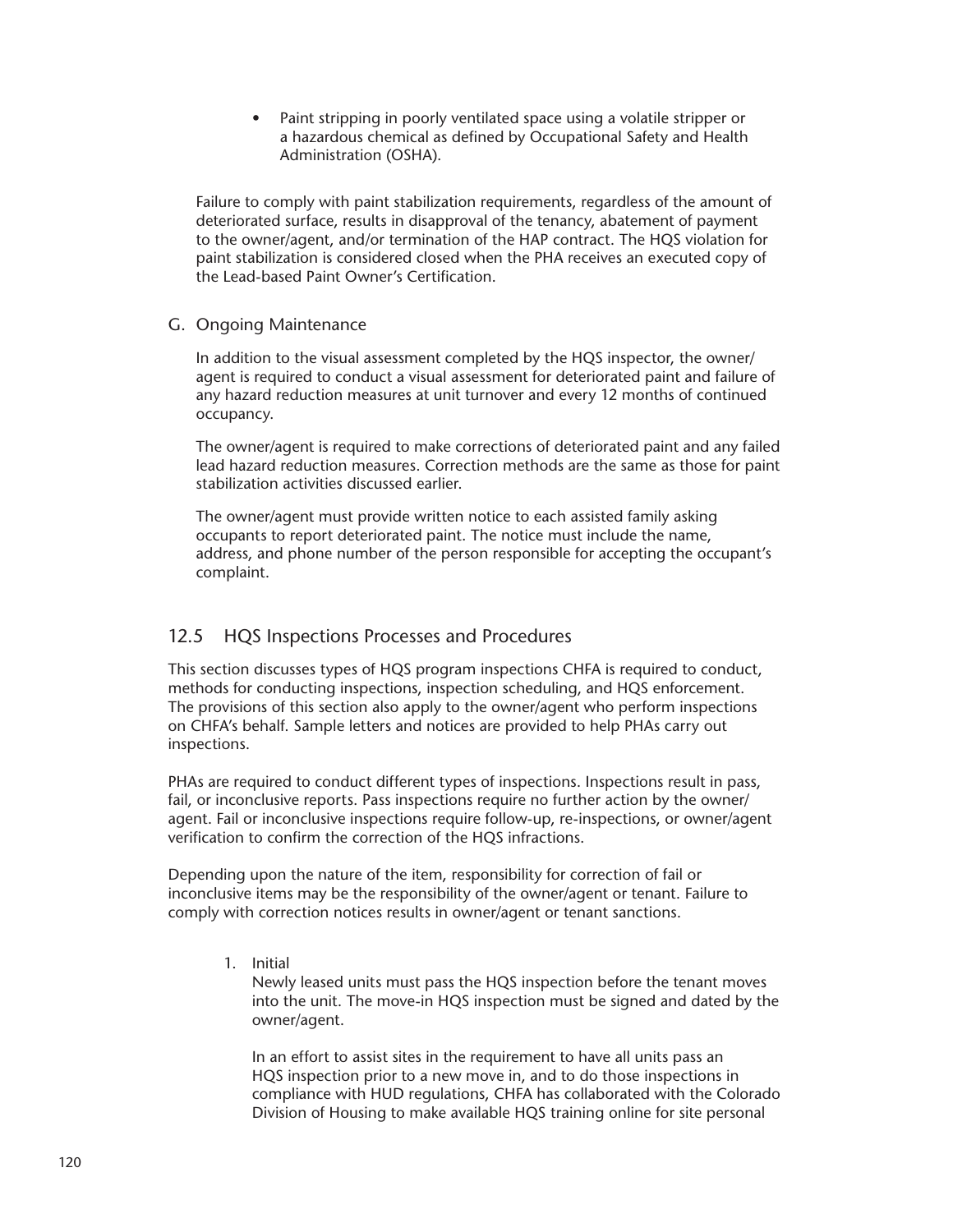• Paint stripping in poorly ventilated space using a volatile stripper or a hazardous chemical as defined by Occupational Safety and Health Administration (OSHA).

Failure to comply with paint stabilization requirements, regardless of the amount of deteriorated surface, results in disapproval of the tenancy, abatement of payment to the owner/agent, and/or termination of the HAP contract. The HQS violation for paint stabilization is considered closed when the PHA receives an executed copy of the Lead-based Paint Owner's Certification.

# G. Ongoing Maintenance

In addition to the visual assessment completed by the HQS inspector, the owner/ agent is required to conduct a visual assessment for deteriorated paint and failure of any hazard reduction measures at unit turnover and every 12 months of continued occupancy.

The owner/agent is required to make corrections of deteriorated paint and any failed lead hazard reduction measures. Correction methods are the same as those for paint stabilization activities discussed earlier.

The owner/agent must provide written notice to each assisted family asking occupants to report deteriorated paint. The notice must include the name, address, and phone number of the person responsible for accepting the occupant's complaint.

# 12.5 HQS Inspections Processes and Procedures

This section discusses types of HQS program inspections CHFA is required to conduct, methods for conducting inspections, inspection scheduling, and HQS enforcement. The provisions of this section also apply to the owner/agent who perform inspections on CHFA's behalf. Sample letters and notices are provided to help PHAs carry out inspections.

PHAs are required to conduct different types of inspections. Inspections result in pass, fail, or inconclusive reports. Pass inspections require no further action by the owner/ agent. Fail or inconclusive inspections require follow-up, re-inspections, or owner/agent verification to confirm the correction of the HQS infractions.

Depending upon the nature of the item, responsibility for correction of fail or inconclusive items may be the responsibility of the owner/agent or tenant. Failure to comply with correction notices results in owner/agent or tenant sanctions.

1. Initial

Newly leased units must pass the HQS inspection before the tenant moves into the unit. The move-in HQS inspection must be signed and dated by the owner/agent.

In an effort to assist sites in the requirement to have all units pass an HQS inspection prior to a new move in, and to do those inspections in compliance with HUD regulations, CHFA has collaborated with the Colorado Division of Housing to make available HQS training online for site personal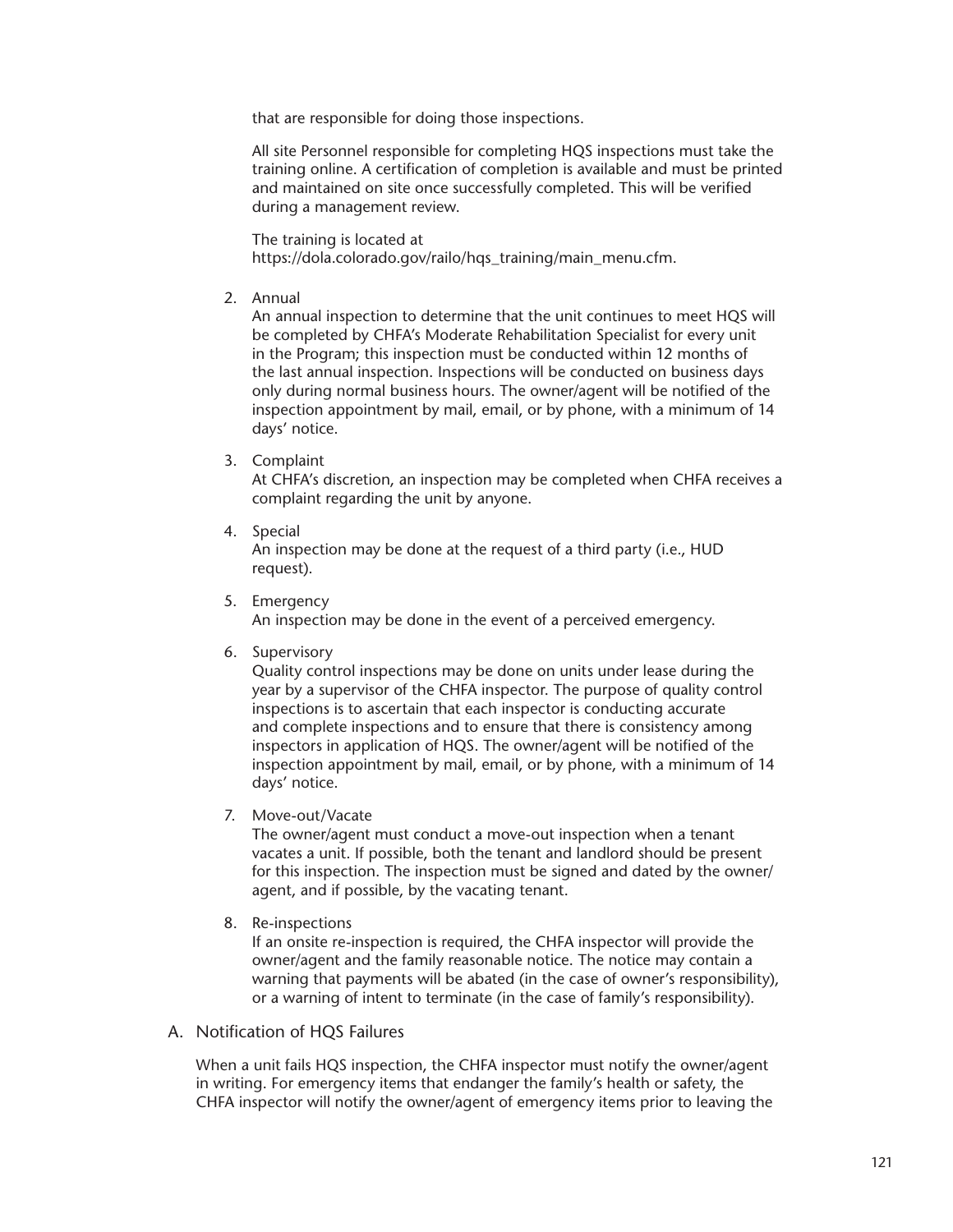that are responsible for doing those inspections.

All site Personnel responsible for completing HQS inspections must take the training online. A certification of completion is available and must be printed and maintained on site once successfully completed. This will be verified during a management review.

The training is located at https://dola.colorado.gov/railo/hqs\_training/main\_menu.cfm.

2. Annual

An annual inspection to determine that the unit continues to meet HQS will be completed by CHFA's Moderate Rehabilitation Specialist for every unit in the Program; this inspection must be conducted within 12 months of the last annual inspection. Inspections will be conducted on business days only during normal business hours. The owner/agent will be notified of the inspection appointment by mail, email, or by phone, with a minimum of 14 days' notice.

3. Complaint

At CHFA's discretion, an inspection may be completed when CHFA receives a complaint regarding the unit by anyone.

4. Special

An inspection may be done at the request of a third party (i.e., HUD request).

5. Emergency

An inspection may be done in the event of a perceived emergency.

6. Supervisory

Quality control inspections may be done on units under lease during the year by a supervisor of the CHFA inspector. The purpose of quality control inspections is to ascertain that each inspector is conducting accurate and complete inspections and to ensure that there is consistency among inspectors in application of HQS. The owner/agent will be notified of the inspection appointment by mail, email, or by phone, with a minimum of 14 days' notice.

7. Move-out/Vacate

The owner/agent must conduct a move-out inspection when a tenant vacates a unit. If possible, both the tenant and landlord should be present for this inspection. The inspection must be signed and dated by the owner/ agent, and if possible, by the vacating tenant.

8. Re-inspections

If an onsite re-inspection is required, the CHFA inspector will provide the owner/agent and the family reasonable notice. The notice may contain a warning that payments will be abated (in the case of owner's responsibility), or a warning of intent to terminate (in the case of family's responsibility).

A. Notification of HQS Failures

When a unit fails HQS inspection, the CHFA inspector must notify the owner/agent in writing. For emergency items that endanger the family's health or safety, the CHFA inspector will notify the owner/agent of emergency items prior to leaving the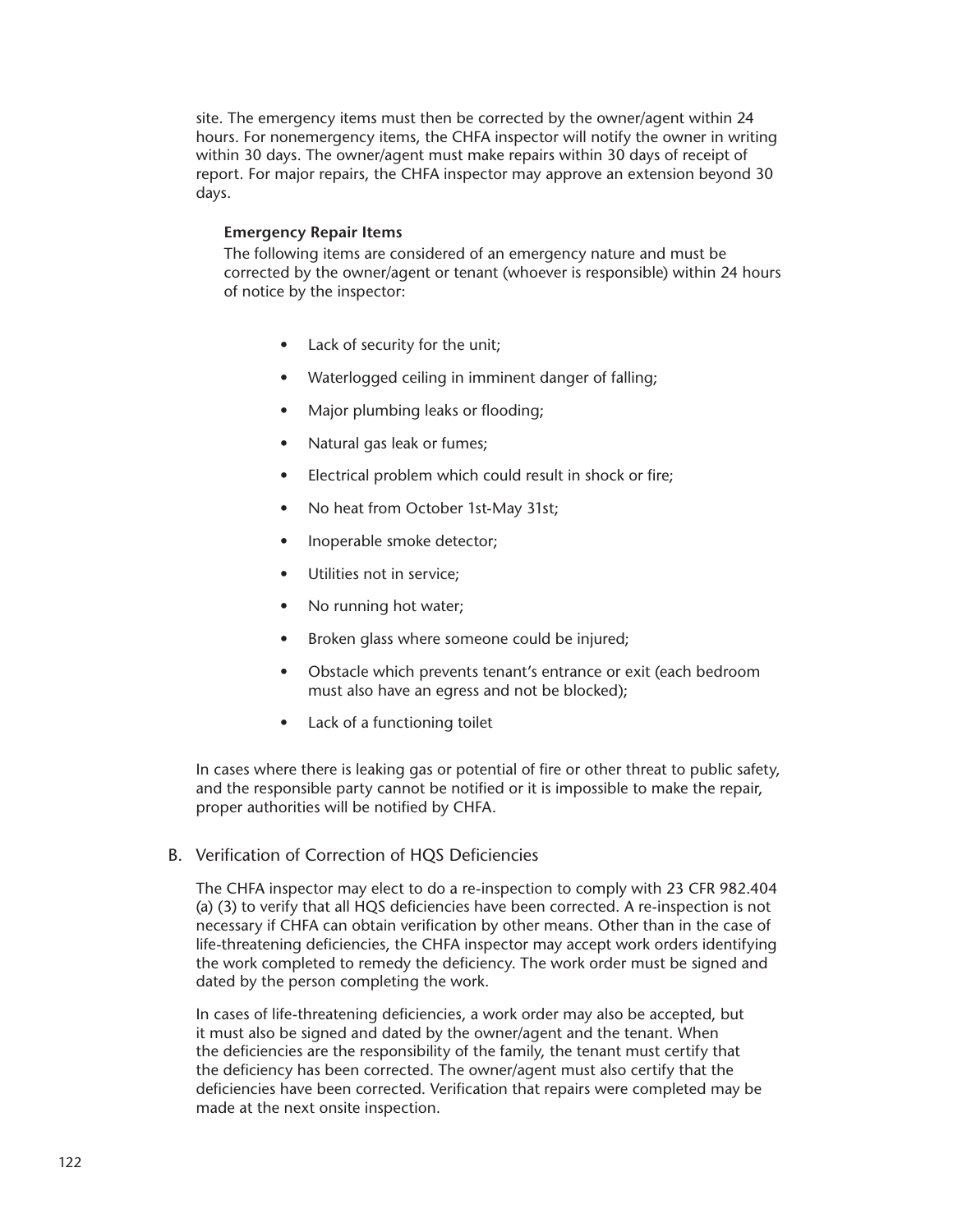site. The emergency items must then be corrected by the owner/agent within 24 hours. For nonemergency items, the CHFA inspector will notify the owner in writing within 30 days. The owner/agent must make repairs within 30 days of receipt of report. For major repairs, the CHFA inspector may approve an extension beyond 30 days.

#### **Emergency Repair Items**

The following items are considered of an emergency nature and must be corrected by the owner/agent or tenant (whoever is responsible) within 24 hours of notice by the inspector:

- Lack of security for the unit;
- Waterlogged ceiling in imminent danger of falling;
- Major plumbing leaks or flooding;
- Natural gas leak or fumes;
- Electrical problem which could result in shock or fire;
- No heat from October 1st-May 31st;
- Inoperable smoke detector;
- Utilities not in service;
- No running hot water;
- Broken glass where someone could be injured;
- Obstacle which prevents tenant's entrance or exit (each bedroom must also have an egress and not be blocked);
- Lack of a functioning toilet

In cases where there is leaking gas or potential of fire or other threat to public safety, and the responsible party cannot be notified or it is impossible to make the repair, proper authorities will be notified by CHFA.

B. Verification of Correction of HQS Deficiencies

The CHFA inspector may elect to do a re-inspection to comply with 23 CFR 982.404 (a) (3) to verify that all HQS deficiencies have been corrected. A re-inspection is not necessary if CHFA can obtain verification by other means. Other than in the case of life-threatening deficiencies, the CHFA inspector may accept work orders identifying the work completed to remedy the deficiency. The work order must be signed and dated by the person completing the work.

In cases of life-threatening deficiencies, a work order may also be accepted, but it must also be signed and dated by the owner/agent and the tenant. When the deficiencies are the responsibility of the family, the tenant must certify that the deficiency has been corrected. The owner/agent must also certify that the deficiencies have been corrected. Verification that repairs were completed may be made at the next onsite inspection.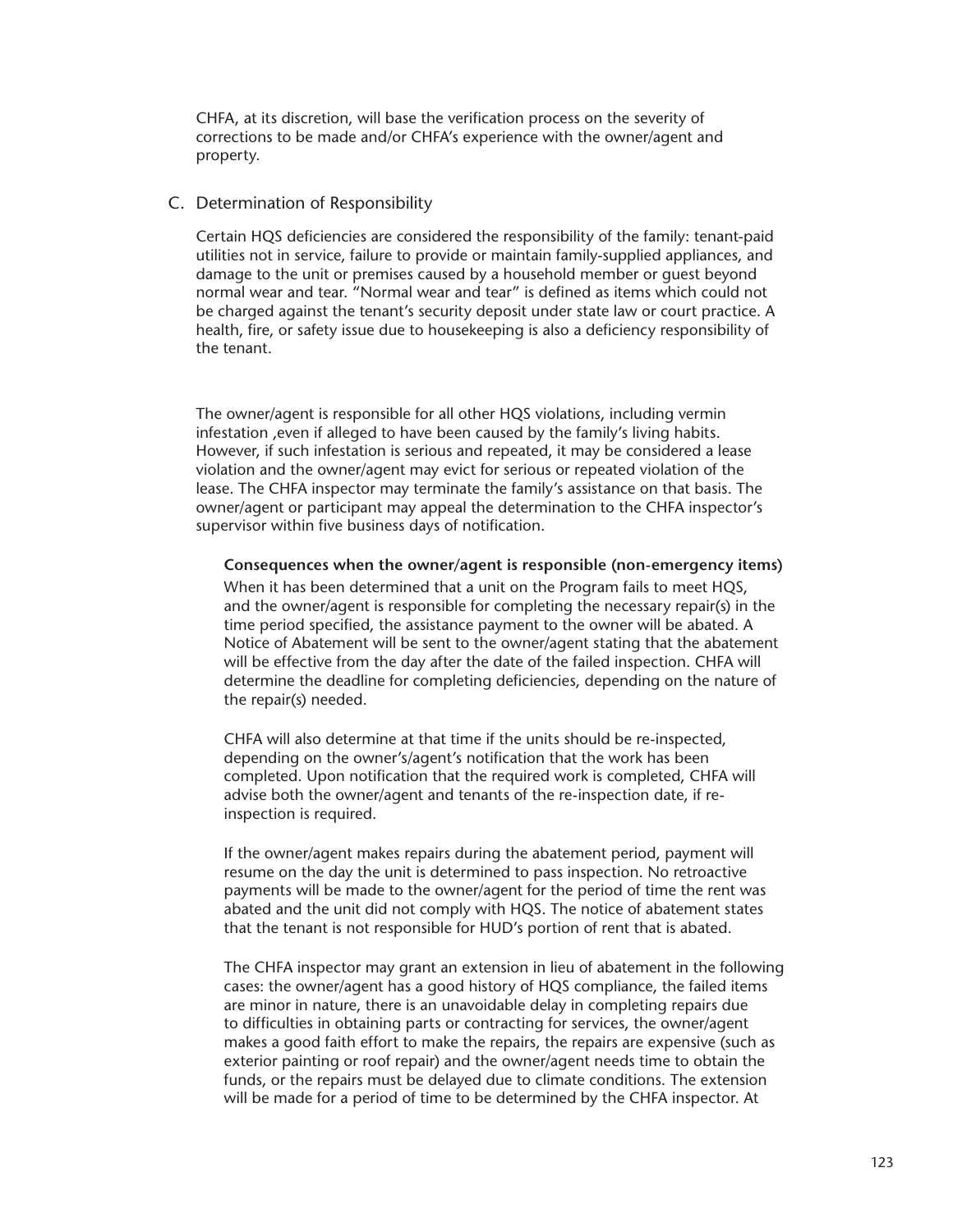CHFA, at its discretion, will base the verification process on the severity of corrections to be made and/or CHFA's experience with the owner/agent and property.

#### C. Determination of Responsibility

Certain HQS deficiencies are considered the responsibility of the family: tenant-paid utilities not in service, failure to provide or maintain family-supplied appliances, and damage to the unit or premises caused by a household member or guest beyond normal wear and tear. "Normal wear and tear" is defined as items which could not be charged against the tenant's security deposit under state law or court practice. A health, fire, or safety issue due to housekeeping is also a deficiency responsibility of the tenant.

The owner/agent is responsible for all other HQS violations, including vermin infestation ,even if alleged to have been caused by the family's living habits. However, if such infestation is serious and repeated, it may be considered a lease violation and the owner/agent may evict for serious or repeated violation of the lease. The CHFA inspector may terminate the family's assistance on that basis. The owner/agent or participant may appeal the determination to the CHFA inspector's supervisor within five business days of notification.

**Consequences when the owner/agent is responsible (non-emergency items)**

When it has been determined that a unit on the Program fails to meet HQS, and the owner/agent is responsible for completing the necessary repair(s) in the time period specified, the assistance payment to the owner will be abated. A Notice of Abatement will be sent to the owner/agent stating that the abatement will be effective from the day after the date of the failed inspection. CHFA will determine the deadline for completing deficiencies, depending on the nature of the repair(s) needed.

CHFA will also determine at that time if the units should be re-inspected, depending on the owner's/agent's notification that the work has been completed. Upon notification that the required work is completed, CHFA will advise both the owner/agent and tenants of the re-inspection date, if reinspection is required.

If the owner/agent makes repairs during the abatement period, payment will resume on the day the unit is determined to pass inspection. No retroactive payments will be made to the owner/agent for the period of time the rent was abated and the unit did not comply with HQS. The notice of abatement states that the tenant is not responsible for HUD's portion of rent that is abated.

The CHFA inspector may grant an extension in lieu of abatement in the following cases: the owner/agent has a good history of HQS compliance, the failed items are minor in nature, there is an unavoidable delay in completing repairs due to difficulties in obtaining parts or contracting for services, the owner/agent makes a good faith effort to make the repairs, the repairs are expensive (such as exterior painting or roof repair) and the owner/agent needs time to obtain the funds, or the repairs must be delayed due to climate conditions. The extension will be made for a period of time to be determined by the CHFA inspector. At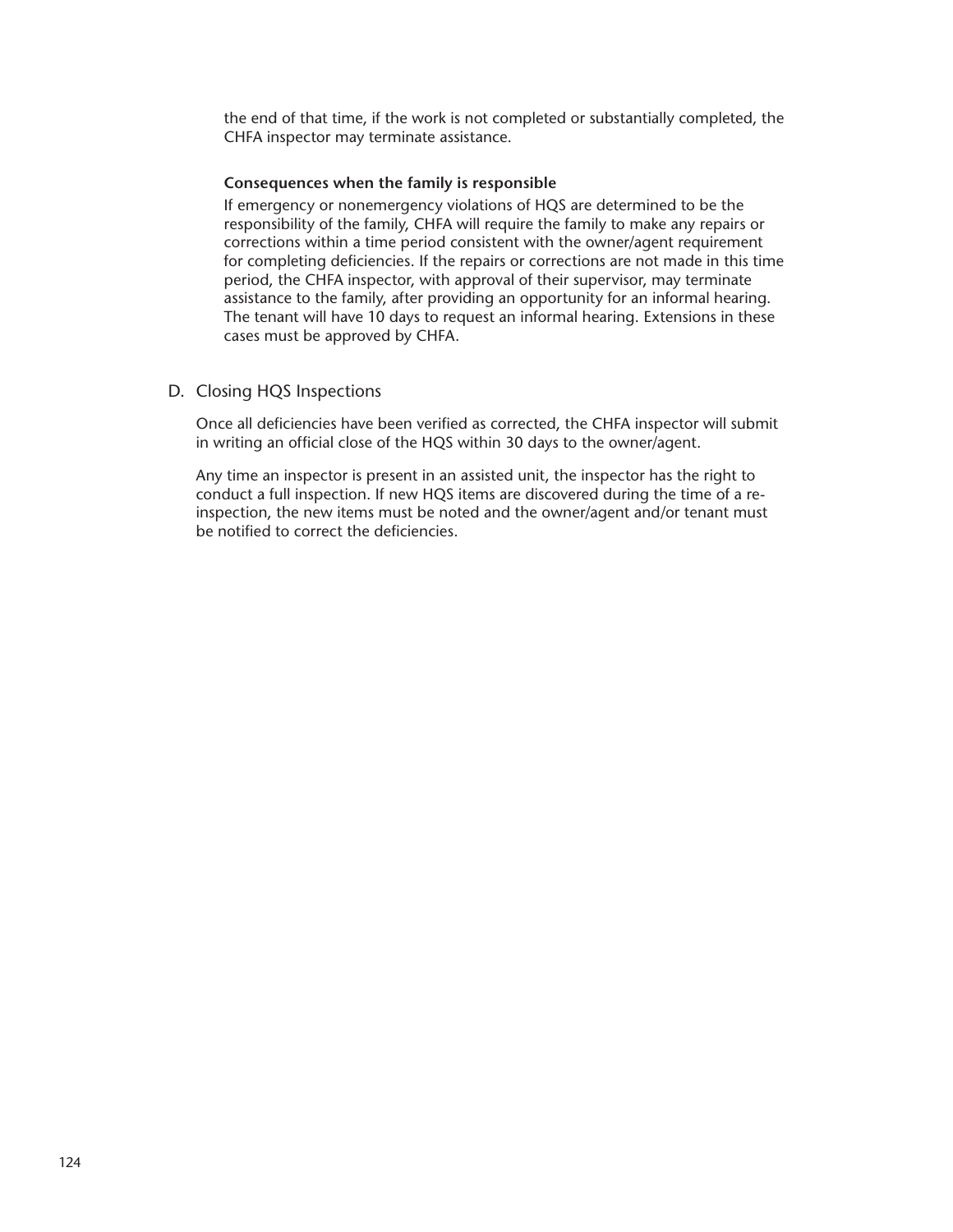the end of that time, if the work is not completed or substantially completed, the CHFA inspector may terminate assistance.

#### **Consequences when the family is responsible**

If emergency or nonemergency violations of HQS are determined to be the responsibility of the family, CHFA will require the family to make any repairs or corrections within a time period consistent with the owner/agent requirement for completing deficiencies. If the repairs or corrections are not made in this time period, the CHFA inspector, with approval of their supervisor, may terminate assistance to the family, after providing an opportunity for an informal hearing. The tenant will have 10 days to request an informal hearing. Extensions in these cases must be approved by CHFA.

# D. Closing HQS Inspections

Once all deficiencies have been verified as corrected, the CHFA inspector will submit in writing an official close of the HQS within 30 days to the owner/agent.

Any time an inspector is present in an assisted unit, the inspector has the right to conduct a full inspection. If new HQS items are discovered during the time of a reinspection, the new items must be noted and the owner/agent and/or tenant must be notified to correct the deficiencies.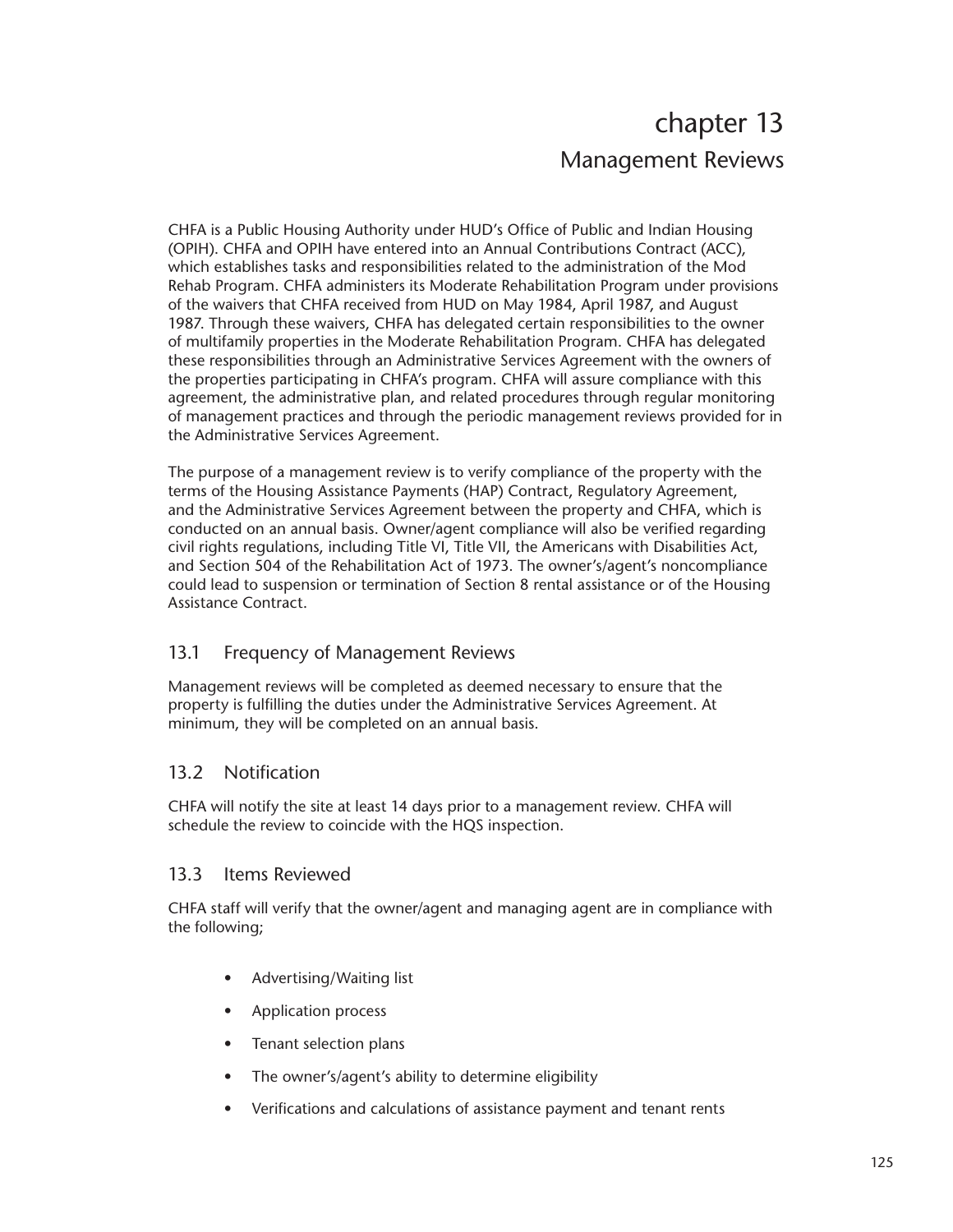# chapter 13 Management Reviews

CHFA is a Public Housing Authority under HUD's Office of Public and Indian Housing (OPIH). CHFA and OPIH have entered into an Annual Contributions Contract (ACC), which establishes tasks and responsibilities related to the administration of the Mod Rehab Program. CHFA administers its Moderate Rehabilitation Program under provisions of the waivers that CHFA received from HUD on May 1984, April 1987, and August 1987. Through these waivers, CHFA has delegated certain responsibilities to the owner of multifamily properties in the Moderate Rehabilitation Program. CHFA has delegated these responsibilities through an Administrative Services Agreement with the owners of the properties participating in CHFA's program. CHFA will assure compliance with this agreement, the administrative plan, and related procedures through regular monitoring of management practices and through the periodic management reviews provided for in the Administrative Services Agreement.

The purpose of a management review is to verify compliance of the property with the terms of the Housing Assistance Payments (HAP) Contract, Regulatory Agreement, and the Administrative Services Agreement between the property and CHFA, which is conducted on an annual basis. Owner/agent compliance will also be verified regarding civil rights regulations, including Title VI, Title VII, the Americans with Disabilities Act, and Section 504 of the Rehabilitation Act of 1973. The owner's/agent's noncompliance could lead to suspension or termination of Section 8 rental assistance or of the Housing Assistance Contract.

# 13.1 Frequency of Management Reviews

Management reviews will be completed as deemed necessary to ensure that the property is fulfilling the duties under the Administrative Services Agreement. At minimum, they will be completed on an annual basis.

# 13.2 Notification

CHFA will notify the site at least 14 days prior to a management review. CHFA will schedule the review to coincide with the HQS inspection.

# 13.3 Items Reviewed

CHFA staff will verify that the owner/agent and managing agent are in compliance with the following;

- Advertising/Waiting list
- Application process
- Tenant selection plans
- The owner's/agent's ability to determine eligibility
- Verifications and calculations of assistance payment and tenant rents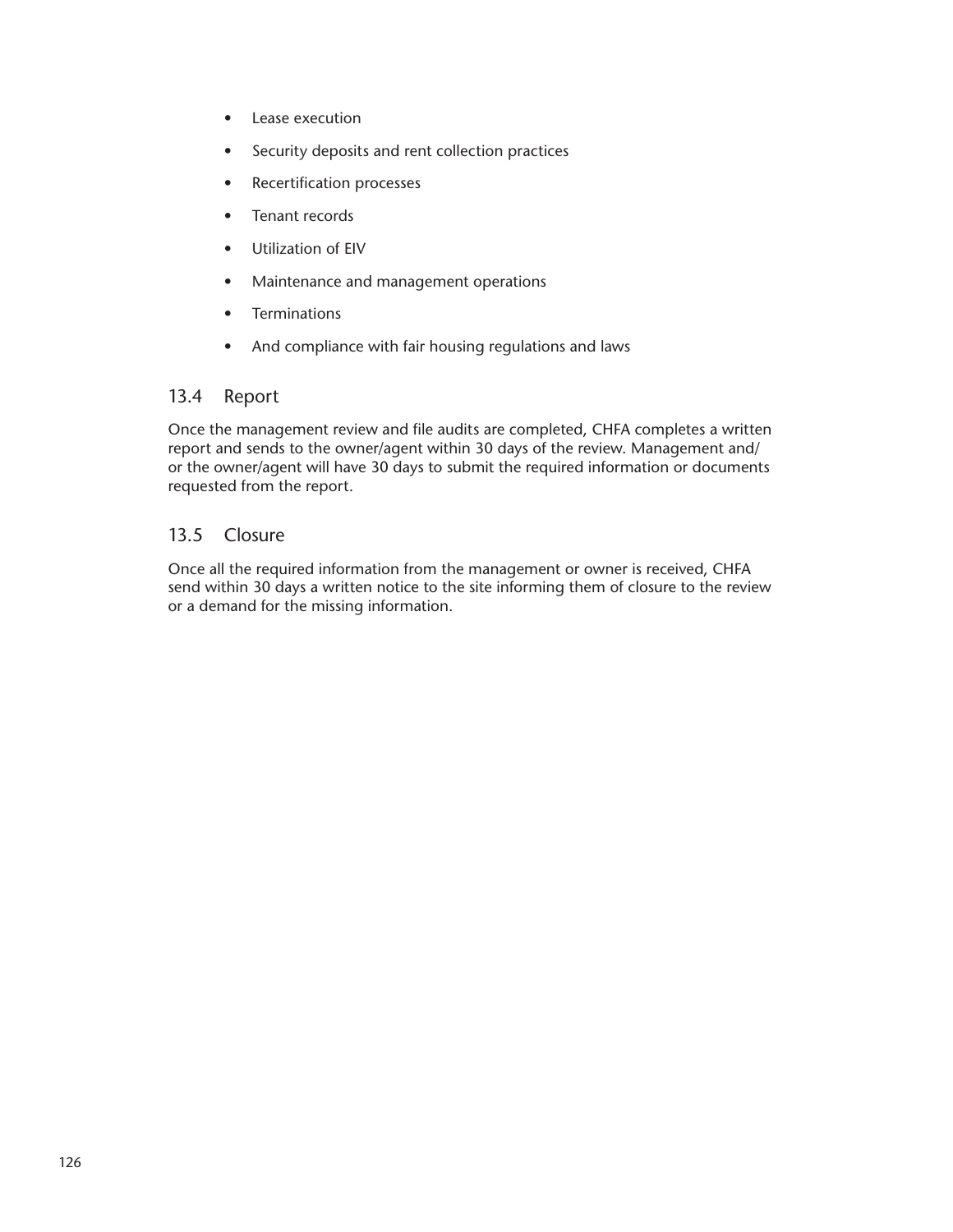- Lease execution
- Security deposits and rent collection practices
- Recertification processes
- Tenant records
- Utilization of EIV
- Maintenance and management operations
- Terminations
- And compliance with fair housing regulations and laws

# 13.4 Report

Once the management review and file audits are completed, CHFA completes a written report and sends to the owner/agent within 30 days of the review. Management and/ or the owner/agent will have 30 days to submit the required information or documents requested from the report.

# 13.5 Closure

Once all the required information from the management or owner is received, CHFA send within 30 days a written notice to the site informing them of closure to the review or a demand for the missing information.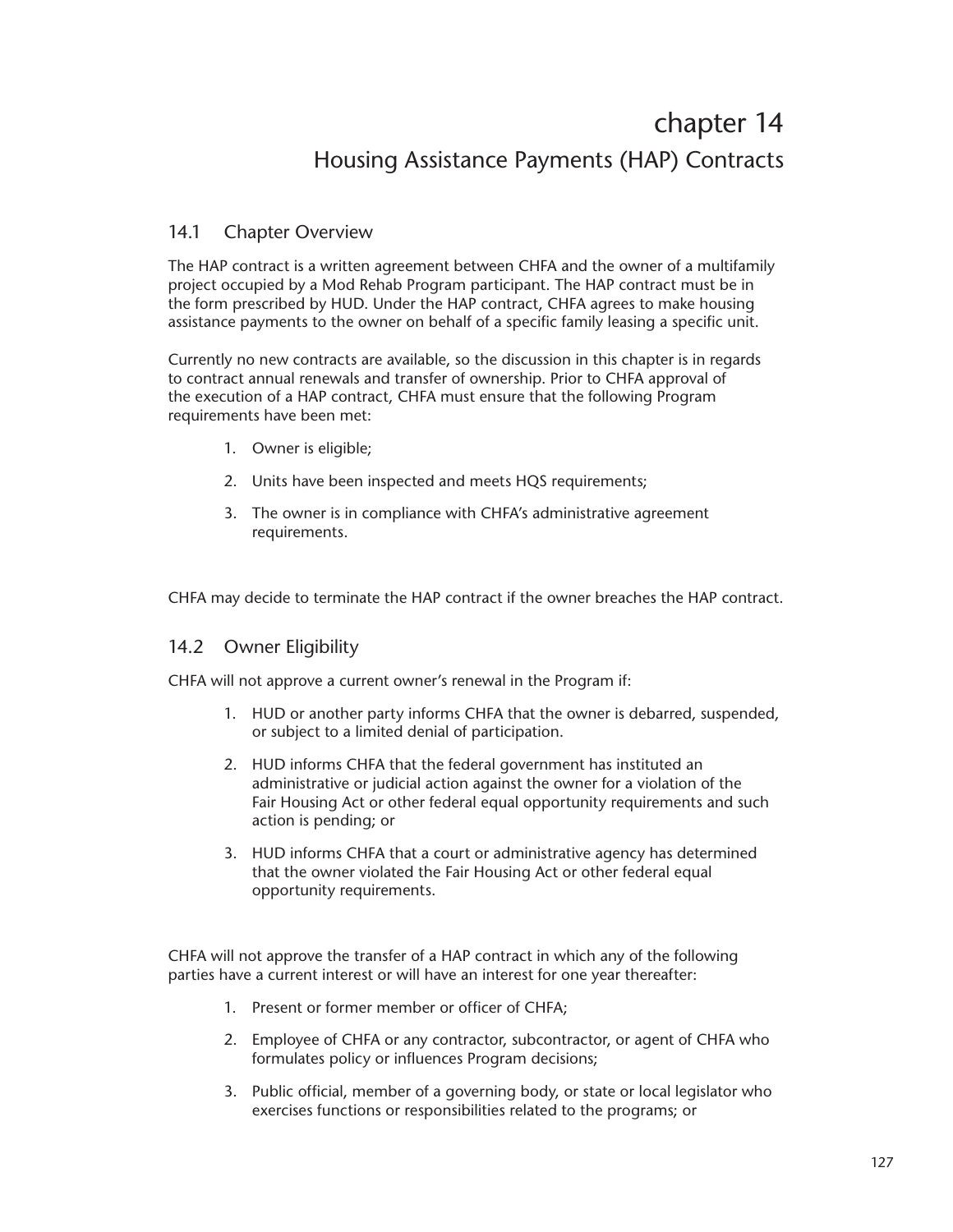# chapter 14 Housing Assistance Payments (HAP) Contracts

# 14.1 Chapter Overview

The HAP contract is a written agreement between CHFA and the owner of a multifamily project occupied by a Mod Rehab Program participant. The HAP contract must be in the form prescribed by HUD. Under the HAP contract, CHFA agrees to make housing assistance payments to the owner on behalf of a specific family leasing a specific unit.

Currently no new contracts are available, so the discussion in this chapter is in regards to contract annual renewals and transfer of ownership. Prior to CHFA approval of the execution of a HAP contract, CHFA must ensure that the following Program requirements have been met:

- 1. Owner is eligible;
- 2. Units have been inspected and meets HQS requirements;
- 3. The owner is in compliance with CHFA's administrative agreement requirements.

CHFA may decide to terminate the HAP contract if the owner breaches the HAP contract.

# 14.2 Owner Eligibility

CHFA will not approve a current owner's renewal in the Program if:

- 1. HUD or another party informs CHFA that the owner is debarred, suspended, or subject to a limited denial of participation.
- 2. HUD informs CHFA that the federal government has instituted an administrative or judicial action against the owner for a violation of the Fair Housing Act or other federal equal opportunity requirements and such action is pending; or
- 3. HUD informs CHFA that a court or administrative agency has determined that the owner violated the Fair Housing Act or other federal equal opportunity requirements.

CHFA will not approve the transfer of a HAP contract in which any of the following parties have a current interest or will have an interest for one year thereafter:

- 1. Present or former member or officer of CHFA;
- 2. Employee of CHFA or any contractor, subcontractor, or agent of CHFA who formulates policy or influences Program decisions;
- 3. Public official, member of a governing body, or state or local legislator who exercises functions or responsibilities related to the programs; or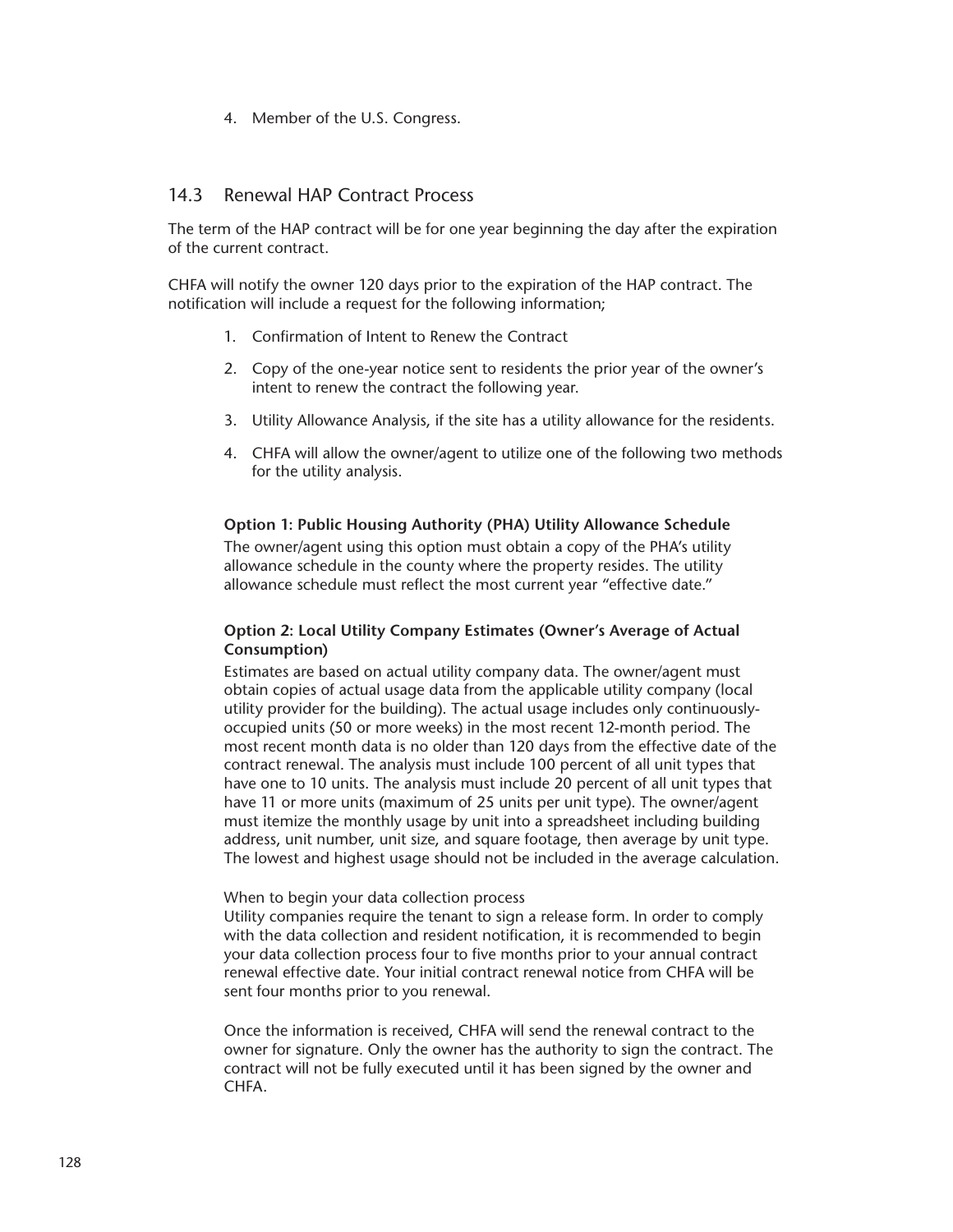4. Member of the U.S. Congress.

# 14.3 Renewal HAP Contract Process

The term of the HAP contract will be for one year beginning the day after the expiration of the current contract.

CHFA will notify the owner 120 days prior to the expiration of the HAP contract. The notification will include a request for the following information;

- 1. Confirmation of Intent to Renew the Contract
- 2. Copy of the one-year notice sent to residents the prior year of the owner's intent to renew the contract the following year.
- 3. Utility Allowance Analysis, if the site has a utility allowance for the residents.
- 4. CHFA will allow the owner/agent to utilize one of the following two methods for the utility analysis.

## **Option 1: Public Housing Authority (PHA) Utility Allowance Schedule**

The owner/agent using this option must obtain a copy of the PHA's utility allowance schedule in the county where the property resides. The utility allowance schedule must reflect the most current year "effective date."

## **Option 2: Local Utility Company Estimates (Owner's Average of Actual Consumption)**

Estimates are based on actual utility company data. The owner/agent must obtain copies of actual usage data from the applicable utility company (local utility provider for the building). The actual usage includes only continuouslyoccupied units (50 or more weeks) in the most recent 12-month period. The most recent month data is no older than 120 days from the effective date of the contract renewal. The analysis must include 100 percent of all unit types that have one to 10 units. The analysis must include 20 percent of all unit types that have 11 or more units (maximum of 25 units per unit type). The owner/agent must itemize the monthly usage by unit into a spreadsheet including building address, unit number, unit size, and square footage, then average by unit type. The lowest and highest usage should not be included in the average calculation.

#### When to begin your data collection process

Utility companies require the tenant to sign a release form. In order to comply with the data collection and resident notification, it is recommended to begin your data collection process four to five months prior to your annual contract renewal effective date. Your initial contract renewal notice from CHFA will be sent four months prior to you renewal.

Once the information is received, CHFA will send the renewal contract to the owner for signature. Only the owner has the authority to sign the contract. The contract will not be fully executed until it has been signed by the owner and CHFA.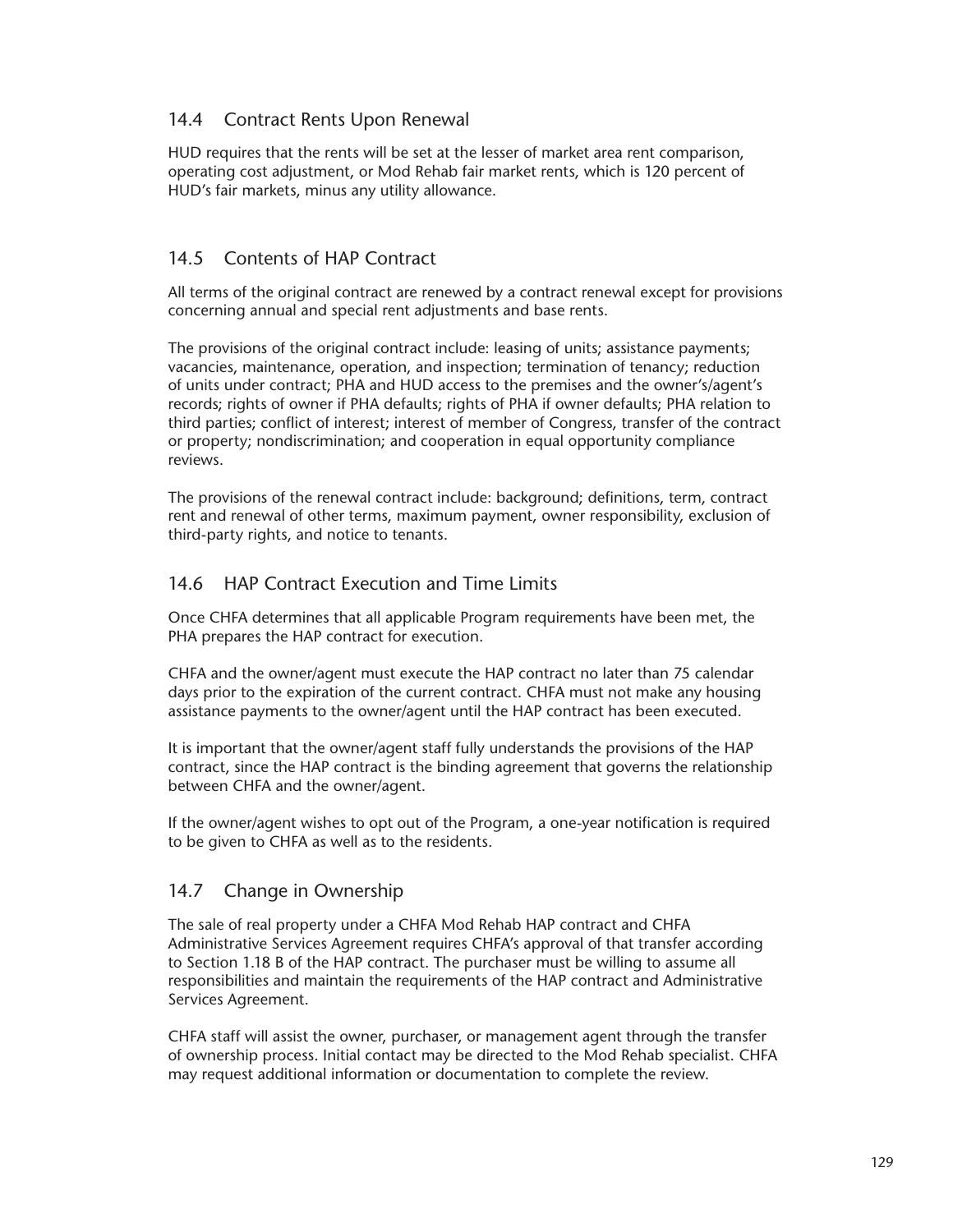# 14.4 Contract Rents Upon Renewal

HUD requires that the rents will be set at the lesser of market area rent comparison, operating cost adjustment, or Mod Rehab fair market rents, which is 120 percent of HUD's fair markets, minus any utility allowance.

# 14.5 Contents of HAP Contract

All terms of the original contract are renewed by a contract renewal except for provisions concerning annual and special rent adjustments and base rents.

The provisions of the original contract include: leasing of units; assistance payments; vacancies, maintenance, operation, and inspection; termination of tenancy; reduction of units under contract; PHA and HUD access to the premises and the owner's/agent's records; rights of owner if PHA defaults; rights of PHA if owner defaults; PHA relation to third parties; conflict of interest; interest of member of Congress, transfer of the contract or property; nondiscrimination; and cooperation in equal opportunity compliance reviews.

The provisions of the renewal contract include: background; definitions, term, contract rent and renewal of other terms, maximum payment, owner responsibility, exclusion of third-party rights, and notice to tenants.

# 14.6 HAP Contract Execution and Time Limits

Once CHFA determines that all applicable Program requirements have been met, the PHA prepares the HAP contract for execution.

CHFA and the owner/agent must execute the HAP contract no later than 75 calendar days prior to the expiration of the current contract. CHFA must not make any housing assistance payments to the owner/agent until the HAP contract has been executed.

It is important that the owner/agent staff fully understands the provisions of the HAP contract, since the HAP contract is the binding agreement that governs the relationship between CHFA and the owner/agent.

If the owner/agent wishes to opt out of the Program, a one-year notification is required to be given to CHFA as well as to the residents.

# 14.7 Change in Ownership

The sale of real property under a CHFA Mod Rehab HAP contract and CHFA Administrative Services Agreement requires CHFA's approval of that transfer according to Section 1.18 B of the HAP contract. The purchaser must be willing to assume all responsibilities and maintain the requirements of the HAP contract and Administrative Services Agreement.

CHFA staff will assist the owner, purchaser, or management agent through the transfer of ownership process. Initial contact may be directed to the Mod Rehab specialist. CHFA may request additional information or documentation to complete the review.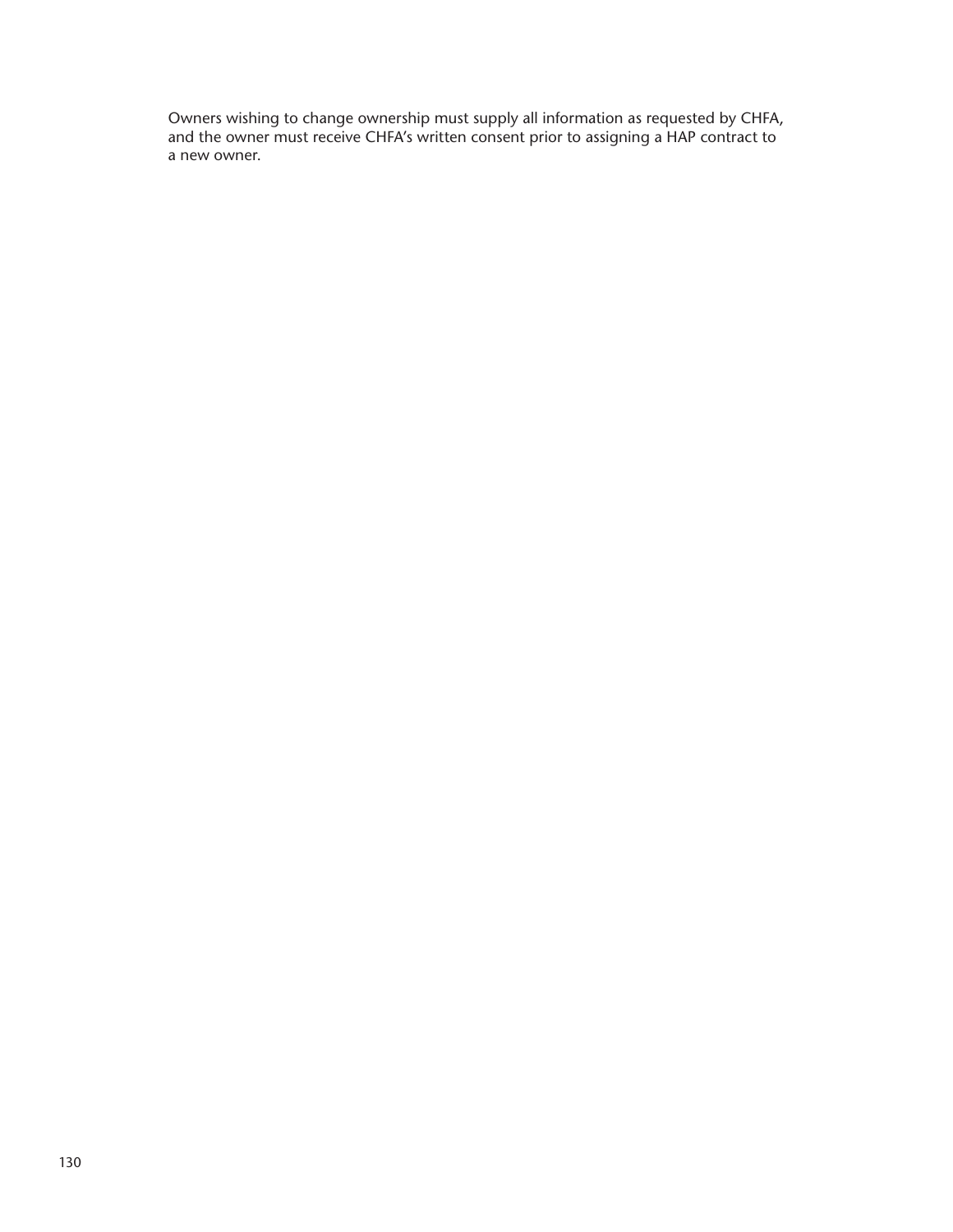Owners wishing to change ownership must supply all information as requested by CHFA, and the owner must receive CHFA's written consent prior to assigning a HAP contract to a new owner.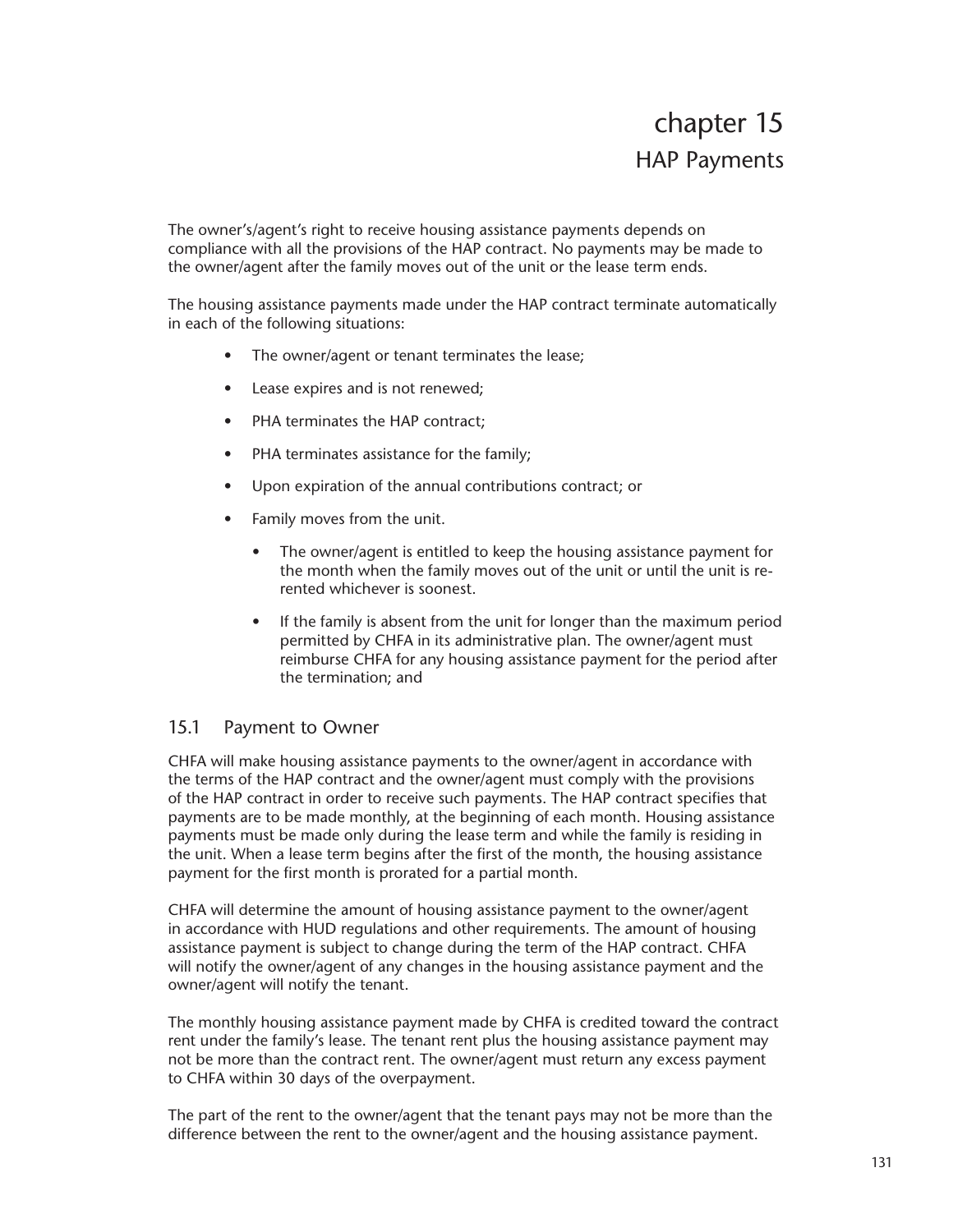The owner's/agent's right to receive housing assistance payments depends on compliance with all the provisions of the HAP contract. No payments may be made to the owner/agent after the family moves out of the unit or the lease term ends.

The housing assistance payments made under the HAP contract terminate automatically in each of the following situations:

- The owner/agent or tenant terminates the lease;
- Lease expires and is not renewed;
- PHA terminates the HAP contract;
- PHA terminates assistance for the family;
- Upon expiration of the annual contributions contract; or
- Family moves from the unit.
	- The owner/agent is entitled to keep the housing assistance payment for the month when the family moves out of the unit or until the unit is rerented whichever is soonest.
	- If the family is absent from the unit for longer than the maximum period permitted by CHFA in its administrative plan. The owner/agent must reimburse CHFA for any housing assistance payment for the period after the termination; and

# 15.1 Payment to Owner

CHFA will make housing assistance payments to the owner/agent in accordance with the terms of the HAP contract and the owner/agent must comply with the provisions of the HAP contract in order to receive such payments. The HAP contract specifies that payments are to be made monthly, at the beginning of each month. Housing assistance payments must be made only during the lease term and while the family is residing in the unit. When a lease term begins after the first of the month, the housing assistance payment for the first month is prorated for a partial month.

CHFA will determine the amount of housing assistance payment to the owner/agent in accordance with HUD regulations and other requirements. The amount of housing assistance payment is subject to change during the term of the HAP contract. CHFA will notify the owner/agent of any changes in the housing assistance payment and the owner/agent will notify the tenant.

The monthly housing assistance payment made by CHFA is credited toward the contract rent under the family's lease. The tenant rent plus the housing assistance payment may not be more than the contract rent. The owner/agent must return any excess payment to CHFA within 30 days of the overpayment.

The part of the rent to the owner/agent that the tenant pays may not be more than the difference between the rent to the owner/agent and the housing assistance payment.